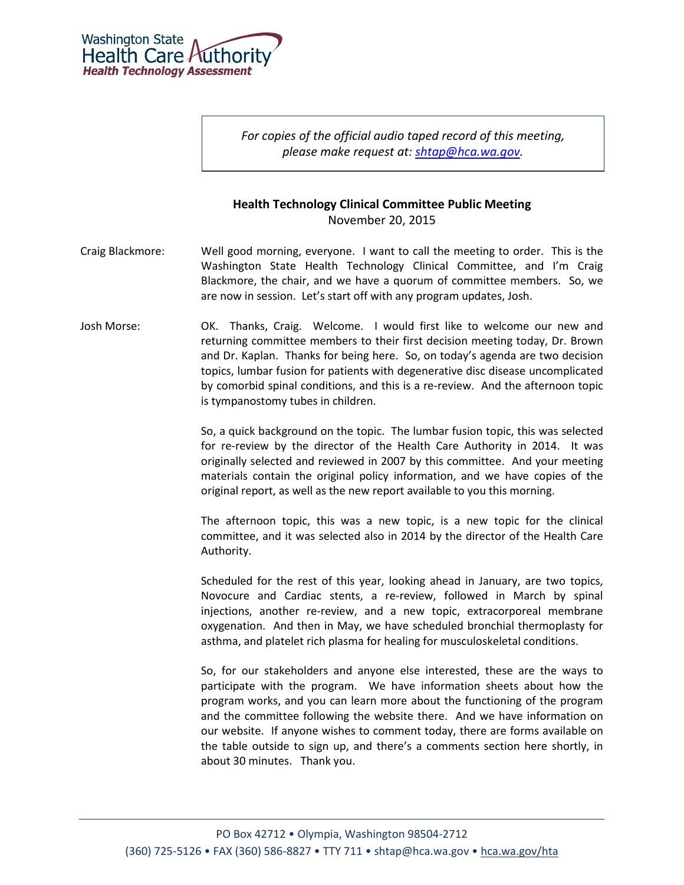

*For copies of the official audio taped record of this meeting, please make request at: [shtap@hca.wa.gov.](mailto:shtap@hca.wa.gov)*

## **Health Technology Clinical Committee Public Meeting** November 20, 2015

- Craig Blackmore: Well good morning, everyone. I want to call the meeting to order. This is the Washington State Health Technology Clinical Committee, and I'm Craig Blackmore, the chair, and we have a quorum of committee members. So, we are now in session. Let's start off with any program updates, Josh.
- Josh Morse: OK. Thanks, Craig. Welcome. I would first like to welcome our new and returning committee members to their first decision meeting today, Dr. Brown and Dr. Kaplan. Thanks for being here. So, on today's agenda are two decision topics, lumbar fusion for patients with degenerative disc disease uncomplicated by comorbid spinal conditions, and this is a re-review. And the afternoon topic is tympanostomy tubes in children.

So, a quick background on the topic. The lumbar fusion topic, this was selected for re-review by the director of the Health Care Authority in 2014. It was originally selected and reviewed in 2007 by this committee. And your meeting materials contain the original policy information, and we have copies of the original report, as well as the new report available to you this morning.

The afternoon topic, this was a new topic, is a new topic for the clinical committee, and it was selected also in 2014 by the director of the Health Care Authority.

Scheduled for the rest of this year, looking ahead in January, are two topics, Novocure and Cardiac stents, a re-review, followed in March by spinal injections, another re-review, and a new topic, extracorporeal membrane oxygenation. And then in May, we have scheduled bronchial thermoplasty for asthma, and platelet rich plasma for healing for musculoskeletal conditions.

So, for our stakeholders and anyone else interested, these are the ways to participate with the program. We have information sheets about how the program works, and you can learn more about the functioning of the program and the committee following the website there. And we have information on our website. If anyone wishes to comment today, there are forms available on the table outside to sign up, and there's a comments section here shortly, in about 30 minutes. Thank you.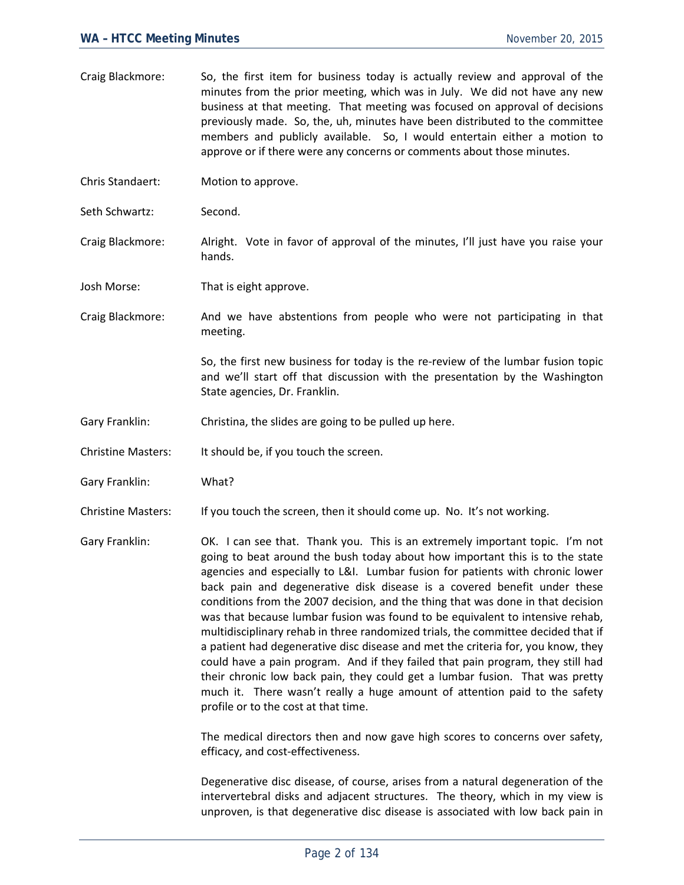- Craig Blackmore: So, the first item for business today is actually review and approval of the minutes from the prior meeting, which was in July. We did not have any new business at that meeting. That meeting was focused on approval of decisions previously made. So, the, uh, minutes have been distributed to the committee members and publicly available. So, I would entertain either a motion to approve or if there were any concerns or comments about those minutes.
- Chris Standaert: Motion to approve.
- Seth Schwartz: Second.
- Craig Blackmore: Alright. Vote in favor of approval of the minutes, I'll just have you raise your hands.

Josh Morse: That is eight approve.

Craig Blackmore: And we have abstentions from people who were not participating in that meeting.

> So, the first new business for today is the re-review of the lumbar fusion topic and we'll start off that discussion with the presentation by the Washington State agencies, Dr. Franklin.

- Gary Franklin: Christina, the slides are going to be pulled up here.
- Christine Masters: It should be, if you touch the screen.
- Gary Franklin: What?
- Christine Masters: If you touch the screen, then it should come up. No. It's not working.
- Gary Franklin: OK. I can see that. Thank you. This is an extremely important topic. I'm not going to beat around the bush today about how important this is to the state agencies and especially to L&I. Lumbar fusion for patients with chronic lower back pain and degenerative disk disease is a covered benefit under these conditions from the 2007 decision, and the thing that was done in that decision was that because lumbar fusion was found to be equivalent to intensive rehab, multidisciplinary rehab in three randomized trials, the committee decided that if a patient had degenerative disc disease and met the criteria for, you know, they could have a pain program. And if they failed that pain program, they still had their chronic low back pain, they could get a lumbar fusion. That was pretty much it. There wasn't really a huge amount of attention paid to the safety profile or to the cost at that time.

The medical directors then and now gave high scores to concerns over safety, efficacy, and cost-effectiveness.

Degenerative disc disease, of course, arises from a natural degeneration of the intervertebral disks and adjacent structures. The theory, which in my view is unproven, is that degenerative disc disease is associated with low back pain in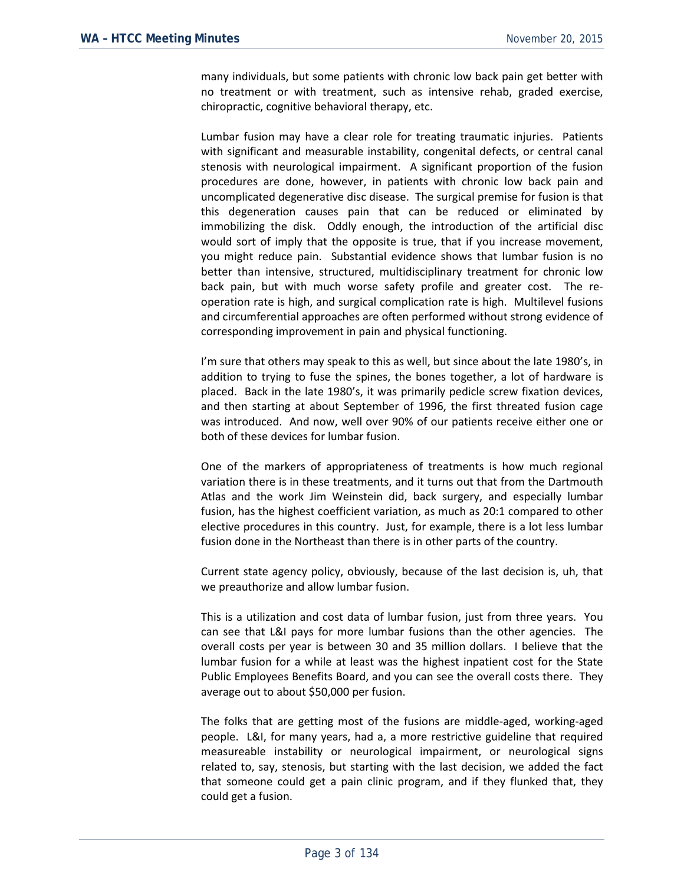many individuals, but some patients with chronic low back pain get better with no treatment or with treatment, such as intensive rehab, graded exercise, chiropractic, cognitive behavioral therapy, etc.

Lumbar fusion may have a clear role for treating traumatic injuries. Patients with significant and measurable instability, congenital defects, or central canal stenosis with neurological impairment. A significant proportion of the fusion procedures are done, however, in patients with chronic low back pain and uncomplicated degenerative disc disease. The surgical premise for fusion is that this degeneration causes pain that can be reduced or eliminated by immobilizing the disk. Oddly enough, the introduction of the artificial disc would sort of imply that the opposite is true, that if you increase movement, you might reduce pain. Substantial evidence shows that lumbar fusion is no better than intensive, structured, multidisciplinary treatment for chronic low back pain, but with much worse safety profile and greater cost. The reoperation rate is high, and surgical complication rate is high. Multilevel fusions and circumferential approaches are often performed without strong evidence of corresponding improvement in pain and physical functioning.

I'm sure that others may speak to this as well, but since about the late 1980's, in addition to trying to fuse the spines, the bones together, a lot of hardware is placed. Back in the late 1980's, it was primarily pedicle screw fixation devices, and then starting at about September of 1996, the first threated fusion cage was introduced. And now, well over 90% of our patients receive either one or both of these devices for lumbar fusion.

One of the markers of appropriateness of treatments is how much regional variation there is in these treatments, and it turns out that from the Dartmouth Atlas and the work Jim Weinstein did, back surgery, and especially lumbar fusion, has the highest coefficient variation, as much as 20:1 compared to other elective procedures in this country. Just, for example, there is a lot less lumbar fusion done in the Northeast than there is in other parts of the country.

Current state agency policy, obviously, because of the last decision is, uh, that we preauthorize and allow lumbar fusion.

This is a utilization and cost data of lumbar fusion, just from three years. You can see that L&I pays for more lumbar fusions than the other agencies. The overall costs per year is between 30 and 35 million dollars. I believe that the lumbar fusion for a while at least was the highest inpatient cost for the State Public Employees Benefits Board, and you can see the overall costs there. They average out to about \$50,000 per fusion.

The folks that are getting most of the fusions are middle-aged, working-aged people. L&I, for many years, had a, a more restrictive guideline that required measureable instability or neurological impairment, or neurological signs related to, say, stenosis, but starting with the last decision, we added the fact that someone could get a pain clinic program, and if they flunked that, they could get a fusion.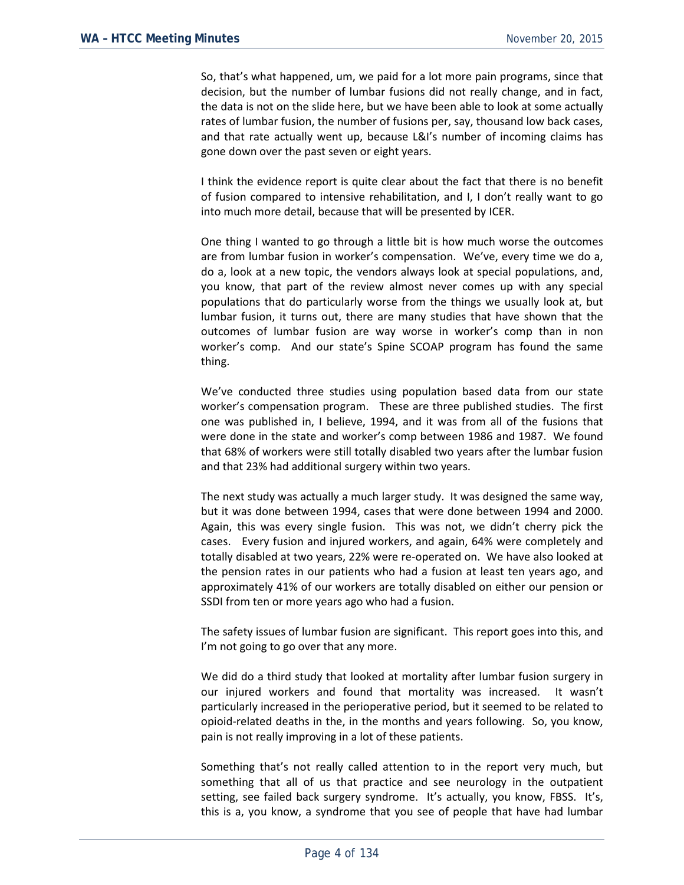So, that's what happened, um, we paid for a lot more pain programs, since that decision, but the number of lumbar fusions did not really change, and in fact, the data is not on the slide here, but we have been able to look at some actually rates of lumbar fusion, the number of fusions per, say, thousand low back cases, and that rate actually went up, because L&I's number of incoming claims has gone down over the past seven or eight years.

I think the evidence report is quite clear about the fact that there is no benefit of fusion compared to intensive rehabilitation, and I, I don't really want to go into much more detail, because that will be presented by ICER.

One thing I wanted to go through a little bit is how much worse the outcomes are from lumbar fusion in worker's compensation. We've, every time we do a, do a, look at a new topic, the vendors always look at special populations, and, you know, that part of the review almost never comes up with any special populations that do particularly worse from the things we usually look at, but lumbar fusion, it turns out, there are many studies that have shown that the outcomes of lumbar fusion are way worse in worker's comp than in non worker's comp. And our state's Spine SCOAP program has found the same thing.

We've conducted three studies using population based data from our state worker's compensation program. These are three published studies. The first one was published in, I believe, 1994, and it was from all of the fusions that were done in the state and worker's comp between 1986 and 1987. We found that 68% of workers were still totally disabled two years after the lumbar fusion and that 23% had additional surgery within two years.

The next study was actually a much larger study. It was designed the same way, but it was done between 1994, cases that were done between 1994 and 2000. Again, this was every single fusion. This was not, we didn't cherry pick the cases. Every fusion and injured workers, and again, 64% were completely and totally disabled at two years, 22% were re-operated on. We have also looked at the pension rates in our patients who had a fusion at least ten years ago, and approximately 41% of our workers are totally disabled on either our pension or SSDI from ten or more years ago who had a fusion.

The safety issues of lumbar fusion are significant. This report goes into this, and I'm not going to go over that any more.

We did do a third study that looked at mortality after lumbar fusion surgery in our injured workers and found that mortality was increased. It wasn't particularly increased in the perioperative period, but it seemed to be related to opioid-related deaths in the, in the months and years following. So, you know, pain is not really improving in a lot of these patients.

Something that's not really called attention to in the report very much, but something that all of us that practice and see neurology in the outpatient setting, see failed back surgery syndrome. It's actually, you know, FBSS. It's, this is a, you know, a syndrome that you see of people that have had lumbar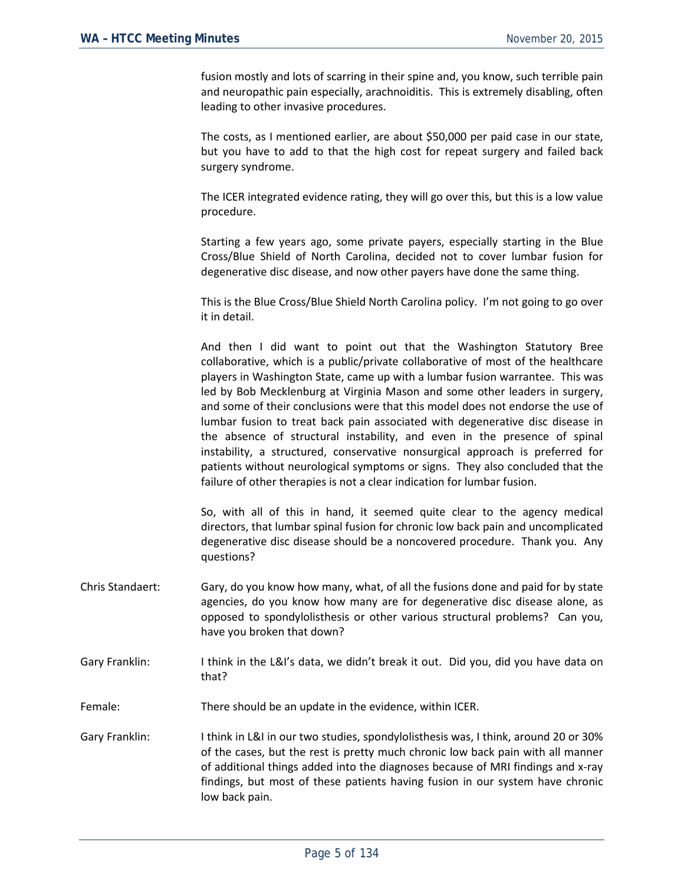fusion mostly and lots of scarring in their spine and, you know, such terrible pain and neuropathic pain especially, arachnoiditis. This is extremely disabling, often leading to other invasive procedures.

The costs, as I mentioned earlier, are about \$50,000 per paid case in our state, but you have to add to that the high cost for repeat surgery and failed back surgery syndrome.

The ICER integrated evidence rating, they will go over this, but this is a low value procedure.

Starting a few years ago, some private payers, especially starting in the Blue Cross/Blue Shield of North Carolina, decided not to cover lumbar fusion for degenerative disc disease, and now other payers have done the same thing.

This is the Blue Cross/Blue Shield North Carolina policy. I'm not going to go over it in detail.

And then I did want to point out that the Washington Statutory Bree collaborative, which is a public/private collaborative of most of the healthcare players in Washington State, came up with a lumbar fusion warrantee. This was led by Bob Mecklenburg at Virginia Mason and some other leaders in surgery, and some of their conclusions were that this model does not endorse the use of lumbar fusion to treat back pain associated with degenerative disc disease in the absence of structural instability, and even in the presence of spinal instability, a structured, conservative nonsurgical approach is preferred for patients without neurological symptoms or signs. They also concluded that the failure of other therapies is not a clear indication for lumbar fusion.

So, with all of this in hand, it seemed quite clear to the agency medical directors, that lumbar spinal fusion for chronic low back pain and uncomplicated degenerative disc disease should be a noncovered procedure. Thank you. Any questions?

- Chris Standaert: Gary, do you know how many, what, of all the fusions done and paid for by state agencies, do you know how many are for degenerative disc disease alone, as opposed to spondylolisthesis or other various structural problems? Can you, have you broken that down?
- Gary Franklin: I think in the L&I's data, we didn't break it out. Did you, did you have data on that?
- Female: There should be an update in the evidence, within ICER.
- Gary Franklin: I think in L&I in our two studies, spondylolisthesis was, I think, around 20 or 30% of the cases, but the rest is pretty much chronic low back pain with all manner of additional things added into the diagnoses because of MRI findings and x-ray findings, but most of these patients having fusion in our system have chronic low back pain.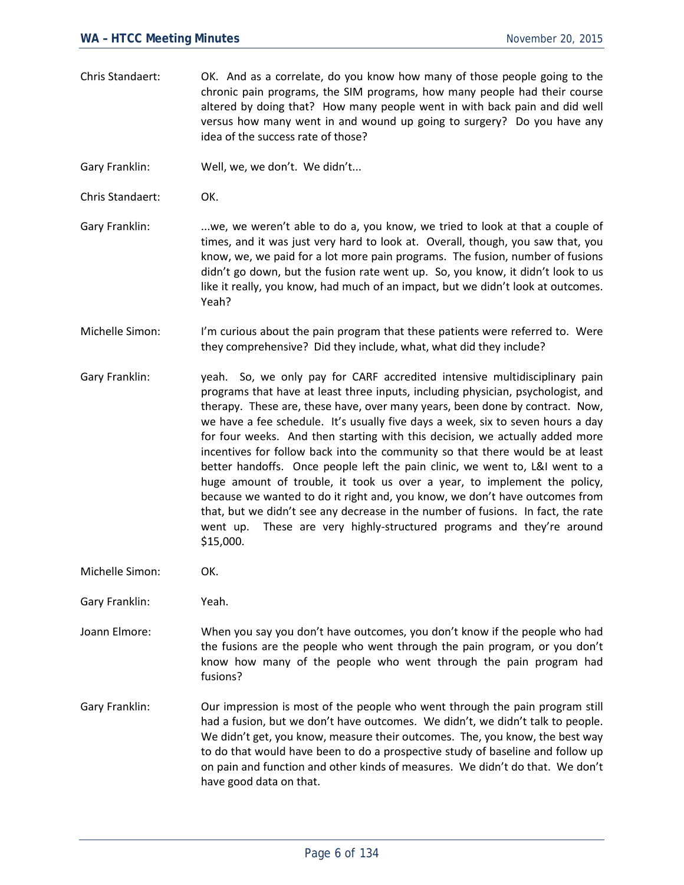Chris Standaert: OK. And as a correlate, do you know how many of those people going to the chronic pain programs, the SIM programs, how many people had their course altered by doing that? How many people went in with back pain and did well versus how many went in and wound up going to surgery? Do you have any idea of the success rate of those?

Gary Franklin: Well, we, we don't. We didn't...

- Chris Standaert: OK.
- Gary Franklin: ...we, we weren't able to do a, you know, we tried to look at that a couple of times, and it was just very hard to look at. Overall, though, you saw that, you know, we, we paid for a lot more pain programs. The fusion, number of fusions didn't go down, but the fusion rate went up. So, you know, it didn't look to us like it really, you know, had much of an impact, but we didn't look at outcomes. Yeah?
- Michelle Simon: I'm curious about the pain program that these patients were referred to. Were they comprehensive? Did they include, what, what did they include?
- Gary Franklin: yeah. So, we only pay for CARF accredited intensive multidisciplinary pain programs that have at least three inputs, including physician, psychologist, and therapy. These are, these have, over many years, been done by contract. Now, we have a fee schedule. It's usually five days a week, six to seven hours a day for four weeks. And then starting with this decision, we actually added more incentives for follow back into the community so that there would be at least better handoffs. Once people left the pain clinic, we went to, L&I went to a huge amount of trouble, it took us over a year, to implement the policy, because we wanted to do it right and, you know, we don't have outcomes from that, but we didn't see any decrease in the number of fusions. In fact, the rate went up. These are very highly-structured programs and they're around \$15,000.
- Michelle Simon: OK.
- Gary Franklin: Yeah.
- Joann Elmore: When you say you don't have outcomes, you don't know if the people who had the fusions are the people who went through the pain program, or you don't know how many of the people who went through the pain program had fusions?
- Gary Franklin: Our impression is most of the people who went through the pain program still had a fusion, but we don't have outcomes. We didn't, we didn't talk to people. We didn't get, you know, measure their outcomes. The, you know, the best way to do that would have been to do a prospective study of baseline and follow up on pain and function and other kinds of measures. We didn't do that. We don't have good data on that.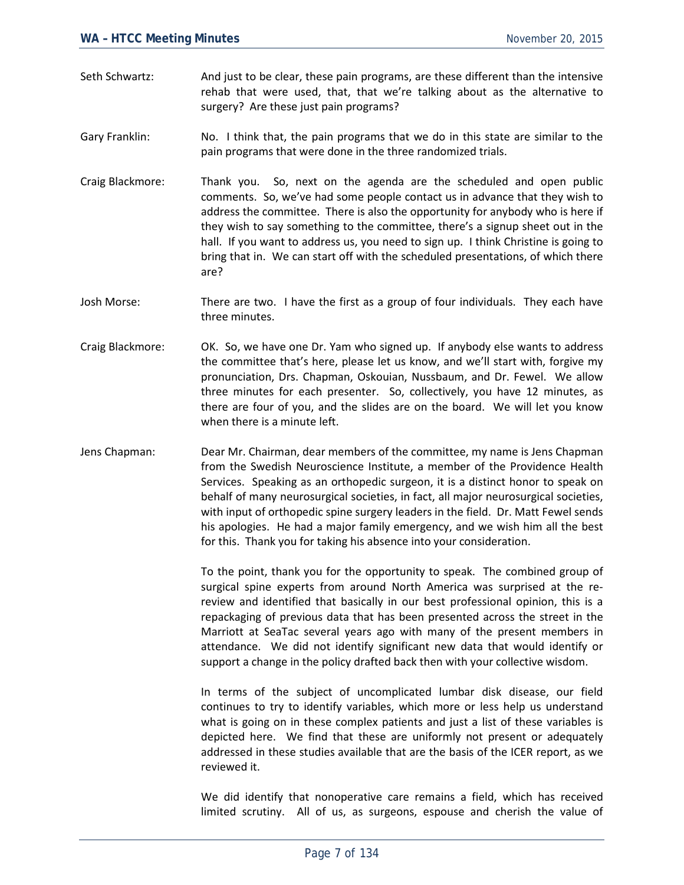- Seth Schwartz: And just to be clear, these pain programs, are these different than the intensive rehab that were used, that, that we're talking about as the alternative to surgery? Are these just pain programs?
- Gary Franklin: No. I think that, the pain programs that we do in this state are similar to the pain programs that were done in the three randomized trials.
- Craig Blackmore: Thank you. So, next on the agenda are the scheduled and open public comments. So, we've had some people contact us in advance that they wish to address the committee. There is also the opportunity for anybody who is here if they wish to say something to the committee, there's a signup sheet out in the hall. If you want to address us, you need to sign up. I think Christine is going to bring that in. We can start off with the scheduled presentations, of which there are?
- Josh Morse: There are two. I have the first as a group of four individuals. They each have three minutes.
- Craig Blackmore: OK. So, we have one Dr. Yam who signed up. If anybody else wants to address the committee that's here, please let us know, and we'll start with, forgive my pronunciation, Drs. Chapman, Oskouian, Nussbaum, and Dr. Fewel. We allow three minutes for each presenter. So, collectively, you have 12 minutes, as there are four of you, and the slides are on the board. We will let you know when there is a minute left.
- Jens Chapman: Dear Mr. Chairman, dear members of the committee, my name is Jens Chapman from the Swedish Neuroscience Institute, a member of the Providence Health Services. Speaking as an orthopedic surgeon, it is a distinct honor to speak on behalf of many neurosurgical societies, in fact, all major neurosurgical societies, with input of orthopedic spine surgery leaders in the field. Dr. Matt Fewel sends his apologies. He had a major family emergency, and we wish him all the best for this. Thank you for taking his absence into your consideration.

To the point, thank you for the opportunity to speak. The combined group of surgical spine experts from around North America was surprised at the rereview and identified that basically in our best professional opinion, this is a repackaging of previous data that has been presented across the street in the Marriott at SeaTac several years ago with many of the present members in attendance. We did not identify significant new data that would identify or support a change in the policy drafted back then with your collective wisdom.

In terms of the subject of uncomplicated lumbar disk disease, our field continues to try to identify variables, which more or less help us understand what is going on in these complex patients and just a list of these variables is depicted here. We find that these are uniformly not present or adequately addressed in these studies available that are the basis of the ICER report, as we reviewed it.

We did identify that nonoperative care remains a field, which has received limited scrutiny. All of us, as surgeons, espouse and cherish the value of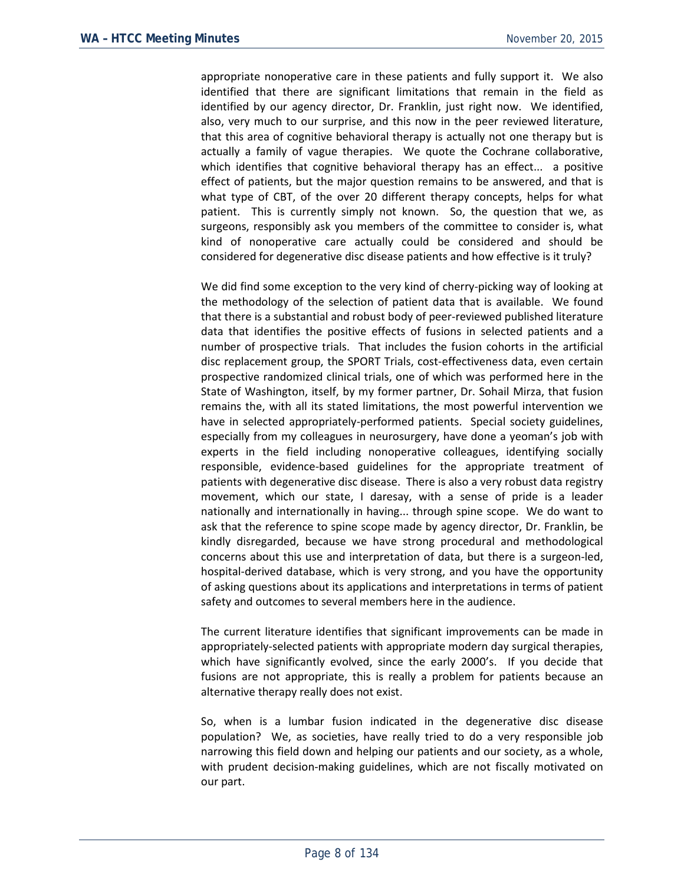appropriate nonoperative care in these patients and fully support it. We also identified that there are significant limitations that remain in the field as identified by our agency director, Dr. Franklin, just right now. We identified, also, very much to our surprise, and this now in the peer reviewed literature, that this area of cognitive behavioral therapy is actually not one therapy but is actually a family of vague therapies. We quote the Cochrane collaborative, which identifies that cognitive behavioral therapy has an effect... a positive effect of patients, but the major question remains to be answered, and that is what type of CBT, of the over 20 different therapy concepts, helps for what patient. This is currently simply not known. So, the question that we, as surgeons, responsibly ask you members of the committee to consider is, what kind of nonoperative care actually could be considered and should be considered for degenerative disc disease patients and how effective is it truly?

We did find some exception to the very kind of cherry-picking way of looking at the methodology of the selection of patient data that is available. We found that there is a substantial and robust body of peer-reviewed published literature data that identifies the positive effects of fusions in selected patients and a number of prospective trials. That includes the fusion cohorts in the artificial disc replacement group, the SPORT Trials, cost-effectiveness data, even certain prospective randomized clinical trials, one of which was performed here in the State of Washington, itself, by my former partner, Dr. Sohail Mirza, that fusion remains the, with all its stated limitations, the most powerful intervention we have in selected appropriately-performed patients. Special society guidelines, especially from my colleagues in neurosurgery, have done a yeoman's job with experts in the field including nonoperative colleagues, identifying socially responsible, evidence-based guidelines for the appropriate treatment of patients with degenerative disc disease. There is also a very robust data registry movement, which our state, I daresay, with a sense of pride is a leader nationally and internationally in having... through spine scope. We do want to ask that the reference to spine scope made by agency director, Dr. Franklin, be kindly disregarded, because we have strong procedural and methodological concerns about this use and interpretation of data, but there is a surgeon-led, hospital-derived database, which is very strong, and you have the opportunity of asking questions about its applications and interpretations in terms of patient safety and outcomes to several members here in the audience.

The current literature identifies that significant improvements can be made in appropriately-selected patients with appropriate modern day surgical therapies, which have significantly evolved, since the early 2000's. If you decide that fusions are not appropriate, this is really a problem for patients because an alternative therapy really does not exist.

So, when is a lumbar fusion indicated in the degenerative disc disease population? We, as societies, have really tried to do a very responsible job narrowing this field down and helping our patients and our society, as a whole, with prudent decision-making guidelines, which are not fiscally motivated on our part.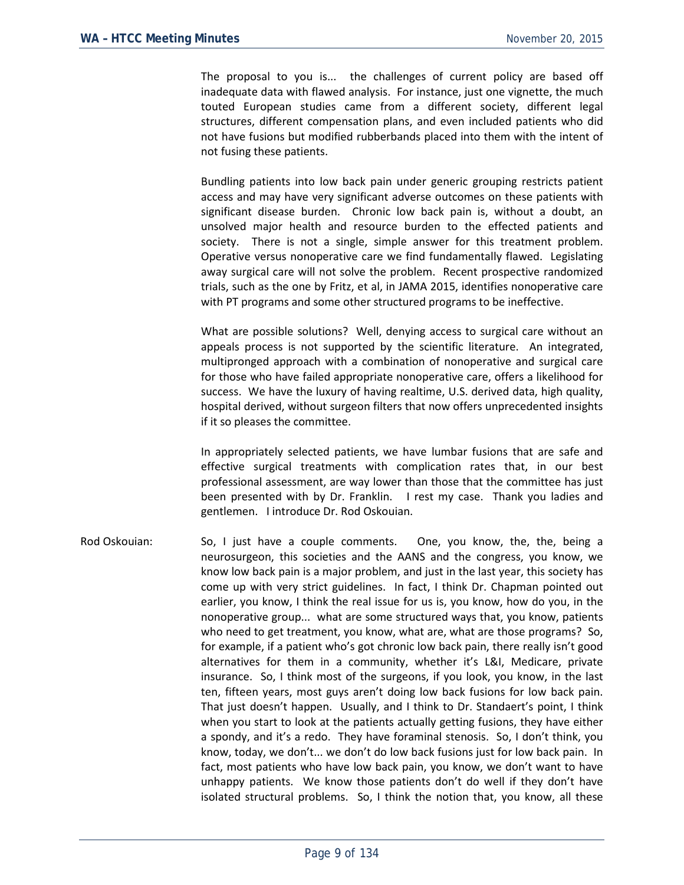The proposal to you is... the challenges of current policy are based off inadequate data with flawed analysis. For instance, just one vignette, the much touted European studies came from a different society, different legal structures, different compensation plans, and even included patients who did not have fusions but modified rubberbands placed into them with the intent of not fusing these patients.

Bundling patients into low back pain under generic grouping restricts patient access and may have very significant adverse outcomes on these patients with significant disease burden. Chronic low back pain is, without a doubt, an unsolved major health and resource burden to the effected patients and society. There is not a single, simple answer for this treatment problem. Operative versus nonoperative care we find fundamentally flawed. Legislating away surgical care will not solve the problem. Recent prospective randomized trials, such as the one by Fritz, et al, in JAMA 2015, identifies nonoperative care with PT programs and some other structured programs to be ineffective.

What are possible solutions? Well, denying access to surgical care without an appeals process is not supported by the scientific literature. An integrated, multipronged approach with a combination of nonoperative and surgical care for those who have failed appropriate nonoperative care, offers a likelihood for success. We have the luxury of having realtime, U.S. derived data, high quality, hospital derived, without surgeon filters that now offers unprecedented insights if it so pleases the committee.

In appropriately selected patients, we have lumbar fusions that are safe and effective surgical treatments with complication rates that, in our best professional assessment, are way lower than those that the committee has just been presented with by Dr. Franklin. I rest my case. Thank you ladies and gentlemen. I introduce Dr. Rod Oskouian.

Rod Oskouian: So, I just have a couple comments. One, you know, the, the, being a neurosurgeon, this societies and the AANS and the congress, you know, we know low back pain is a major problem, and just in the last year, this society has come up with very strict guidelines. In fact, I think Dr. Chapman pointed out earlier, you know, I think the real issue for us is, you know, how do you, in the nonoperative group... what are some structured ways that, you know, patients who need to get treatment, you know, what are, what are those programs? So, for example, if a patient who's got chronic low back pain, there really isn't good alternatives for them in a community, whether it's L&I, Medicare, private insurance. So, I think most of the surgeons, if you look, you know, in the last ten, fifteen years, most guys aren't doing low back fusions for low back pain. That just doesn't happen. Usually, and I think to Dr. Standaert's point, I think when you start to look at the patients actually getting fusions, they have either a spondy, and it's a redo. They have foraminal stenosis. So, I don't think, you know, today, we don't... we don't do low back fusions just for low back pain. In fact, most patients who have low back pain, you know, we don't want to have unhappy patients. We know those patients don't do well if they don't have isolated structural problems. So, I think the notion that, you know, all these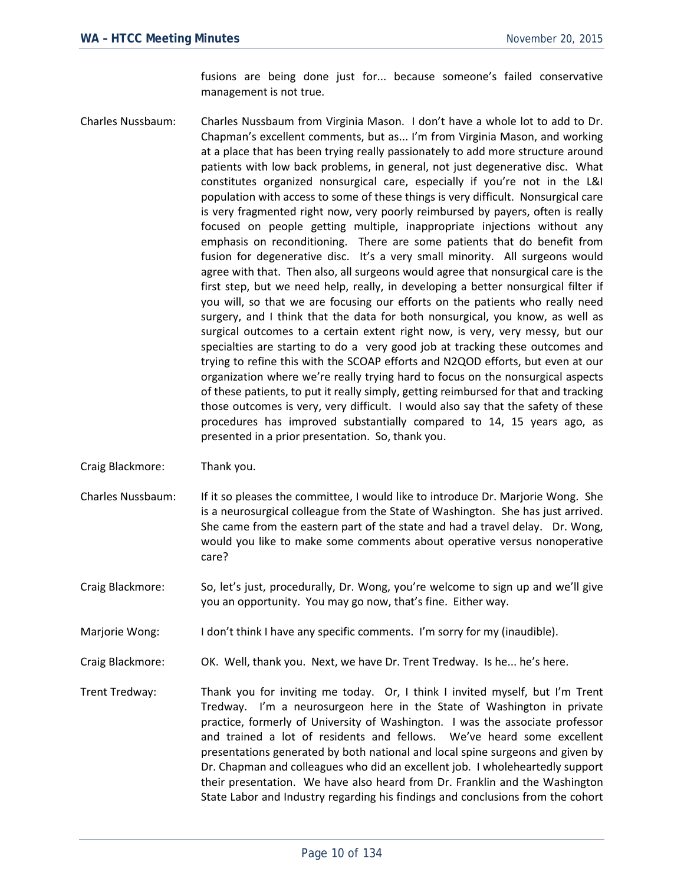fusions are being done just for... because someone's failed conservative management is not true.

- Charles Nussbaum: Charles Nussbaum from Virginia Mason. I don't have a whole lot to add to Dr. Chapman's excellent comments, but as... I'm from Virginia Mason, and working at a place that has been trying really passionately to add more structure around patients with low back problems, in general, not just degenerative disc. What constitutes organized nonsurgical care, especially if you're not in the L&I population with access to some of these things is very difficult. Nonsurgical care is very fragmented right now, very poorly reimbursed by payers, often is really focused on people getting multiple, inappropriate injections without any emphasis on reconditioning. There are some patients that do benefit from fusion for degenerative disc. It's a very small minority. All surgeons would agree with that. Then also, all surgeons would agree that nonsurgical care is the first step, but we need help, really, in developing a better nonsurgical filter if you will, so that we are focusing our efforts on the patients who really need surgery, and I think that the data for both nonsurgical, you know, as well as surgical outcomes to a certain extent right now, is very, very messy, but our specialties are starting to do a very good job at tracking these outcomes and trying to refine this with the SCOAP efforts and N2QOD efforts, but even at our organization where we're really trying hard to focus on the nonsurgical aspects of these patients, to put it really simply, getting reimbursed for that and tracking those outcomes is very, very difficult. I would also say that the safety of these procedures has improved substantially compared to 14, 15 years ago, as presented in a prior presentation. So, thank you.
- Craig Blackmore: Thank you.
- Charles Nussbaum: If it so pleases the committee, I would like to introduce Dr. Marjorie Wong. She is a neurosurgical colleague from the State of Washington. She has just arrived. She came from the eastern part of the state and had a travel delay. Dr. Wong, would you like to make some comments about operative versus nonoperative care?
- Craig Blackmore: So, let's just, procedurally, Dr. Wong, you're welcome to sign up and we'll give you an opportunity. You may go now, that's fine. Either way.
- Marjorie Wong: I don't think I have any specific comments. I'm sorry for my (inaudible).
- Craig Blackmore: OK. Well, thank you. Next, we have Dr. Trent Tredway. Is he... he's here.
- Trent Tredway: Thank you for inviting me today. Or, I think I invited myself, but I'm Trent Tredway. I'm a neurosurgeon here in the State of Washington in private practice, formerly of University of Washington. I was the associate professor and trained a lot of residents and fellows. We've heard some excellent presentations generated by both national and local spine surgeons and given by Dr. Chapman and colleagues who did an excellent job. I wholeheartedly support their presentation. We have also heard from Dr. Franklin and the Washington State Labor and Industry regarding his findings and conclusions from the cohort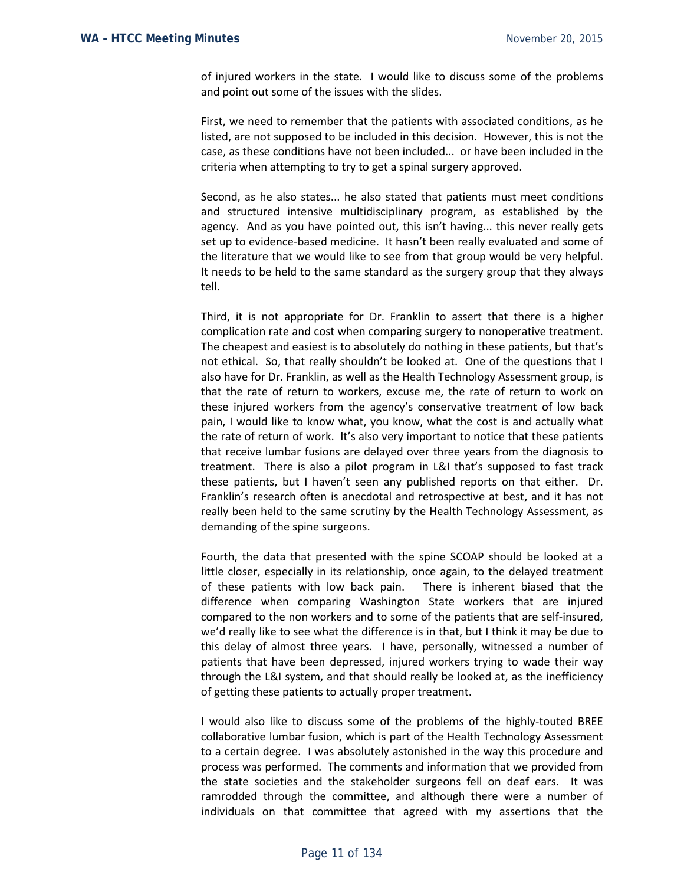of injured workers in the state. I would like to discuss some of the problems and point out some of the issues with the slides.

First, we need to remember that the patients with associated conditions, as he listed, are not supposed to be included in this decision. However, this is not the case, as these conditions have not been included... or have been included in the criteria when attempting to try to get a spinal surgery approved.

Second, as he also states... he also stated that patients must meet conditions and structured intensive multidisciplinary program, as established by the agency. And as you have pointed out, this isn't having... this never really gets set up to evidence-based medicine. It hasn't been really evaluated and some of the literature that we would like to see from that group would be very helpful. It needs to be held to the same standard as the surgery group that they always tell.

Third, it is not appropriate for Dr. Franklin to assert that there is a higher complication rate and cost when comparing surgery to nonoperative treatment. The cheapest and easiest is to absolutely do nothing in these patients, but that's not ethical. So, that really shouldn't be looked at. One of the questions that I also have for Dr. Franklin, as well as the Health Technology Assessment group, is that the rate of return to workers, excuse me, the rate of return to work on these injured workers from the agency's conservative treatment of low back pain, I would like to know what, you know, what the cost is and actually what the rate of return of work. It's also very important to notice that these patients that receive lumbar fusions are delayed over three years from the diagnosis to treatment. There is also a pilot program in L&I that's supposed to fast track these patients, but I haven't seen any published reports on that either. Dr. Franklin's research often is anecdotal and retrospective at best, and it has not really been held to the same scrutiny by the Health Technology Assessment, as demanding of the spine surgeons.

Fourth, the data that presented with the spine SCOAP should be looked at a little closer, especially in its relationship, once again, to the delayed treatment of these patients with low back pain. There is inherent biased that the difference when comparing Washington State workers that are injured compared to the non workers and to some of the patients that are self-insured, we'd really like to see what the difference is in that, but I think it may be due to this delay of almost three years. I have, personally, witnessed a number of patients that have been depressed, injured workers trying to wade their way through the L&I system, and that should really be looked at, as the inefficiency of getting these patients to actually proper treatment.

I would also like to discuss some of the problems of the highly-touted BREE collaborative lumbar fusion, which is part of the Health Technology Assessment to a certain degree. I was absolutely astonished in the way this procedure and process was performed. The comments and information that we provided from the state societies and the stakeholder surgeons fell on deaf ears. It was ramrodded through the committee, and although there were a number of individuals on that committee that agreed with my assertions that the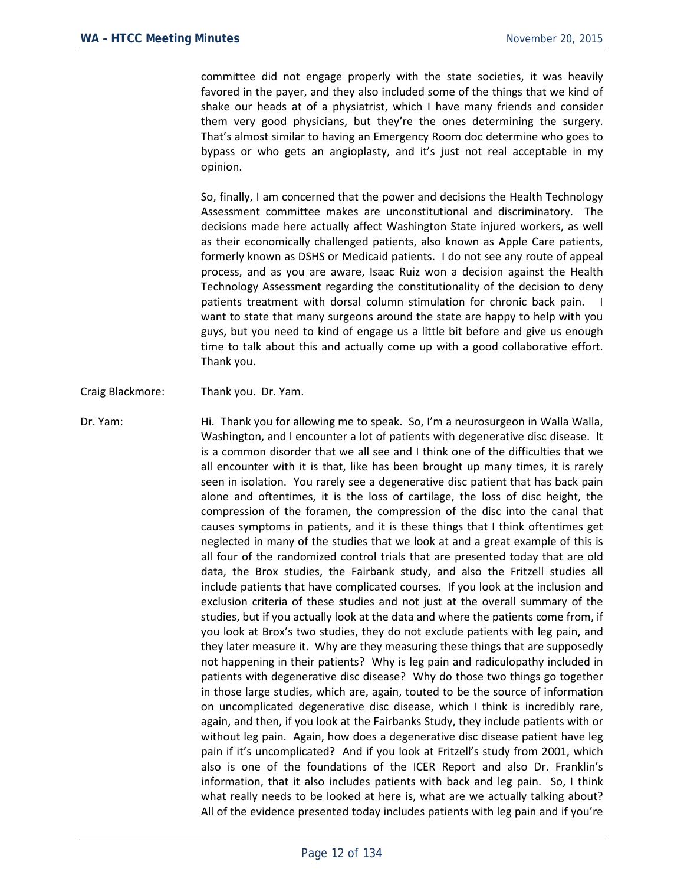committee did not engage properly with the state societies, it was heavily favored in the payer, and they also included some of the things that we kind of shake our heads at of a physiatrist, which I have many friends and consider them very good physicians, but they're the ones determining the surgery. That's almost similar to having an Emergency Room doc determine who goes to bypass or who gets an angioplasty, and it's just not real acceptable in my opinion.

So, finally, I am concerned that the power and decisions the Health Technology Assessment committee makes are unconstitutional and discriminatory. The decisions made here actually affect Washington State injured workers, as well as their economically challenged patients, also known as Apple Care patients, formerly known as DSHS or Medicaid patients. I do not see any route of appeal process, and as you are aware, Isaac Ruiz won a decision against the Health Technology Assessment regarding the constitutionality of the decision to deny patients treatment with dorsal column stimulation for chronic back pain. I want to state that many surgeons around the state are happy to help with you guys, but you need to kind of engage us a little bit before and give us enough time to talk about this and actually come up with a good collaborative effort. Thank you.

- Craig Blackmore: Thank you. Dr. Yam.
- Dr. Yam: Hi. Thank you for allowing me to speak. So, I'm a neurosurgeon in Walla Walla, Washington, and I encounter a lot of patients with degenerative disc disease. It is a common disorder that we all see and I think one of the difficulties that we all encounter with it is that, like has been brought up many times, it is rarely seen in isolation. You rarely see a degenerative disc patient that has back pain alone and oftentimes, it is the loss of cartilage, the loss of disc height, the compression of the foramen, the compression of the disc into the canal that causes symptoms in patients, and it is these things that I think oftentimes get neglected in many of the studies that we look at and a great example of this is all four of the randomized control trials that are presented today that are old data, the Brox studies, the Fairbank study, and also the Fritzell studies all include patients that have complicated courses. If you look at the inclusion and exclusion criteria of these studies and not just at the overall summary of the studies, but if you actually look at the data and where the patients come from, if you look at Brox's two studies, they do not exclude patients with leg pain, and they later measure it. Why are they measuring these things that are supposedly not happening in their patients? Why is leg pain and radiculopathy included in patients with degenerative disc disease? Why do those two things go together in those large studies, which are, again, touted to be the source of information on uncomplicated degenerative disc disease, which I think is incredibly rare, again, and then, if you look at the Fairbanks Study, they include patients with or without leg pain. Again, how does a degenerative disc disease patient have leg pain if it's uncomplicated? And if you look at Fritzell's study from 2001, which also is one of the foundations of the ICER Report and also Dr. Franklin's information, that it also includes patients with back and leg pain. So, I think what really needs to be looked at here is, what are we actually talking about? All of the evidence presented today includes patients with leg pain and if you're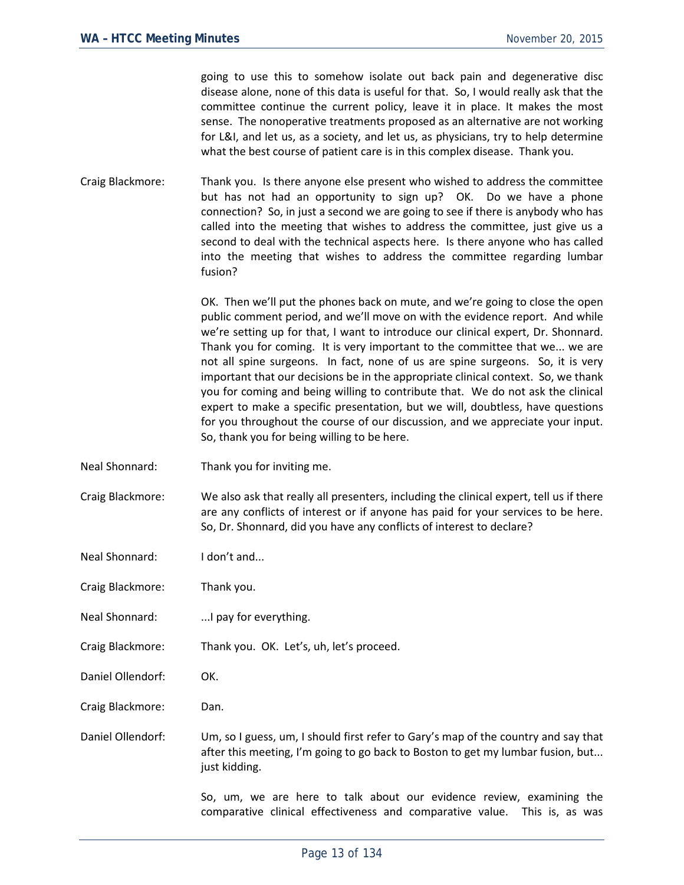going to use this to somehow isolate out back pain and degenerative disc disease alone, none of this data is useful for that. So, I would really ask that the committee continue the current policy, leave it in place. It makes the most sense. The nonoperative treatments proposed as an alternative are not working for L&I, and let us, as a society, and let us, as physicians, try to help determine what the best course of patient care is in this complex disease. Thank you.

Craig Blackmore: Thank you. Is there anyone else present who wished to address the committee but has not had an opportunity to sign up? OK. Do we have a phone connection? So, in just a second we are going to see if there is anybody who has called into the meeting that wishes to address the committee, just give us a second to deal with the technical aspects here. Is there anyone who has called into the meeting that wishes to address the committee regarding lumbar fusion?

> OK. Then we'll put the phones back on mute, and we're going to close the open public comment period, and we'll move on with the evidence report. And while we're setting up for that, I want to introduce our clinical expert, Dr. Shonnard. Thank you for coming. It is very important to the committee that we... we are not all spine surgeons. In fact, none of us are spine surgeons. So, it is very important that our decisions be in the appropriate clinical context. So, we thank you for coming and being willing to contribute that. We do not ask the clinical expert to make a specific presentation, but we will, doubtless, have questions for you throughout the course of our discussion, and we appreciate your input. So, thank you for being willing to be here.

- Neal Shonnard: Thank you for inviting me.
- Craig Blackmore: We also ask that really all presenters, including the clinical expert, tell us if there are any conflicts of interest or if anyone has paid for your services to be here. So, Dr. Shonnard, did you have any conflicts of interest to declare?

Neal Shonnard: I don't and...

Craig Blackmore: Thank you.

- Neal Shonnard: ...I pay for everything.
- Craig Blackmore: Thank you. OK. Let's, uh, let's proceed.
- Daniel Ollendorf: OK.
- Craig Blackmore: Dan.
- Daniel Ollendorf: Um, so I guess, um, I should first refer to Gary's map of the country and say that after this meeting, I'm going to go back to Boston to get my lumbar fusion, but... just kidding.

So, um, we are here to talk about our evidence review, examining the comparative clinical effectiveness and comparative value. This is, as was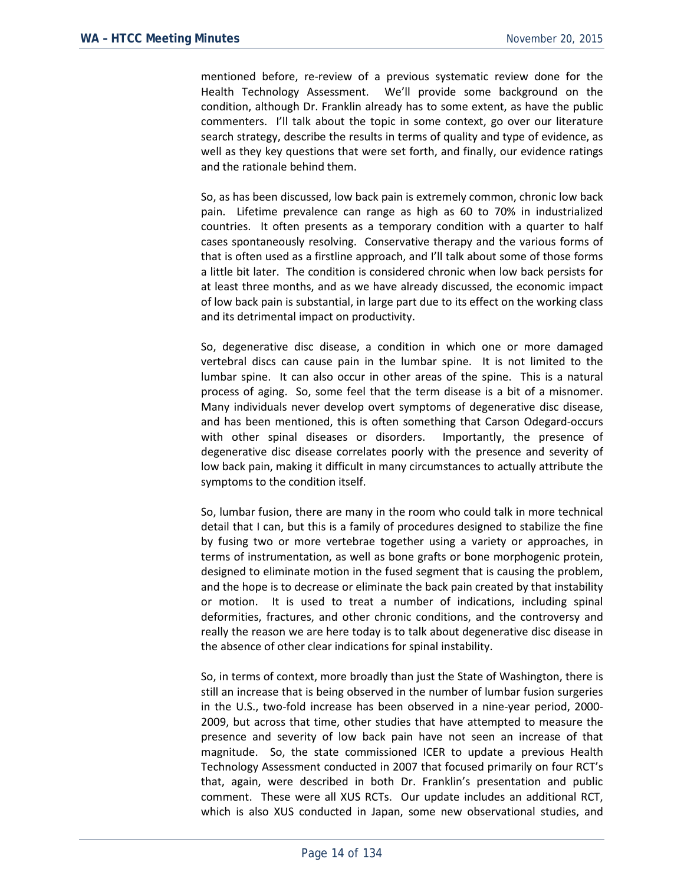mentioned before, re-review of a previous systematic review done for the Health Technology Assessment. We'll provide some background on the condition, although Dr. Franklin already has to some extent, as have the public commenters. I'll talk about the topic in some context, go over our literature search strategy, describe the results in terms of quality and type of evidence, as well as they key questions that were set forth, and finally, our evidence ratings and the rationale behind them.

So, as has been discussed, low back pain is extremely common, chronic low back pain. Lifetime prevalence can range as high as 60 to 70% in industrialized countries. It often presents as a temporary condition with a quarter to half cases spontaneously resolving. Conservative therapy and the various forms of that is often used as a firstline approach, and I'll talk about some of those forms a little bit later. The condition is considered chronic when low back persists for at least three months, and as we have already discussed, the economic impact of low back pain is substantial, in large part due to its effect on the working class and its detrimental impact on productivity.

So, degenerative disc disease, a condition in which one or more damaged vertebral discs can cause pain in the lumbar spine. It is not limited to the lumbar spine. It can also occur in other areas of the spine. This is a natural process of aging. So, some feel that the term disease is a bit of a misnomer. Many individuals never develop overt symptoms of degenerative disc disease, and has been mentioned, this is often something that Carson Odegard-occurs with other spinal diseases or disorders. Importantly, the presence of degenerative disc disease correlates poorly with the presence and severity of low back pain, making it difficult in many circumstances to actually attribute the symptoms to the condition itself.

So, lumbar fusion, there are many in the room who could talk in more technical detail that I can, but this is a family of procedures designed to stabilize the fine by fusing two or more vertebrae together using a variety or approaches, in terms of instrumentation, as well as bone grafts or bone morphogenic protein, designed to eliminate motion in the fused segment that is causing the problem, and the hope is to decrease or eliminate the back pain created by that instability or motion. It is used to treat a number of indications, including spinal deformities, fractures, and other chronic conditions, and the controversy and really the reason we are here today is to talk about degenerative disc disease in the absence of other clear indications for spinal instability.

So, in terms of context, more broadly than just the State of Washington, there is still an increase that is being observed in the number of lumbar fusion surgeries in the U.S., two-fold increase has been observed in a nine-year period, 2000- 2009, but across that time, other studies that have attempted to measure the presence and severity of low back pain have not seen an increase of that magnitude. So, the state commissioned ICER to update a previous Health Technology Assessment conducted in 2007 that focused primarily on four RCT's that, again, were described in both Dr. Franklin's presentation and public comment. These were all XUS RCTs. Our update includes an additional RCT, which is also XUS conducted in Japan, some new observational studies, and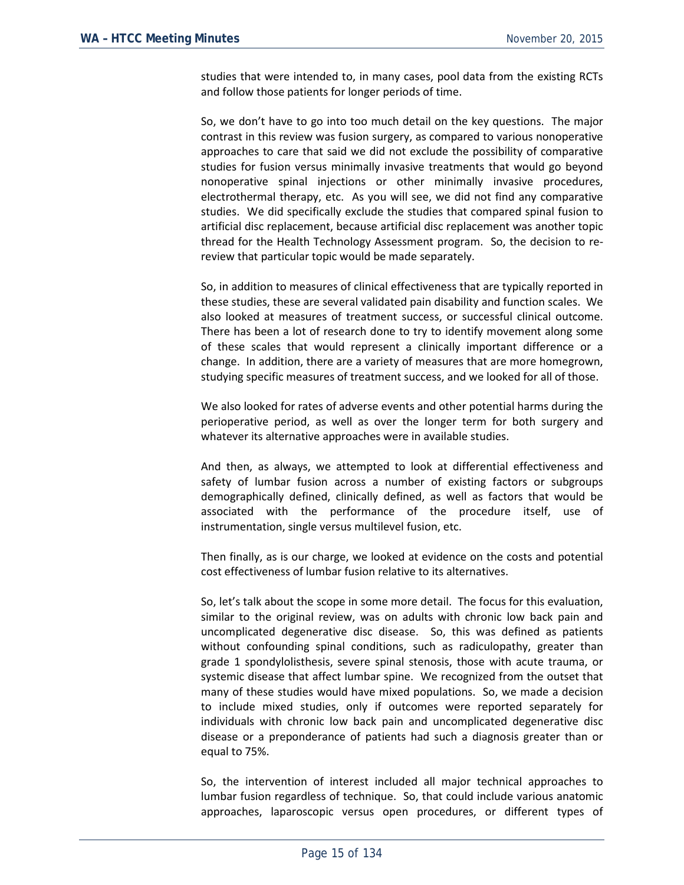studies that were intended to, in many cases, pool data from the existing RCTs and follow those patients for longer periods of time.

So, we don't have to go into too much detail on the key questions. The major contrast in this review was fusion surgery, as compared to various nonoperative approaches to care that said we did not exclude the possibility of comparative studies for fusion versus minimally invasive treatments that would go beyond nonoperative spinal injections or other minimally invasive procedures, electrothermal therapy, etc. As you will see, we did not find any comparative studies. We did specifically exclude the studies that compared spinal fusion to artificial disc replacement, because artificial disc replacement was another topic thread for the Health Technology Assessment program. So, the decision to rereview that particular topic would be made separately.

So, in addition to measures of clinical effectiveness that are typically reported in these studies, these are several validated pain disability and function scales. We also looked at measures of treatment success, or successful clinical outcome. There has been a lot of research done to try to identify movement along some of these scales that would represent a clinically important difference or a change. In addition, there are a variety of measures that are more homegrown, studying specific measures of treatment success, and we looked for all of those.

We also looked for rates of adverse events and other potential harms during the perioperative period, as well as over the longer term for both surgery and whatever its alternative approaches were in available studies.

And then, as always, we attempted to look at differential effectiveness and safety of lumbar fusion across a number of existing factors or subgroups demographically defined, clinically defined, as well as factors that would be associated with the performance of the procedure itself, use of instrumentation, single versus multilevel fusion, etc.

Then finally, as is our charge, we looked at evidence on the costs and potential cost effectiveness of lumbar fusion relative to its alternatives.

So, let's talk about the scope in some more detail. The focus for this evaluation, similar to the original review, was on adults with chronic low back pain and uncomplicated degenerative disc disease. So, this was defined as patients without confounding spinal conditions, such as radiculopathy, greater than grade 1 spondylolisthesis, severe spinal stenosis, those with acute trauma, or systemic disease that affect lumbar spine. We recognized from the outset that many of these studies would have mixed populations. So, we made a decision to include mixed studies, only if outcomes were reported separately for individuals with chronic low back pain and uncomplicated degenerative disc disease or a preponderance of patients had such a diagnosis greater than or equal to 75%.

So, the intervention of interest included all major technical approaches to lumbar fusion regardless of technique. So, that could include various anatomic approaches, laparoscopic versus open procedures, or different types of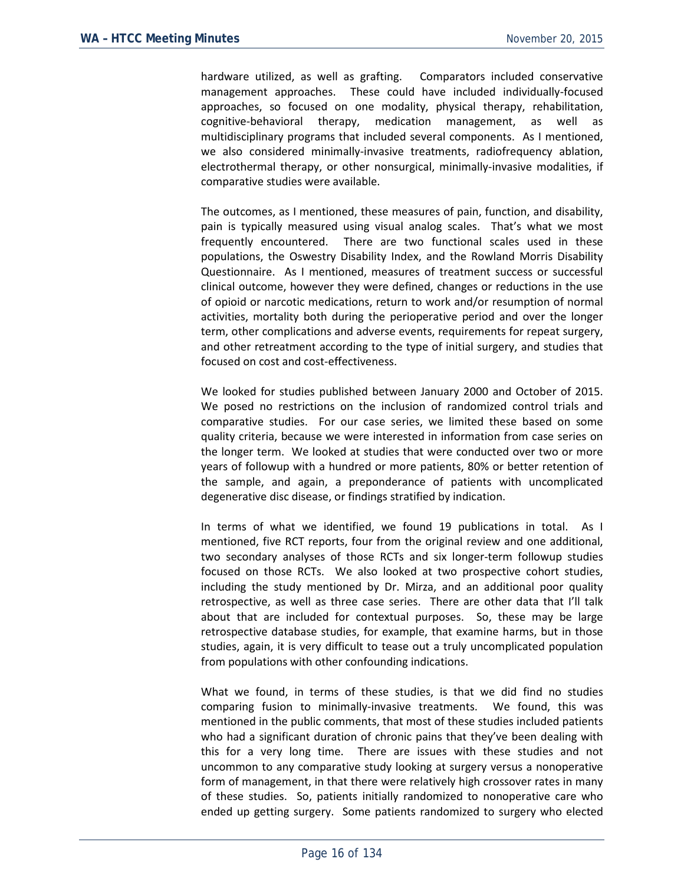hardware utilized, as well as grafting. Comparators included conservative management approaches. These could have included individually-focused approaches, so focused on one modality, physical therapy, rehabilitation, cognitive-behavioral therapy, medication management, as well as multidisciplinary programs that included several components. As I mentioned, we also considered minimally-invasive treatments, radiofrequency ablation, electrothermal therapy, or other nonsurgical, minimally-invasive modalities, if comparative studies were available.

The outcomes, as I mentioned, these measures of pain, function, and disability, pain is typically measured using visual analog scales. That's what we most frequently encountered. There are two functional scales used in these populations, the Oswestry Disability Index, and the Rowland Morris Disability Questionnaire. As I mentioned, measures of treatment success or successful clinical outcome, however they were defined, changes or reductions in the use of opioid or narcotic medications, return to work and/or resumption of normal activities, mortality both during the perioperative period and over the longer term, other complications and adverse events, requirements for repeat surgery, and other retreatment according to the type of initial surgery, and studies that focused on cost and cost-effectiveness.

We looked for studies published between January 2000 and October of 2015. We posed no restrictions on the inclusion of randomized control trials and comparative studies. For our case series, we limited these based on some quality criteria, because we were interested in information from case series on the longer term. We looked at studies that were conducted over two or more years of followup with a hundred or more patients, 80% or better retention of the sample, and again, a preponderance of patients with uncomplicated degenerative disc disease, or findings stratified by indication.

In terms of what we identified, we found 19 publications in total. As I mentioned, five RCT reports, four from the original review and one additional, two secondary analyses of those RCTs and six longer-term followup studies focused on those RCTs. We also looked at two prospective cohort studies, including the study mentioned by Dr. Mirza, and an additional poor quality retrospective, as well as three case series. There are other data that I'll talk about that are included for contextual purposes. So, these may be large retrospective database studies, for example, that examine harms, but in those studies, again, it is very difficult to tease out a truly uncomplicated population from populations with other confounding indications.

What we found, in terms of these studies, is that we did find no studies comparing fusion to minimally-invasive treatments. We found, this was mentioned in the public comments, that most of these studies included patients who had a significant duration of chronic pains that they've been dealing with this for a very long time. There are issues with these studies and not uncommon to any comparative study looking at surgery versus a nonoperative form of management, in that there were relatively high crossover rates in many of these studies. So, patients initially randomized to nonoperative care who ended up getting surgery. Some patients randomized to surgery who elected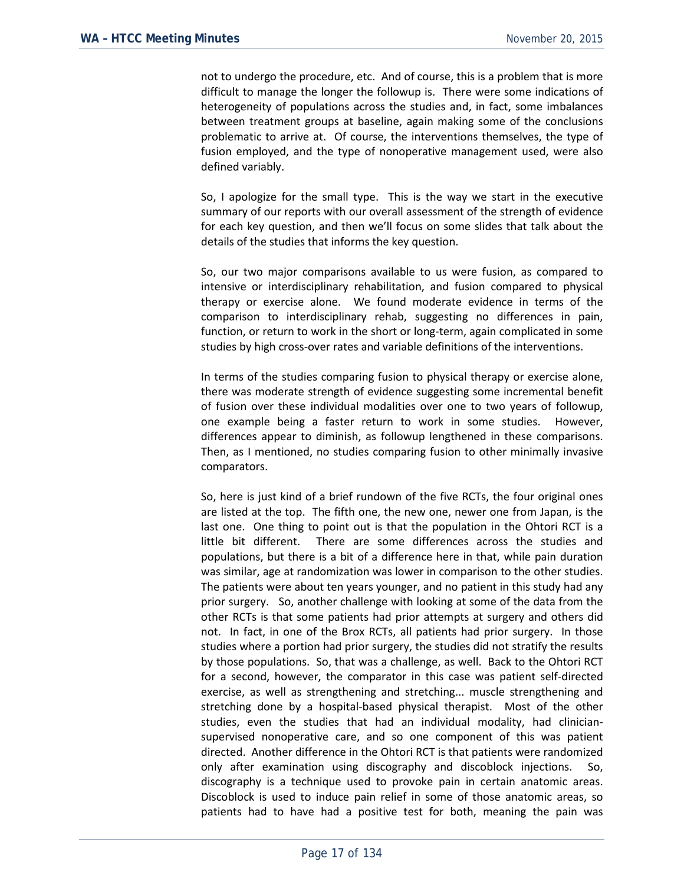not to undergo the procedure, etc. And of course, this is a problem that is more difficult to manage the longer the followup is. There were some indications of heterogeneity of populations across the studies and, in fact, some imbalances between treatment groups at baseline, again making some of the conclusions problematic to arrive at. Of course, the interventions themselves, the type of fusion employed, and the type of nonoperative management used, were also defined variably.

So, I apologize for the small type. This is the way we start in the executive summary of our reports with our overall assessment of the strength of evidence for each key question, and then we'll focus on some slides that talk about the details of the studies that informs the key question.

So, our two major comparisons available to us were fusion, as compared to intensive or interdisciplinary rehabilitation, and fusion compared to physical therapy or exercise alone. We found moderate evidence in terms of the comparison to interdisciplinary rehab, suggesting no differences in pain, function, or return to work in the short or long-term, again complicated in some studies by high cross-over rates and variable definitions of the interventions.

In terms of the studies comparing fusion to physical therapy or exercise alone, there was moderate strength of evidence suggesting some incremental benefit of fusion over these individual modalities over one to two years of followup, one example being a faster return to work in some studies. However, differences appear to diminish, as followup lengthened in these comparisons. Then, as I mentioned, no studies comparing fusion to other minimally invasive comparators.

So, here is just kind of a brief rundown of the five RCTs, the four original ones are listed at the top. The fifth one, the new one, newer one from Japan, is the last one. One thing to point out is that the population in the Ohtori RCT is a little bit different. There are some differences across the studies and populations, but there is a bit of a difference here in that, while pain duration was similar, age at randomization was lower in comparison to the other studies. The patients were about ten years younger, and no patient in this study had any prior surgery. So, another challenge with looking at some of the data from the other RCTs is that some patients had prior attempts at surgery and others did not. In fact, in one of the Brox RCTs, all patients had prior surgery. In those studies where a portion had prior surgery, the studies did not stratify the results by those populations. So, that was a challenge, as well. Back to the Ohtori RCT for a second, however, the comparator in this case was patient self-directed exercise, as well as strengthening and stretching... muscle strengthening and stretching done by a hospital-based physical therapist. Most of the other studies, even the studies that had an individual modality, had cliniciansupervised nonoperative care, and so one component of this was patient directed. Another difference in the Ohtori RCT is that patients were randomized only after examination using discography and discoblock injections. So, discography is a technique used to provoke pain in certain anatomic areas. Discoblock is used to induce pain relief in some of those anatomic areas, so patients had to have had a positive test for both, meaning the pain was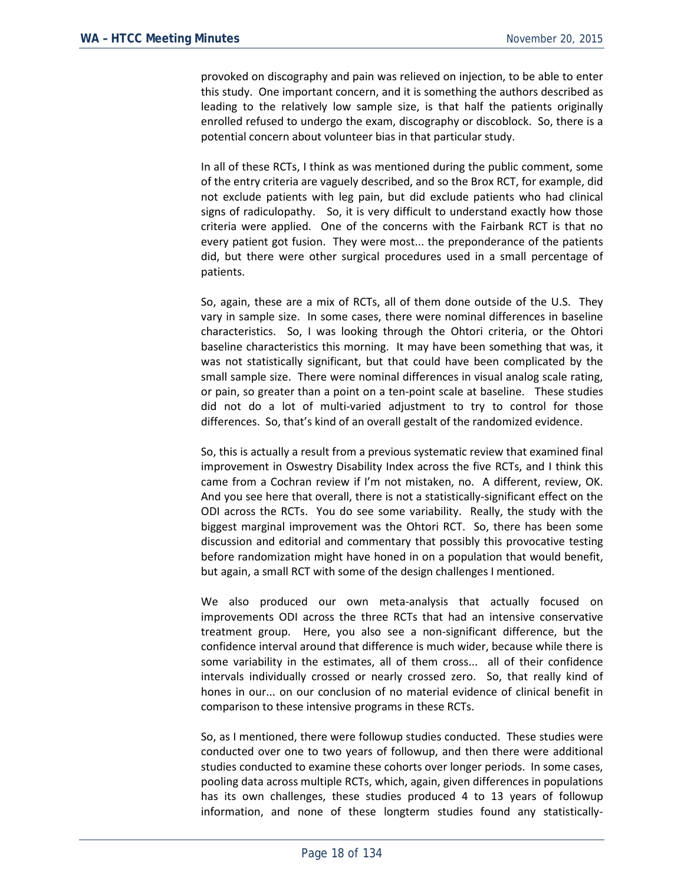provoked on discography and pain was relieved on injection, to be able to enter this study. One important concern, and it is something the authors described as leading to the relatively low sample size, is that half the patients originally enrolled refused to undergo the exam, discography or discoblock. So, there is a potential concern about volunteer bias in that particular study.

In all of these RCTs, I think as was mentioned during the public comment, some of the entry criteria are vaguely described, and so the Brox RCT, for example, did not exclude patients with leg pain, but did exclude patients who had clinical signs of radiculopathy. So, it is very difficult to understand exactly how those criteria were applied. One of the concerns with the Fairbank RCT is that no every patient got fusion. They were most... the preponderance of the patients did, but there were other surgical procedures used in a small percentage of patients.

So, again, these are a mix of RCTs, all of them done outside of the U.S. They vary in sample size. In some cases, there were nominal differences in baseline characteristics. So, I was looking through the Ohtori criteria, or the Ohtori baseline characteristics this morning. It may have been something that was, it was not statistically significant, but that could have been complicated by the small sample size. There were nominal differences in visual analog scale rating, or pain, so greater than a point on a ten-point scale at baseline. These studies did not do a lot of multi-varied adjustment to try to control for those differences. So, that's kind of an overall gestalt of the randomized evidence.

So, this is actually a result from a previous systematic review that examined final improvement in Oswestry Disability Index across the five RCTs, and I think this came from a Cochran review if I'm not mistaken, no. A different, review, OK. And you see here that overall, there is not a statistically-significant effect on the ODI across the RCTs. You do see some variability. Really, the study with the biggest marginal improvement was the Ohtori RCT. So, there has been some discussion and editorial and commentary that possibly this provocative testing before randomization might have honed in on a population that would benefit, but again, a small RCT with some of the design challenges I mentioned.

We also produced our own meta-analysis that actually focused on improvements ODI across the three RCTs that had an intensive conservative treatment group. Here, you also see a non-significant difference, but the confidence interval around that difference is much wider, because while there is some variability in the estimates, all of them cross... all of their confidence intervals individually crossed or nearly crossed zero. So, that really kind of hones in our... on our conclusion of no material evidence of clinical benefit in comparison to these intensive programs in these RCTs.

So, as I mentioned, there were followup studies conducted. These studies were conducted over one to two years of followup, and then there were additional studies conducted to examine these cohorts over longer periods. In some cases, pooling data across multiple RCTs, which, again, given differences in populations has its own challenges, these studies produced 4 to 13 years of followup information, and none of these longterm studies found any statistically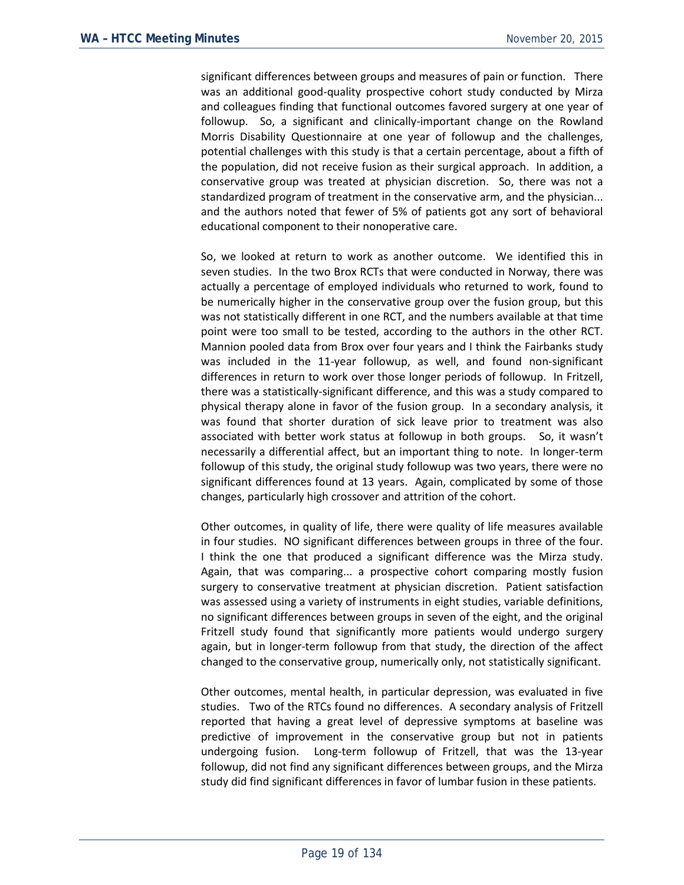significant differences between groups and measures of pain or function. There was an additional good-quality prospective cohort study conducted by Mirza and colleagues finding that functional outcomes favored surgery at one year of followup. So, a significant and clinically-important change on the Rowland Morris Disability Questionnaire at one year of followup and the challenges, potential challenges with this study is that a certain percentage, about a fifth of the population, did not receive fusion as their surgical approach. In addition, a conservative group was treated at physician discretion. So, there was not a standardized program of treatment in the conservative arm, and the physician... and the authors noted that fewer of 5% of patients got any sort of behavioral educational component to their nonoperative care.

So, we looked at return to work as another outcome. We identified this in seven studies. In the two Brox RCTs that were conducted in Norway, there was actually a percentage of employed individuals who returned to work, found to be numerically higher in the conservative group over the fusion group, but this was not statistically different in one RCT, and the numbers available at that time point were too small to be tested, according to the authors in the other RCT. Mannion pooled data from Brox over four years and I think the Fairbanks study was included in the 11-year followup, as well, and found non-significant differences in return to work over those longer periods of followup. In Fritzell, there was a statistically-significant difference, and this was a study compared to physical therapy alone in favor of the fusion group. In a secondary analysis, it was found that shorter duration of sick leave prior to treatment was also associated with better work status at followup in both groups. So, it wasn't necessarily a differential affect, but an important thing to note. In longer-term followup of this study, the original study followup was two years, there were no significant differences found at 13 years. Again, complicated by some of those changes, particularly high crossover and attrition of the cohort.

Other outcomes, in quality of life, there were quality of life measures available in four studies. NO significant differences between groups in three of the four. I think the one that produced a significant difference was the Mirza study. Again, that was comparing... a prospective cohort comparing mostly fusion surgery to conservative treatment at physician discretion. Patient satisfaction was assessed using a variety of instruments in eight studies, variable definitions, no significant differences between groups in seven of the eight, and the original Fritzell study found that significantly more patients would undergo surgery again, but in longer-term followup from that study, the direction of the affect changed to the conservative group, numerically only, not statistically significant.

Other outcomes, mental health, in particular depression, was evaluated in five studies. Two of the RTCs found no differences. A secondary analysis of Fritzell reported that having a great level of depressive symptoms at baseline was predictive of improvement in the conservative group but not in patients undergoing fusion. Long-term followup of Fritzell, that was the 13-year followup, did not find any significant differences between groups, and the Mirza study did find significant differences in favor of lumbar fusion in these patients.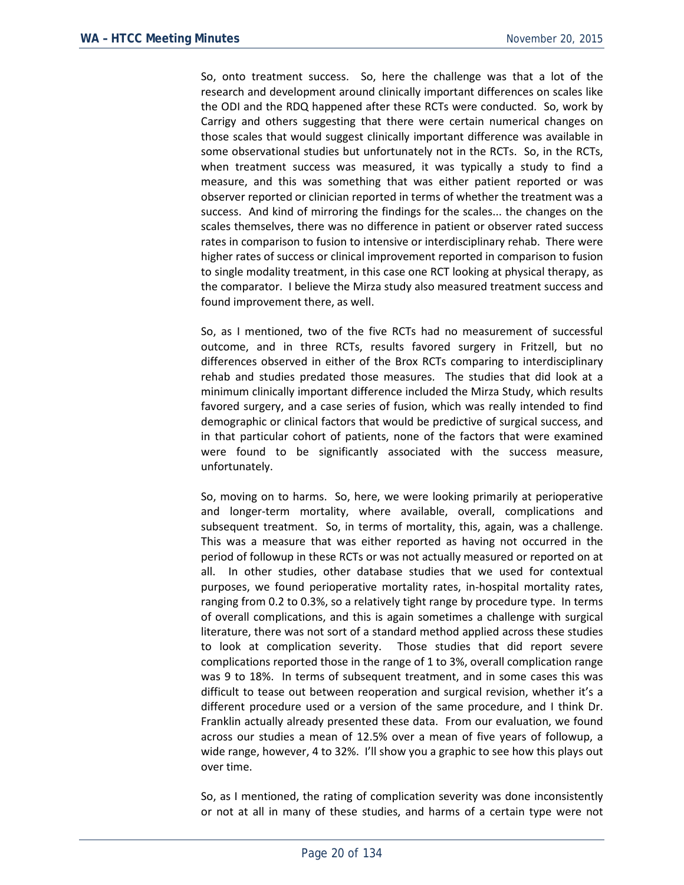So, onto treatment success. So, here the challenge was that a lot of the research and development around clinically important differences on scales like the ODI and the RDQ happened after these RCTs were conducted. So, work by Carrigy and others suggesting that there were certain numerical changes on those scales that would suggest clinically important difference was available in some observational studies but unfortunately not in the RCTs. So, in the RCTs, when treatment success was measured, it was typically a study to find a measure, and this was something that was either patient reported or was observer reported or clinician reported in terms of whether the treatment was a success. And kind of mirroring the findings for the scales... the changes on the scales themselves, there was no difference in patient or observer rated success rates in comparison to fusion to intensive or interdisciplinary rehab. There were higher rates of success or clinical improvement reported in comparison to fusion to single modality treatment, in this case one RCT looking at physical therapy, as the comparator. I believe the Mirza study also measured treatment success and found improvement there, as well.

So, as I mentioned, two of the five RCTs had no measurement of successful outcome, and in three RCTs, results favored surgery in Fritzell, but no differences observed in either of the Brox RCTs comparing to interdisciplinary rehab and studies predated those measures. The studies that did look at a minimum clinically important difference included the Mirza Study, which results favored surgery, and a case series of fusion, which was really intended to find demographic or clinical factors that would be predictive of surgical success, and in that particular cohort of patients, none of the factors that were examined were found to be significantly associated with the success measure, unfortunately.

So, moving on to harms. So, here, we were looking primarily at perioperative and longer-term mortality, where available, overall, complications and subsequent treatment. So, in terms of mortality, this, again, was a challenge. This was a measure that was either reported as having not occurred in the period of followup in these RCTs or was not actually measured or reported on at all. In other studies, other database studies that we used for contextual purposes, we found perioperative mortality rates, in-hospital mortality rates, ranging from 0.2 to 0.3%, so a relatively tight range by procedure type. In terms of overall complications, and this is again sometimes a challenge with surgical literature, there was not sort of a standard method applied across these studies to look at complication severity. Those studies that did report severe complications reported those in the range of 1 to 3%, overall complication range was 9 to 18%. In terms of subsequent treatment, and in some cases this was difficult to tease out between reoperation and surgical revision, whether it's a different procedure used or a version of the same procedure, and I think Dr. Franklin actually already presented these data. From our evaluation, we found across our studies a mean of 12.5% over a mean of five years of followup, a wide range, however, 4 to 32%. I'll show you a graphic to see how this plays out over time.

So, as I mentioned, the rating of complication severity was done inconsistently or not at all in many of these studies, and harms of a certain type were not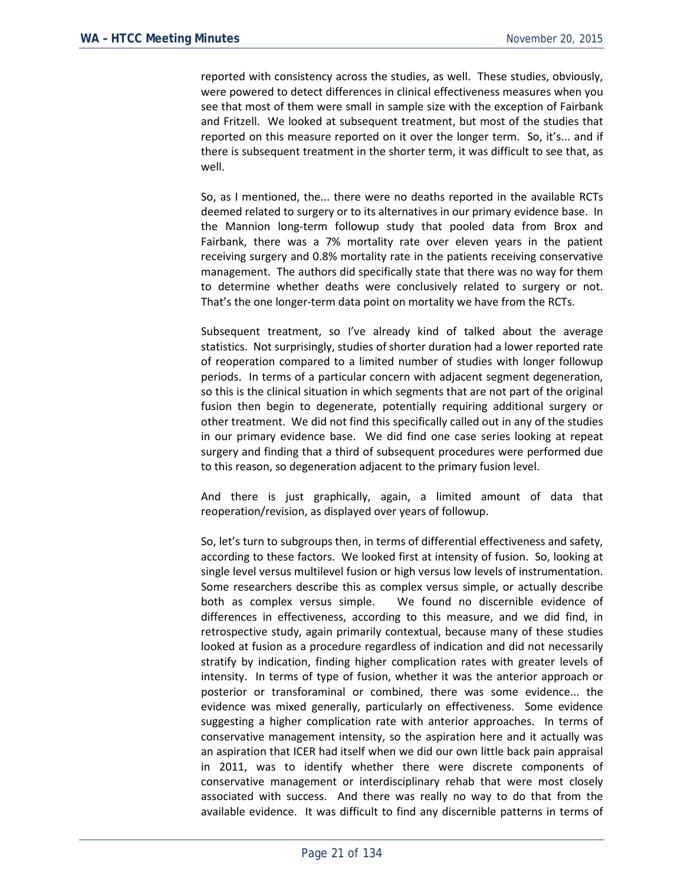reported with consistency across the studies, as well. These studies, obviously, were powered to detect differences in clinical effectiveness measures when you see that most of them were small in sample size with the exception of Fairbank and Fritzell. We looked at subsequent treatment, but most of the studies that reported on this measure reported on it over the longer term. So, it's... and if there is subsequent treatment in the shorter term, it was difficult to see that, as well.

So, as I mentioned, the... there were no deaths reported in the available RCTs deemed related to surgery or to its alternatives in our primary evidence base. In the Mannion long-term followup study that pooled data from Brox and Fairbank, there was a 7% mortality rate over eleven years in the patient receiving surgery and 0.8% mortality rate in the patients receiving conservative management. The authors did specifically state that there was no way for them to determine whether deaths were conclusively related to surgery or not. That's the one longer-term data point on mortality we have from the RCTs.

Subsequent treatment, so I've already kind of talked about the average statistics. Not surprisingly, studies of shorter duration had a lower reported rate of reoperation compared to a limited number of studies with longer followup periods. In terms of a particular concern with adjacent segment degeneration, so this is the clinical situation in which segments that are not part of the original fusion then begin to degenerate, potentially requiring additional surgery or other treatment. We did not find this specifically called out in any of the studies in our primary evidence base. We did find one case series looking at repeat surgery and finding that a third of subsequent procedures were performed due to this reason, so degeneration adjacent to the primary fusion level.

And there is just graphically, again, a limited amount of data that reoperation/revision, as displayed over years of followup.

So, let's turn to subgroups then, in terms of differential effectiveness and safety, according to these factors. We looked first at intensity of fusion. So, looking at single level versus multilevel fusion or high versus low levels of instrumentation. Some researchers describe this as complex versus simple, or actually describe both as complex versus simple. We found no discernible evidence of differences in effectiveness, according to this measure, and we did find, in retrospective study, again primarily contextual, because many of these studies looked at fusion as a procedure regardless of indication and did not necessarily stratify by indication, finding higher complication rates with greater levels of intensity. In terms of type of fusion, whether it was the anterior approach or posterior or transforaminal or combined, there was some evidence... the evidence was mixed generally, particularly on effectiveness. Some evidence suggesting a higher complication rate with anterior approaches. In terms of conservative management intensity, so the aspiration here and it actually was an aspiration that ICER had itself when we did our own little back pain appraisal in 2011, was to identify whether there were discrete components of conservative management or interdisciplinary rehab that were most closely associated with success. And there was really no way to do that from the available evidence. It was difficult to find any discernible patterns in terms of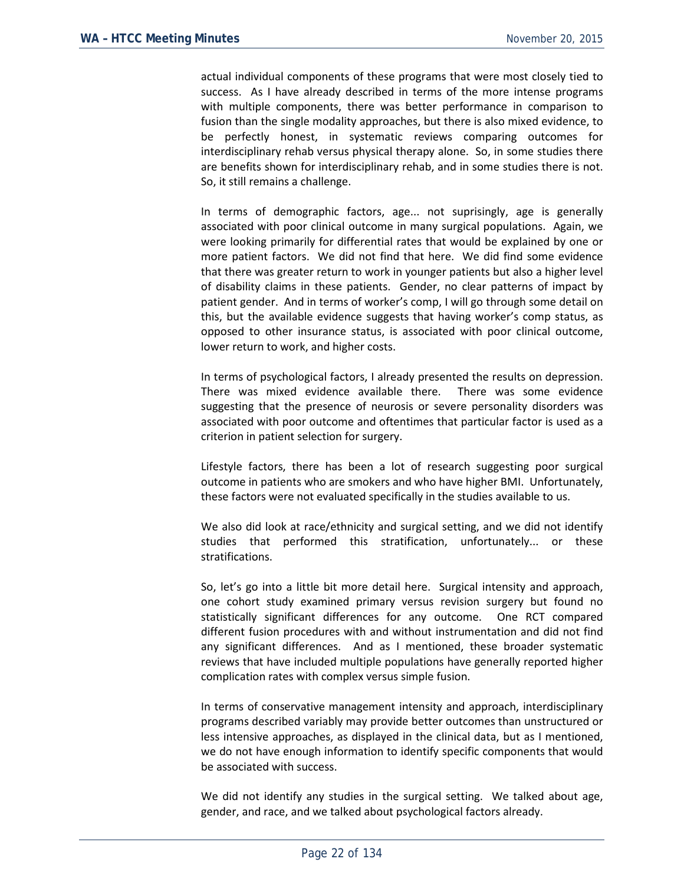actual individual components of these programs that were most closely tied to success. As I have already described in terms of the more intense programs with multiple components, there was better performance in comparison to fusion than the single modality approaches, but there is also mixed evidence, to be perfectly honest, in systematic reviews comparing outcomes for interdisciplinary rehab versus physical therapy alone. So, in some studies there are benefits shown for interdisciplinary rehab, and in some studies there is not. So, it still remains a challenge.

In terms of demographic factors, age... not suprisingly, age is generally associated with poor clinical outcome in many surgical populations. Again, we were looking primarily for differential rates that would be explained by one or more patient factors. We did not find that here. We did find some evidence that there was greater return to work in younger patients but also a higher level of disability claims in these patients. Gender, no clear patterns of impact by patient gender. And in terms of worker's comp, I will go through some detail on this, but the available evidence suggests that having worker's comp status, as opposed to other insurance status, is associated with poor clinical outcome, lower return to work, and higher costs.

In terms of psychological factors, I already presented the results on depression. There was mixed evidence available there. There was some evidence suggesting that the presence of neurosis or severe personality disorders was associated with poor outcome and oftentimes that particular factor is used as a criterion in patient selection for surgery.

Lifestyle factors, there has been a lot of research suggesting poor surgical outcome in patients who are smokers and who have higher BMI. Unfortunately, these factors were not evaluated specifically in the studies available to us.

We also did look at race/ethnicity and surgical setting, and we did not identify studies that performed this stratification, unfortunately... or these stratifications.

So, let's go into a little bit more detail here. Surgical intensity and approach, one cohort study examined primary versus revision surgery but found no statistically significant differences for any outcome. One RCT compared different fusion procedures with and without instrumentation and did not find any significant differences. And as I mentioned, these broader systematic reviews that have included multiple populations have generally reported higher complication rates with complex versus simple fusion.

In terms of conservative management intensity and approach, interdisciplinary programs described variably may provide better outcomes than unstructured or less intensive approaches, as displayed in the clinical data, but as I mentioned, we do not have enough information to identify specific components that would be associated with success.

We did not identify any studies in the surgical setting. We talked about age, gender, and race, and we talked about psychological factors already.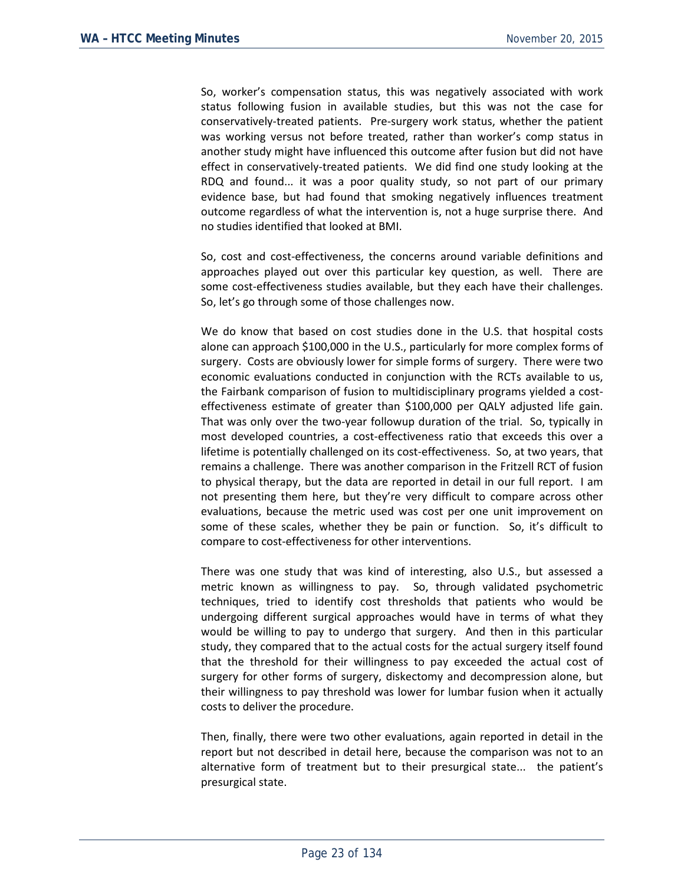So, worker's compensation status, this was negatively associated with work status following fusion in available studies, but this was not the case for conservatively-treated patients. Pre-surgery work status, whether the patient was working versus not before treated, rather than worker's comp status in another study might have influenced this outcome after fusion but did not have effect in conservatively-treated patients. We did find one study looking at the RDQ and found... it was a poor quality study, so not part of our primary evidence base, but had found that smoking negatively influences treatment outcome regardless of what the intervention is, not a huge surprise there. And no studies identified that looked at BMI.

So, cost and cost-effectiveness, the concerns around variable definitions and approaches played out over this particular key question, as well. There are some cost-effectiveness studies available, but they each have their challenges. So, let's go through some of those challenges now.

We do know that based on cost studies done in the U.S. that hospital costs alone can approach \$100,000 in the U.S., particularly for more complex forms of surgery. Costs are obviously lower for simple forms of surgery. There were two economic evaluations conducted in conjunction with the RCTs available to us, the Fairbank comparison of fusion to multidisciplinary programs yielded a costeffectiveness estimate of greater than \$100,000 per QALY adjusted life gain. That was only over the two-year followup duration of the trial. So, typically in most developed countries, a cost-effectiveness ratio that exceeds this over a lifetime is potentially challenged on its cost-effectiveness. So, at two years, that remains a challenge. There was another comparison in the Fritzell RCT of fusion to physical therapy, but the data are reported in detail in our full report. I am not presenting them here, but they're very difficult to compare across other evaluations, because the metric used was cost per one unit improvement on some of these scales, whether they be pain or function. So, it's difficult to compare to cost-effectiveness for other interventions.

There was one study that was kind of interesting, also U.S., but assessed a metric known as willingness to pay. So, through validated psychometric techniques, tried to identify cost thresholds that patients who would be undergoing different surgical approaches would have in terms of what they would be willing to pay to undergo that surgery. And then in this particular study, they compared that to the actual costs for the actual surgery itself found that the threshold for their willingness to pay exceeded the actual cost of surgery for other forms of surgery, diskectomy and decompression alone, but their willingness to pay threshold was lower for lumbar fusion when it actually costs to deliver the procedure.

Then, finally, there were two other evaluations, again reported in detail in the report but not described in detail here, because the comparison was not to an alternative form of treatment but to their presurgical state... the patient's presurgical state.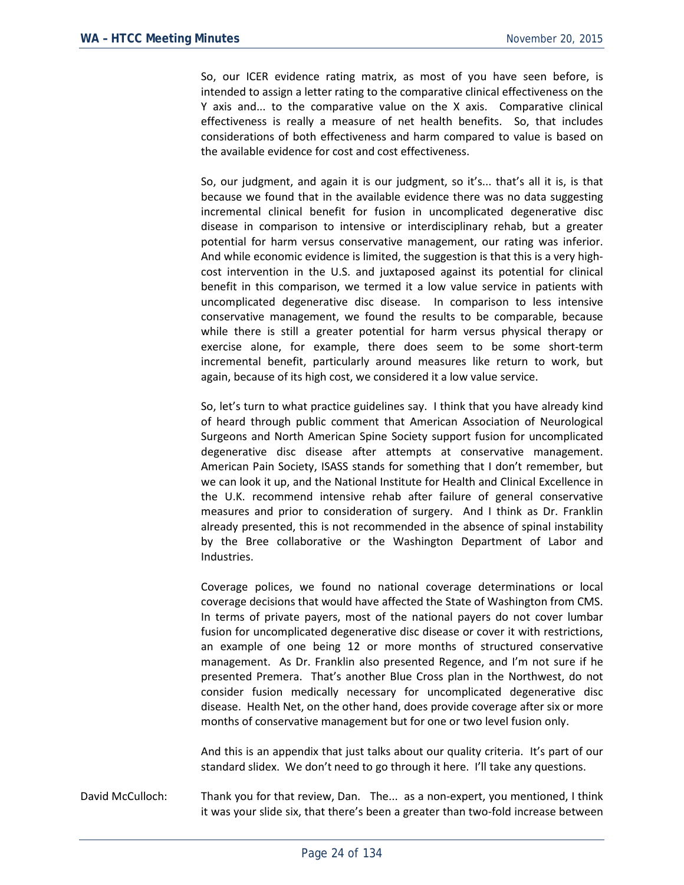So, our ICER evidence rating matrix, as most of you have seen before, is intended to assign a letter rating to the comparative clinical effectiveness on the Y axis and... to the comparative value on the X axis. Comparative clinical effectiveness is really a measure of net health benefits. So, that includes considerations of both effectiveness and harm compared to value is based on the available evidence for cost and cost effectiveness.

So, our judgment, and again it is our judgment, so it's... that's all it is, is that because we found that in the available evidence there was no data suggesting incremental clinical benefit for fusion in uncomplicated degenerative disc disease in comparison to intensive or interdisciplinary rehab, but a greater potential for harm versus conservative management, our rating was inferior. And while economic evidence is limited, the suggestion is that this is a very highcost intervention in the U.S. and juxtaposed against its potential for clinical benefit in this comparison, we termed it a low value service in patients with uncomplicated degenerative disc disease. In comparison to less intensive conservative management, we found the results to be comparable, because while there is still a greater potential for harm versus physical therapy or exercise alone, for example, there does seem to be some short-term incremental benefit, particularly around measures like return to work, but again, because of its high cost, we considered it a low value service.

So, let's turn to what practice guidelines say. I think that you have already kind of heard through public comment that American Association of Neurological Surgeons and North American Spine Society support fusion for uncomplicated degenerative disc disease after attempts at conservative management. American Pain Society, ISASS stands for something that I don't remember, but we can look it up, and the National Institute for Health and Clinical Excellence in the U.K. recommend intensive rehab after failure of general conservative measures and prior to consideration of surgery. And I think as Dr. Franklin already presented, this is not recommended in the absence of spinal instability by the Bree collaborative or the Washington Department of Labor and Industries.

Coverage polices, we found no national coverage determinations or local coverage decisions that would have affected the State of Washington from CMS. In terms of private payers, most of the national payers do not cover lumbar fusion for uncomplicated degenerative disc disease or cover it with restrictions, an example of one being 12 or more months of structured conservative management. As Dr. Franklin also presented Regence, and I'm not sure if he presented Premera. That's another Blue Cross plan in the Northwest, do not consider fusion medically necessary for uncomplicated degenerative disc disease. Health Net, on the other hand, does provide coverage after six or more months of conservative management but for one or two level fusion only.

And this is an appendix that just talks about our quality criteria. It's part of our standard slidex. We don't need to go through it here. I'll take any questions.

David McCulloch: Thank you for that review, Dan. The... as a non-expert, you mentioned, I think it was your slide six, that there's been a greater than two-fold increase between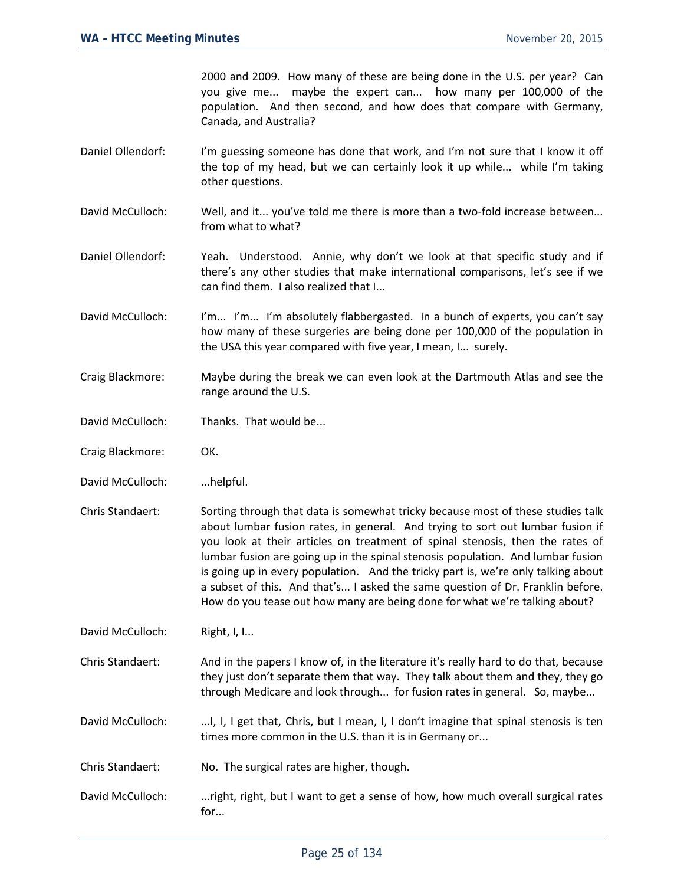2000 and 2009. How many of these are being done in the U.S. per year? Can you give me... maybe the expert can... how many per 100,000 of the population. And then second, and how does that compare with Germany, Canada, and Australia?

- Daniel Ollendorf: I'm guessing someone has done that work, and I'm not sure that I know it off the top of my head, but we can certainly look it up while... while I'm taking other questions.
- David McCulloch: Well, and it... you've told me there is more than a two-fold increase between... from what to what?
- Daniel Ollendorf: Yeah. Understood. Annie, why don't we look at that specific study and if there's any other studies that make international comparisons, let's see if we can find them. I also realized that I...
- David McCulloch: I'm... I'm... I'm absolutely flabbergasted. In a bunch of experts, you can't say how many of these surgeries are being done per 100,000 of the population in the USA this year compared with five year, I mean, I... surely.
- Craig Blackmore: Maybe during the break we can even look at the Dartmouth Atlas and see the range around the U.S.
- David McCulloch: Thanks. That would be...
- Craig Blackmore: OK.
- David McCulloch: ...helpful.
- Chris Standaert: Sorting through that data is somewhat tricky because most of these studies talk about lumbar fusion rates, in general. And trying to sort out lumbar fusion if you look at their articles on treatment of spinal stenosis, then the rates of lumbar fusion are going up in the spinal stenosis population. And lumbar fusion is going up in every population. And the tricky part is, we're only talking about a subset of this. And that's... I asked the same question of Dr. Franklin before. How do you tease out how many are being done for what we're talking about?
- David McCulloch: Right, I, I...
- Chris Standaert: And in the papers I know of, in the literature it's really hard to do that, because they just don't separate them that way. They talk about them and they, they go through Medicare and look through... for fusion rates in general. So, maybe...
- David McCulloch: ..., I, I, I get that, Chris, but I mean, I, I don't imagine that spinal stenosis is ten times more common in the U.S. than it is in Germany or...
- Chris Standaert: No. The surgical rates are higher, though.
- David McCulloch: ...right, right, but I want to get a sense of how, how much overall surgical rates for...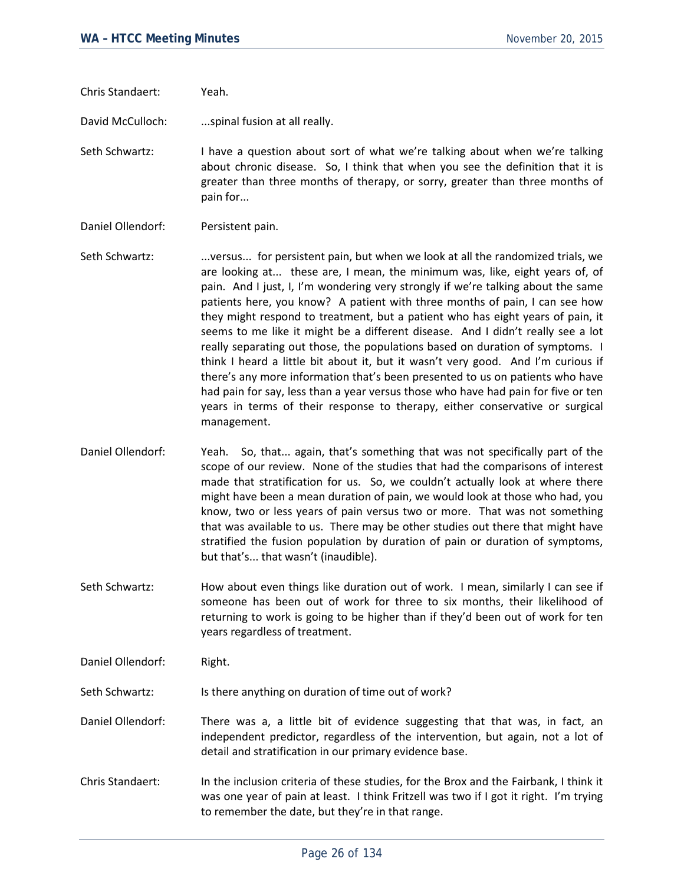Chris Standaert: Yeah.

David McCulloch: ...spinal fusion at all really.

Seth Schwartz: I have a question about sort of what we're talking about when we're talking about chronic disease. So, I think that when you see the definition that it is greater than three months of therapy, or sorry, greater than three months of pain for...

Daniel Ollendorf: Persistent pain.

Seth Schwartz: ...versus... for persistent pain, but when we look at all the randomized trials, we are looking at... these are, I mean, the minimum was, like, eight years of, of pain. And I just, I, I'm wondering very strongly if we're talking about the same patients here, you know? A patient with three months of pain, I can see how they might respond to treatment, but a patient who has eight years of pain, it seems to me like it might be a different disease. And I didn't really see a lot really separating out those, the populations based on duration of symptoms. I think I heard a little bit about it, but it wasn't very good. And I'm curious if there's any more information that's been presented to us on patients who have had pain for say, less than a year versus those who have had pain for five or ten years in terms of their response to therapy, either conservative or surgical management.

- Daniel Ollendorf: Yeah. So, that... again, that's something that was not specifically part of the scope of our review. None of the studies that had the comparisons of interest made that stratification for us. So, we couldn't actually look at where there might have been a mean duration of pain, we would look at those who had, you know, two or less years of pain versus two or more. That was not something that was available to us. There may be other studies out there that might have stratified the fusion population by duration of pain or duration of symptoms, but that's... that wasn't (inaudible).
- Seth Schwartz: How about even things like duration out of work. I mean, similarly I can see if someone has been out of work for three to six months, their likelihood of returning to work is going to be higher than if they'd been out of work for ten years regardless of treatment.

Daniel Ollendorf: Right.

Seth Schwartz: Is there anything on duration of time out of work?

Daniel Ollendorf: There was a, a little bit of evidence suggesting that that was, in fact, an independent predictor, regardless of the intervention, but again, not a lot of detail and stratification in our primary evidence base.

Chris Standaert: In the inclusion criteria of these studies, for the Brox and the Fairbank, I think it was one year of pain at least. I think Fritzell was two if I got it right. I'm trying to remember the date, but they're in that range.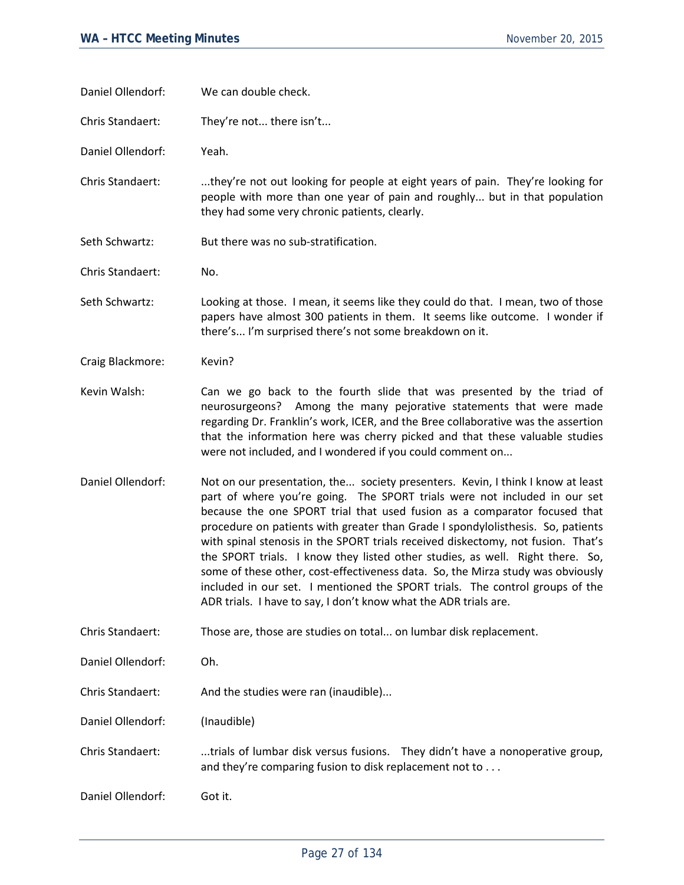Daniel Ollendorf: We can double check.

Chris Standaert: They're not... there isn't...

Daniel Ollendorf: Yeah.

- Chris Standaert: ...they're not out looking for people at eight years of pain. They're looking for people with more than one year of pain and roughly... but in that population they had some very chronic patients, clearly.
- Seth Schwartz: But there was no sub-stratification.

Chris Standaert: No.

Seth Schwartz: Looking at those. I mean, it seems like they could do that. I mean, two of those papers have almost 300 patients in them. It seems like outcome. I wonder if there's... I'm surprised there's not some breakdown on it.

Craig Blackmore: Kevin?

- Kevin Walsh: Can we go back to the fourth slide that was presented by the triad of neurosurgeons? Among the many pejorative statements that were made regarding Dr. Franklin's work, ICER, and the Bree collaborative was the assertion that the information here was cherry picked and that these valuable studies were not included, and I wondered if you could comment on...
- Daniel Ollendorf: Not on our presentation, the... society presenters. Kevin, I think I know at least part of where you're going. The SPORT trials were not included in our set because the one SPORT trial that used fusion as a comparator focused that procedure on patients with greater than Grade I spondylolisthesis. So, patients with spinal stenosis in the SPORT trials received diskectomy, not fusion. That's the SPORT trials. I know they listed other studies, as well. Right there. So, some of these other, cost-effectiveness data. So, the Mirza study was obviously included in our set. I mentioned the SPORT trials. The control groups of the ADR trials. I have to say, I don't know what the ADR trials are.

Chris Standaert: Those are, those are studies on total... on lumbar disk replacement.

Daniel Ollendorf: Oh.

Chris Standaert: And the studies were ran (inaudible)...

Daniel Ollendorf: (Inaudible)

Chris Standaert: ....trials of lumbar disk versus fusions. They didn't have a nonoperative group, and they're comparing fusion to disk replacement not to . . .

Daniel Ollendorf: Got it.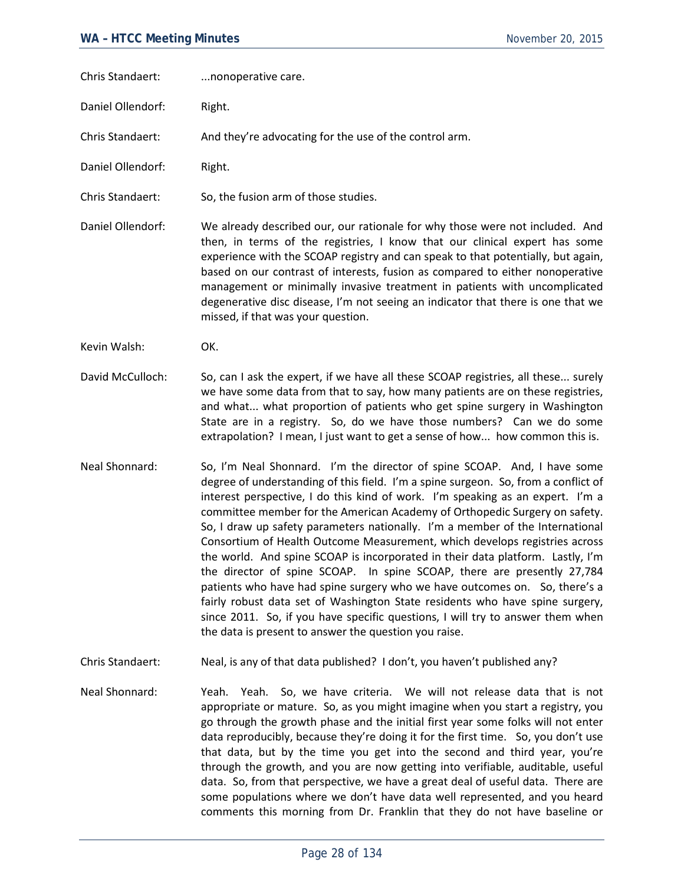Chris Standaert: ...nonoperative care.

Daniel Ollendorf: Right.

Chris Standaert: And they're advocating for the use of the control arm.

Daniel Ollendorf: Right.

Chris Standaert: So, the fusion arm of those studies.

Daniel Ollendorf: We already described our, our rationale for why those were not included. And then, in terms of the registries, I know that our clinical expert has some experience with the SCOAP registry and can speak to that potentially, but again, based on our contrast of interests, fusion as compared to either nonoperative management or minimally invasive treatment in patients with uncomplicated degenerative disc disease, I'm not seeing an indicator that there is one that we missed, if that was your question.

Kevin Walsh: OK.

- David McCulloch: So, can I ask the expert, if we have all these SCOAP registries, all these... surely we have some data from that to say, how many patients are on these registries, and what... what proportion of patients who get spine surgery in Washington State are in a registry. So, do we have those numbers? Can we do some extrapolation? I mean, I just want to get a sense of how... how common this is.
- Neal Shonnard: So, I'm Neal Shonnard. I'm the director of spine SCOAP. And, I have some degree of understanding of this field. I'm a spine surgeon. So, from a conflict of interest perspective, I do this kind of work. I'm speaking as an expert. I'm a committee member for the American Academy of Orthopedic Surgery on safety. So, I draw up safety parameters nationally. I'm a member of the International Consortium of Health Outcome Measurement, which develops registries across the world. And spine SCOAP is incorporated in their data platform. Lastly, I'm the director of spine SCOAP. In spine SCOAP, there are presently 27,784 patients who have had spine surgery who we have outcomes on. So, there's a fairly robust data set of Washington State residents who have spine surgery, since 2011. So, if you have specific questions, I will try to answer them when the data is present to answer the question you raise.
- Chris Standaert: Neal, is any of that data published? I don't, you haven't published any?
- Neal Shonnard: Yeah. Yeah. So, we have criteria. We will not release data that is not appropriate or mature. So, as you might imagine when you start a registry, you go through the growth phase and the initial first year some folks will not enter data reproducibly, because they're doing it for the first time. So, you don't use that data, but by the time you get into the second and third year, you're through the growth, and you are now getting into verifiable, auditable, useful data. So, from that perspective, we have a great deal of useful data. There are some populations where we don't have data well represented, and you heard comments this morning from Dr. Franklin that they do not have baseline or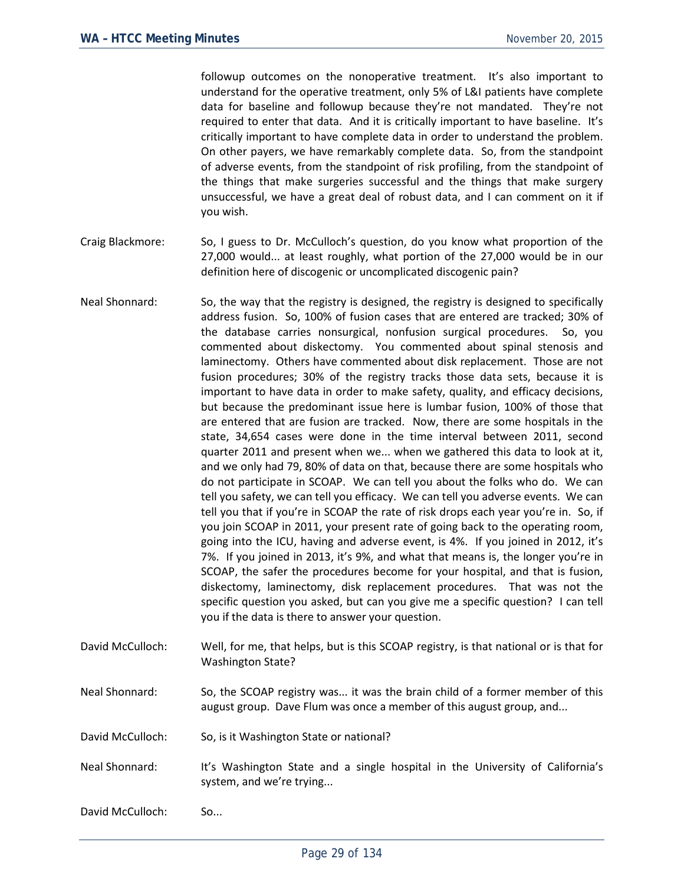followup outcomes on the nonoperative treatment. It's also important to understand for the operative treatment, only 5% of L&I patients have complete data for baseline and followup because they're not mandated. They're not required to enter that data. And it is critically important to have baseline. It's critically important to have complete data in order to understand the problem. On other payers, we have remarkably complete data. So, from the standpoint of adverse events, from the standpoint of risk profiling, from the standpoint of the things that make surgeries successful and the things that make surgery unsuccessful, we have a great deal of robust data, and I can comment on it if you wish.

- Craig Blackmore: So, I guess to Dr. McCulloch's question, do you know what proportion of the 27,000 would... at least roughly, what portion of the 27,000 would be in our definition here of discogenic or uncomplicated discogenic pain?
- Neal Shonnard: So, the way that the registry is designed, the registry is designed to specifically address fusion. So, 100% of fusion cases that are entered are tracked; 30% of the database carries nonsurgical, nonfusion surgical procedures. So, you commented about diskectomy. You commented about spinal stenosis and laminectomy. Others have commented about disk replacement. Those are not fusion procedures; 30% of the registry tracks those data sets, because it is important to have data in order to make safety, quality, and efficacy decisions, but because the predominant issue here is lumbar fusion, 100% of those that are entered that are fusion are tracked. Now, there are some hospitals in the state, 34,654 cases were done in the time interval between 2011, second quarter 2011 and present when we... when we gathered this data to look at it, and we only had 79, 80% of data on that, because there are some hospitals who do not participate in SCOAP. We can tell you about the folks who do. We can tell you safety, we can tell you efficacy. We can tell you adverse events. We can tell you that if you're in SCOAP the rate of risk drops each year you're in. So, if you join SCOAP in 2011, your present rate of going back to the operating room, going into the ICU, having and adverse event, is 4%. If you joined in 2012, it's 7%. If you joined in 2013, it's 9%, and what that means is, the longer you're in SCOAP, the safer the procedures become for your hospital, and that is fusion, diskectomy, laminectomy, disk replacement procedures. That was not the specific question you asked, but can you give me a specific question? I can tell you if the data is there to answer your question.
- David McCulloch: Well, for me, that helps, but is this SCOAP registry, is that national or is that for Washington State?
- Neal Shonnard: So, the SCOAP registry was... it was the brain child of a former member of this august group. Dave Flum was once a member of this august group, and...
- David McCulloch: So, is it Washington State or national?
- Neal Shonnard: It's Washington State and a single hospital in the University of California's system, and we're trying...
- David McCulloch: So...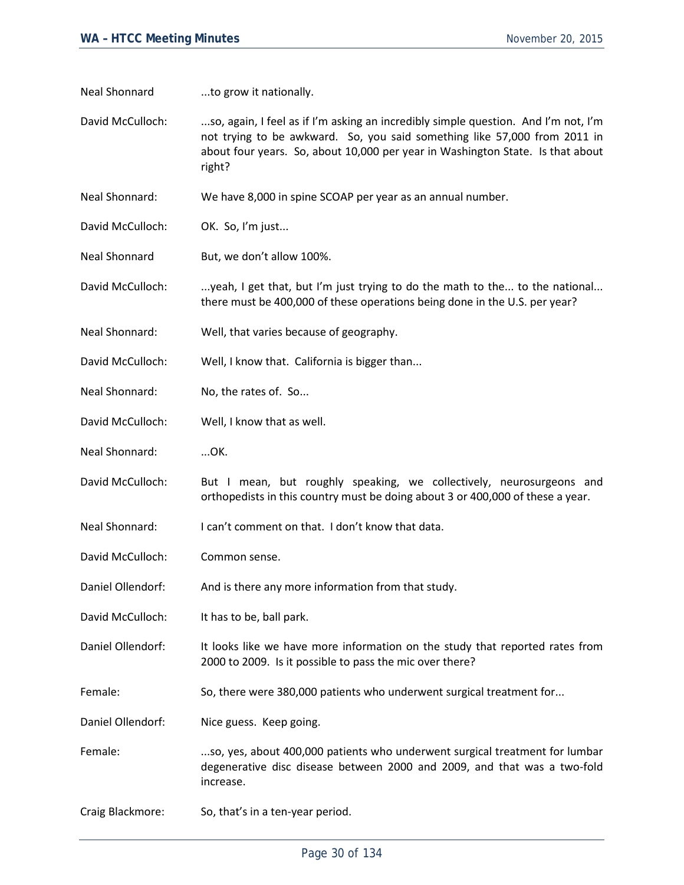Neal Shonnard ...to grow it nationally.

David McCulloch: ...so, again, I feel as if I'm asking an incredibly simple question. And I'm not, I'm not trying to be awkward. So, you said something like 57,000 from 2011 in about four years. So, about 10,000 per year in Washington State. Is that about right?

Neal Shonnard: We have 8,000 in spine SCOAP per year as an annual number.

David McCulloch: OK. So, I'm just...

Neal Shonnard But, we don't allow 100%.

David McCulloch: ...yeah, I get that, but I'm just trying to do the math to the... to the national... there must be 400,000 of these operations being done in the U.S. per year?

Neal Shonnard: Well, that varies because of geography.

David McCulloch: Well, I know that. California is bigger than...

Neal Shonnard: No, the rates of. So...

David McCulloch: Well, I know that as well.

Neal Shonnard: ...OK.

David McCulloch: But I mean, but roughly speaking, we collectively, neurosurgeons and orthopedists in this country must be doing about 3 or 400,000 of these a year.

Neal Shonnard: I can't comment on that. I don't know that data.

David McCulloch: Common sense.

Daniel Ollendorf: And is there any more information from that study.

David McCulloch: It has to be, ball park.

Daniel Ollendorf: It looks like we have more information on the study that reported rates from 2000 to 2009. Is it possible to pass the mic over there?

Female: So, there were 380,000 patients who underwent surgical treatment for...

Daniel Ollendorf: Nice guess. Keep going.

Female: ...so, yes, about 400,000 patients who underwent surgical treatment for lumbar degenerative disc disease between 2000 and 2009, and that was a two-fold increase.

Craig Blackmore: So, that's in a ten-year period.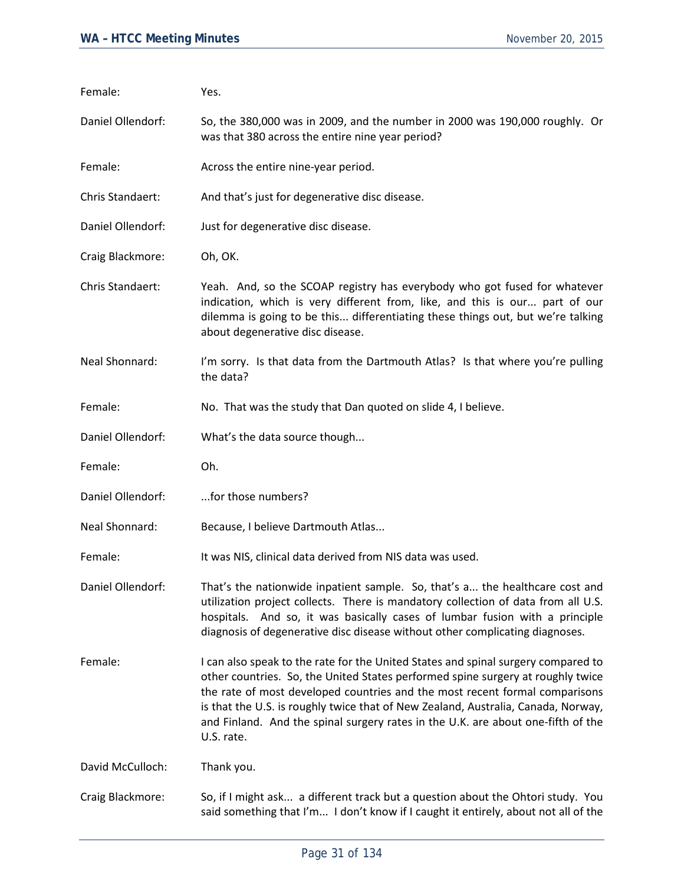| Female:           | Yes.                                                                                                                                                                                                                                                                                                                                                                                                                                       |
|-------------------|--------------------------------------------------------------------------------------------------------------------------------------------------------------------------------------------------------------------------------------------------------------------------------------------------------------------------------------------------------------------------------------------------------------------------------------------|
| Daniel Ollendorf: | So, the 380,000 was in 2009, and the number in 2000 was 190,000 roughly. Or<br>was that 380 across the entire nine year period?                                                                                                                                                                                                                                                                                                            |
| Female:           | Across the entire nine-year period.                                                                                                                                                                                                                                                                                                                                                                                                        |
| Chris Standaert:  | And that's just for degenerative disc disease.                                                                                                                                                                                                                                                                                                                                                                                             |
| Daniel Ollendorf: | Just for degenerative disc disease.                                                                                                                                                                                                                                                                                                                                                                                                        |
| Craig Blackmore:  | Oh, OK.                                                                                                                                                                                                                                                                                                                                                                                                                                    |
| Chris Standaert:  | Yeah. And, so the SCOAP registry has everybody who got fused for whatever<br>indication, which is very different from, like, and this is our part of our<br>dilemma is going to be this differentiating these things out, but we're talking<br>about degenerative disc disease.                                                                                                                                                            |
| Neal Shonnard:    | I'm sorry. Is that data from the Dartmouth Atlas? Is that where you're pulling<br>the data?                                                                                                                                                                                                                                                                                                                                                |
| Female:           | No. That was the study that Dan quoted on slide 4, I believe.                                                                                                                                                                                                                                                                                                                                                                              |
| Daniel Ollendorf: | What's the data source though                                                                                                                                                                                                                                                                                                                                                                                                              |
| Female:           |                                                                                                                                                                                                                                                                                                                                                                                                                                            |
|                   | Oh.                                                                                                                                                                                                                                                                                                                                                                                                                                        |
| Daniel Ollendorf: | for those numbers?                                                                                                                                                                                                                                                                                                                                                                                                                         |
| Neal Shonnard:    | Because, I believe Dartmouth Atlas                                                                                                                                                                                                                                                                                                                                                                                                         |
| Female:           | It was NIS, clinical data derived from NIS data was used.                                                                                                                                                                                                                                                                                                                                                                                  |
| Daniel Ollendorf: | That's the nationwide inpatient sample. So, that's a the healthcare cost and<br>utilization project collects. There is mandatory collection of data from all U.S.<br>hospitals. And so, it was basically cases of lumbar fusion with a principle<br>diagnosis of degenerative disc disease without other complicating diagnoses.                                                                                                           |
| Female:           | I can also speak to the rate for the United States and spinal surgery compared to<br>other countries. So, the United States performed spine surgery at roughly twice<br>the rate of most developed countries and the most recent formal comparisons<br>is that the U.S. is roughly twice that of New Zealand, Australia, Canada, Norway,<br>and Finland. And the spinal surgery rates in the U.K. are about one-fifth of the<br>U.S. rate. |
| David McCulloch:  | Thank you.                                                                                                                                                                                                                                                                                                                                                                                                                                 |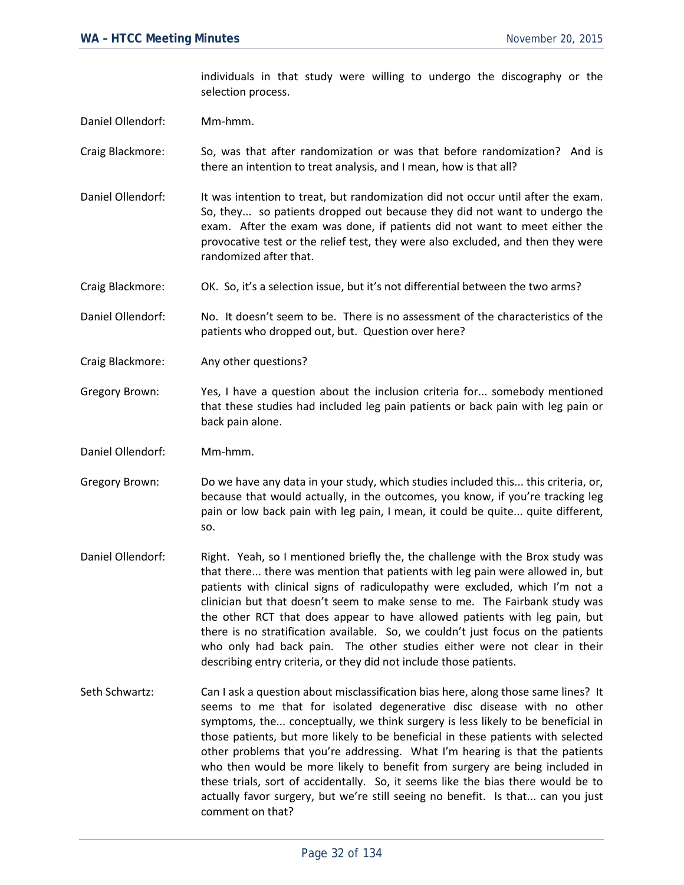individuals in that study were willing to undergo the discography or the selection process.

Daniel Ollendorf: Mm-hmm.

Craig Blackmore: So, was that after randomization or was that before randomization? And is there an intention to treat analysis, and I mean, how is that all?

Daniel Ollendorf: It was intention to treat, but randomization did not occur until after the exam. So, they... so patients dropped out because they did not want to undergo the exam. After the exam was done, if patients did not want to meet either the provocative test or the relief test, they were also excluded, and then they were randomized after that.

Craig Blackmore: OK. So, it's a selection issue, but it's not differential between the two arms?

Daniel Ollendorf: No. It doesn't seem to be. There is no assessment of the characteristics of the patients who dropped out, but. Question over here?

Craig Blackmore: Any other questions?

Gregory Brown: Yes, I have a question about the inclusion criteria for... somebody mentioned that these studies had included leg pain patients or back pain with leg pain or back pain alone.

Daniel Ollendorf: Mm-hmm.

Gregory Brown: Do we have any data in your study, which studies included this... this criteria, or, because that would actually, in the outcomes, you know, if you're tracking leg pain or low back pain with leg pain, I mean, it could be quite... quite different, so.

- Daniel Ollendorf: Right. Yeah, so I mentioned briefly the, the challenge with the Brox study was that there... there was mention that patients with leg pain were allowed in, but patients with clinical signs of radiculopathy were excluded, which I'm not a clinician but that doesn't seem to make sense to me. The Fairbank study was the other RCT that does appear to have allowed patients with leg pain, but there is no stratification available. So, we couldn't just focus on the patients who only had back pain. The other studies either were not clear in their describing entry criteria, or they did not include those patients.
- Seth Schwartz: Can I ask a question about misclassification bias here, along those same lines? It seems to me that for isolated degenerative disc disease with no other symptoms, the... conceptually, we think surgery is less likely to be beneficial in those patients, but more likely to be beneficial in these patients with selected other problems that you're addressing. What I'm hearing is that the patients who then would be more likely to benefit from surgery are being included in these trials, sort of accidentally. So, it seems like the bias there would be to actually favor surgery, but we're still seeing no benefit. Is that... can you just comment on that?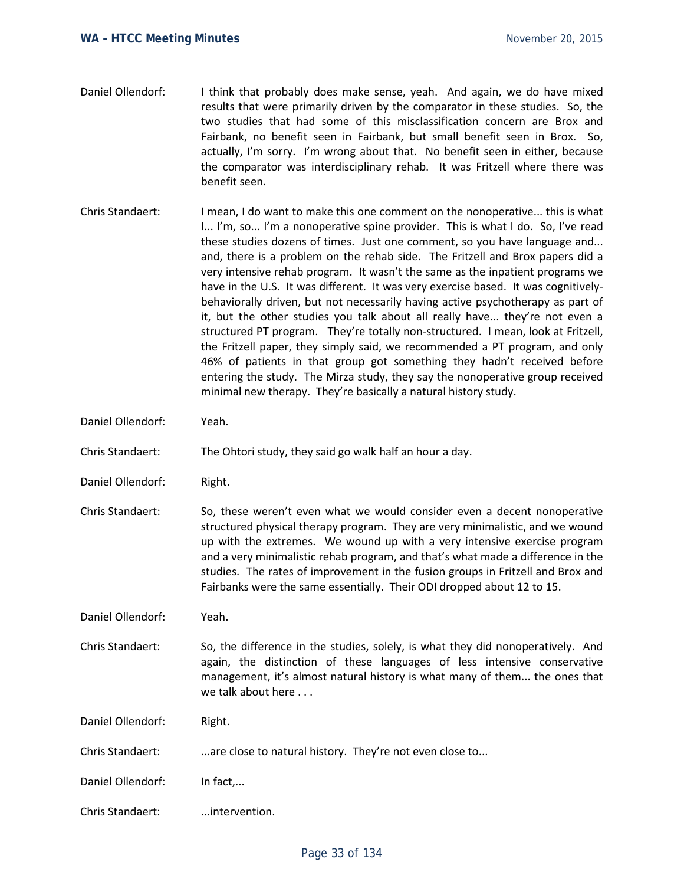- Daniel Ollendorf: I think that probably does make sense, yeah. And again, we do have mixed results that were primarily driven by the comparator in these studies. So, the two studies that had some of this misclassification concern are Brox and Fairbank, no benefit seen in Fairbank, but small benefit seen in Brox. So, actually, I'm sorry. I'm wrong about that. No benefit seen in either, because the comparator was interdisciplinary rehab. It was Fritzell where there was benefit seen.
- Chris Standaert: I mean, I do want to make this one comment on the nonoperative... this is what I... I'm, so... I'm a nonoperative spine provider. This is what I do. So, I've read these studies dozens of times. Just one comment, so you have language and... and, there is a problem on the rehab side. The Fritzell and Brox papers did a very intensive rehab program. It wasn't the same as the inpatient programs we have in the U.S. It was different. It was very exercise based. It was cognitivelybehaviorally driven, but not necessarily having active psychotherapy as part of it, but the other studies you talk about all really have... they're not even a structured PT program. They're totally non-structured. I mean, look at Fritzell, the Fritzell paper, they simply said, we recommended a PT program, and only 46% of patients in that group got something they hadn't received before entering the study. The Mirza study, they say the nonoperative group received minimal new therapy. They're basically a natural history study.

Daniel Ollendorf: Yeah.

Chris Standaert: The Ohtori study, they said go walk half an hour a day.

- Daniel Ollendorf: Right.
- Chris Standaert: So, these weren't even what we would consider even a decent nonoperative structured physical therapy program. They are very minimalistic, and we wound up with the extremes. We wound up with a very intensive exercise program and a very minimalistic rehab program, and that's what made a difference in the studies. The rates of improvement in the fusion groups in Fritzell and Brox and Fairbanks were the same essentially. Their ODI dropped about 12 to 15.

Daniel Ollendorf: Yeah.

Chris Standaert: So, the difference in the studies, solely, is what they did nonoperatively. And again, the distinction of these languages of less intensive conservative management, it's almost natural history is what many of them... the ones that we talk about here . . .

Daniel Ollendorf: Right.

- Chris Standaert: ...are close to natural history. They're not even close to...
- Daniel Ollendorf: In fact,...
- Chris Standaert: ...intervention.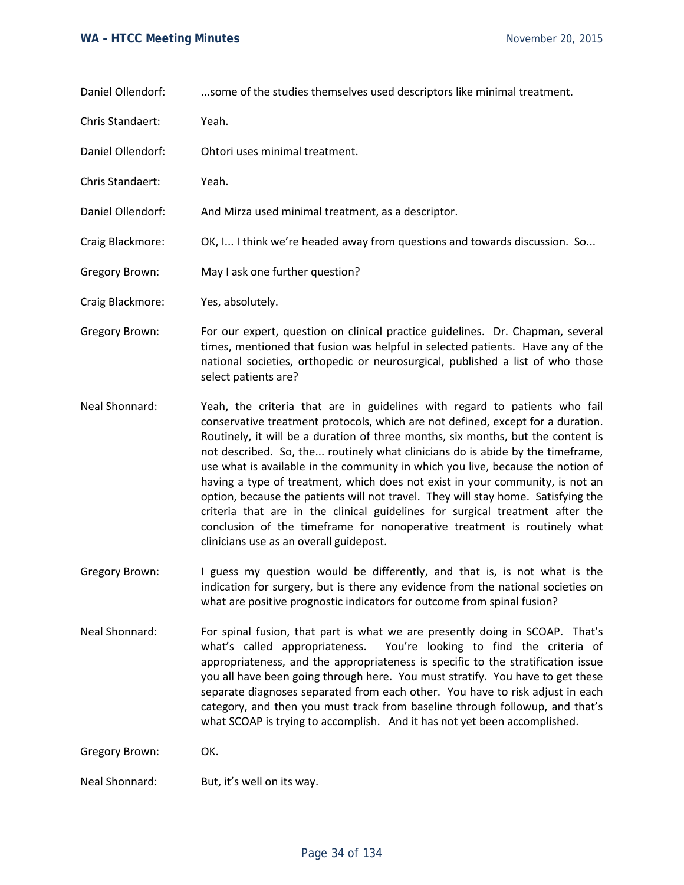Daniel Ollendorf: ...some of the studies themselves used descriptors like minimal treatment.

- Chris Standaert: Yeah.
- Daniel Ollendorf: Ohtori uses minimal treatment.
- Chris Standaert: Yeah.
- Daniel Ollendorf: And Mirza used minimal treatment, as a descriptor.
- Craig Blackmore: OK, I... I think we're headed away from questions and towards discussion. So...
- Gregory Brown: May I ask one further question?
- Craig Blackmore: Yes, absolutely.
- Gregory Brown: For our expert, question on clinical practice guidelines. Dr. Chapman, several times, mentioned that fusion was helpful in selected patients. Have any of the national societies, orthopedic or neurosurgical, published a list of who those select patients are?
- Neal Shonnard: Yeah, the criteria that are in guidelines with regard to patients who fail conservative treatment protocols, which are not defined, except for a duration. Routinely, it will be a duration of three months, six months, but the content is not described. So, the... routinely what clinicians do is abide by the timeframe, use what is available in the community in which you live, because the notion of having a type of treatment, which does not exist in your community, is not an option, because the patients will not travel. They will stay home. Satisfying the criteria that are in the clinical guidelines for surgical treatment after the conclusion of the timeframe for nonoperative treatment is routinely what clinicians use as an overall guidepost.
- Gregory Brown: I guess my question would be differently, and that is, is not what is the indication for surgery, but is there any evidence from the national societies on what are positive prognostic indicators for outcome from spinal fusion?
- Neal Shonnard: For spinal fusion, that part is what we are presently doing in SCOAP. That's what's called appropriateness. You're looking to find the criteria of appropriateness, and the appropriateness is specific to the stratification issue you all have been going through here. You must stratify. You have to get these separate diagnoses separated from each other. You have to risk adjust in each category, and then you must track from baseline through followup, and that's what SCOAP is trying to accomplish. And it has not yet been accomplished.

Gregory Brown: OK.

Neal Shonnard: But, it's well on its way.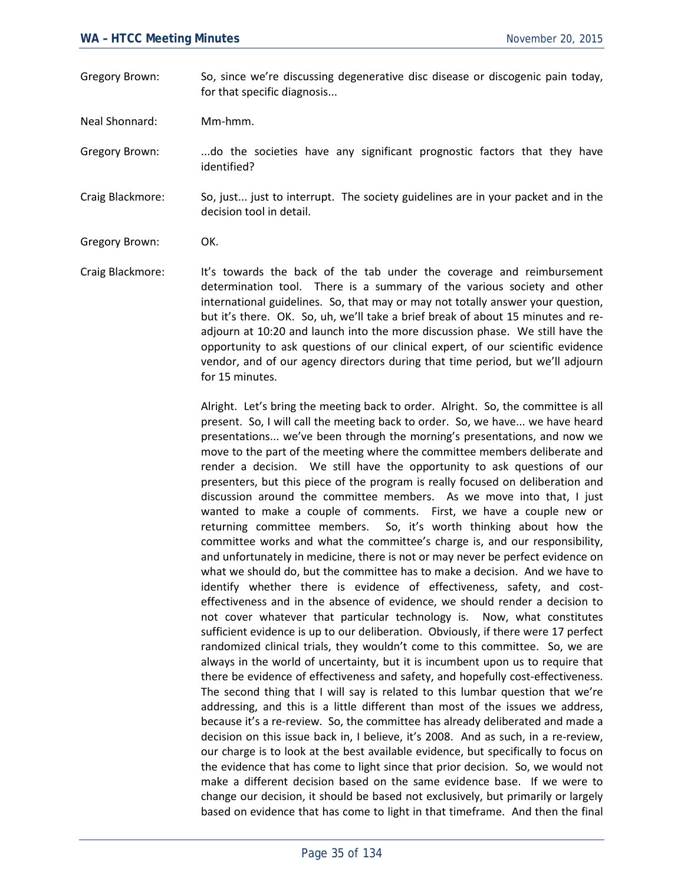- Gregory Brown: So, since we're discussing degenerative disc disease or discogenic pain today, for that specific diagnosis...
- Neal Shonnard: Mm-hmm.

Gregory Brown: ...do the societies have any significant prognostic factors that they have identified?

Craig Blackmore: So, just... just to interrupt. The society guidelines are in your packet and in the decision tool in detail.

Gregory Brown: OK.

Craig Blackmore: It's towards the back of the tab under the coverage and reimbursement determination tool. There is a summary of the various society and other international guidelines. So, that may or may not totally answer your question, but it's there. OK. So, uh, we'll take a brief break of about 15 minutes and readjourn at 10:20 and launch into the more discussion phase. We still have the opportunity to ask questions of our clinical expert, of our scientific evidence vendor, and of our agency directors during that time period, but we'll adjourn for 15 minutes.

> Alright. Let's bring the meeting back to order. Alright. So, the committee is all present. So, I will call the meeting back to order. So, we have... we have heard presentations... we've been through the morning's presentations, and now we move to the part of the meeting where the committee members deliberate and render a decision. We still have the opportunity to ask questions of our presenters, but this piece of the program is really focused on deliberation and discussion around the committee members. As we move into that, I just wanted to make a couple of comments. First, we have a couple new or returning committee members. So, it's worth thinking about how the committee works and what the committee's charge is, and our responsibility, and unfortunately in medicine, there is not or may never be perfect evidence on what we should do, but the committee has to make a decision. And we have to identify whether there is evidence of effectiveness, safety, and costeffectiveness and in the absence of evidence, we should render a decision to not cover whatever that particular technology is. Now, what constitutes sufficient evidence is up to our deliberation. Obviously, if there were 17 perfect randomized clinical trials, they wouldn't come to this committee. So, we are always in the world of uncertainty, but it is incumbent upon us to require that there be evidence of effectiveness and safety, and hopefully cost-effectiveness. The second thing that I will say is related to this lumbar question that we're addressing, and this is a little different than most of the issues we address, because it's a re-review. So, the committee has already deliberated and made a decision on this issue back in, I believe, it's 2008. And as such, in a re-review, our charge is to look at the best available evidence, but specifically to focus on the evidence that has come to light since that prior decision. So, we would not make a different decision based on the same evidence base. If we were to change our decision, it should be based not exclusively, but primarily or largely based on evidence that has come to light in that timeframe. And then the final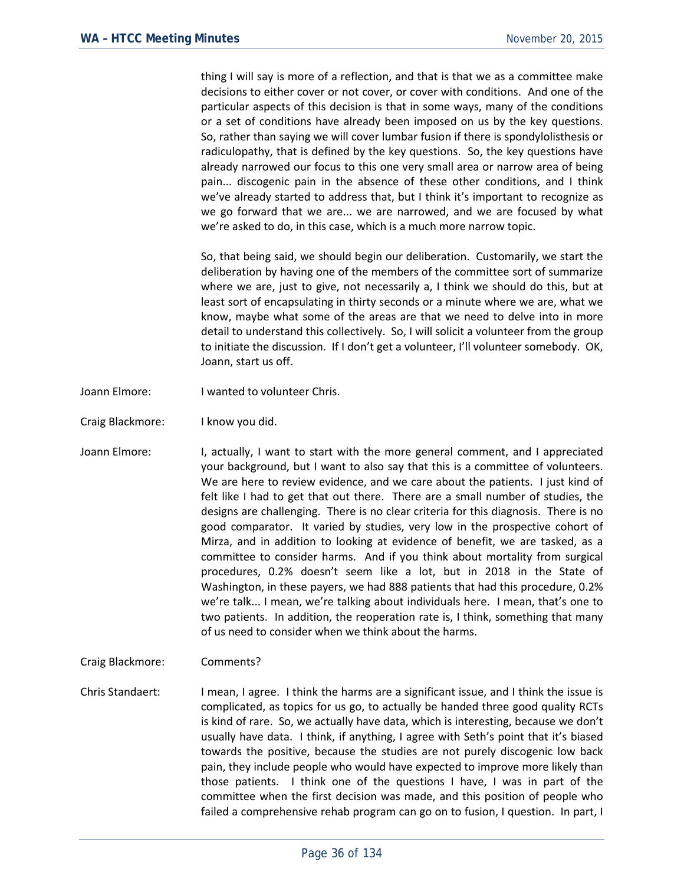thing I will say is more of a reflection, and that is that we as a committee make decisions to either cover or not cover, or cover with conditions. And one of the particular aspects of this decision is that in some ways, many of the conditions or a set of conditions have already been imposed on us by the key questions. So, rather than saying we will cover lumbar fusion if there is spondylolisthesis or radiculopathy, that is defined by the key questions. So, the key questions have already narrowed our focus to this one very small area or narrow area of being pain... discogenic pain in the absence of these other conditions, and I think we've already started to address that, but I think it's important to recognize as we go forward that we are... we are narrowed, and we are focused by what we're asked to do, in this case, which is a much more narrow topic.

So, that being said, we should begin our deliberation. Customarily, we start the deliberation by having one of the members of the committee sort of summarize where we are, just to give, not necessarily a, I think we should do this, but at least sort of encapsulating in thirty seconds or a minute where we are, what we know, maybe what some of the areas are that we need to delve into in more detail to understand this collectively. So, I will solicit a volunteer from the group to initiate the discussion. If I don't get a volunteer, I'll volunteer somebody. OK, Joann, start us off.

- Joann Elmore: I wanted to volunteer Chris.
- Craig Blackmore: I know you did.
- Joann Elmore: I, actually, I want to start with the more general comment, and I appreciated your background, but I want to also say that this is a committee of volunteers. We are here to review evidence, and we care about the patients. I just kind of felt like I had to get that out there. There are a small number of studies, the designs are challenging. There is no clear criteria for this diagnosis. There is no good comparator. It varied by studies, very low in the prospective cohort of Mirza, and in addition to looking at evidence of benefit, we are tasked, as a committee to consider harms. And if you think about mortality from surgical procedures, 0.2% doesn't seem like a lot, but in 2018 in the State of Washington, in these payers, we had 888 patients that had this procedure, 0.2% we're talk... I mean, we're talking about individuals here. I mean, that's one to two patients. In addition, the reoperation rate is, I think, something that many of us need to consider when we think about the harms.
- Craig Blackmore: Comments?
- Chris Standaert: I mean, I agree. I think the harms are a significant issue, and I think the issue is complicated, as topics for us go, to actually be handed three good quality RCTs is kind of rare. So, we actually have data, which is interesting, because we don't usually have data. I think, if anything, I agree with Seth's point that it's biased towards the positive, because the studies are not purely discogenic low back pain, they include people who would have expected to improve more likely than those patients. I think one of the questions I have, I was in part of the committee when the first decision was made, and this position of people who failed a comprehensive rehab program can go on to fusion, I question. In part, I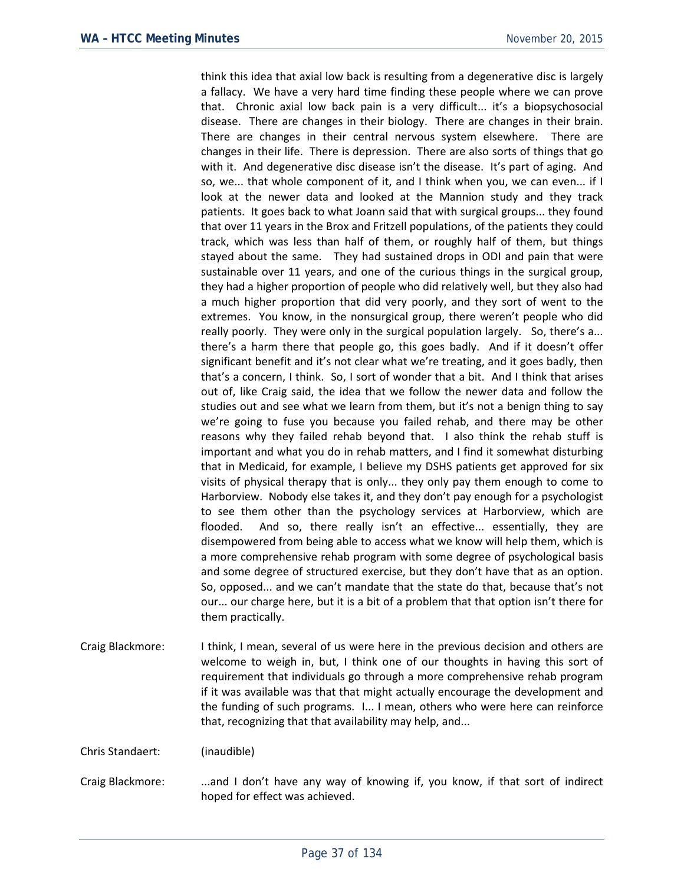think this idea that axial low back is resulting from a degenerative disc is largely a fallacy. We have a very hard time finding these people where we can prove that. Chronic axial low back pain is a very difficult... it's a biopsychosocial disease. There are changes in their biology. There are changes in their brain. There are changes in their central nervous system elsewhere. There are changes in their life. There is depression. There are also sorts of things that go with it. And degenerative disc disease isn't the disease. It's part of aging. And so, we... that whole component of it, and I think when you, we can even... if I look at the newer data and looked at the Mannion study and they track patients. It goes back to what Joann said that with surgical groups... they found that over 11 years in the Brox and Fritzell populations, of the patients they could track, which was less than half of them, or roughly half of them, but things stayed about the same. They had sustained drops in ODI and pain that were sustainable over 11 years, and one of the curious things in the surgical group, they had a higher proportion of people who did relatively well, but they also had a much higher proportion that did very poorly, and they sort of went to the extremes. You know, in the nonsurgical group, there weren't people who did really poorly. They were only in the surgical population largely. So, there's a... there's a harm there that people go, this goes badly. And if it doesn't offer significant benefit and it's not clear what we're treating, and it goes badly, then that's a concern, I think. So, I sort of wonder that a bit. And I think that arises out of, like Craig said, the idea that we follow the newer data and follow the studies out and see what we learn from them, but it's not a benign thing to say we're going to fuse you because you failed rehab, and there may be other reasons why they failed rehab beyond that. I also think the rehab stuff is important and what you do in rehab matters, and I find it somewhat disturbing that in Medicaid, for example, I believe my DSHS patients get approved for six visits of physical therapy that is only... they only pay them enough to come to Harborview. Nobody else takes it, and they don't pay enough for a psychologist to see them other than the psychology services at Harborview, which are flooded. And so, there really isn't an effective... essentially, they are disempowered from being able to access what we know will help them, which is a more comprehensive rehab program with some degree of psychological basis and some degree of structured exercise, but they don't have that as an option. So, opposed... and we can't mandate that the state do that, because that's not our... our charge here, but it is a bit of a problem that that option isn't there for them practically.

Craig Blackmore: I think, I mean, several of us were here in the previous decision and others are welcome to weigh in, but, I think one of our thoughts in having this sort of requirement that individuals go through a more comprehensive rehab program if it was available was that that might actually encourage the development and the funding of such programs. I... I mean, others who were here can reinforce that, recognizing that that availability may help, and...

Chris Standaert: (inaudible)

Craig Blackmore: ...and I don't have any way of knowing if, you know, if that sort of indirect hoped for effect was achieved.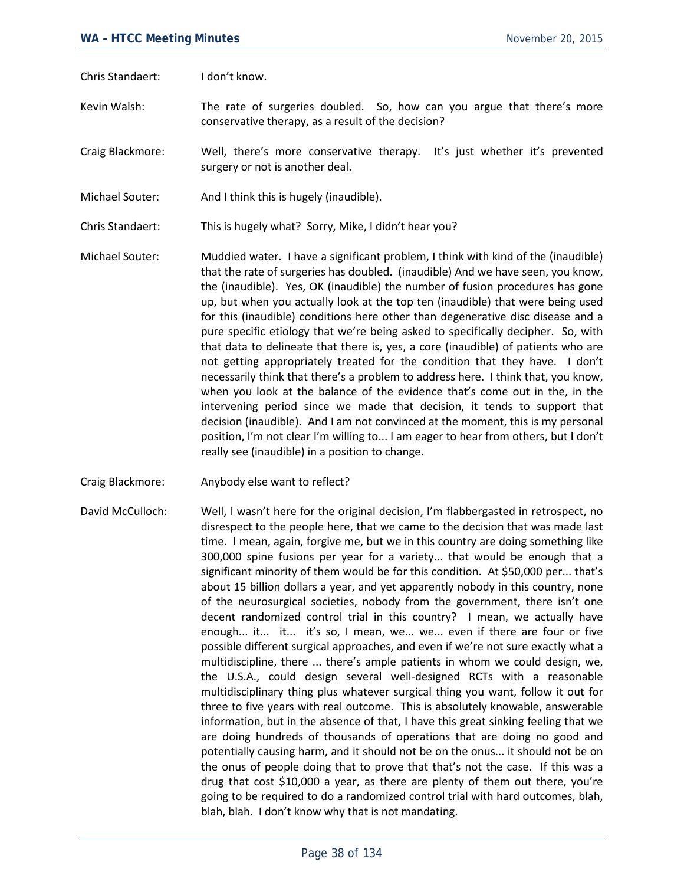Chris Standaert: I don't know.

- Kevin Walsh: The rate of surgeries doubled. So, how can you argue that there's more conservative therapy, as a result of the decision?
- Craig Blackmore: Well, there's more conservative therapy. It's just whether it's prevented surgery or not is another deal.
- Michael Souter: And I think this is hugely (inaudible).
- Chris Standaert: This is hugely what? Sorry, Mike, I didn't hear you?
- Michael Souter: Muddied water. I have a significant problem, I think with kind of the (inaudible) that the rate of surgeries has doubled. (inaudible) And we have seen, you know, the (inaudible). Yes, OK (inaudible) the number of fusion procedures has gone up, but when you actually look at the top ten (inaudible) that were being used for this (inaudible) conditions here other than degenerative disc disease and a pure specific etiology that we're being asked to specifically decipher. So, with that data to delineate that there is, yes, a core (inaudible) of patients who are not getting appropriately treated for the condition that they have. I don't necessarily think that there's a problem to address here. I think that, you know, when you look at the balance of the evidence that's come out in the, in the intervening period since we made that decision, it tends to support that decision (inaudible). And I am not convinced at the moment, this is my personal position, I'm not clear I'm willing to... I am eager to hear from others, but I don't really see (inaudible) in a position to change.
- Craig Blackmore: Anybody else want to reflect?
- David McCulloch: Well, I wasn't here for the original decision, I'm flabbergasted in retrospect, no disrespect to the people here, that we came to the decision that was made last time. I mean, again, forgive me, but we in this country are doing something like 300,000 spine fusions per year for a variety... that would be enough that a significant minority of them would be for this condition. At \$50,000 per... that's about 15 billion dollars a year, and yet apparently nobody in this country, none of the neurosurgical societies, nobody from the government, there isn't one decent randomized control trial in this country? I mean, we actually have enough... it... it... it's so, I mean, we... we... even if there are four or five possible different surgical approaches, and even if we're not sure exactly what a multidiscipline, there ... there's ample patients in whom we could design, we, the U.S.A., could design several well-designed RCTs with a reasonable multidisciplinary thing plus whatever surgical thing you want, follow it out for three to five years with real outcome. This is absolutely knowable, answerable information, but in the absence of that, I have this great sinking feeling that we are doing hundreds of thousands of operations that are doing no good and potentially causing harm, and it should not be on the onus... it should not be on the onus of people doing that to prove that that's not the case. If this was a drug that cost \$10,000 a year, as there are plenty of them out there, you're going to be required to do a randomized control trial with hard outcomes, blah, blah, blah. I don't know why that is not mandating.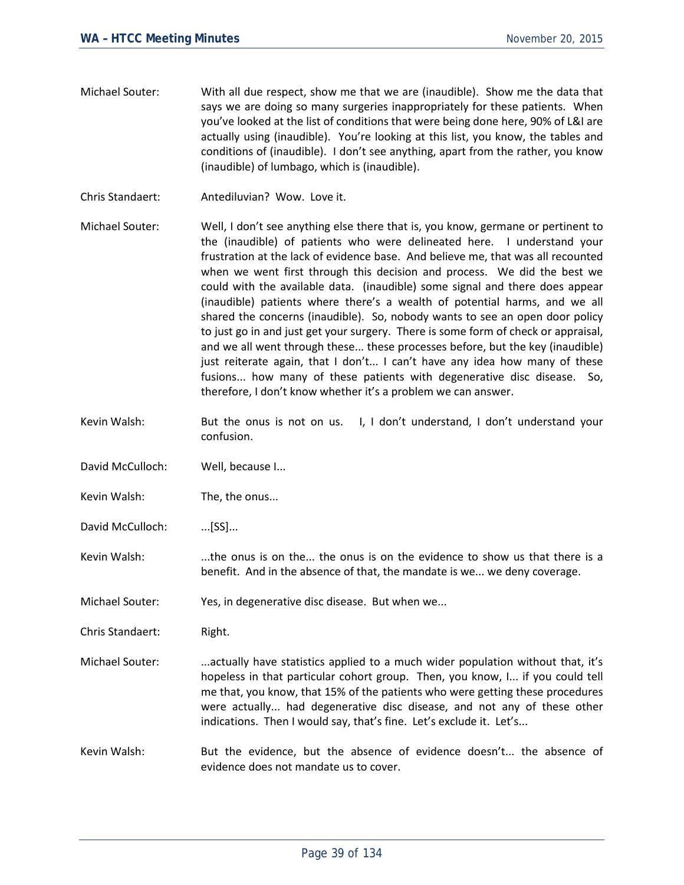- Michael Souter: With all due respect, show me that we are (inaudible). Show me the data that says we are doing so many surgeries inappropriately for these patients. When you've looked at the list of conditions that were being done here, 90% of L&I are actually using (inaudible). You're looking at this list, you know, the tables and conditions of (inaudible). I don't see anything, apart from the rather, you know (inaudible) of lumbago, which is (inaudible).
- Chris Standaert: Antediluvian? Wow. Love it.
- Michael Souter: Well, I don't see anything else there that is, you know, germane or pertinent to the (inaudible) of patients who were delineated here. I understand your frustration at the lack of evidence base. And believe me, that was all recounted when we went first through this decision and process. We did the best we could with the available data. (inaudible) some signal and there does appear (inaudible) patients where there's a wealth of potential harms, and we all shared the concerns (inaudible). So, nobody wants to see an open door policy to just go in and just get your surgery. There is some form of check or appraisal, and we all went through these... these processes before, but the key (inaudible) just reiterate again, that I don't... I can't have any idea how many of these fusions... how many of these patients with degenerative disc disease. So, therefore, I don't know whether it's a problem we can answer.
- Kevin Walsh: But the onus is not on us. I, I don't understand, I don't understand your confusion.
- David McCulloch: Well, because I...
- Kevin Walsh: The, the onus...
- David McCulloch: .... [SS]...
- Kevin Walsh: ....the onus is on the... the onus is on the evidence to show us that there is a benefit. And in the absence of that, the mandate is we... we deny coverage.
- Michael Souter: Yes, in degenerative disc disease. But when we...
- Chris Standaert: Right.
- Michael Souter: ......actually have statistics applied to a much wider population without that, it's hopeless in that particular cohort group. Then, you know, I... if you could tell me that, you know, that 15% of the patients who were getting these procedures were actually... had degenerative disc disease, and not any of these other indications. Then I would say, that's fine. Let's exclude it. Let's...
- Kevin Walsh: But the evidence, but the absence of evidence doesn't... the absence of evidence does not mandate us to cover.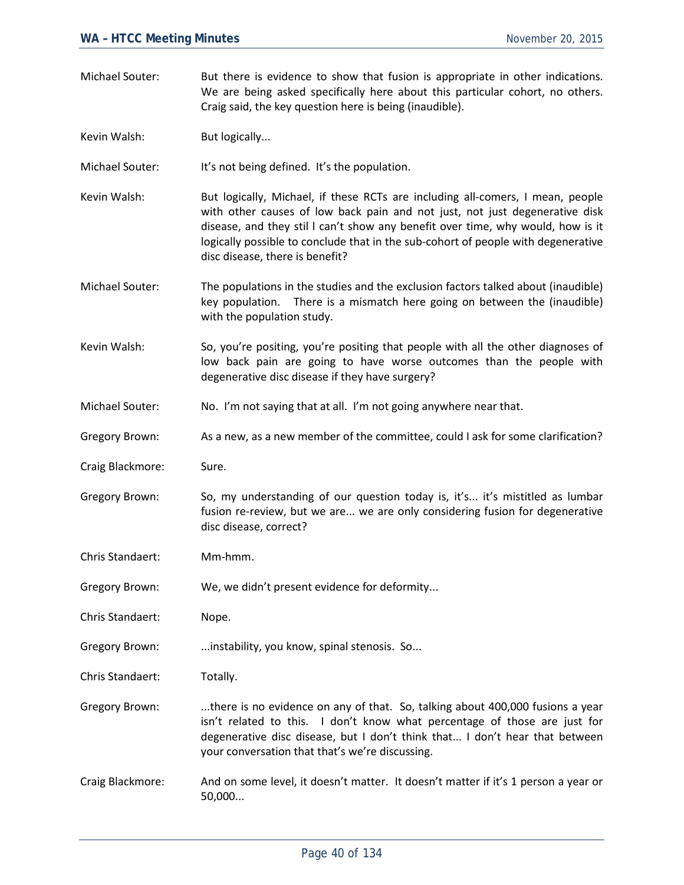- Michael Souter: But there is evidence to show that fusion is appropriate in other indications. We are being asked specifically here about this particular cohort, no others. Craig said, the key question here is being (inaudible).
- Kevin Walsh: But logically...
- Michael Souter: It's not being defined. It's the population.
- Kevin Walsh: But logically, Michael, if these RCTs are including all-comers, I mean, people with other causes of low back pain and not just, not just degenerative disk disease, and they stil l can't show any benefit over time, why would, how is it logically possible to conclude that in the sub-cohort of people with degenerative disc disease, there is benefit?
- Michael Souter: The populations in the studies and the exclusion factors talked about (inaudible) key population. There is a mismatch here going on between the (inaudible) with the population study.
- Kevin Walsh: So, you're positing, you're positing that people with all the other diagnoses of low back pain are going to have worse outcomes than the people with degenerative disc disease if they have surgery?
- Michael Souter: No. I'm not saying that at all. I'm not going anywhere near that.
- Gregory Brown: As a new, as a new member of the committee, could I ask for some clarification?
- Craig Blackmore: Sure.
- Gregory Brown: So, my understanding of our question today is, it's... it's mistitled as lumbar fusion re-review, but we are... we are only considering fusion for degenerative disc disease, correct?
- Chris Standaert: Mm-hmm.
- Gregory Brown: We, we didn't present evidence for deformity...
- Chris Standaert: Nope.
- Gregory Brown: ...instability, you know, spinal stenosis. So...
- Chris Standaert: Totally.
- Gregory Brown: ...there is no evidence on any of that. So, talking about 400,000 fusions a year isn't related to this. I don't know what percentage of those are just for degenerative disc disease, but I don't think that... I don't hear that between your conversation that that's we're discussing.
- Craig Blackmore: And on some level, it doesn't matter. It doesn't matter if it's 1 person a year or 50,000...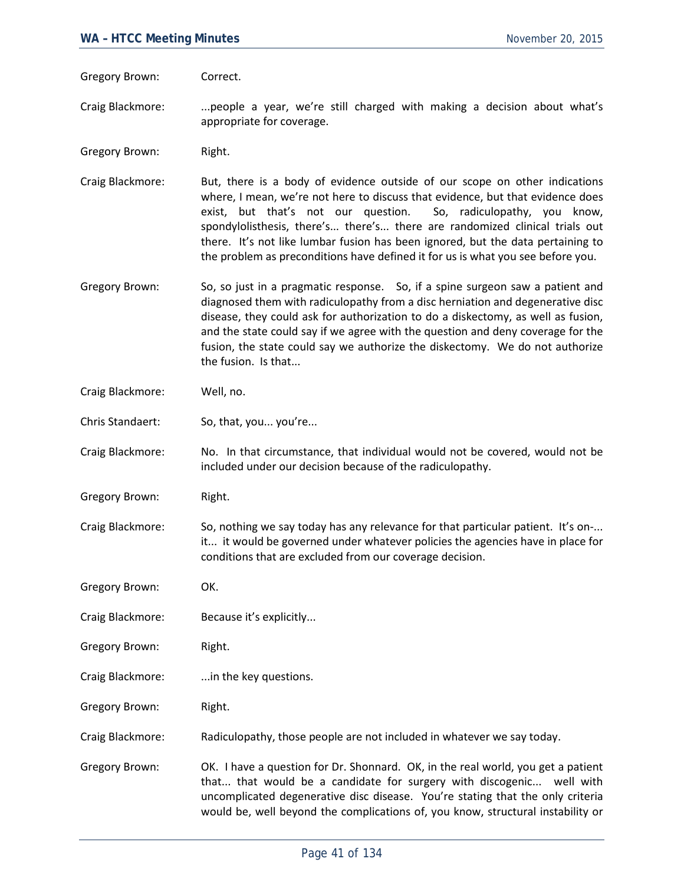Gregory Brown: Correct.

Craig Blackmore: ...people a year, we're still charged with making a decision about what's appropriate for coverage.

Gregory Brown: Right.

Craig Blackmore: But, there is a body of evidence outside of our scope on other indications where, I mean, we're not here to discuss that evidence, but that evidence does exist, but that's not our question. So, radiculopathy, you know, spondylolisthesis, there's... there's... there are randomized clinical trials out there. It's not like lumbar fusion has been ignored, but the data pertaining to the problem as preconditions have defined it for us is what you see before you.

Gregory Brown: So, so just in a pragmatic response. So, if a spine surgeon saw a patient and diagnosed them with radiculopathy from a disc herniation and degenerative disc disease, they could ask for authorization to do a diskectomy, as well as fusion, and the state could say if we agree with the question and deny coverage for the fusion, the state could say we authorize the diskectomy. We do not authorize the fusion. Is that...

- Craig Blackmore: Well, no.
- Chris Standaert: So, that, you... you're...

Craig Blackmore: No. In that circumstance, that individual would not be covered, would not be included under our decision because of the radiculopathy.

- Gregory Brown: Right.
- Craig Blackmore: So, nothing we say today has any relevance for that particular patient. It's on-... it... it would be governed under whatever policies the agencies have in place for conditions that are excluded from our coverage decision.
- Gregory Brown: OK.
- Craig Blackmore: Because it's explicitly...
- Gregory Brown: Right.
- Craig Blackmore: ...in the key questions.
- Gregory Brown: Right.
- Craig Blackmore: Radiculopathy, those people are not included in whatever we say today.
- Gregory Brown: OK. I have a question for Dr. Shonnard. OK, in the real world, you get a patient that... that would be a candidate for surgery with discogenic... well with uncomplicated degenerative disc disease. You're stating that the only criteria would be, well beyond the complications of, you know, structural instability or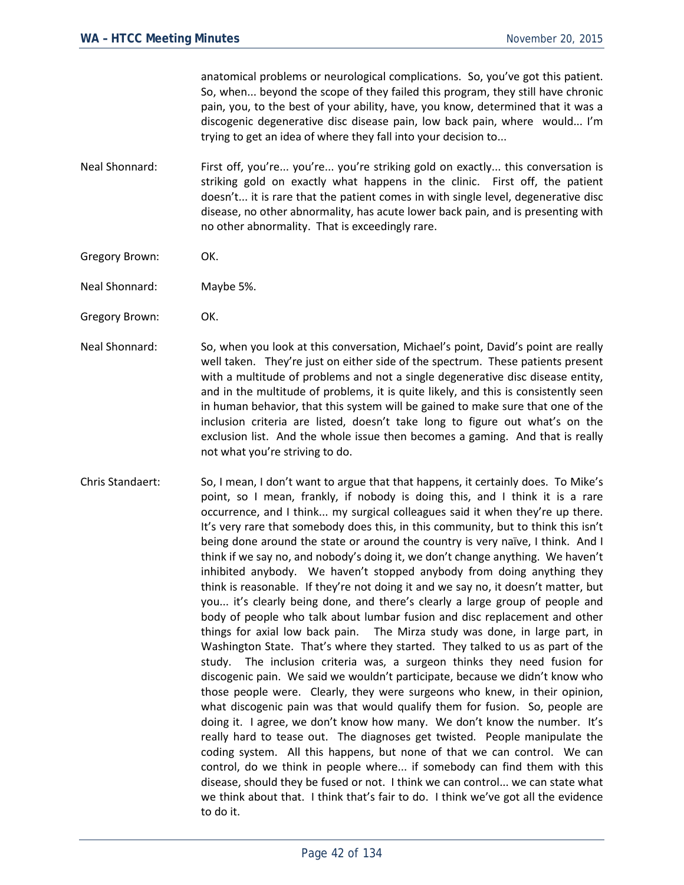anatomical problems or neurological complications. So, you've got this patient. So, when... beyond the scope of they failed this program, they still have chronic pain, you, to the best of your ability, have, you know, determined that it was a discogenic degenerative disc disease pain, low back pain, where would... I'm trying to get an idea of where they fall into your decision to...

- Neal Shonnard: First off, you're... you're... you're striking gold on exactly... this conversation is striking gold on exactly what happens in the clinic. First off, the patient doesn't... it is rare that the patient comes in with single level, degenerative disc disease, no other abnormality, has acute lower back pain, and is presenting with no other abnormality. That is exceedingly rare.
- Gregory Brown: OK.
- Neal Shonnard: Maybe 5%.
- Gregory Brown: OK.
- Neal Shonnard: So, when you look at this conversation, Michael's point, David's point are really well taken. They're just on either side of the spectrum. These patients present with a multitude of problems and not a single degenerative disc disease entity, and in the multitude of problems, it is quite likely, and this is consistently seen in human behavior, that this system will be gained to make sure that one of the inclusion criteria are listed, doesn't take long to figure out what's on the exclusion list. And the whole issue then becomes a gaming. And that is really not what you're striving to do.
- Chris Standaert: So, I mean, I don't want to argue that that happens, it certainly does. To Mike's point, so I mean, frankly, if nobody is doing this, and I think it is a rare occurrence, and I think... my surgical colleagues said it when they're up there. It's very rare that somebody does this, in this community, but to think this isn't being done around the state or around the country is very naïve, I think. And I think if we say no, and nobody's doing it, we don't change anything. We haven't inhibited anybody. We haven't stopped anybody from doing anything they think is reasonable. If they're not doing it and we say no, it doesn't matter, but you... it's clearly being done, and there's clearly a large group of people and body of people who talk about lumbar fusion and disc replacement and other things for axial low back pain. The Mirza study was done, in large part, in Washington State. That's where they started. They talked to us as part of the study. The inclusion criteria was, a surgeon thinks they need fusion for discogenic pain. We said we wouldn't participate, because we didn't know who those people were. Clearly, they were surgeons who knew, in their opinion, what discogenic pain was that would qualify them for fusion. So, people are doing it. I agree, we don't know how many. We don't know the number. It's really hard to tease out. The diagnoses get twisted. People manipulate the coding system. All this happens, but none of that we can control. We can control, do we think in people where... if somebody can find them with this disease, should they be fused or not. I think we can control... we can state what we think about that. I think that's fair to do. I think we've got all the evidence to do it.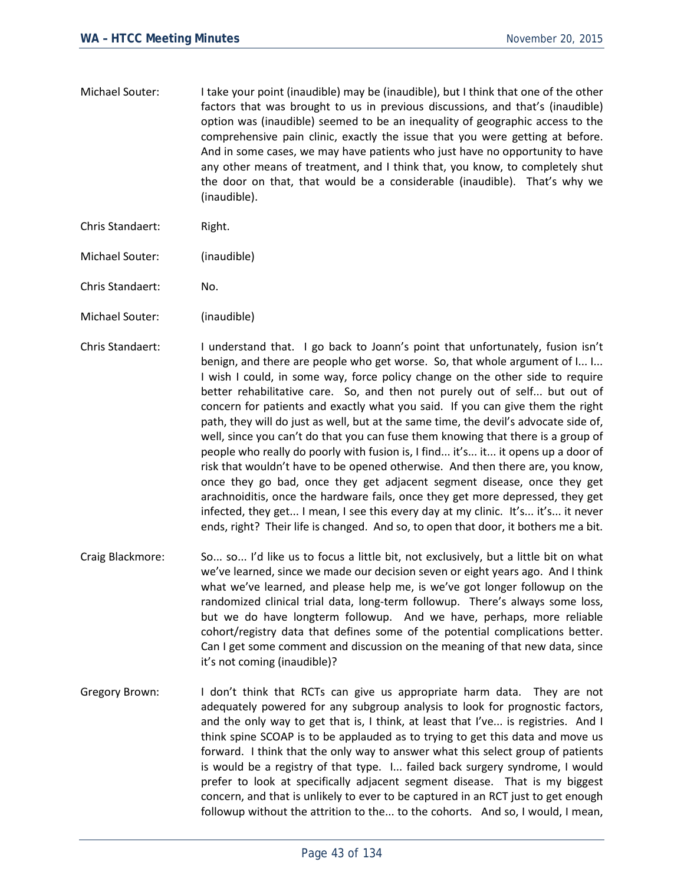- Michael Souter: I take your point (inaudible) may be (inaudible), but I think that one of the other factors that was brought to us in previous discussions, and that's (inaudible) option was (inaudible) seemed to be an inequality of geographic access to the comprehensive pain clinic, exactly the issue that you were getting at before. And in some cases, we may have patients who just have no opportunity to have any other means of treatment, and I think that, you know, to completely shut the door on that, that would be a considerable (inaudible). That's why we (inaudible).
- Chris Standaert: Right.
- Michael Souter: (inaudible)
- Chris Standaert: No.
- Michael Souter: (inaudible)
- Chris Standaert: I understand that. I go back to Joann's point that unfortunately, fusion isn't benign, and there are people who get worse. So, that whole argument of I... I... I wish I could, in some way, force policy change on the other side to require better rehabilitative care. So, and then not purely out of self... but out of concern for patients and exactly what you said. If you can give them the right path, they will do just as well, but at the same time, the devil's advocate side of, well, since you can't do that you can fuse them knowing that there is a group of people who really do poorly with fusion is, I find... it's... it... it opens up a door of risk that wouldn't have to be opened otherwise. And then there are, you know, once they go bad, once they get adjacent segment disease, once they get arachnoiditis, once the hardware fails, once they get more depressed, they get infected, they get... I mean, I see this every day at my clinic. It's... it's... it never ends, right? Their life is changed. And so, to open that door, it bothers me a bit.
- Craig Blackmore: So... so... I'd like us to focus a little bit, not exclusively, but a little bit on what we've learned, since we made our decision seven or eight years ago. And I think what we've learned, and please help me, is we've got longer followup on the randomized clinical trial data, long-term followup. There's always some loss, but we do have longterm followup. And we have, perhaps, more reliable cohort/registry data that defines some of the potential complications better. Can I get some comment and discussion on the meaning of that new data, since it's not coming (inaudible)?
- Gregory Brown: I don't think that RCTs can give us appropriate harm data. They are not adequately powered for any subgroup analysis to look for prognostic factors, and the only way to get that is, I think, at least that I've... is registries. And I think spine SCOAP is to be applauded as to trying to get this data and move us forward. I think that the only way to answer what this select group of patients is would be a registry of that type. I... failed back surgery syndrome, I would prefer to look at specifically adjacent segment disease. That is my biggest concern, and that is unlikely to ever to be captured in an RCT just to get enough followup without the attrition to the... to the cohorts. And so, I would, I mean,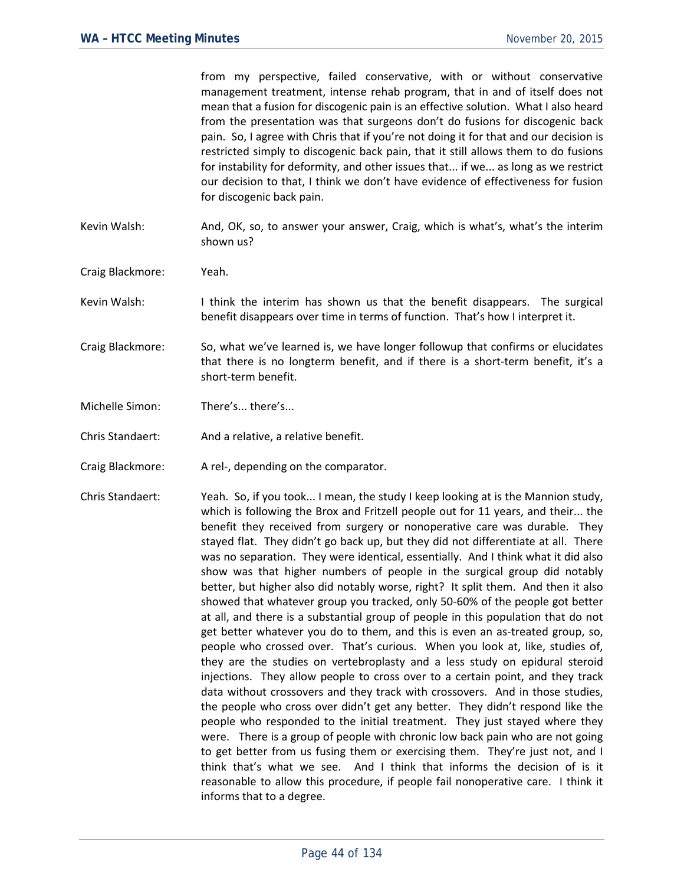from my perspective, failed conservative, with or without conservative management treatment, intense rehab program, that in and of itself does not mean that a fusion for discogenic pain is an effective solution. What I also heard from the presentation was that surgeons don't do fusions for discogenic back pain. So, I agree with Chris that if you're not doing it for that and our decision is restricted simply to discogenic back pain, that it still allows them to do fusions for instability for deformity, and other issues that... if we... as long as we restrict our decision to that, I think we don't have evidence of effectiveness for fusion for discogenic back pain.

- Kevin Walsh: And, OK, so, to answer your answer, Craig, which is what's, what's the interim shown us?
- Craig Blackmore: Yeah.

Kevin Walsh: I think the interim has shown us that the benefit disappears. The surgical benefit disappears over time in terms of function. That's how I interpret it.

- Craig Blackmore: So, what we've learned is, we have longer followup that confirms or elucidates that there is no longterm benefit, and if there is a short-term benefit, it's a short-term benefit.
- Michelle Simon: There's... there's...
- Chris Standaert: And a relative, a relative benefit.
- Craig Blackmore: A rel-, depending on the comparator.
- Chris Standaert: Yeah. So, if you took... I mean, the study I keep looking at is the Mannion study, which is following the Brox and Fritzell people out for 11 years, and their... the benefit they received from surgery or nonoperative care was durable. They stayed flat. They didn't go back up, but they did not differentiate at all. There was no separation. They were identical, essentially. And I think what it did also show was that higher numbers of people in the surgical group did notably better, but higher also did notably worse, right? It split them. And then it also showed that whatever group you tracked, only 50-60% of the people got better at all, and there is a substantial group of people in this population that do not get better whatever you do to them, and this is even an as-treated group, so, people who crossed over. That's curious. When you look at, like, studies of, they are the studies on vertebroplasty and a less study on epidural steroid injections. They allow people to cross over to a certain point, and they track data without crossovers and they track with crossovers. And in those studies, the people who cross over didn't get any better. They didn't respond like the people who responded to the initial treatment. They just stayed where they were. There is a group of people with chronic low back pain who are not going to get better from us fusing them or exercising them. They're just not, and I think that's what we see. And I think that informs the decision of is it reasonable to allow this procedure, if people fail nonoperative care. I think it informs that to a degree.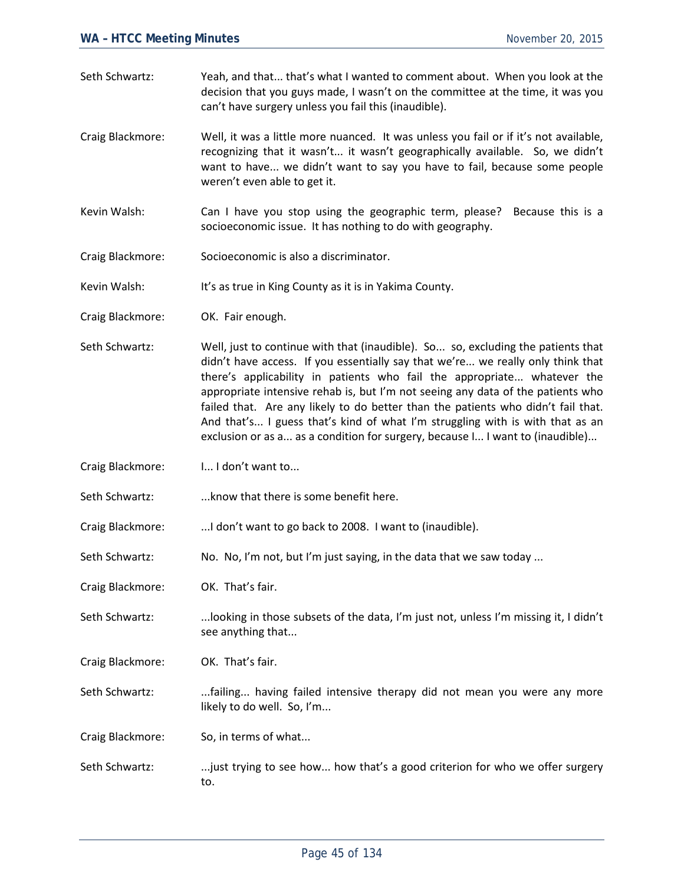- Seth Schwartz: Yeah, and that... that's what I wanted to comment about. When you look at the decision that you guys made, I wasn't on the committee at the time, it was you can't have surgery unless you fail this (inaudible).
- Craig Blackmore: Well, it was a little more nuanced. It was unless you fail or if it's not available, recognizing that it wasn't... it wasn't geographically available. So, we didn't want to have... we didn't want to say you have to fail, because some people weren't even able to get it.
- Kevin Walsh: Can I have you stop using the geographic term, please? Because this is a socioeconomic issue. It has nothing to do with geography.
- Craig Blackmore: Socioeconomic is also a discriminator.

Kevin Walsh: It's as true in King County as it is in Yakima County.

- Craig Blackmore: OK. Fair enough.
- Seth Schwartz: Well, just to continue with that (inaudible). So... so, excluding the patients that didn't have access. If you essentially say that we're... we really only think that there's applicability in patients who fail the appropriate... whatever the appropriate intensive rehab is, but I'm not seeing any data of the patients who failed that. Are any likely to do better than the patients who didn't fail that. And that's... I guess that's kind of what I'm struggling with is with that as an exclusion or as a... as a condition for surgery, because I... I want to (inaudible)...
- Craig Blackmore: I... I don't want to...
- Seth Schwartz: ...know that there is some benefit here.
- Craig Blackmore: ...I don't want to go back to 2008. I want to (inaudible).
- Seth Schwartz: No. No, I'm not, but I'm just saying, in the data that we saw today ...
- Craig Blackmore: OK. That's fair.
- Seth Schwartz: ...looking in those subsets of the data, I'm just not, unless I'm missing it, I didn't see anything that...
- Craig Blackmore: OK. That's fair.
- Seth Schwartz: ...failing... having failed intensive therapy did not mean you were any more likely to do well. So, I'm...
- Craig Blackmore: So, in terms of what...
- Seth Schwartz: ...just trying to see how... how that's a good criterion for who we offer surgery to.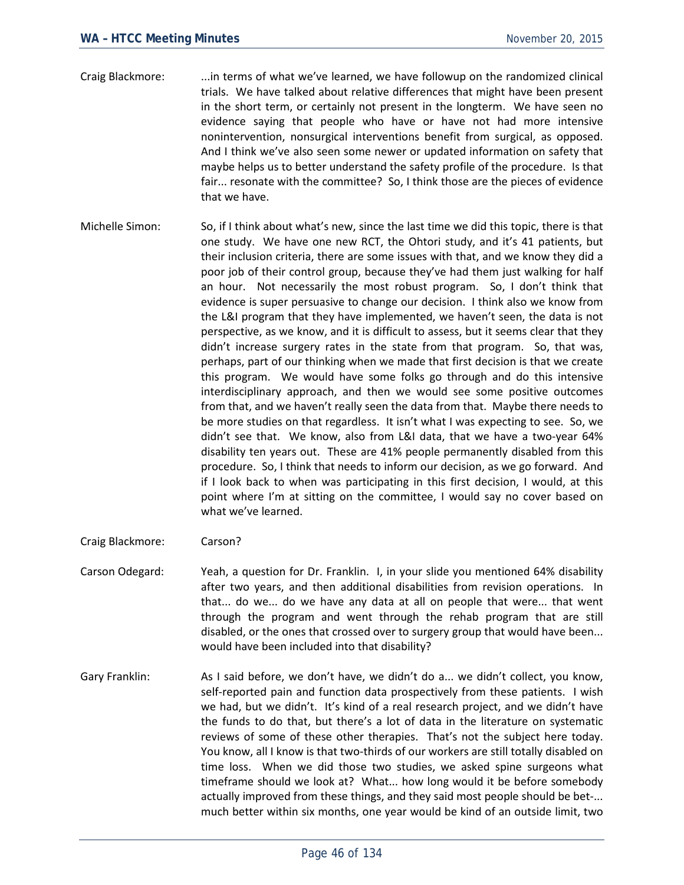- Craig Blackmore: ...in terms of what we've learned, we have followup on the randomized clinical trials. We have talked about relative differences that might have been present in the short term, or certainly not present in the longterm. We have seen no evidence saying that people who have or have not had more intensive nonintervention, nonsurgical interventions benefit from surgical, as opposed. And I think we've also seen some newer or updated information on safety that maybe helps us to better understand the safety profile of the procedure. Is that fair... resonate with the committee? So, I think those are the pieces of evidence that we have.
- Michelle Simon: So, if I think about what's new, since the last time we did this topic, there is that one study. We have one new RCT, the Ohtori study, and it's 41 patients, but their inclusion criteria, there are some issues with that, and we know they did a poor job of their control group, because they've had them just walking for half an hour. Not necessarily the most robust program. So, I don't think that evidence is super persuasive to change our decision. I think also we know from the L&I program that they have implemented, we haven't seen, the data is not perspective, as we know, and it is difficult to assess, but it seems clear that they didn't increase surgery rates in the state from that program. So, that was, perhaps, part of our thinking when we made that first decision is that we create this program. We would have some folks go through and do this intensive interdisciplinary approach, and then we would see some positive outcomes from that, and we haven't really seen the data from that. Maybe there needs to be more studies on that regardless. It isn't what I was expecting to see. So, we didn't see that. We know, also from L&I data, that we have a two-year 64% disability ten years out. These are 41% people permanently disabled from this procedure. So, I think that needs to inform our decision, as we go forward. And if I look back to when was participating in this first decision, I would, at this point where I'm at sitting on the committee, I would say no cover based on what we've learned.
- Craig Blackmore: Carson?
- Carson Odegard: Yeah, a question for Dr. Franklin. I, in your slide you mentioned 64% disability after two years, and then additional disabilities from revision operations. In that... do we... do we have any data at all on people that were... that went through the program and went through the rehab program that are still disabled, or the ones that crossed over to surgery group that would have been... would have been included into that disability?
- Gary Franklin: As I said before, we don't have, we didn't do a... we didn't collect, you know, self-reported pain and function data prospectively from these patients. I wish we had, but we didn't. It's kind of a real research project, and we didn't have the funds to do that, but there's a lot of data in the literature on systematic reviews of some of these other therapies. That's not the subject here today. You know, all I know is that two-thirds of our workers are still totally disabled on time loss. When we did those two studies, we asked spine surgeons what timeframe should we look at? What... how long would it be before somebody actually improved from these things, and they said most people should be bet-... much better within six months, one year would be kind of an outside limit, two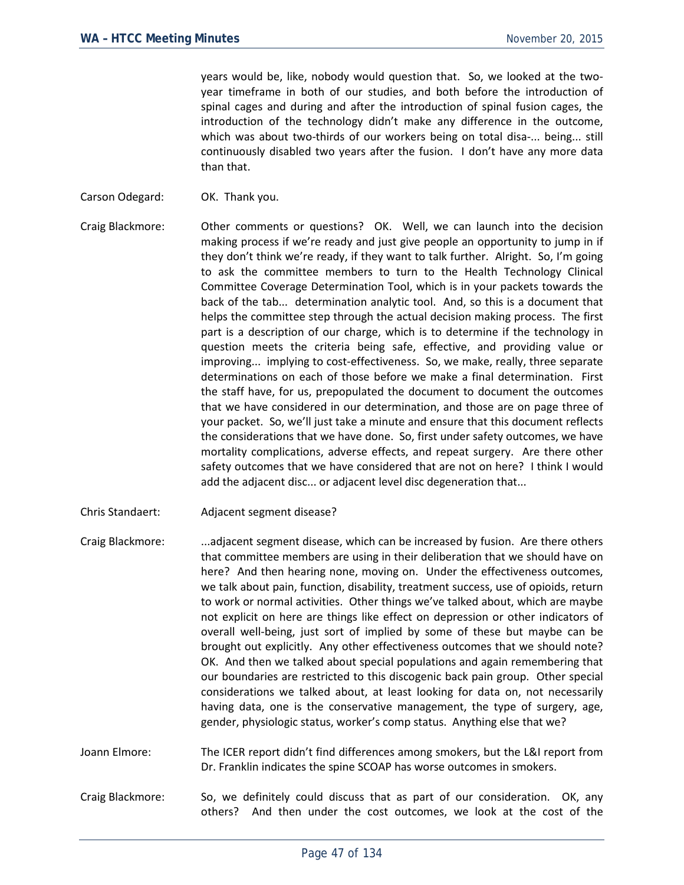years would be, like, nobody would question that. So, we looked at the twoyear timeframe in both of our studies, and both before the introduction of spinal cages and during and after the introduction of spinal fusion cages, the introduction of the technology didn't make any difference in the outcome, which was about two-thirds of our workers being on total disa-... being... still continuously disabled two years after the fusion. I don't have any more data than that.

Carson Odegard: OK. Thank you.

Craig Blackmore: Other comments or questions? OK. Well, we can launch into the decision making process if we're ready and just give people an opportunity to jump in if they don't think we're ready, if they want to talk further. Alright. So, I'm going to ask the committee members to turn to the Health Technology Clinical Committee Coverage Determination Tool, which is in your packets towards the back of the tab... determination analytic tool. And, so this is a document that helps the committee step through the actual decision making process. The first part is a description of our charge, which is to determine if the technology in question meets the criteria being safe, effective, and providing value or improving... implying to cost-effectiveness. So, we make, really, three separate determinations on each of those before we make a final determination. First the staff have, for us, prepopulated the document to document the outcomes that we have considered in our determination, and those are on page three of your packet. So, we'll just take a minute and ensure that this document reflects the considerations that we have done. So, first under safety outcomes, we have mortality complications, adverse effects, and repeat surgery. Are there other safety outcomes that we have considered that are not on here? I think I would add the adjacent disc... or adjacent level disc degeneration that...

Chris Standaert: Adjacent segment disease?

Craig Blackmore: ...adjacent segment disease, which can be increased by fusion. Are there others that committee members are using in their deliberation that we should have on here? And then hearing none, moving on. Under the effectiveness outcomes, we talk about pain, function, disability, treatment success, use of opioids, return to work or normal activities. Other things we've talked about, which are maybe not explicit on here are things like effect on depression or other indicators of overall well-being, just sort of implied by some of these but maybe can be brought out explicitly. Any other effectiveness outcomes that we should note? OK. And then we talked about special populations and again remembering that our boundaries are restricted to this discogenic back pain group. Other special considerations we talked about, at least looking for data on, not necessarily having data, one is the conservative management, the type of surgery, age, gender, physiologic status, worker's comp status. Anything else that we?

Joann Elmore: The ICER report didn't find differences among smokers, but the L&I report from Dr. Franklin indicates the spine SCOAP has worse outcomes in smokers.

Craig Blackmore: So, we definitely could discuss that as part of our consideration. OK, any others? And then under the cost outcomes, we look at the cost of the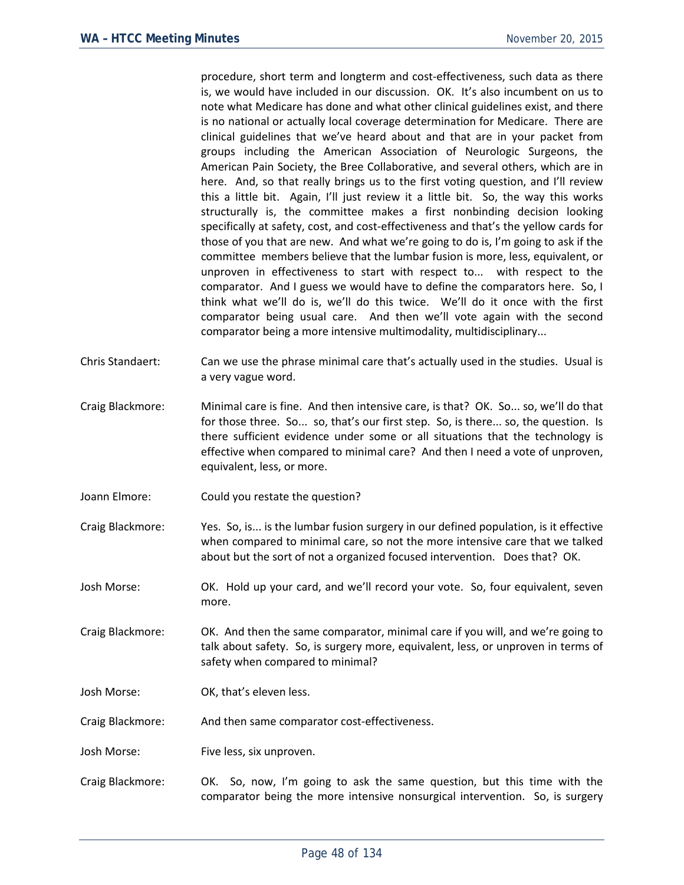procedure, short term and longterm and cost-effectiveness, such data as there is, we would have included in our discussion. OK. It's also incumbent on us to note what Medicare has done and what other clinical guidelines exist, and there is no national or actually local coverage determination for Medicare. There are clinical guidelines that we've heard about and that are in your packet from groups including the American Association of Neurologic Surgeons, the American Pain Society, the Bree Collaborative, and several others, which are in here. And, so that really brings us to the first voting question, and I'll review this a little bit. Again, I'll just review it a little bit. So, the way this works structurally is, the committee makes a first nonbinding decision looking specifically at safety, cost, and cost-effectiveness and that's the yellow cards for those of you that are new. And what we're going to do is, I'm going to ask if the committee members believe that the lumbar fusion is more, less, equivalent, or unproven in effectiveness to start with respect to... with respect to the comparator. And I guess we would have to define the comparators here. So, I think what we'll do is, we'll do this twice. We'll do it once with the first comparator being usual care. And then we'll vote again with the second comparator being a more intensive multimodality, multidisciplinary...

- Chris Standaert: Can we use the phrase minimal care that's actually used in the studies. Usual is a very vague word.
- Craig Blackmore: Minimal care is fine. And then intensive care, is that? OK. So... so, we'll do that for those three. So... so, that's our first step. So, is there... so, the question. Is there sufficient evidence under some or all situations that the technology is effective when compared to minimal care? And then I need a vote of unproven, equivalent, less, or more.
- Joann Elmore: Could you restate the question?
- Craig Blackmore: Yes. So, is... is the lumbar fusion surgery in our defined population, is it effective when compared to minimal care, so not the more intensive care that we talked about but the sort of not a organized focused intervention. Does that? OK.
- Josh Morse: OK. Hold up your card, and we'll record your vote. So, four equivalent, seven more.
- Craig Blackmore: OK. And then the same comparator, minimal care if you will, and we're going to talk about safety. So, is surgery more, equivalent, less, or unproven in terms of safety when compared to minimal?
- Josh Morse: OK, that's eleven less.

Craig Blackmore: And then same comparator cost-effectiveness.

- Josh Morse: Five less, six unproven.
- Craig Blackmore: OK. So, now, I'm going to ask the same question, but this time with the comparator being the more intensive nonsurgical intervention. So, is surgery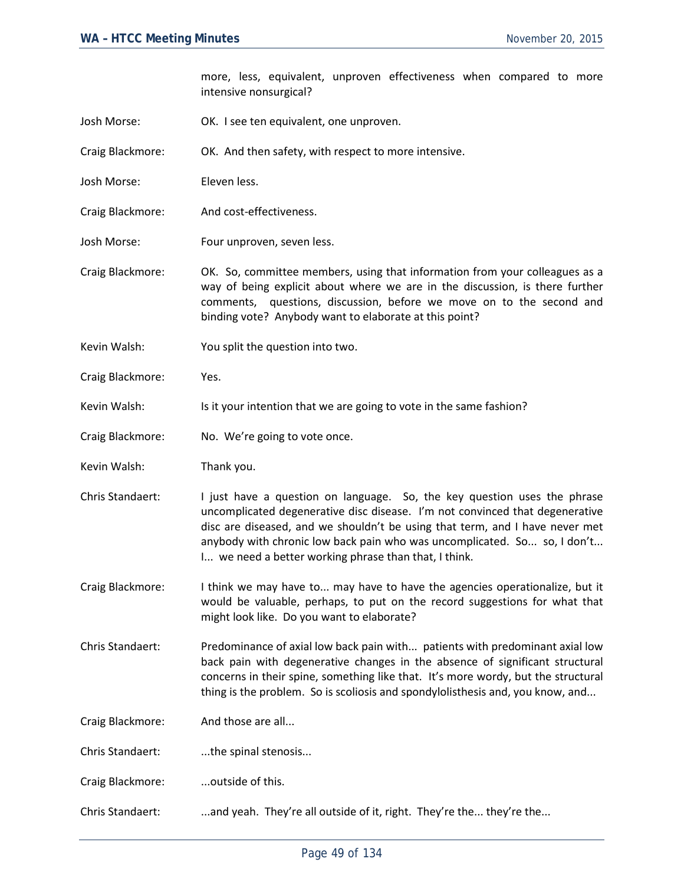more, less, equivalent, unproven effectiveness when compared to more intensive nonsurgical?

Josh Morse: OK. I see ten equivalent, one unproven.

Craig Blackmore: OK. And then safety, with respect to more intensive.

- Josh Morse: Eleven less.
- Craig Blackmore: And cost-effectiveness.
- Josh Morse: Four unproven, seven less.
- Craig Blackmore: OK. So, committee members, using that information from your colleagues as a way of being explicit about where we are in the discussion, is there further comments, questions, discussion, before we move on to the second and binding vote? Anybody want to elaborate at this point?
- Kevin Walsh: You split the question into two.
- Craig Blackmore: Yes.
- Kevin Walsh: Is it your intention that we are going to vote in the same fashion?
- Craig Blackmore: No. We're going to vote once.
- Kevin Walsh: Thank you.
- Chris Standaert: I just have a question on language. So, the key question uses the phrase uncomplicated degenerative disc disease. I'm not convinced that degenerative disc are diseased, and we shouldn't be using that term, and I have never met anybody with chronic low back pain who was uncomplicated. So... so, I don't... I... we need a better working phrase than that, I think.
- Craig Blackmore: I think we may have to... may have to have the agencies operationalize, but it would be valuable, perhaps, to put on the record suggestions for what that might look like. Do you want to elaborate?
- Chris Standaert: Predominance of axial low back pain with... patients with predominant axial low back pain with degenerative changes in the absence of significant structural concerns in their spine, something like that. It's more wordy, but the structural thing is the problem. So is scoliosis and spondylolisthesis and, you know, and...
- Craig Blackmore: And those are all...
- Chris Standaert: ....the spinal stenosis...
- Craig Blackmore: ....outside of this.
- Chris Standaert: ...and yeah. They're all outside of it, right. They're the... they're the...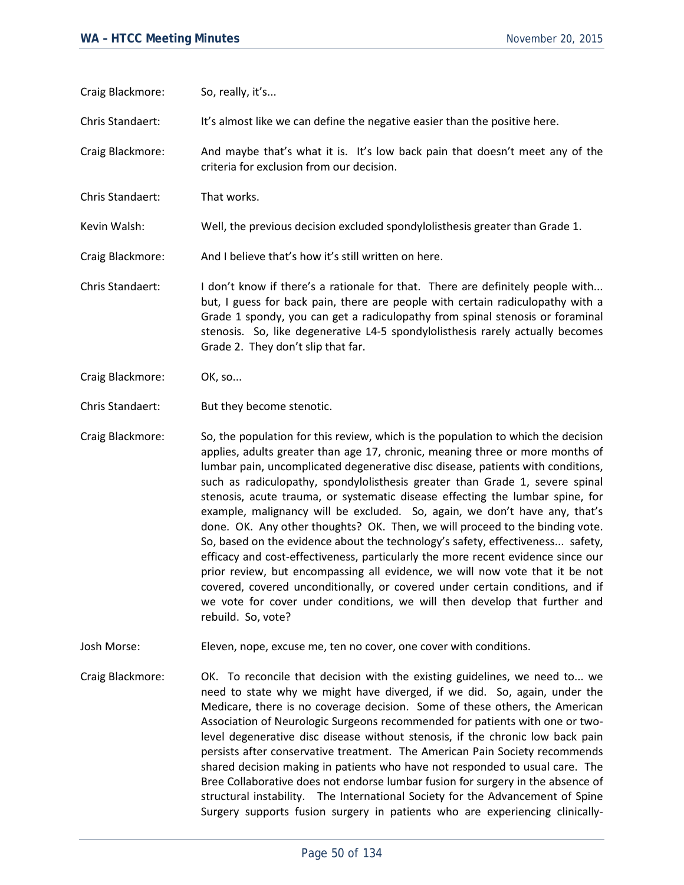| Craig Blackmore: | So, really, it's                                                                                                                                                                                                                                                                                                                                                          |
|------------------|---------------------------------------------------------------------------------------------------------------------------------------------------------------------------------------------------------------------------------------------------------------------------------------------------------------------------------------------------------------------------|
| Chris Standaert: | It's almost like we can define the negative easier than the positive here.                                                                                                                                                                                                                                                                                                |
| Craig Blackmore: | And maybe that's what it is. It's low back pain that doesn't meet any of the<br>criteria for exclusion from our decision.                                                                                                                                                                                                                                                 |
| Chris Standaert: | That works.                                                                                                                                                                                                                                                                                                                                                               |
| Kevin Walsh:     | Well, the previous decision excluded spondylolisthesis greater than Grade 1.                                                                                                                                                                                                                                                                                              |
| Craig Blackmore: | And I believe that's how it's still written on here.                                                                                                                                                                                                                                                                                                                      |
| Chris Standaert: | I don't know if there's a rationale for that. There are definitely people with<br>but, I guess for back pain, there are people with certain radiculopathy with a<br>Grade 1 spondy, you can get a radiculopathy from spinal stenosis or foraminal<br>stenosis. So, like degenerative L4-5 spondylolisthesis rarely actually becomes<br>Grade 2. They don't slip that far. |

- Craig Blackmore: OK, so...
- Chris Standaert: But they become stenotic.
- Craig Blackmore: So, the population for this review, which is the population to which the decision applies, adults greater than age 17, chronic, meaning three or more months of lumbar pain, uncomplicated degenerative disc disease, patients with conditions, such as radiculopathy, spondylolisthesis greater than Grade 1, severe spinal stenosis, acute trauma, or systematic disease effecting the lumbar spine, for example, malignancy will be excluded. So, again, we don't have any, that's done. OK. Any other thoughts? OK. Then, we will proceed to the binding vote. So, based on the evidence about the technology's safety, effectiveness... safety, efficacy and cost-effectiveness, particularly the more recent evidence since our prior review, but encompassing all evidence, we will now vote that it be not covered, covered unconditionally, or covered under certain conditions, and if we vote for cover under conditions, we will then develop that further and rebuild. So, vote?
- Josh Morse: Eleven, nope, excuse me, ten no cover, one cover with conditions.
- Craig Blackmore: OK. To reconcile that decision with the existing guidelines, we need to... we need to state why we might have diverged, if we did. So, again, under the Medicare, there is no coverage decision. Some of these others, the American Association of Neurologic Surgeons recommended for patients with one or twolevel degenerative disc disease without stenosis, if the chronic low back pain persists after conservative treatment. The American Pain Society recommends shared decision making in patients who have not responded to usual care. The Bree Collaborative does not endorse lumbar fusion for surgery in the absence of structural instability. The International Society for the Advancement of Spine Surgery supports fusion surgery in patients who are experiencing clinically-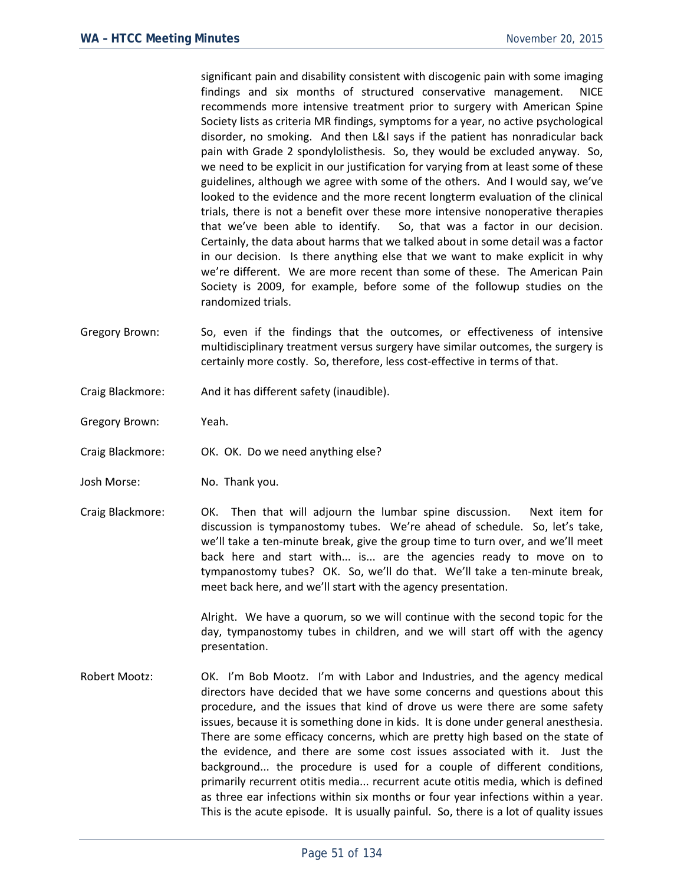significant pain and disability consistent with discogenic pain with some imaging findings and six months of structured conservative management. NICE recommends more intensive treatment prior to surgery with American Spine Society lists as criteria MR findings, symptoms for a year, no active psychological disorder, no smoking. And then L&I says if the patient has nonradicular back pain with Grade 2 spondylolisthesis. So, they would be excluded anyway. So, we need to be explicit in our justification for varying from at least some of these guidelines, although we agree with some of the others. And I would say, we've looked to the evidence and the more recent longterm evaluation of the clinical trials, there is not a benefit over these more intensive nonoperative therapies that we've been able to identify. So, that was a factor in our decision. Certainly, the data about harms that we talked about in some detail was a factor in our decision. Is there anything else that we want to make explicit in why we're different. We are more recent than some of these. The American Pain Society is 2009, for example, before some of the followup studies on the randomized trials.

- Gregory Brown: So, even if the findings that the outcomes, or effectiveness of intensive multidisciplinary treatment versus surgery have similar outcomes, the surgery is certainly more costly. So, therefore, less cost-effective in terms of that.
- Craig Blackmore: And it has different safety (inaudible).
- Gregory Brown: Yeah.
- Craig Blackmore: OK. OK. Do we need anything else?
- Josh Morse: No. Thank you.
- Craig Blackmore: OK. Then that will adjourn the lumbar spine discussion. Next item for discussion is tympanostomy tubes. We're ahead of schedule. So, let's take, we'll take a ten-minute break, give the group time to turn over, and we'll meet back here and start with... is... are the agencies ready to move on to tympanostomy tubes? OK. So, we'll do that. We'll take a ten-minute break, meet back here, and we'll start with the agency presentation.

Alright. We have a quorum, so we will continue with the second topic for the day, tympanostomy tubes in children, and we will start off with the agency presentation.

Robert Mootz: OK. I'm Bob Mootz. I'm with Labor and Industries, and the agency medical directors have decided that we have some concerns and questions about this procedure, and the issues that kind of drove us were there are some safety issues, because it is something done in kids. It is done under general anesthesia. There are some efficacy concerns, which are pretty high based on the state of the evidence, and there are some cost issues associated with it. Just the background... the procedure is used for a couple of different conditions, primarily recurrent otitis media... recurrent acute otitis media, which is defined as three ear infections within six months or four year infections within a year. This is the acute episode. It is usually painful. So, there is a lot of quality issues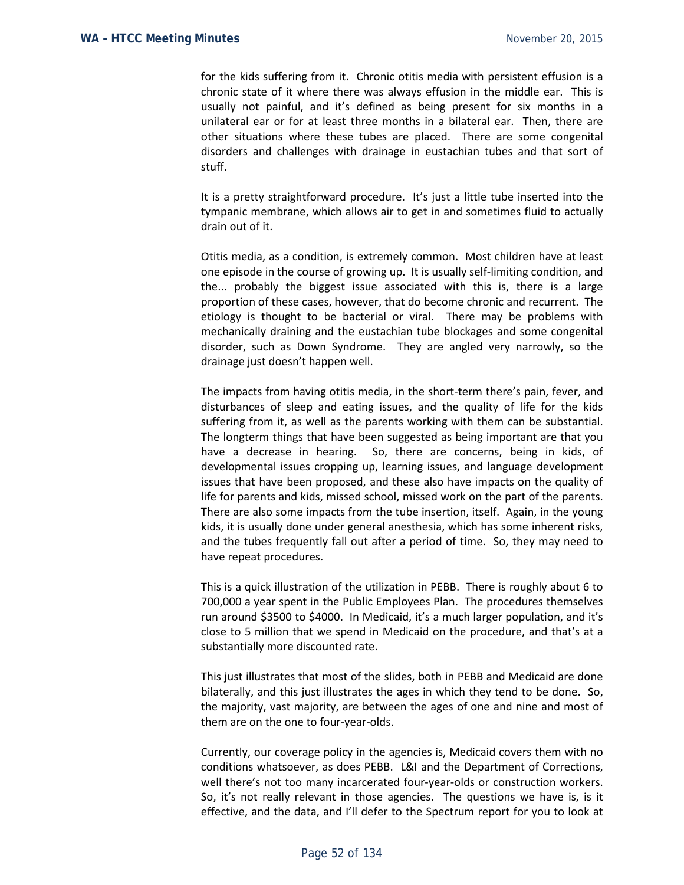for the kids suffering from it. Chronic otitis media with persistent effusion is a chronic state of it where there was always effusion in the middle ear. This is usually not painful, and it's defined as being present for six months in a unilateral ear or for at least three months in a bilateral ear. Then, there are other situations where these tubes are placed. There are some congenital disorders and challenges with drainage in eustachian tubes and that sort of stuff.

It is a pretty straightforward procedure. It's just a little tube inserted into the tympanic membrane, which allows air to get in and sometimes fluid to actually drain out of it.

Otitis media, as a condition, is extremely common. Most children have at least one episode in the course of growing up. It is usually self-limiting condition, and the... probably the biggest issue associated with this is, there is a large proportion of these cases, however, that do become chronic and recurrent. The etiology is thought to be bacterial or viral. There may be problems with mechanically draining and the eustachian tube blockages and some congenital disorder, such as Down Syndrome. They are angled very narrowly, so the drainage just doesn't happen well.

The impacts from having otitis media, in the short-term there's pain, fever, and disturbances of sleep and eating issues, and the quality of life for the kids suffering from it, as well as the parents working with them can be substantial. The longterm things that have been suggested as being important are that you have a decrease in hearing. So, there are concerns, being in kids, of developmental issues cropping up, learning issues, and language development issues that have been proposed, and these also have impacts on the quality of life for parents and kids, missed school, missed work on the part of the parents. There are also some impacts from the tube insertion, itself. Again, in the young kids, it is usually done under general anesthesia, which has some inherent risks, and the tubes frequently fall out after a period of time. So, they may need to have repeat procedures.

This is a quick illustration of the utilization in PEBB. There is roughly about 6 to 700,000 a year spent in the Public Employees Plan. The procedures themselves run around \$3500 to \$4000. In Medicaid, it's a much larger population, and it's close to 5 million that we spend in Medicaid on the procedure, and that's at a substantially more discounted rate.

This just illustrates that most of the slides, both in PEBB and Medicaid are done bilaterally, and this just illustrates the ages in which they tend to be done. So, the majority, vast majority, are between the ages of one and nine and most of them are on the one to four-year-olds.

Currently, our coverage policy in the agencies is, Medicaid covers them with no conditions whatsoever, as does PEBB. L&I and the Department of Corrections, well there's not too many incarcerated four-year-olds or construction workers. So, it's not really relevant in those agencies. The questions we have is, is it effective, and the data, and I'll defer to the Spectrum report for you to look at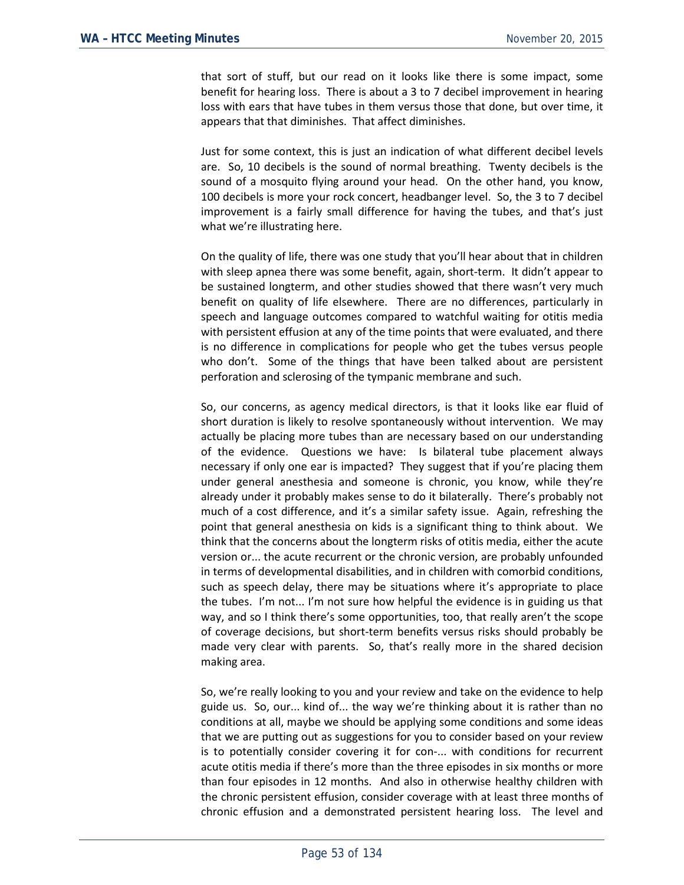that sort of stuff, but our read on it looks like there is some impact, some benefit for hearing loss. There is about a 3 to 7 decibel improvement in hearing loss with ears that have tubes in them versus those that done, but over time, it appears that that diminishes. That affect diminishes.

Just for some context, this is just an indication of what different decibel levels are. So, 10 decibels is the sound of normal breathing. Twenty decibels is the sound of a mosquito flying around your head. On the other hand, you know, 100 decibels is more your rock concert, headbanger level. So, the 3 to 7 decibel improvement is a fairly small difference for having the tubes, and that's just what we're illustrating here.

On the quality of life, there was one study that you'll hear about that in children with sleep apnea there was some benefit, again, short-term. It didn't appear to be sustained longterm, and other studies showed that there wasn't very much benefit on quality of life elsewhere. There are no differences, particularly in speech and language outcomes compared to watchful waiting for otitis media with persistent effusion at any of the time points that were evaluated, and there is no difference in complications for people who get the tubes versus people who don't. Some of the things that have been talked about are persistent perforation and sclerosing of the tympanic membrane and such.

So, our concerns, as agency medical directors, is that it looks like ear fluid of short duration is likely to resolve spontaneously without intervention. We may actually be placing more tubes than are necessary based on our understanding of the evidence. Questions we have: Is bilateral tube placement always necessary if only one ear is impacted? They suggest that if you're placing them under general anesthesia and someone is chronic, you know, while they're already under it probably makes sense to do it bilaterally. There's probably not much of a cost difference, and it's a similar safety issue. Again, refreshing the point that general anesthesia on kids is a significant thing to think about. We think that the concerns about the longterm risks of otitis media, either the acute version or... the acute recurrent or the chronic version, are probably unfounded in terms of developmental disabilities, and in children with comorbid conditions, such as speech delay, there may be situations where it's appropriate to place the tubes. I'm not... I'm not sure how helpful the evidence is in guiding us that way, and so I think there's some opportunities, too, that really aren't the scope of coverage decisions, but short-term benefits versus risks should probably be made very clear with parents. So, that's really more in the shared decision making area.

So, we're really looking to you and your review and take on the evidence to help guide us. So, our... kind of... the way we're thinking about it is rather than no conditions at all, maybe we should be applying some conditions and some ideas that we are putting out as suggestions for you to consider based on your review is to potentially consider covering it for con-... with conditions for recurrent acute otitis media if there's more than the three episodes in six months or more than four episodes in 12 months. And also in otherwise healthy children with the chronic persistent effusion, consider coverage with at least three months of chronic effusion and a demonstrated persistent hearing loss. The level and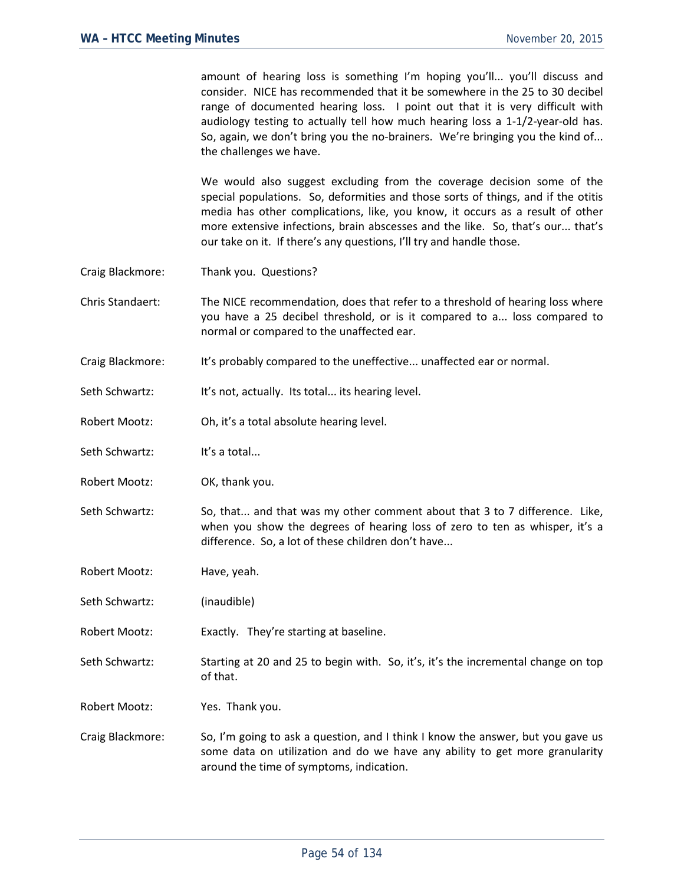amount of hearing loss is something I'm hoping you'll... you'll discuss and consider. NICE has recommended that it be somewhere in the 25 to 30 decibel range of documented hearing loss. I point out that it is very difficult with audiology testing to actually tell how much hearing loss a 1-1/2-year-old has. So, again, we don't bring you the no-brainers. We're bringing you the kind of... the challenges we have.

We would also suggest excluding from the coverage decision some of the special populations. So, deformities and those sorts of things, and if the otitis media has other complications, like, you know, it occurs as a result of other more extensive infections, brain abscesses and the like. So, that's our... that's our take on it. If there's any questions, I'll try and handle those.

- Craig Blackmore: Thank you. Questions?
- Chris Standaert: The NICE recommendation, does that refer to a threshold of hearing loss where you have a 25 decibel threshold, or is it compared to a... loss compared to normal or compared to the unaffected ear.
- Craig Blackmore: It's probably compared to the uneffective... unaffected ear or normal.
- Seth Schwartz: It's not, actually. Its total... its hearing level.
- Robert Mootz: Oh, it's a total absolute hearing level.
- Seth Schwartz: It's a total...
- Robert Mootz: OK, thank you.
- Seth Schwartz: So, that... and that was my other comment about that 3 to 7 difference. Like, when you show the degrees of hearing loss of zero to ten as whisper, it's a difference. So, a lot of these children don't have...
- Robert Mootz: Have, yeah.
- Seth Schwartz: (inaudible)
- Robert Mootz: Exactly. They're starting at baseline.
- Seth Schwartz: Starting at 20 and 25 to begin with. So, it's, it's the incremental change on top of that.
- Robert Mootz: Yes. Thank you.
- Craig Blackmore: So, I'm going to ask a question, and I think I know the answer, but you gave us some data on utilization and do we have any ability to get more granularity around the time of symptoms, indication.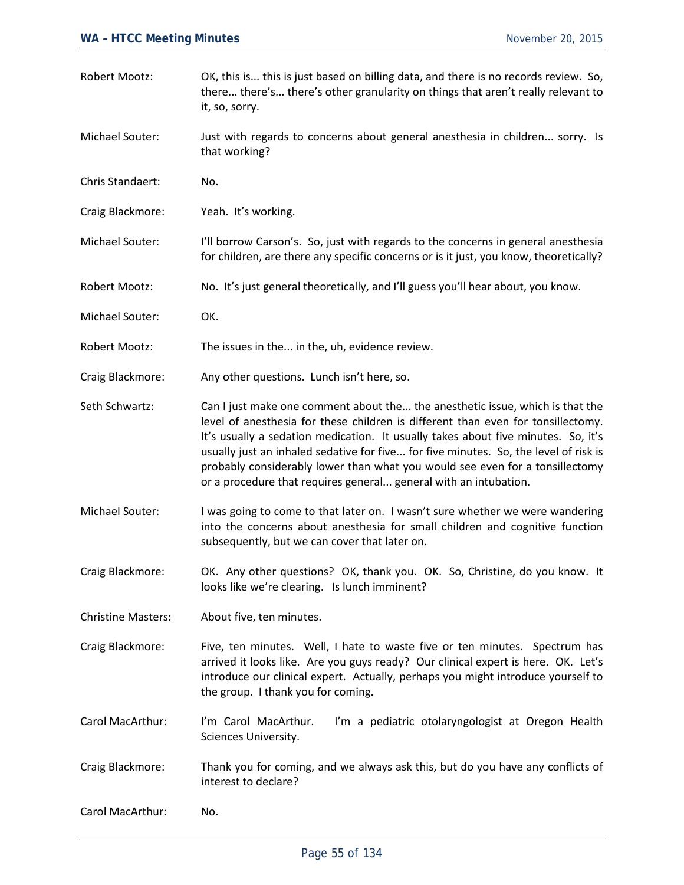- Robert Mootz: OK, this is... this is just based on billing data, and there is no records review. So, there... there's... there's other granularity on things that aren't really relevant to it, so, sorry.
- Michael Souter: Just with regards to concerns about general anesthesia in children... sorry. Is that working?
- Chris Standaert: No.
- Craig Blackmore: Yeah. It's working.
- Michael Souter: I'll borrow Carson's. So, just with regards to the concerns in general anesthesia for children, are there any specific concerns or is it just, you know, theoretically?
- Robert Mootz: No. It's just general theoretically, and I'll guess you'll hear about, you know.
- Michael Souter: OK.
- Robert Mootz: The issues in the... in the, uh, evidence review.
- Craig Blackmore: Any other questions. Lunch isn't here, so.
- Seth Schwartz: Can I just make one comment about the... the anesthetic issue, which is that the level of anesthesia for these children is different than even for tonsillectomy. It's usually a sedation medication. It usually takes about five minutes. So, it's usually just an inhaled sedative for five... for five minutes. So, the level of risk is probably considerably lower than what you would see even for a tonsillectomy or a procedure that requires general... general with an intubation.
- Michael Souter: I was going to come to that later on. I wasn't sure whether we were wandering into the concerns about anesthesia for small children and cognitive function subsequently, but we can cover that later on.
- Craig Blackmore: OK. Any other questions? OK, thank you. OK. So, Christine, do you know. It looks like we're clearing. Is lunch imminent?
- Christine Masters: About five, ten minutes.
- Craig Blackmore: Five, ten minutes. Well, I hate to waste five or ten minutes. Spectrum has arrived it looks like. Are you guys ready? Our clinical expert is here. OK. Let's introduce our clinical expert. Actually, perhaps you might introduce yourself to the group. I thank you for coming.
- Carol MacArthur: I'm Carol MacArthur. I'm a pediatric otolaryngologist at Oregon Health Sciences University.
- Craig Blackmore: Thank you for coming, and we always ask this, but do you have any conflicts of interest to declare?
- Carol MacArthur: No.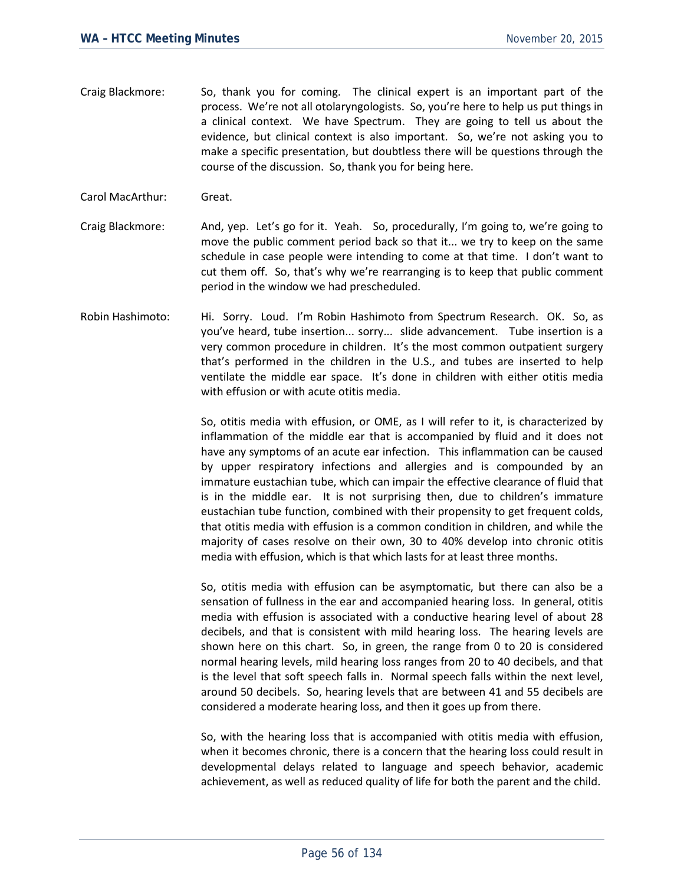- Craig Blackmore: So, thank you for coming. The clinical expert is an important part of the process. We're not all otolaryngologists. So, you're here to help us put things in a clinical context. We have Spectrum. They are going to tell us about the evidence, but clinical context is also important. So, we're not asking you to make a specific presentation, but doubtless there will be questions through the course of the discussion. So, thank you for being here.
- Carol MacArthur: Great.
- Craig Blackmore: And, yep. Let's go for it. Yeah. So, procedurally, I'm going to, we're going to move the public comment period back so that it... we try to keep on the same schedule in case people were intending to come at that time. I don't want to cut them off. So, that's why we're rearranging is to keep that public comment period in the window we had prescheduled.
- Robin Hashimoto: Hi. Sorry. Loud. I'm Robin Hashimoto from Spectrum Research. OK. So, as you've heard, tube insertion... sorry... slide advancement. Tube insertion is a very common procedure in children. It's the most common outpatient surgery that's performed in the children in the U.S., and tubes are inserted to help ventilate the middle ear space. It's done in children with either otitis media with effusion or with acute otitis media.

So, otitis media with effusion, or OME, as I will refer to it, is characterized by inflammation of the middle ear that is accompanied by fluid and it does not have any symptoms of an acute ear infection. This inflammation can be caused by upper respiratory infections and allergies and is compounded by an immature eustachian tube, which can impair the effective clearance of fluid that is in the middle ear. It is not surprising then, due to children's immature eustachian tube function, combined with their propensity to get frequent colds, that otitis media with effusion is a common condition in children, and while the majority of cases resolve on their own, 30 to 40% develop into chronic otitis media with effusion, which is that which lasts for at least three months.

So, otitis media with effusion can be asymptomatic, but there can also be a sensation of fullness in the ear and accompanied hearing loss. In general, otitis media with effusion is associated with a conductive hearing level of about 28 decibels, and that is consistent with mild hearing loss. The hearing levels are shown here on this chart. So, in green, the range from 0 to 20 is considered normal hearing levels, mild hearing loss ranges from 20 to 40 decibels, and that is the level that soft speech falls in. Normal speech falls within the next level, around 50 decibels. So, hearing levels that are between 41 and 55 decibels are considered a moderate hearing loss, and then it goes up from there.

So, with the hearing loss that is accompanied with otitis media with effusion, when it becomes chronic, there is a concern that the hearing loss could result in developmental delays related to language and speech behavior, academic achievement, as well as reduced quality of life for both the parent and the child.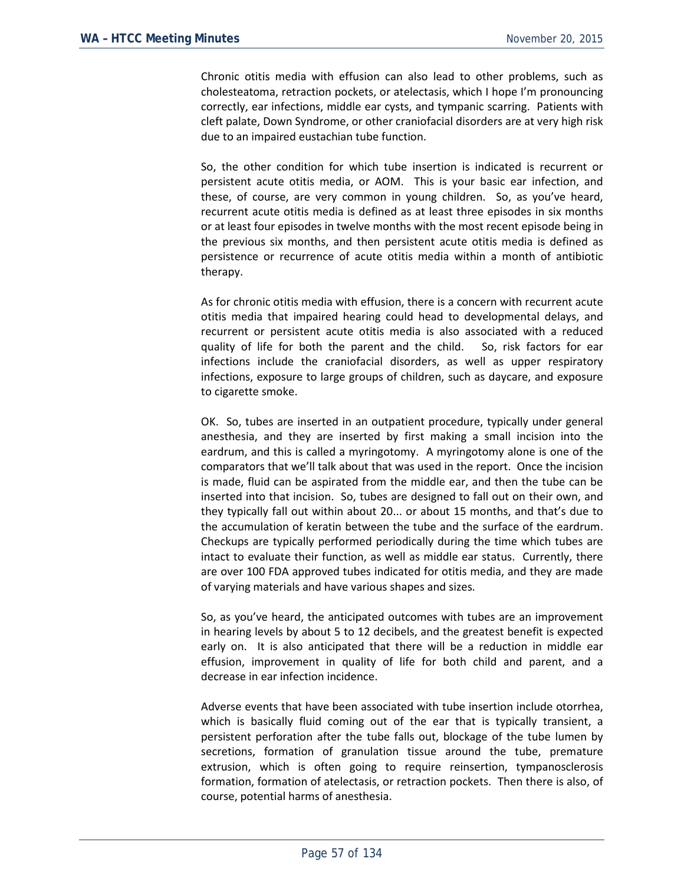Chronic otitis media with effusion can also lead to other problems, such as cholesteatoma, retraction pockets, or atelectasis, which I hope I'm pronouncing correctly, ear infections, middle ear cysts, and tympanic scarring. Patients with cleft palate, Down Syndrome, or other craniofacial disorders are at very high risk due to an impaired eustachian tube function.

So, the other condition for which tube insertion is indicated is recurrent or persistent acute otitis media, or AOM. This is your basic ear infection, and these, of course, are very common in young children. So, as you've heard, recurrent acute otitis media is defined as at least three episodes in six months or at least four episodes in twelve months with the most recent episode being in the previous six months, and then persistent acute otitis media is defined as persistence or recurrence of acute otitis media within a month of antibiotic therapy.

As for chronic otitis media with effusion, there is a concern with recurrent acute otitis media that impaired hearing could head to developmental delays, and recurrent or persistent acute otitis media is also associated with a reduced quality of life for both the parent and the child. So, risk factors for ear infections include the craniofacial disorders, as well as upper respiratory infections, exposure to large groups of children, such as daycare, and exposure to cigarette smoke.

OK. So, tubes are inserted in an outpatient procedure, typically under general anesthesia, and they are inserted by first making a small incision into the eardrum, and this is called a myringotomy. A myringotomy alone is one of the comparators that we'll talk about that was used in the report. Once the incision is made, fluid can be aspirated from the middle ear, and then the tube can be inserted into that incision. So, tubes are designed to fall out on their own, and they typically fall out within about 20... or about 15 months, and that's due to the accumulation of keratin between the tube and the surface of the eardrum. Checkups are typically performed periodically during the time which tubes are intact to evaluate their function, as well as middle ear status. Currently, there are over 100 FDA approved tubes indicated for otitis media, and they are made of varying materials and have various shapes and sizes.

So, as you've heard, the anticipated outcomes with tubes are an improvement in hearing levels by about 5 to 12 decibels, and the greatest benefit is expected early on. It is also anticipated that there will be a reduction in middle ear effusion, improvement in quality of life for both child and parent, and a decrease in ear infection incidence.

Adverse events that have been associated with tube insertion include otorrhea, which is basically fluid coming out of the ear that is typically transient, a persistent perforation after the tube falls out, blockage of the tube lumen by secretions, formation of granulation tissue around the tube, premature extrusion, which is often going to require reinsertion, tympanosclerosis formation, formation of atelectasis, or retraction pockets. Then there is also, of course, potential harms of anesthesia.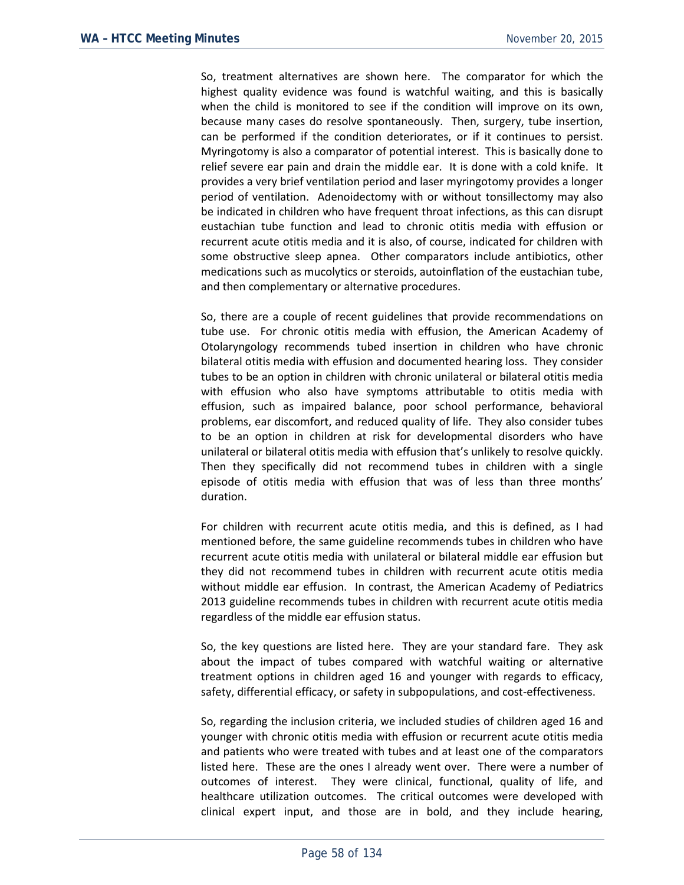So, treatment alternatives are shown here. The comparator for which the highest quality evidence was found is watchful waiting, and this is basically when the child is monitored to see if the condition will improve on its own, because many cases do resolve spontaneously. Then, surgery, tube insertion, can be performed if the condition deteriorates, or if it continues to persist. Myringotomy is also a comparator of potential interest. This is basically done to relief severe ear pain and drain the middle ear. It is done with a cold knife. It provides a very brief ventilation period and laser myringotomy provides a longer period of ventilation. Adenoidectomy with or without tonsillectomy may also be indicated in children who have frequent throat infections, as this can disrupt eustachian tube function and lead to chronic otitis media with effusion or recurrent acute otitis media and it is also, of course, indicated for children with some obstructive sleep apnea. Other comparators include antibiotics, other medications such as mucolytics or steroids, autoinflation of the eustachian tube, and then complementary or alternative procedures.

So, there are a couple of recent guidelines that provide recommendations on tube use. For chronic otitis media with effusion, the American Academy of Otolaryngology recommends tubed insertion in children who have chronic bilateral otitis media with effusion and documented hearing loss. They consider tubes to be an option in children with chronic unilateral or bilateral otitis media with effusion who also have symptoms attributable to otitis media with effusion, such as impaired balance, poor school performance, behavioral problems, ear discomfort, and reduced quality of life. They also consider tubes to be an option in children at risk for developmental disorders who have unilateral or bilateral otitis media with effusion that's unlikely to resolve quickly. Then they specifically did not recommend tubes in children with a single episode of otitis media with effusion that was of less than three months' duration.

For children with recurrent acute otitis media, and this is defined, as I had mentioned before, the same guideline recommends tubes in children who have recurrent acute otitis media with unilateral or bilateral middle ear effusion but they did not recommend tubes in children with recurrent acute otitis media without middle ear effusion. In contrast, the American Academy of Pediatrics 2013 guideline recommends tubes in children with recurrent acute otitis media regardless of the middle ear effusion status.

So, the key questions are listed here. They are your standard fare. They ask about the impact of tubes compared with watchful waiting or alternative treatment options in children aged 16 and younger with regards to efficacy, safety, differential efficacy, or safety in subpopulations, and cost-effectiveness.

So, regarding the inclusion criteria, we included studies of children aged 16 and younger with chronic otitis media with effusion or recurrent acute otitis media and patients who were treated with tubes and at least one of the comparators listed here. These are the ones I already went over. There were a number of outcomes of interest. They were clinical, functional, quality of life, and healthcare utilization outcomes. The critical outcomes were developed with clinical expert input, and those are in bold, and they include hearing,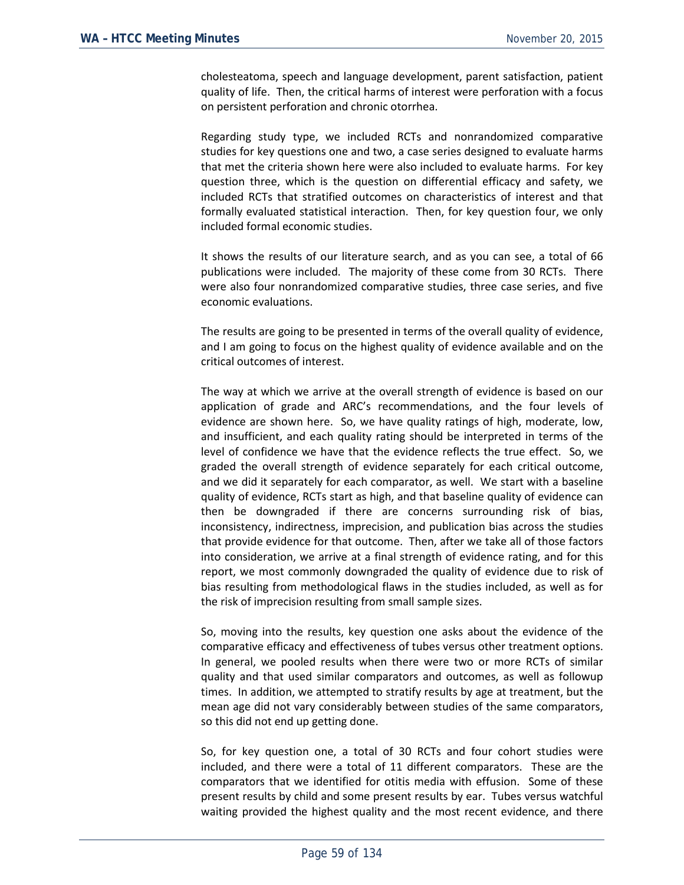cholesteatoma, speech and language development, parent satisfaction, patient quality of life. Then, the critical harms of interest were perforation with a focus on persistent perforation and chronic otorrhea.

Regarding study type, we included RCTs and nonrandomized comparative studies for key questions one and two, a case series designed to evaluate harms that met the criteria shown here were also included to evaluate harms. For key question three, which is the question on differential efficacy and safety, we included RCTs that stratified outcomes on characteristics of interest and that formally evaluated statistical interaction. Then, for key question four, we only included formal economic studies.

It shows the results of our literature search, and as you can see, a total of 66 publications were included. The majority of these come from 30 RCTs. There were also four nonrandomized comparative studies, three case series, and five economic evaluations.

The results are going to be presented in terms of the overall quality of evidence, and I am going to focus on the highest quality of evidence available and on the critical outcomes of interest.

The way at which we arrive at the overall strength of evidence is based on our application of grade and ARC's recommendations, and the four levels of evidence are shown here. So, we have quality ratings of high, moderate, low, and insufficient, and each quality rating should be interpreted in terms of the level of confidence we have that the evidence reflects the true effect. So, we graded the overall strength of evidence separately for each critical outcome, and we did it separately for each comparator, as well. We start with a baseline quality of evidence, RCTs start as high, and that baseline quality of evidence can then be downgraded if there are concerns surrounding risk of bias, inconsistency, indirectness, imprecision, and publication bias across the studies that provide evidence for that outcome. Then, after we take all of those factors into consideration, we arrive at a final strength of evidence rating, and for this report, we most commonly downgraded the quality of evidence due to risk of bias resulting from methodological flaws in the studies included, as well as for the risk of imprecision resulting from small sample sizes.

So, moving into the results, key question one asks about the evidence of the comparative efficacy and effectiveness of tubes versus other treatment options. In general, we pooled results when there were two or more RCTs of similar quality and that used similar comparators and outcomes, as well as followup times. In addition, we attempted to stratify results by age at treatment, but the mean age did not vary considerably between studies of the same comparators, so this did not end up getting done.

So, for key question one, a total of 30 RCTs and four cohort studies were included, and there were a total of 11 different comparators. These are the comparators that we identified for otitis media with effusion. Some of these present results by child and some present results by ear. Tubes versus watchful waiting provided the highest quality and the most recent evidence, and there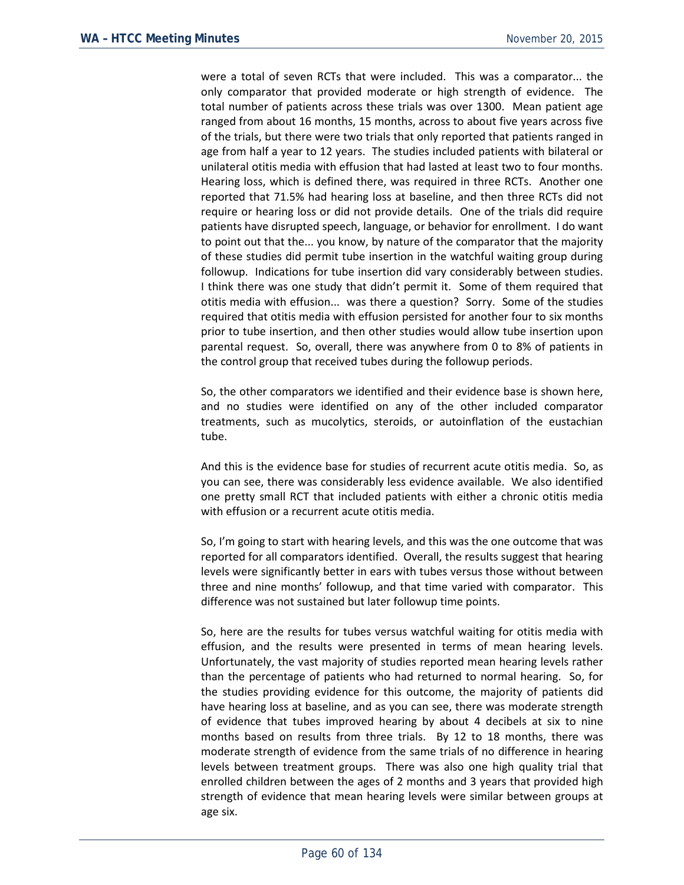were a total of seven RCTs that were included. This was a comparator... the only comparator that provided moderate or high strength of evidence. The total number of patients across these trials was over 1300. Mean patient age ranged from about 16 months, 15 months, across to about five years across five of the trials, but there were two trials that only reported that patients ranged in age from half a year to 12 years. The studies included patients with bilateral or unilateral otitis media with effusion that had lasted at least two to four months. Hearing loss, which is defined there, was required in three RCTs. Another one reported that 71.5% had hearing loss at baseline, and then three RCTs did not require or hearing loss or did not provide details. One of the trials did require patients have disrupted speech, language, or behavior for enrollment. I do want to point out that the... you know, by nature of the comparator that the majority of these studies did permit tube insertion in the watchful waiting group during followup. Indications for tube insertion did vary considerably between studies. I think there was one study that didn't permit it. Some of them required that otitis media with effusion... was there a question? Sorry. Some of the studies required that otitis media with effusion persisted for another four to six months prior to tube insertion, and then other studies would allow tube insertion upon parental request. So, overall, there was anywhere from 0 to 8% of patients in the control group that received tubes during the followup periods.

So, the other comparators we identified and their evidence base is shown here, and no studies were identified on any of the other included comparator treatments, such as mucolytics, steroids, or autoinflation of the eustachian tube.

And this is the evidence base for studies of recurrent acute otitis media. So, as you can see, there was considerably less evidence available. We also identified one pretty small RCT that included patients with either a chronic otitis media with effusion or a recurrent acute otitis media.

So, I'm going to start with hearing levels, and this was the one outcome that was reported for all comparators identified. Overall, the results suggest that hearing levels were significantly better in ears with tubes versus those without between three and nine months' followup, and that time varied with comparator. This difference was not sustained but later followup time points.

So, here are the results for tubes versus watchful waiting for otitis media with effusion, and the results were presented in terms of mean hearing levels. Unfortunately, the vast majority of studies reported mean hearing levels rather than the percentage of patients who had returned to normal hearing. So, for the studies providing evidence for this outcome, the majority of patients did have hearing loss at baseline, and as you can see, there was moderate strength of evidence that tubes improved hearing by about 4 decibels at six to nine months based on results from three trials. By 12 to 18 months, there was moderate strength of evidence from the same trials of no difference in hearing levels between treatment groups. There was also one high quality trial that enrolled children between the ages of 2 months and 3 years that provided high strength of evidence that mean hearing levels were similar between groups at age six.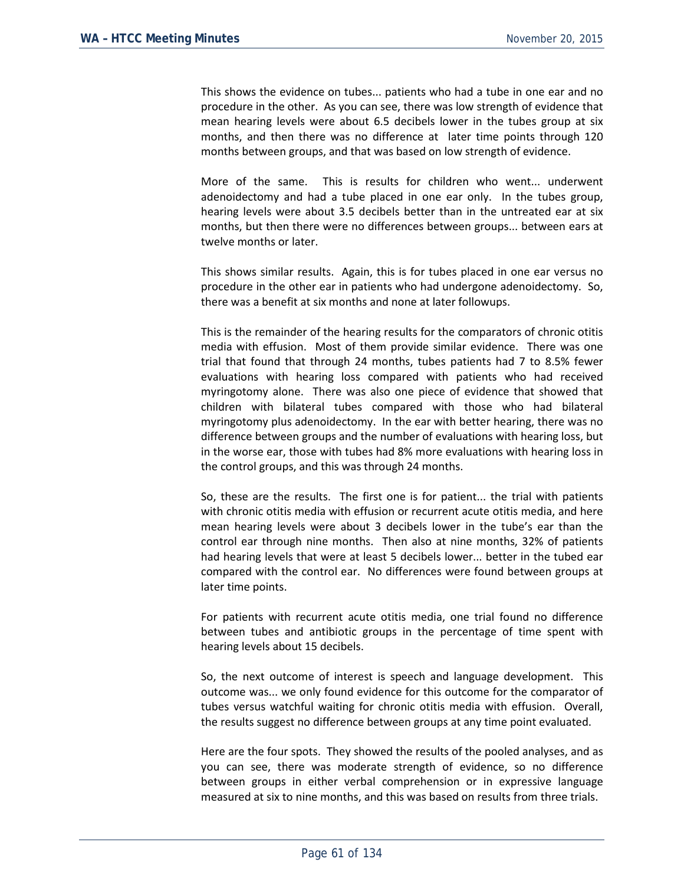This shows the evidence on tubes... patients who had a tube in one ear and no procedure in the other. As you can see, there was low strength of evidence that mean hearing levels were about 6.5 decibels lower in the tubes group at six months, and then there was no difference at later time points through 120 months between groups, and that was based on low strength of evidence.

More of the same. This is results for children who went... underwent adenoidectomy and had a tube placed in one ear only. In the tubes group, hearing levels were about 3.5 decibels better than in the untreated ear at six months, but then there were no differences between groups... between ears at twelve months or later.

This shows similar results. Again, this is for tubes placed in one ear versus no procedure in the other ear in patients who had undergone adenoidectomy. So, there was a benefit at six months and none at later followups.

This is the remainder of the hearing results for the comparators of chronic otitis media with effusion. Most of them provide similar evidence. There was one trial that found that through 24 months, tubes patients had 7 to 8.5% fewer evaluations with hearing loss compared with patients who had received myringotomy alone. There was also one piece of evidence that showed that children with bilateral tubes compared with those who had bilateral myringotomy plus adenoidectomy. In the ear with better hearing, there was no difference between groups and the number of evaluations with hearing loss, but in the worse ear, those with tubes had 8% more evaluations with hearing loss in the control groups, and this was through 24 months.

So, these are the results. The first one is for patient... the trial with patients with chronic otitis media with effusion or recurrent acute otitis media, and here mean hearing levels were about 3 decibels lower in the tube's ear than the control ear through nine months. Then also at nine months, 32% of patients had hearing levels that were at least 5 decibels lower... better in the tubed ear compared with the control ear. No differences were found between groups at later time points.

For patients with recurrent acute otitis media, one trial found no difference between tubes and antibiotic groups in the percentage of time spent with hearing levels about 15 decibels.

So, the next outcome of interest is speech and language development. This outcome was... we only found evidence for this outcome for the comparator of tubes versus watchful waiting for chronic otitis media with effusion. Overall, the results suggest no difference between groups at any time point evaluated.

Here are the four spots. They showed the results of the pooled analyses, and as you can see, there was moderate strength of evidence, so no difference between groups in either verbal comprehension or in expressive language measured at six to nine months, and this was based on results from three trials.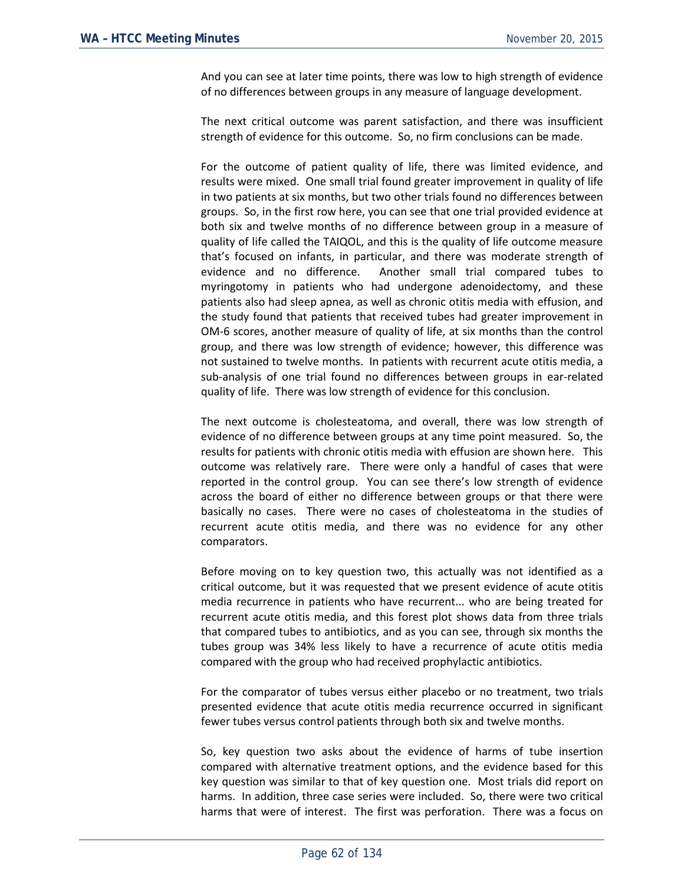And you can see at later time points, there was low to high strength of evidence of no differences between groups in any measure of language development.

The next critical outcome was parent satisfaction, and there was insufficient strength of evidence for this outcome. So, no firm conclusions can be made.

For the outcome of patient quality of life, there was limited evidence, and results were mixed. One small trial found greater improvement in quality of life in two patients at six months, but two other trials found no differences between groups. So, in the first row here, you can see that one trial provided evidence at both six and twelve months of no difference between group in a measure of quality of life called the TAIQOL, and this is the quality of life outcome measure that's focused on infants, in particular, and there was moderate strength of evidence and no difference. Another small trial compared tubes to myringotomy in patients who had undergone adenoidectomy, and these patients also had sleep apnea, as well as chronic otitis media with effusion, and the study found that patients that received tubes had greater improvement in OM-6 scores, another measure of quality of life, at six months than the control group, and there was low strength of evidence; however, this difference was not sustained to twelve months. In patients with recurrent acute otitis media, a sub-analysis of one trial found no differences between groups in ear-related quality of life. There was low strength of evidence for this conclusion.

The next outcome is cholesteatoma, and overall, there was low strength of evidence of no difference between groups at any time point measured. So, the results for patients with chronic otitis media with effusion are shown here. This outcome was relatively rare. There were only a handful of cases that were reported in the control group. You can see there's low strength of evidence across the board of either no difference between groups or that there were basically no cases. There were no cases of cholesteatoma in the studies of recurrent acute otitis media, and there was no evidence for any other comparators.

Before moving on to key question two, this actually was not identified as a critical outcome, but it was requested that we present evidence of acute otitis media recurrence in patients who have recurrent... who are being treated for recurrent acute otitis media, and this forest plot shows data from three trials that compared tubes to antibiotics, and as you can see, through six months the tubes group was 34% less likely to have a recurrence of acute otitis media compared with the group who had received prophylactic antibiotics.

For the comparator of tubes versus either placebo or no treatment, two trials presented evidence that acute otitis media recurrence occurred in significant fewer tubes versus control patients through both six and twelve months.

So, key question two asks about the evidence of harms of tube insertion compared with alternative treatment options, and the evidence based for this key question was similar to that of key question one. Most trials did report on harms. In addition, three case series were included. So, there were two critical harms that were of interest. The first was perforation. There was a focus on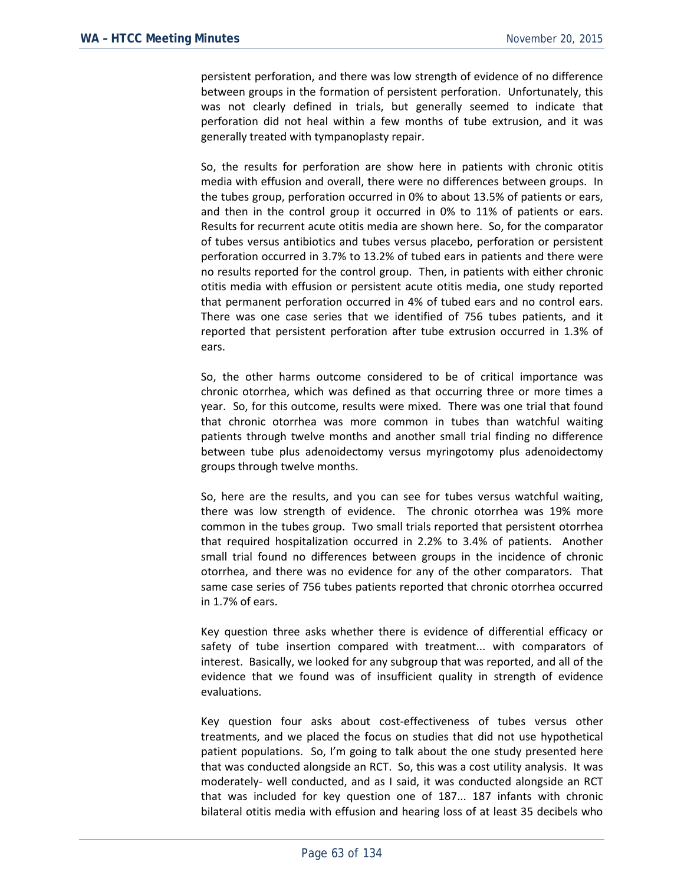persistent perforation, and there was low strength of evidence of no difference between groups in the formation of persistent perforation. Unfortunately, this was not clearly defined in trials, but generally seemed to indicate that perforation did not heal within a few months of tube extrusion, and it was generally treated with tympanoplasty repair.

So, the results for perforation are show here in patients with chronic otitis media with effusion and overall, there were no differences between groups. In the tubes group, perforation occurred in 0% to about 13.5% of patients or ears, and then in the control group it occurred in 0% to 11% of patients or ears. Results for recurrent acute otitis media are shown here. So, for the comparator of tubes versus antibiotics and tubes versus placebo, perforation or persistent perforation occurred in 3.7% to 13.2% of tubed ears in patients and there were no results reported for the control group. Then, in patients with either chronic otitis media with effusion or persistent acute otitis media, one study reported that permanent perforation occurred in 4% of tubed ears and no control ears. There was one case series that we identified of 756 tubes patients, and it reported that persistent perforation after tube extrusion occurred in 1.3% of ears.

So, the other harms outcome considered to be of critical importance was chronic otorrhea, which was defined as that occurring three or more times a year. So, for this outcome, results were mixed. There was one trial that found that chronic otorrhea was more common in tubes than watchful waiting patients through twelve months and another small trial finding no difference between tube plus adenoidectomy versus myringotomy plus adenoidectomy groups through twelve months.

So, here are the results, and you can see for tubes versus watchful waiting, there was low strength of evidence. The chronic otorrhea was 19% more common in the tubes group. Two small trials reported that persistent otorrhea that required hospitalization occurred in 2.2% to 3.4% of patients. Another small trial found no differences between groups in the incidence of chronic otorrhea, and there was no evidence for any of the other comparators. That same case series of 756 tubes patients reported that chronic otorrhea occurred in 1.7% of ears.

Key question three asks whether there is evidence of differential efficacy or safety of tube insertion compared with treatment... with comparators of interest. Basically, we looked for any subgroup that was reported, and all of the evidence that we found was of insufficient quality in strength of evidence evaluations.

Key question four asks about cost-effectiveness of tubes versus other treatments, and we placed the focus on studies that did not use hypothetical patient populations. So, I'm going to talk about the one study presented here that was conducted alongside an RCT. So, this was a cost utility analysis. It was moderately- well conducted, and as I said, it was conducted alongside an RCT that was included for key question one of 187... 187 infants with chronic bilateral otitis media with effusion and hearing loss of at least 35 decibels who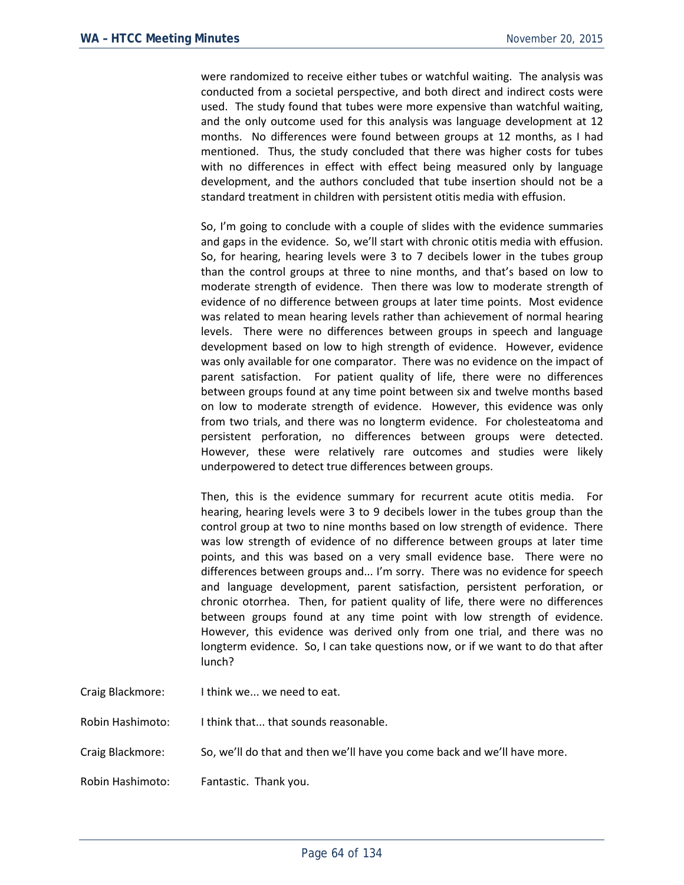were randomized to receive either tubes or watchful waiting. The analysis was conducted from a societal perspective, and both direct and indirect costs were used. The study found that tubes were more expensive than watchful waiting, and the only outcome used for this analysis was language development at 12 months. No differences were found between groups at 12 months, as I had mentioned. Thus, the study concluded that there was higher costs for tubes with no differences in effect with effect being measured only by language development, and the authors concluded that tube insertion should not be a standard treatment in children with persistent otitis media with effusion.

So, I'm going to conclude with a couple of slides with the evidence summaries and gaps in the evidence. So, we'll start with chronic otitis media with effusion. So, for hearing, hearing levels were 3 to 7 decibels lower in the tubes group than the control groups at three to nine months, and that's based on low to moderate strength of evidence. Then there was low to moderate strength of evidence of no difference between groups at later time points. Most evidence was related to mean hearing levels rather than achievement of normal hearing levels. There were no differences between groups in speech and language development based on low to high strength of evidence. However, evidence was only available for one comparator. There was no evidence on the impact of parent satisfaction. For patient quality of life, there were no differences between groups found at any time point between six and twelve months based on low to moderate strength of evidence. However, this evidence was only from two trials, and there was no longterm evidence. For cholesteatoma and persistent perforation, no differences between groups were detected. However, these were relatively rare outcomes and studies were likely underpowered to detect true differences between groups.

Then, this is the evidence summary for recurrent acute otitis media. For hearing, hearing levels were 3 to 9 decibels lower in the tubes group than the control group at two to nine months based on low strength of evidence. There was low strength of evidence of no difference between groups at later time points, and this was based on a very small evidence base. There were no differences between groups and... I'm sorry. There was no evidence for speech and language development, parent satisfaction, persistent perforation, or chronic otorrhea. Then, for patient quality of life, there were no differences between groups found at any time point with low strength of evidence. However, this evidence was derived only from one trial, and there was no longterm evidence. So, I can take questions now, or if we want to do that after lunch?

Craig Blackmore: I think we... we need to eat.

Robin Hashimoto: I think that... that sounds reasonable.

Craig Blackmore: So, we'll do that and then we'll have you come back and we'll have more.

Robin Hashimoto: Fantastic. Thank you.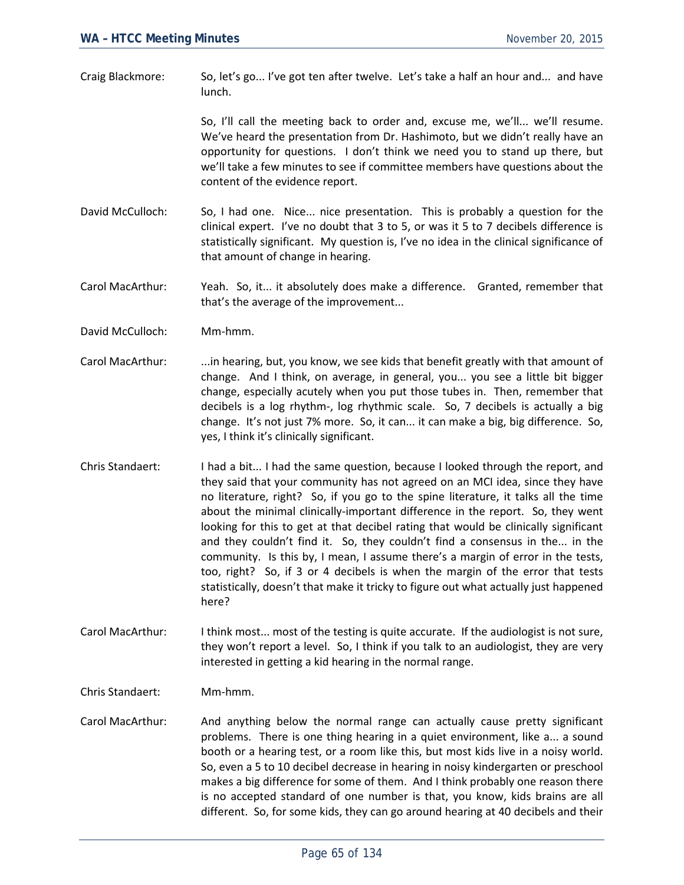Craig Blackmore: So, let's go... I've got ten after twelve. Let's take a half an hour and... and have lunch.

> So, I'll call the meeting back to order and, excuse me, we'll... we'll resume. We've heard the presentation from Dr. Hashimoto, but we didn't really have an opportunity for questions. I don't think we need you to stand up there, but we'll take a few minutes to see if committee members have questions about the content of the evidence report.

David McCulloch: So, I had one. Nice... nice presentation. This is probably a question for the clinical expert. I've no doubt that 3 to 5, or was it 5 to 7 decibels difference is statistically significant. My question is, I've no idea in the clinical significance of that amount of change in hearing.

Carol MacArthur: Yeah. So, it... it absolutely does make a difference. Granted, remember that that's the average of the improvement...

- David McCulloch: Mm-hmm.
- Carol MacArthur: ...in hearing, but, you know, we see kids that benefit greatly with that amount of change. And I think, on average, in general, you... you see a little bit bigger change, especially acutely when you put those tubes in. Then, remember that decibels is a log rhythm-, log rhythmic scale. So, 7 decibels is actually a big change. It's not just 7% more. So, it can... it can make a big, big difference. So, yes, I think it's clinically significant.
- Chris Standaert: I had a bit... I had the same question, because I looked through the report, and they said that your community has not agreed on an MCI idea, since they have no literature, right? So, if you go to the spine literature, it talks all the time about the minimal clinically-important difference in the report. So, they went looking for this to get at that decibel rating that would be clinically significant and they couldn't find it. So, they couldn't find a consensus in the... in the community. Is this by, I mean, I assume there's a margin of error in the tests, too, right? So, if 3 or 4 decibels is when the margin of the error that tests statistically, doesn't that make it tricky to figure out what actually just happened here?
- Carol MacArthur: I think most... most of the testing is quite accurate. If the audiologist is not sure, they won't report a level. So, I think if you talk to an audiologist, they are very interested in getting a kid hearing in the normal range.

Chris Standaert: Mm-hmm.

Carol MacArthur: And anything below the normal range can actually cause pretty significant problems. There is one thing hearing in a quiet environment, like a... a sound booth or a hearing test, or a room like this, but most kids live in a noisy world. So, even a 5 to 10 decibel decrease in hearing in noisy kindergarten or preschool makes a big difference for some of them. And I think probably one reason there is no accepted standard of one number is that, you know, kids brains are all different. So, for some kids, they can go around hearing at 40 decibels and their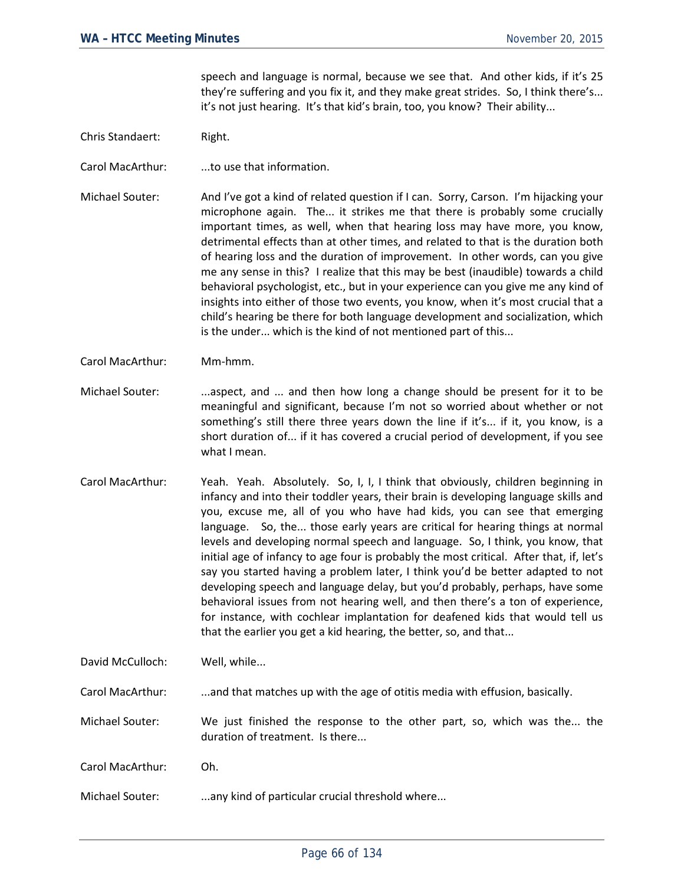speech and language is normal, because we see that. And other kids, if it's 25 they're suffering and you fix it, and they make great strides. So, I think there's... it's not just hearing. It's that kid's brain, too, you know? Their ability...

- Chris Standaert: Right.
- Carol MacArthur: ...to use that information.
- Michael Souter: And I've got a kind of related question if I can. Sorry, Carson. I'm hijacking your microphone again. The... it strikes me that there is probably some crucially important times, as well, when that hearing loss may have more, you know, detrimental effects than at other times, and related to that is the duration both of hearing loss and the duration of improvement. In other words, can you give me any sense in this? I realize that this may be best (inaudible) towards a child behavioral psychologist, etc., but in your experience can you give me any kind of insights into either of those two events, you know, when it's most crucial that a child's hearing be there for both language development and socialization, which is the under... which is the kind of not mentioned part of this...
- Carol MacArthur: Mm-hmm.
- Michael Souter: ...aspect, and ... and then how long a change should be present for it to be meaningful and significant, because I'm not so worried about whether or not something's still there three years down the line if it's... if it, you know, is a short duration of... if it has covered a crucial period of development, if you see what I mean.
- Carol MacArthur: Yeah. Yeah. Absolutely. So, I, I, I think that obviously, children beginning in infancy and into their toddler years, their brain is developing language skills and you, excuse me, all of you who have had kids, you can see that emerging language. So, the... those early years are critical for hearing things at normal levels and developing normal speech and language. So, I think, you know, that initial age of infancy to age four is probably the most critical. After that, if, let's say you started having a problem later, I think you'd be better adapted to not developing speech and language delay, but you'd probably, perhaps, have some behavioral issues from not hearing well, and then there's a ton of experience, for instance, with cochlear implantation for deafened kids that would tell us that the earlier you get a kid hearing, the better, so, and that...
- David McCulloch: Well, while...
- Carol MacArthur: ...and that matches up with the age of otitis media with effusion, basically.
- Michael Souter: We just finished the response to the other part, so, which was the... the duration of treatment. Is there...
- Carol MacArthur: Oh.
- Michael Souter: ...any kind of particular crucial threshold where...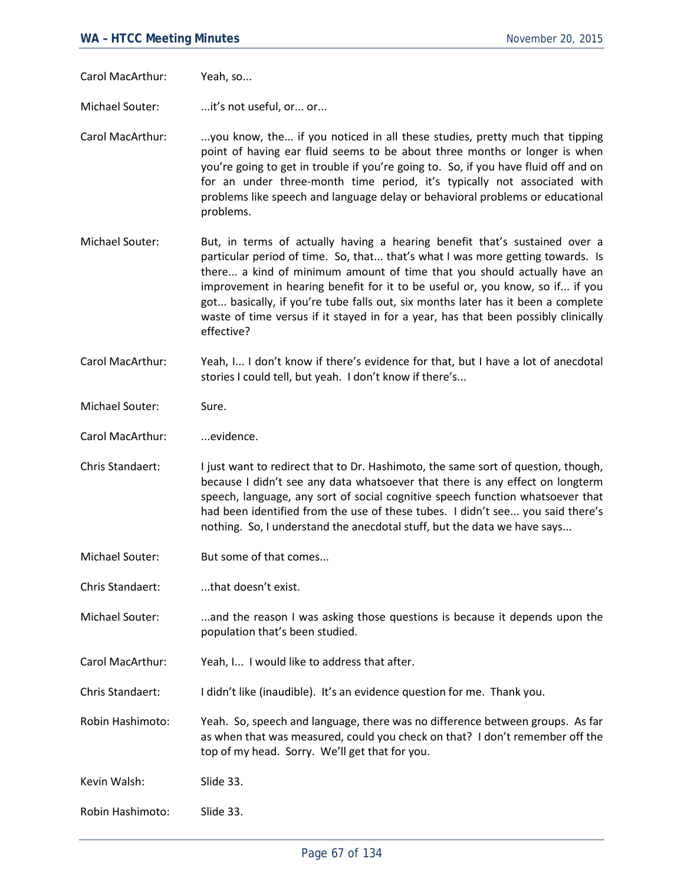Carol MacArthur: Yeah, so...

Michael Souter: ...it's not useful, or... or...

Carol MacArthur: ...you know, the... if you noticed in all these studies, pretty much that tipping point of having ear fluid seems to be about three months or longer is when you're going to get in trouble if you're going to. So, if you have fluid off and on for an under three-month time period, it's typically not associated with problems like speech and language delay or behavioral problems or educational problems.

Michael Souter: But, in terms of actually having a hearing benefit that's sustained over a particular period of time. So, that... that's what I was more getting towards. Is there... a kind of minimum amount of time that you should actually have an improvement in hearing benefit for it to be useful or, you know, so if... if you got... basically, if you're tube falls out, six months later has it been a complete waste of time versus if it stayed in for a year, has that been possibly clinically effective?

Carol MacArthur: Yeah, I... I don't know if there's evidence for that, but I have a lot of anecdotal stories I could tell, but yeah. I don't know if there's...

- Michael Souter: Sure.
- Carol MacArthur: ...evidence.

Chris Standaert: I just want to redirect that to Dr. Hashimoto, the same sort of question, though, because I didn't see any data whatsoever that there is any effect on longterm speech, language, any sort of social cognitive speech function whatsoever that had been identified from the use of these tubes. I didn't see... you said there's nothing. So, I understand the anecdotal stuff, but the data we have says...

- Michael Souter: But some of that comes...
- Chris Standaert: ...that doesn't exist.
- Michael Souter: ...and the reason I was asking those questions is because it depends upon the population that's been studied.
- Carol MacArthur: Yeah, I... I would like to address that after.
- Chris Standaert: I didn't like (inaudible). It's an evidence question for me. Thank you.

Robin Hashimoto: Yeah. So, speech and language, there was no difference between groups. As far as when that was measured, could you check on that? I don't remember off the top of my head. Sorry. We'll get that for you.

Kevin Walsh: Slide 33.

Robin Hashimoto: Slide 33.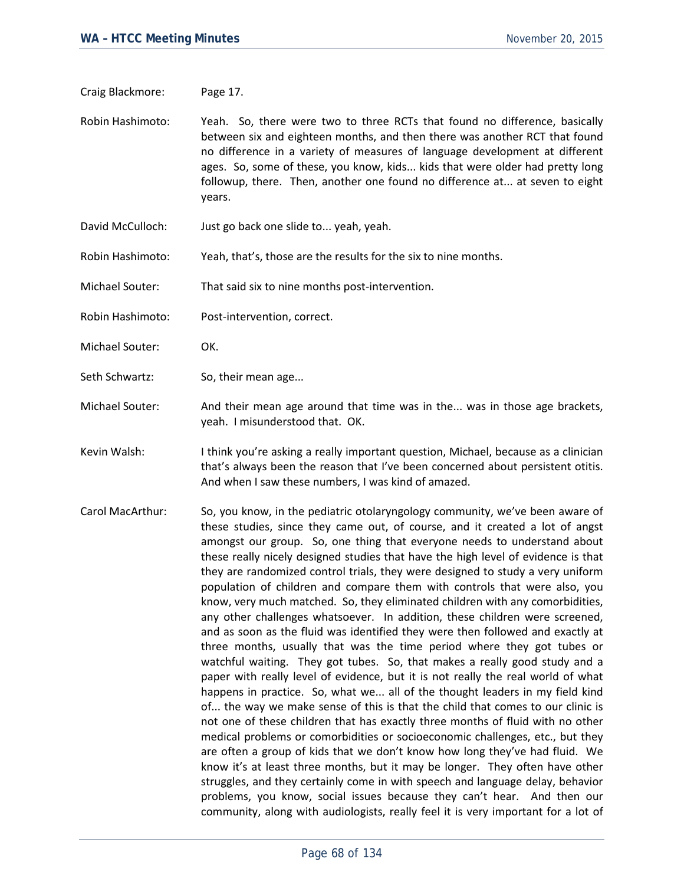Craig Blackmore: Page 17.

Robin Hashimoto: Yeah. So, there were two to three RCTs that found no difference, basically between six and eighteen months, and then there was another RCT that found no difference in a variety of measures of language development at different ages. So, some of these, you know, kids... kids that were older had pretty long followup, there. Then, another one found no difference at... at seven to eight years.

- David McCulloch: Just go back one slide to... yeah, yeah.
- Robin Hashimoto: Yeah, that's, those are the results for the six to nine months.
- Michael Souter: That said six to nine months post-intervention.
- Robin Hashimoto: Post-intervention, correct.
- Michael Souter: OK.
- Seth Schwartz: So, their mean age...
- Michael Souter: And their mean age around that time was in the... was in those age brackets, yeah. I misunderstood that. OK.
- Kevin Walsh: I think you're asking a really important question, Michael, because as a clinician that's always been the reason that I've been concerned about persistent otitis. And when I saw these numbers, I was kind of amazed.
- Carol MacArthur: So, you know, in the pediatric otolaryngology community, we've been aware of these studies, since they came out, of course, and it created a lot of angst amongst our group. So, one thing that everyone needs to understand about these really nicely designed studies that have the high level of evidence is that they are randomized control trials, they were designed to study a very uniform population of children and compare them with controls that were also, you know, very much matched. So, they eliminated children with any comorbidities, any other challenges whatsoever. In addition, these children were screened, and as soon as the fluid was identified they were then followed and exactly at three months, usually that was the time period where they got tubes or watchful waiting. They got tubes. So, that makes a really good study and a paper with really level of evidence, but it is not really the real world of what happens in practice. So, what we... all of the thought leaders in my field kind of... the way we make sense of this is that the child that comes to our clinic is not one of these children that has exactly three months of fluid with no other medical problems or comorbidities or socioeconomic challenges, etc., but they are often a group of kids that we don't know how long they've had fluid. We know it's at least three months, but it may be longer. They often have other struggles, and they certainly come in with speech and language delay, behavior problems, you know, social issues because they can't hear. And then our community, along with audiologists, really feel it is very important for a lot of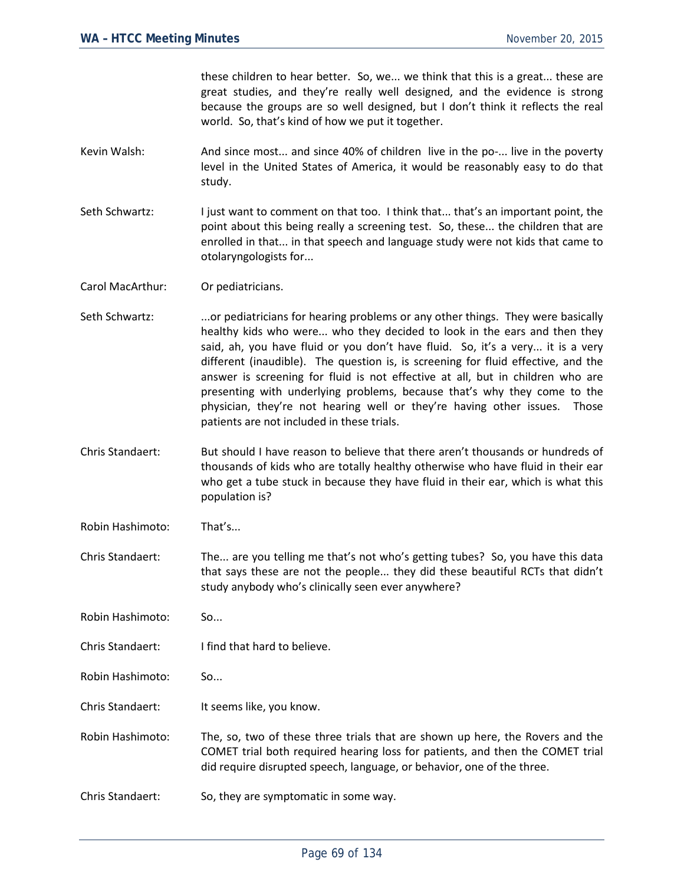these children to hear better. So, we... we think that this is a great... these are great studies, and they're really well designed, and the evidence is strong because the groups are so well designed, but I don't think it reflects the real world. So, that's kind of how we put it together.

- Kevin Walsh: And since most... and since 40% of children live in the po-... live in the poverty level in the United States of America, it would be reasonably easy to do that study.
- Seth Schwartz: I just want to comment on that too. I think that... that's an important point, the point about this being really a screening test. So, these... the children that are enrolled in that... in that speech and language study were not kids that came to otolaryngologists for...

Carol MacArthur: Or pediatricians.

- Seth Schwartz: ...or pediatricians for hearing problems or any other things. They were basically healthy kids who were... who they decided to look in the ears and then they said, ah, you have fluid or you don't have fluid. So, it's a very... it is a very different (inaudible). The question is, is screening for fluid effective, and the answer is screening for fluid is not effective at all, but in children who are presenting with underlying problems, because that's why they come to the physician, they're not hearing well or they're having other issues. Those patients are not included in these trials.
- Chris Standaert: But should I have reason to believe that there aren't thousands or hundreds of thousands of kids who are totally healthy otherwise who have fluid in their ear who get a tube stuck in because they have fluid in their ear, which is what this population is?
- Robin Hashimoto: That's...
- Chris Standaert: The... are you telling me that's not who's getting tubes? So, you have this data that says these are not the people... they did these beautiful RCTs that didn't study anybody who's clinically seen ever anywhere?
- Robin Hashimoto: So...
- Chris Standaert: I find that hard to believe.
- Robin Hashimoto: So...
- Chris Standaert: It seems like, you know.
- Robin Hashimoto: The, so, two of these three trials that are shown up here, the Rovers and the COMET trial both required hearing loss for patients, and then the COMET trial did require disrupted speech, language, or behavior, one of the three.
- Chris Standaert: So, they are symptomatic in some way.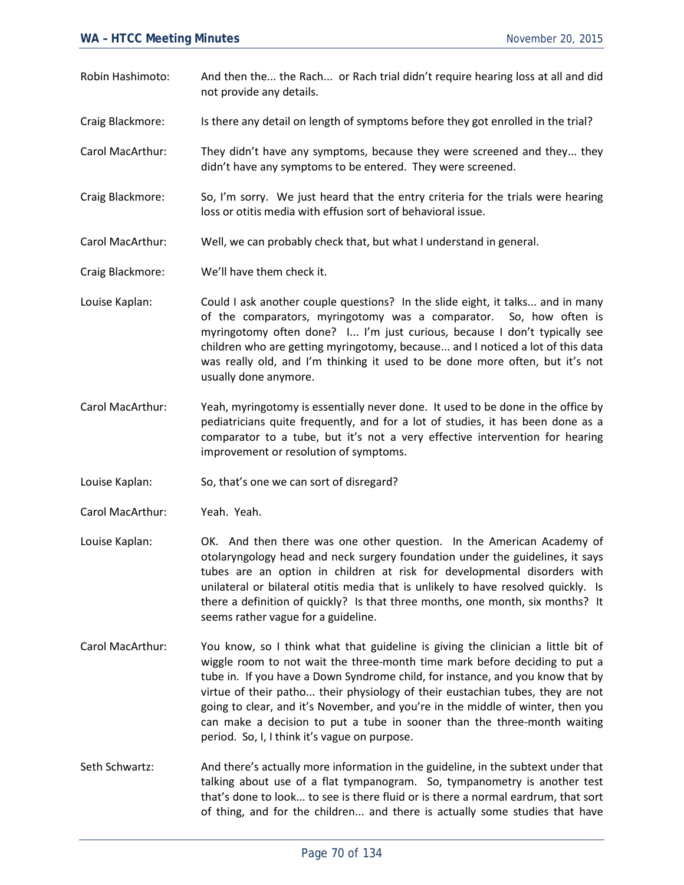Robin Hashimoto: And then the... the Rach... or Rach trial didn't require hearing loss at all and did not provide any details.

Craig Blackmore: Is there any detail on length of symptoms before they got enrolled in the trial?

Carol MacArthur: They didn't have any symptoms, because they were screened and they... they didn't have any symptoms to be entered. They were screened.

Craig Blackmore: So, I'm sorry. We just heard that the entry criteria for the trials were hearing loss or otitis media with effusion sort of behavioral issue.

Carol MacArthur: Well, we can probably check that, but what I understand in general.

Craig Blackmore: We'll have them check it.

Louise Kaplan: Could I ask another couple questions? In the slide eight, it talks... and in many of the comparators, myringotomy was a comparator. So, how often is myringotomy often done? I... I'm just curious, because I don't typically see children who are getting myringotomy, because... and I noticed a lot of this data was really old, and I'm thinking it used to be done more often, but it's not usually done anymore.

Carol MacArthur: Yeah, myringotomy is essentially never done. It used to be done in the office by pediatricians quite frequently, and for a lot of studies, it has been done as a comparator to a tube, but it's not a very effective intervention for hearing improvement or resolution of symptoms.

Louise Kaplan: So, that's one we can sort of disregard?

Carol MacArthur: Yeah. Yeah.

- Louise Kaplan: OK. And then there was one other question. In the American Academy of otolaryngology head and neck surgery foundation under the guidelines, it says tubes are an option in children at risk for developmental disorders with unilateral or bilateral otitis media that is unlikely to have resolved quickly. Is there a definition of quickly? Is that three months, one month, six months? It seems rather vague for a guideline.
- Carol MacArthur: You know, so I think what that guideline is giving the clinician a little bit of wiggle room to not wait the three-month time mark before deciding to put a tube in. If you have a Down Syndrome child, for instance, and you know that by virtue of their patho... their physiology of their eustachian tubes, they are not going to clear, and it's November, and you're in the middle of winter, then you can make a decision to put a tube in sooner than the three-month waiting period. So, I, I think it's vague on purpose.
- Seth Schwartz: And there's actually more information in the guideline, in the subtext under that talking about use of a flat tympanogram. So, tympanometry is another test that's done to look... to see is there fluid or is there a normal eardrum, that sort of thing, and for the children... and there is actually some studies that have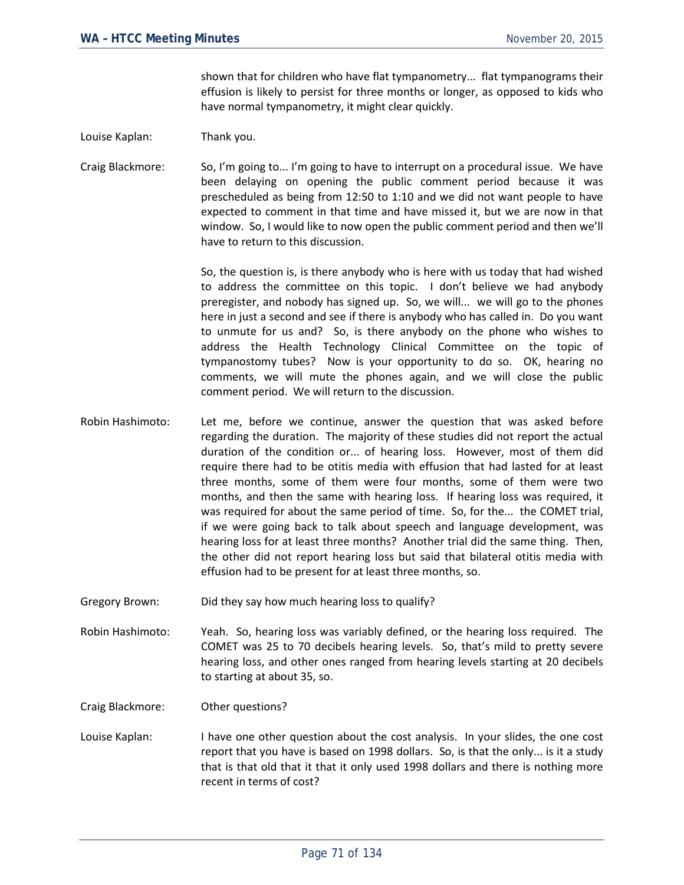shown that for children who have flat tympanometry... flat tympanograms their effusion is likely to persist for three months or longer, as opposed to kids who have normal tympanometry, it might clear quickly.

Louise Kaplan: Thank you.

Craig Blackmore: So, I'm going to... I'm going to have to interrupt on a procedural issue. We have been delaying on opening the public comment period because it was prescheduled as being from 12:50 to 1:10 and we did not want people to have expected to comment in that time and have missed it, but we are now in that window. So, I would like to now open the public comment period and then we'll have to return to this discussion.

> So, the question is, is there anybody who is here with us today that had wished to address the committee on this topic. I don't believe we had anybody preregister, and nobody has signed up. So, we will... we will go to the phones here in just a second and see if there is anybody who has called in. Do you want to unmute for us and? So, is there anybody on the phone who wishes to address the Health Technology Clinical Committee on the topic of tympanostomy tubes? Now is your opportunity to do so. OK, hearing no comments, we will mute the phones again, and we will close the public comment period. We will return to the discussion.

- Robin Hashimoto: Let me, before we continue, answer the question that was asked before regarding the duration. The majority of these studies did not report the actual duration of the condition or... of hearing loss. However, most of them did require there had to be otitis media with effusion that had lasted for at least three months, some of them were four months, some of them were two months, and then the same with hearing loss. If hearing loss was required, it was required for about the same period of time. So, for the... the COMET trial, if we were going back to talk about speech and language development, was hearing loss for at least three months? Another trial did the same thing. Then, the other did not report hearing loss but said that bilateral otitis media with effusion had to be present for at least three months, so.
- Gregory Brown: Did they say how much hearing loss to qualify?

Robin Hashimoto: Yeah. So, hearing loss was variably defined, or the hearing loss required. The COMET was 25 to 70 decibels hearing levels. So, that's mild to pretty severe hearing loss, and other ones ranged from hearing levels starting at 20 decibels to starting at about 35, so.

Craig Blackmore: Other questions?

Louise Kaplan: I have one other question about the cost analysis. In your slides, the one cost report that you have is based on 1998 dollars. So, is that the only... is it a study that is that old that it that it only used 1998 dollars and there is nothing more recent in terms of cost?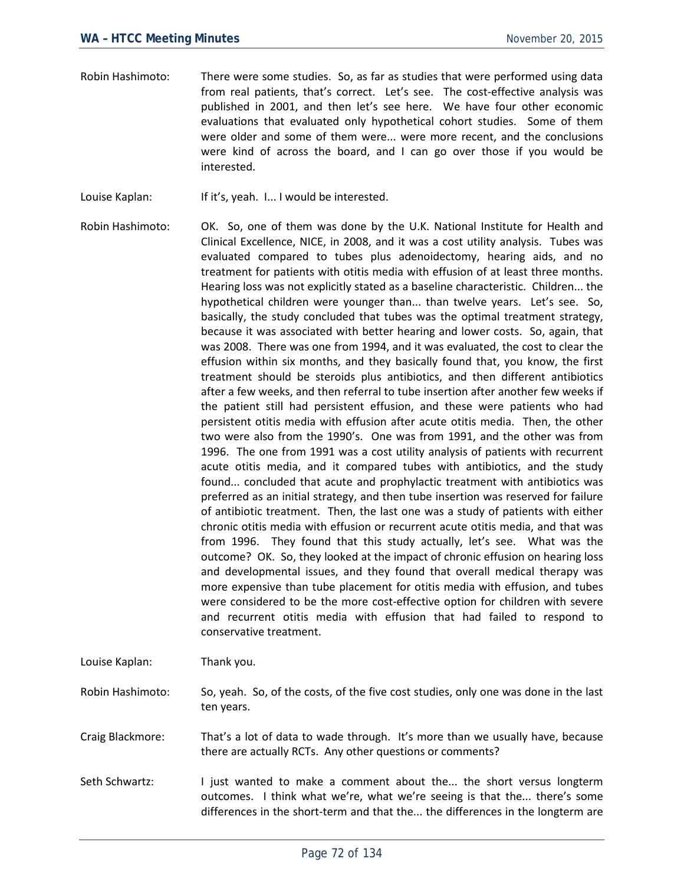- Robin Hashimoto: There were some studies. So, as far as studies that were performed using data from real patients, that's correct. Let's see. The cost-effective analysis was published in 2001, and then let's see here. We have four other economic evaluations that evaluated only hypothetical cohort studies. Some of them were older and some of them were... were more recent, and the conclusions were kind of across the board, and I can go over those if you would be interested.
- Louise Kaplan: If it's, yeah. I... I would be interested.
- Robin Hashimoto: OK. So, one of them was done by the U.K. National Institute for Health and Clinical Excellence, NICE, in 2008, and it was a cost utility analysis. Tubes was evaluated compared to tubes plus adenoidectomy, hearing aids, and no treatment for patients with otitis media with effusion of at least three months. Hearing loss was not explicitly stated as a baseline characteristic. Children... the hypothetical children were younger than... than twelve years. Let's see. So, basically, the study concluded that tubes was the optimal treatment strategy, because it was associated with better hearing and lower costs. So, again, that was 2008. There was one from 1994, and it was evaluated, the cost to clear the effusion within six months, and they basically found that, you know, the first treatment should be steroids plus antibiotics, and then different antibiotics after a few weeks, and then referral to tube insertion after another few weeks if the patient still had persistent effusion, and these were patients who had persistent otitis media with effusion after acute otitis media. Then, the other two were also from the 1990's. One was from 1991, and the other was from 1996. The one from 1991 was a cost utility analysis of patients with recurrent acute otitis media, and it compared tubes with antibiotics, and the study found... concluded that acute and prophylactic treatment with antibiotics was preferred as an initial strategy, and then tube insertion was reserved for failure of antibiotic treatment. Then, the last one was a study of patients with either chronic otitis media with effusion or recurrent acute otitis media, and that was from 1996. They found that this study actually, let's see. What was the outcome? OK. So, they looked at the impact of chronic effusion on hearing loss and developmental issues, and they found that overall medical therapy was more expensive than tube placement for otitis media with effusion, and tubes were considered to be the more cost-effective option for children with severe and recurrent otitis media with effusion that had failed to respond to conservative treatment.
- Louise Kaplan: Thank you.
- Robin Hashimoto: So, yeah. So, of the costs, of the five cost studies, only one was done in the last ten years.
- Craig Blackmore: That's a lot of data to wade through. It's more than we usually have, because there are actually RCTs. Any other questions or comments?
- Seth Schwartz: I just wanted to make a comment about the... the short versus longterm outcomes. I think what we're, what we're seeing is that the... there's some differences in the short-term and that the... the differences in the longterm are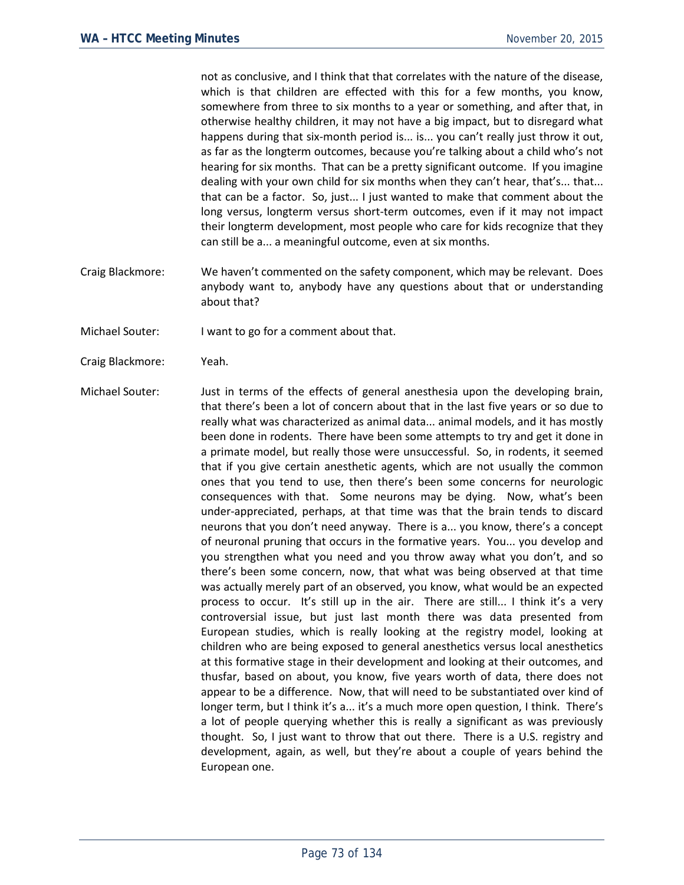not as conclusive, and I think that that correlates with the nature of the disease, which is that children are effected with this for a few months, you know, somewhere from three to six months to a year or something, and after that, in otherwise healthy children, it may not have a big impact, but to disregard what happens during that six-month period is... is... you can't really just throw it out, as far as the longterm outcomes, because you're talking about a child who's not hearing for six months. That can be a pretty significant outcome. If you imagine dealing with your own child for six months when they can't hear, that's... that... that can be a factor. So, just... I just wanted to make that comment about the long versus, longterm versus short-term outcomes, even if it may not impact their longterm development, most people who care for kids recognize that they can still be a... a meaningful outcome, even at six months.

- Craig Blackmore: We haven't commented on the safety component, which may be relevant. Does anybody want to, anybody have any questions about that or understanding about that?
- Michael Souter: I want to go for a comment about that.
- Craig Blackmore: Yeah.
- Michael Souter: Just in terms of the effects of general anesthesia upon the developing brain, that there's been a lot of concern about that in the last five years or so due to really what was characterized as animal data... animal models, and it has mostly been done in rodents. There have been some attempts to try and get it done in a primate model, but really those were unsuccessful. So, in rodents, it seemed that if you give certain anesthetic agents, which are not usually the common ones that you tend to use, then there's been some concerns for neurologic consequences with that. Some neurons may be dying. Now, what's been under-appreciated, perhaps, at that time was that the brain tends to discard neurons that you don't need anyway. There is a... you know, there's a concept of neuronal pruning that occurs in the formative years. You... you develop and you strengthen what you need and you throw away what you don't, and so there's been some concern, now, that what was being observed at that time was actually merely part of an observed, you know, what would be an expected process to occur. It's still up in the air. There are still... I think it's a very controversial issue, but just last month there was data presented from European studies, which is really looking at the registry model, looking at children who are being exposed to general anesthetics versus local anesthetics at this formative stage in their development and looking at their outcomes, and thusfar, based on about, you know, five years worth of data, there does not appear to be a difference. Now, that will need to be substantiated over kind of longer term, but I think it's a... it's a much more open question, I think. There's a lot of people querying whether this is really a significant as was previously thought. So, I just want to throw that out there. There is a U.S. registry and development, again, as well, but they're about a couple of years behind the European one.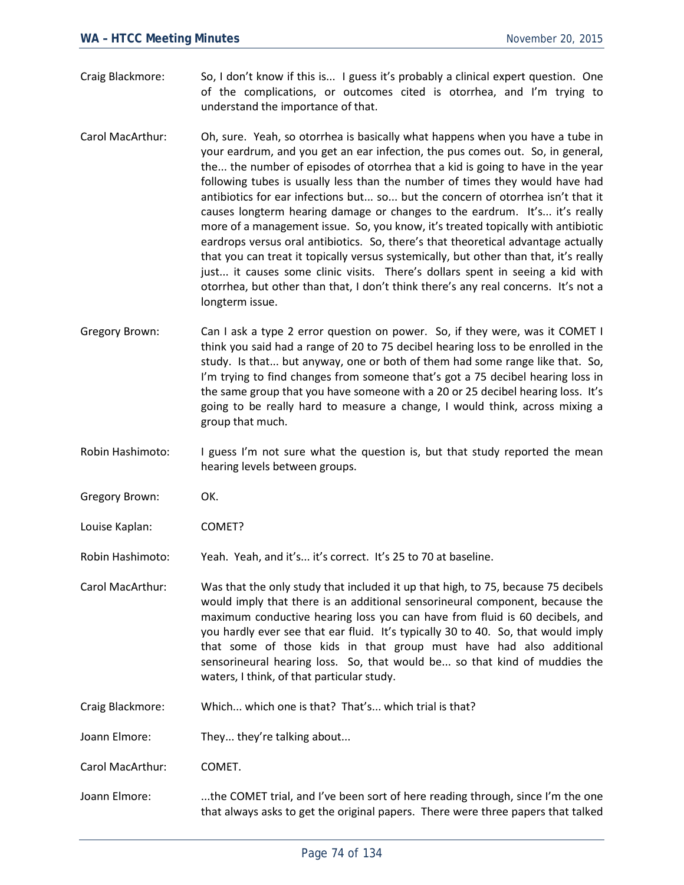- Craig Blackmore: So, I don't know if this is... I guess it's probably a clinical expert question. One of the complications, or outcomes cited is otorrhea, and I'm trying to understand the importance of that.
- Carol MacArthur: Oh, sure. Yeah, so otorrhea is basically what happens when you have a tube in your eardrum, and you get an ear infection, the pus comes out. So, in general, the... the number of episodes of otorrhea that a kid is going to have in the year following tubes is usually less than the number of times they would have had antibiotics for ear infections but... so... but the concern of otorrhea isn't that it causes longterm hearing damage or changes to the eardrum. It's... it's really more of a management issue. So, you know, it's treated topically with antibiotic eardrops versus oral antibiotics. So, there's that theoretical advantage actually that you can treat it topically versus systemically, but other than that, it's really just... it causes some clinic visits. There's dollars spent in seeing a kid with otorrhea, but other than that, I don't think there's any real concerns. It's not a longterm issue.
- Gregory Brown: Can I ask a type 2 error question on power. So, if they were, was it COMET I think you said had a range of 20 to 75 decibel hearing loss to be enrolled in the study. Is that... but anyway, one or both of them had some range like that. So, I'm trying to find changes from someone that's got a 75 decibel hearing loss in the same group that you have someone with a 20 or 25 decibel hearing loss. It's going to be really hard to measure a change, I would think, across mixing a group that much.
- Robin Hashimoto: I guess I'm not sure what the question is, but that study reported the mean hearing levels between groups.
- Gregory Brown: OK.
- Louise Kaplan: COMET?

Robin Hashimoto: Yeah. Yeah, and it's... it's correct. It's 25 to 70 at baseline.

- Carol MacArthur: Was that the only study that included it up that high, to 75, because 75 decibels would imply that there is an additional sensorineural component, because the maximum conductive hearing loss you can have from fluid is 60 decibels, and you hardly ever see that ear fluid. It's typically 30 to 40. So, that would imply that some of those kids in that group must have had also additional sensorineural hearing loss. So, that would be... so that kind of muddies the waters, I think, of that particular study.
- Craig Blackmore: Which... which one is that? That's... which trial is that?
- Joann Elmore: They... they're talking about...
- Carol MacArthur: COMET.
- Joann Elmore: ...the COMET trial, and I've been sort of here reading through, since I'm the one that always asks to get the original papers. There were three papers that talked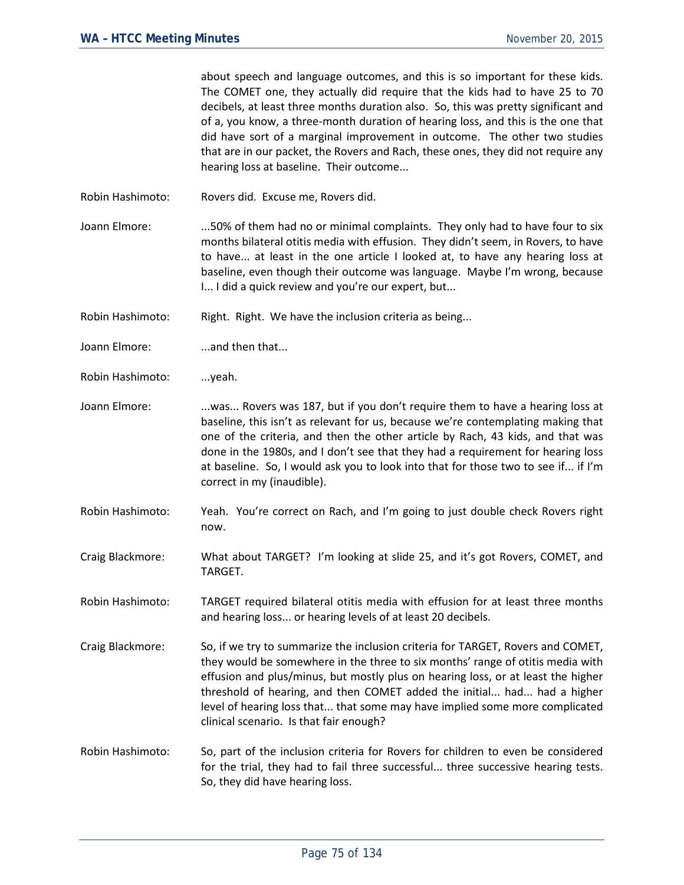about speech and language outcomes, and this is so important for these kids. The COMET one, they actually did require that the kids had to have 25 to 70 decibels, at least three months duration also. So, this was pretty significant and of a, you know, a three-month duration of hearing loss, and this is the one that did have sort of a marginal improvement in outcome. The other two studies that are in our packet, the Rovers and Rach, these ones, they did not require any hearing loss at baseline. Their outcome...

- Robin Hashimoto: Rovers did. Excuse me, Rovers did.
- Joann Elmore: ...50% of them had no or minimal complaints. They only had to have four to six months bilateral otitis media with effusion. They didn't seem, in Rovers, to have to have... at least in the one article I looked at, to have any hearing loss at baseline, even though their outcome was language. Maybe I'm wrong, because I... I did a quick review and you're our expert, but...

Robin Hashimoto: Right. Right. We have the inclusion criteria as being...

Joann Elmore: ...and then that...

- Robin Hashimoto: ...yeah.
- Joann Elmore: ...was... Rovers was 187, but if you don't require them to have a hearing loss at baseline, this isn't as relevant for us, because we're contemplating making that one of the criteria, and then the other article by Rach, 43 kids, and that was done in the 1980s, and I don't see that they had a requirement for hearing loss at baseline. So, I would ask you to look into that for those two to see if... if I'm correct in my (inaudible).
- Robin Hashimoto: Yeah. You're correct on Rach, and I'm going to just double check Rovers right now.
- Craig Blackmore: What about TARGET? I'm looking at slide 25, and it's got Rovers, COMET, and TARGET.
- Robin Hashimoto: TARGET required bilateral otitis media with effusion for at least three months and hearing loss... or hearing levels of at least 20 decibels.
- Craig Blackmore: So, if we try to summarize the inclusion criteria for TARGET, Rovers and COMET, they would be somewhere in the three to six months' range of otitis media with effusion and plus/minus, but mostly plus on hearing loss, or at least the higher threshold of hearing, and then COMET added the initial... had... had a higher level of hearing loss that... that some may have implied some more complicated clinical scenario. Is that fair enough?
- Robin Hashimoto: So, part of the inclusion criteria for Rovers for children to even be considered for the trial, they had to fail three successful... three successive hearing tests. So, they did have hearing loss.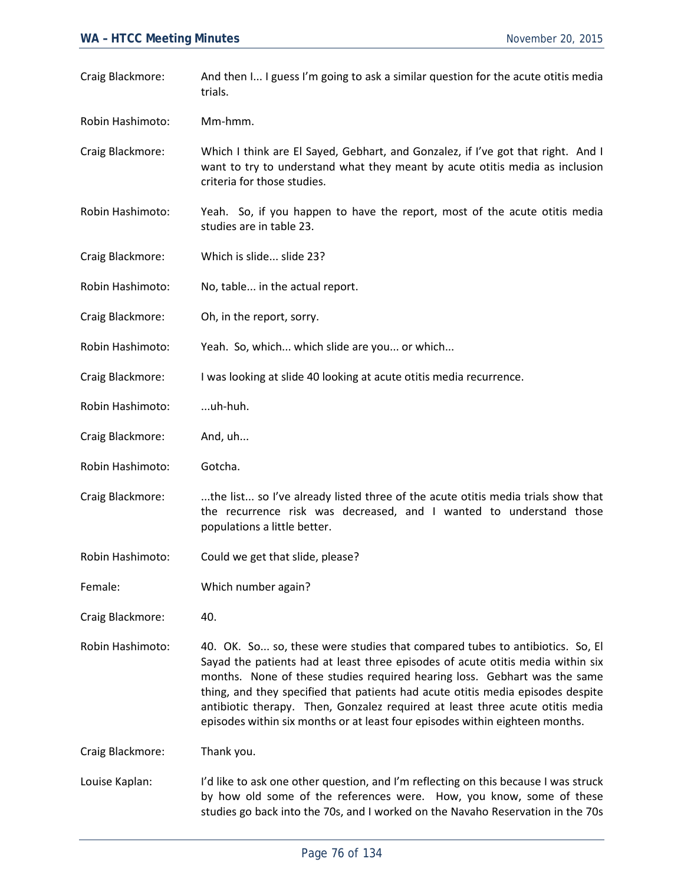Craig Blackmore: And then I... I guess I'm going to ask a similar question for the acute otitis media trials. Robin Hashimoto: Mm-hmm. Craig Blackmore: Which I think are El Sayed, Gebhart, and Gonzalez, if I've got that right. And I want to try to understand what they meant by acute otitis media as inclusion criteria for those studies. Robin Hashimoto: Yeah. So, if you happen to have the report, most of the acute otitis media studies are in table 23. Craig Blackmore: Which is slide... slide 23? Robin Hashimoto: No, table... in the actual report. Craig Blackmore: Oh, in the report, sorry. Robin Hashimoto: Yeah. So, which... which slide are you... or which... Craig Blackmore: I was looking at slide 40 looking at acute otitis media recurrence. Robin Hashimoto: ...uh-huh. Craig Blackmore: And, uh... Robin Hashimoto: Gotcha. Craig Blackmore: ...the list... so I've already listed three of the acute otitis media trials show that the recurrence risk was decreased, and I wanted to understand those populations a little better. Robin Hashimoto: Could we get that slide, please? Female: Which number again? Craig Blackmore: 40. Robin Hashimoto: 40. OK. So... so, these were studies that compared tubes to antibiotics. So, El Sayad the patients had at least three episodes of acute otitis media within six months. None of these studies required hearing loss. Gebhart was the same thing, and they specified that patients had acute otitis media episodes despite antibiotic therapy. Then, Gonzalez required at least three acute otitis media episodes within six months or at least four episodes within eighteen months. Craig Blackmore: Thank you. Louise Kaplan: I'd like to ask one other question, and I'm reflecting on this because I was struck by how old some of the references were. How, you know, some of these studies go back into the 70s, and I worked on the Navaho Reservation in the 70s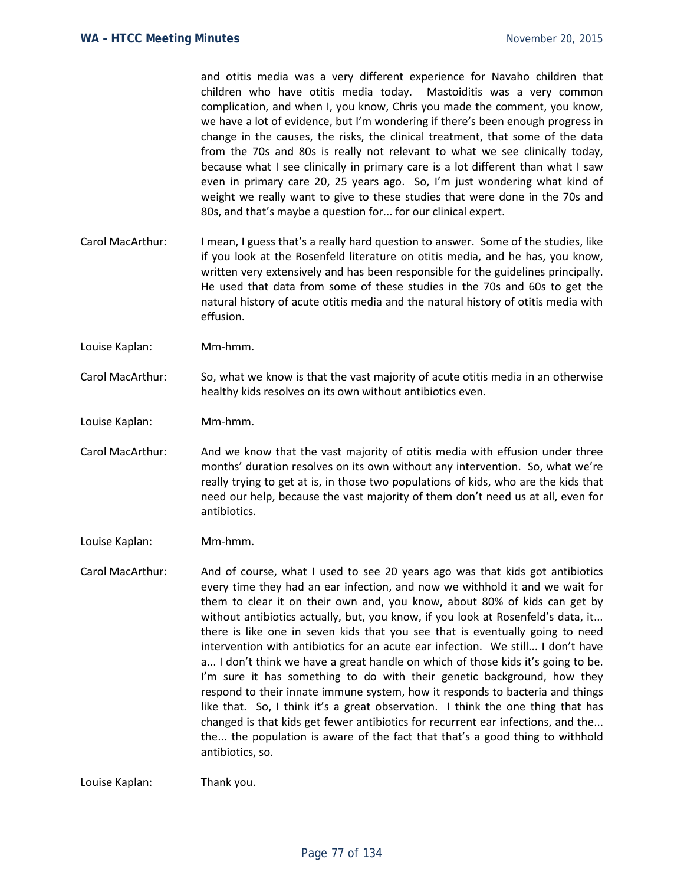and otitis media was a very different experience for Navaho children that children who have otitis media today. Mastoiditis was a very common complication, and when I, you know, Chris you made the comment, you know, we have a lot of evidence, but I'm wondering if there's been enough progress in change in the causes, the risks, the clinical treatment, that some of the data from the 70s and 80s is really not relevant to what we see clinically today, because what I see clinically in primary care is a lot different than what I saw even in primary care 20, 25 years ago. So, I'm just wondering what kind of weight we really want to give to these studies that were done in the 70s and 80s, and that's maybe a question for... for our clinical expert.

Carol MacArthur: I mean, I guess that's a really hard question to answer. Some of the studies, like if you look at the Rosenfeld literature on otitis media, and he has, you know, written very extensively and has been responsible for the guidelines principally. He used that data from some of these studies in the 70s and 60s to get the natural history of acute otitis media and the natural history of otitis media with effusion.

Louise Kaplan: Mm-hmm.

Carol MacArthur: So, what we know is that the vast majority of acute otitis media in an otherwise healthy kids resolves on its own without antibiotics even.

Louise Kaplan: Mm-hmm.

Carol MacArthur: And we know that the vast majority of otitis media with effusion under three months' duration resolves on its own without any intervention. So, what we're really trying to get at is, in those two populations of kids, who are the kids that need our help, because the vast majority of them don't need us at all, even for antibiotics.

Louise Kaplan: Mm-hmm.

Carol MacArthur: And of course, what I used to see 20 years ago was that kids got antibiotics every time they had an ear infection, and now we withhold it and we wait for them to clear it on their own and, you know, about 80% of kids can get by without antibiotics actually, but, you know, if you look at Rosenfeld's data, it... there is like one in seven kids that you see that is eventually going to need intervention with antibiotics for an acute ear infection. We still... I don't have a... I don't think we have a great handle on which of those kids it's going to be. I'm sure it has something to do with their genetic background, how they respond to their innate immune system, how it responds to bacteria and things like that. So, I think it's a great observation. I think the one thing that has changed is that kids get fewer antibiotics for recurrent ear infections, and the... the... the population is aware of the fact that that's a good thing to withhold antibiotics, so.

Louise Kaplan: Thank you.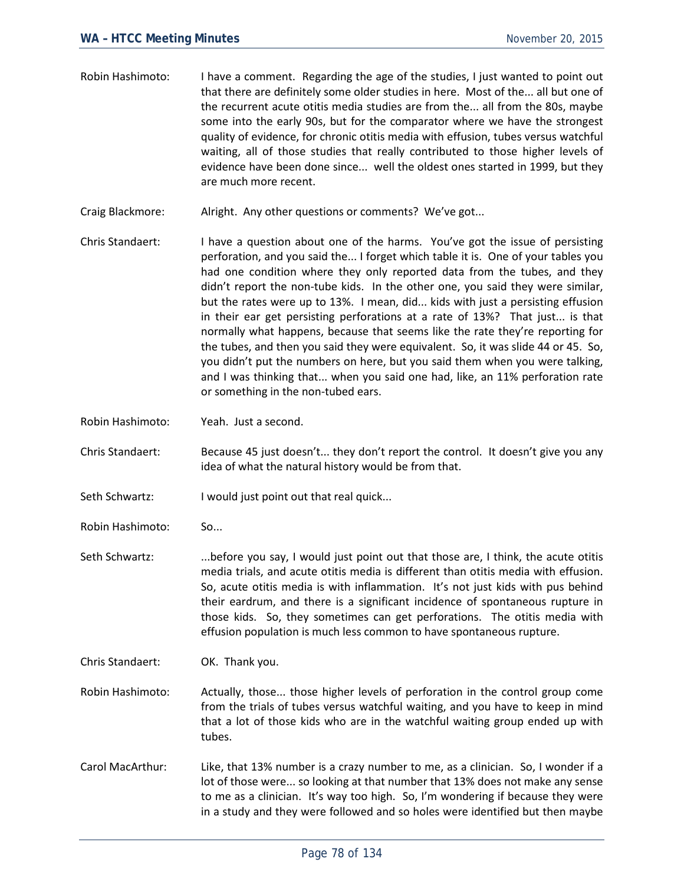- Robin Hashimoto: I have a comment. Regarding the age of the studies, I just wanted to point out that there are definitely some older studies in here. Most of the... all but one of the recurrent acute otitis media studies are from the... all from the 80s, maybe some into the early 90s, but for the comparator where we have the strongest quality of evidence, for chronic otitis media with effusion, tubes versus watchful waiting, all of those studies that really contributed to those higher levels of evidence have been done since... well the oldest ones started in 1999, but they are much more recent.
- Craig Blackmore: Alright. Any other questions or comments? We've got...
- Chris Standaert: I have a question about one of the harms. You've got the issue of persisting perforation, and you said the... I forget which table it is. One of your tables you had one condition where they only reported data from the tubes, and they didn't report the non-tube kids. In the other one, you said they were similar, but the rates were up to 13%. I mean, did... kids with just a persisting effusion in their ear get persisting perforations at a rate of 13%? That just... is that normally what happens, because that seems like the rate they're reporting for the tubes, and then you said they were equivalent. So, it was slide 44 or 45. So, you didn't put the numbers on here, but you said them when you were talking, and I was thinking that... when you said one had, like, an 11% perforation rate or something in the non-tubed ears.
- Robin Hashimoto: Yeah. Just a second.
- Chris Standaert: Because 45 just doesn't... they don't report the control. It doesn't give you any idea of what the natural history would be from that.
- Seth Schwartz: I would just point out that real quick...
- Robin Hashimoto: So...
- Seth Schwartz: ....before you say, I would just point out that those are, I think, the acute otitis media trials, and acute otitis media is different than otitis media with effusion. So, acute otitis media is with inflammation. It's not just kids with pus behind their eardrum, and there is a significant incidence of spontaneous rupture in those kids. So, they sometimes can get perforations. The otitis media with effusion population is much less common to have spontaneous rupture.
- Chris Standaert: OK. Thank you.
- Robin Hashimoto: Actually, those... those higher levels of perforation in the control group come from the trials of tubes versus watchful waiting, and you have to keep in mind that a lot of those kids who are in the watchful waiting group ended up with tubes.
- Carol MacArthur: Like, that 13% number is a crazy number to me, as a clinician. So, I wonder if a lot of those were... so looking at that number that 13% does not make any sense to me as a clinician. It's way too high. So, I'm wondering if because they were in a study and they were followed and so holes were identified but then maybe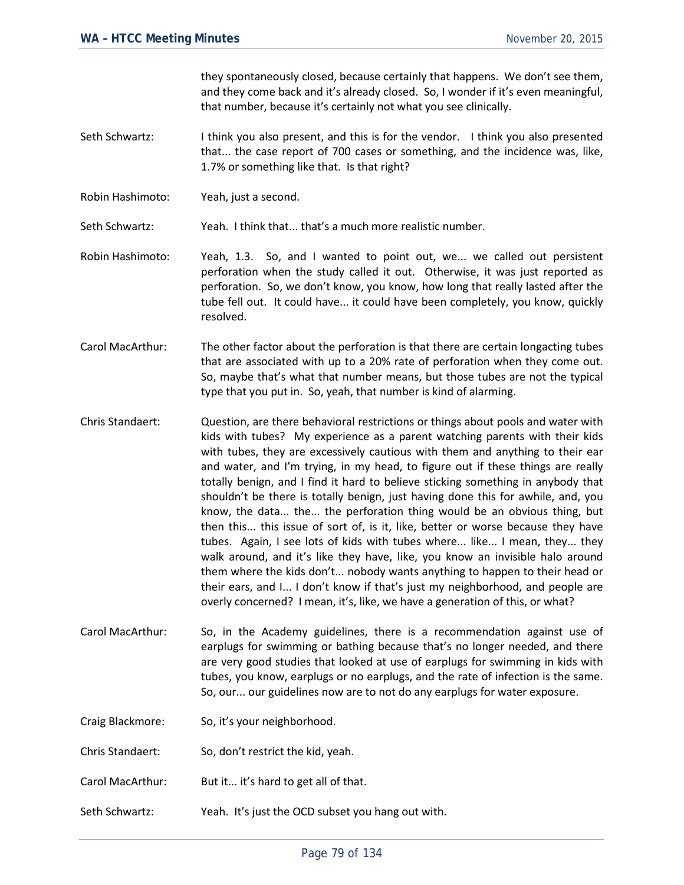they spontaneously closed, because certainly that happens. We don't see them, and they come back and it's already closed. So, I wonder if it's even meaningful, that number, because it's certainly not what you see clinically.

- Seth Schwartz: I think you also present, and this is for the vendor. I think you also presented that... the case report of 700 cases or something, and the incidence was, like, 1.7% or something like that. Is that right?
- Robin Hashimoto: Yeah, just a second.

Seth Schwartz: Yeah. I think that... that's a much more realistic number.

- Robin Hashimoto: Yeah, 1.3. So, and I wanted to point out, we... we called out persistent perforation when the study called it out. Otherwise, it was just reported as perforation. So, we don't know, you know, how long that really lasted after the tube fell out. It could have... it could have been completely, you know, quickly resolved.
- Carol MacArthur: The other factor about the perforation is that there are certain longacting tubes that are associated with up to a 20% rate of perforation when they come out. So, maybe that's what that number means, but those tubes are not the typical type that you put in. So, yeah, that number is kind of alarming.
- Chris Standaert: Question, are there behavioral restrictions or things about pools and water with kids with tubes? My experience as a parent watching parents with their kids with tubes, they are excessively cautious with them and anything to their ear and water, and I'm trying, in my head, to figure out if these things are really totally benign, and I find it hard to believe sticking something in anybody that shouldn't be there is totally benign, just having done this for awhile, and, you know, the data... the... the perforation thing would be an obvious thing, but then this... this issue of sort of, is it, like, better or worse because they have tubes. Again, I see lots of kids with tubes where... like... I mean, they... they walk around, and it's like they have, like, you know an invisible halo around them where the kids don't... nobody wants anything to happen to their head or their ears, and I... I don't know if that's just my neighborhood, and people are overly concerned? I mean, it's, like, we have a generation of this, or what?
- Carol MacArthur: So, in the Academy guidelines, there is a recommendation against use of earplugs for swimming or bathing because that's no longer needed, and there are very good studies that looked at use of earplugs for swimming in kids with tubes, you know, earplugs or no earplugs, and the rate of infection is the same. So, our... our guidelines now are to not do any earplugs for water exposure.

Craig Blackmore: So, it's your neighborhood.

- Chris Standaert: So, don't restrict the kid, yeah.
- Carol MacArthur: But it... it's hard to get all of that.
- Seth Schwartz: Yeah. It's just the OCD subset you hang out with.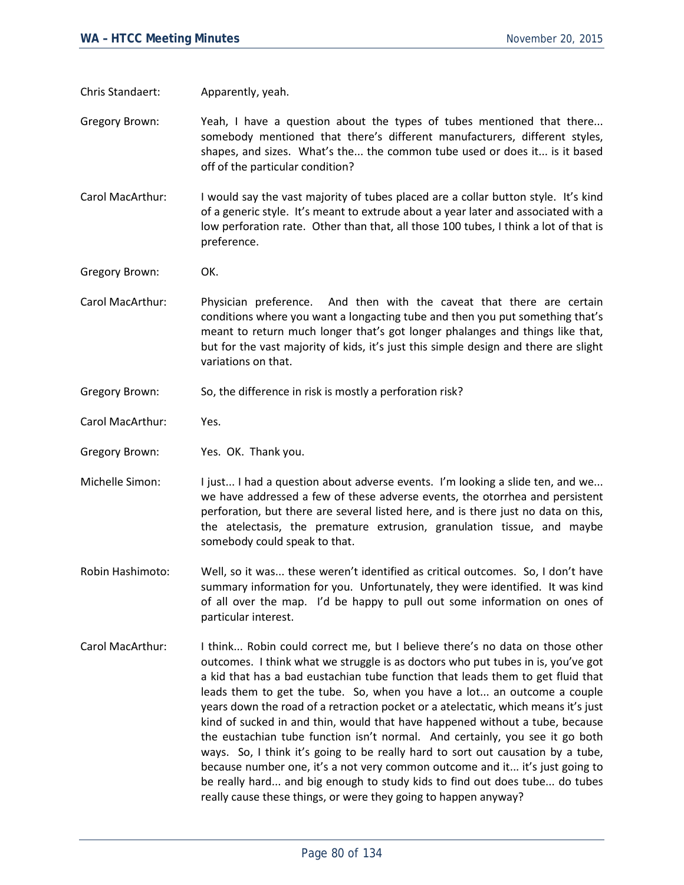Chris Standaert: Apparently, yeah.

Gregory Brown: Yeah, I have a question about the types of tubes mentioned that there... somebody mentioned that there's different manufacturers, different styles, shapes, and sizes. What's the... the common tube used or does it... is it based off of the particular condition?

Carol MacArthur: I would say the vast majority of tubes placed are a collar button style. It's kind of a generic style. It's meant to extrude about a year later and associated with a low perforation rate. Other than that, all those 100 tubes, I think a lot of that is preference.

Gregory Brown: OK.

- Carol MacArthur: Physician preference. And then with the caveat that there are certain conditions where you want a longacting tube and then you put something that's meant to return much longer that's got longer phalanges and things like that, but for the vast majority of kids, it's just this simple design and there are slight variations on that.
- Gregory Brown: So, the difference in risk is mostly a perforation risk?
- Carol MacArthur: Yes.
- Gregory Brown: Yes. OK. Thank you.
- Michelle Simon: I just... I had a question about adverse events. I'm looking a slide ten, and we... we have addressed a few of these adverse events, the otorrhea and persistent perforation, but there are several listed here, and is there just no data on this, the atelectasis, the premature extrusion, granulation tissue, and maybe somebody could speak to that.
- Robin Hashimoto: Well, so it was... these weren't identified as critical outcomes. So, I don't have summary information for you. Unfortunately, they were identified. It was kind of all over the map. I'd be happy to pull out some information on ones of particular interest.
- Carol MacArthur: I think... Robin could correct me, but I believe there's no data on those other outcomes. I think what we struggle is as doctors who put tubes in is, you've got a kid that has a bad eustachian tube function that leads them to get fluid that leads them to get the tube. So, when you have a lot... an outcome a couple years down the road of a retraction pocket or a atelectatic, which means it's just kind of sucked in and thin, would that have happened without a tube, because the eustachian tube function isn't normal. And certainly, you see it go both ways. So, I think it's going to be really hard to sort out causation by a tube, because number one, it's a not very common outcome and it... it's just going to be really hard... and big enough to study kids to find out does tube... do tubes really cause these things, or were they going to happen anyway?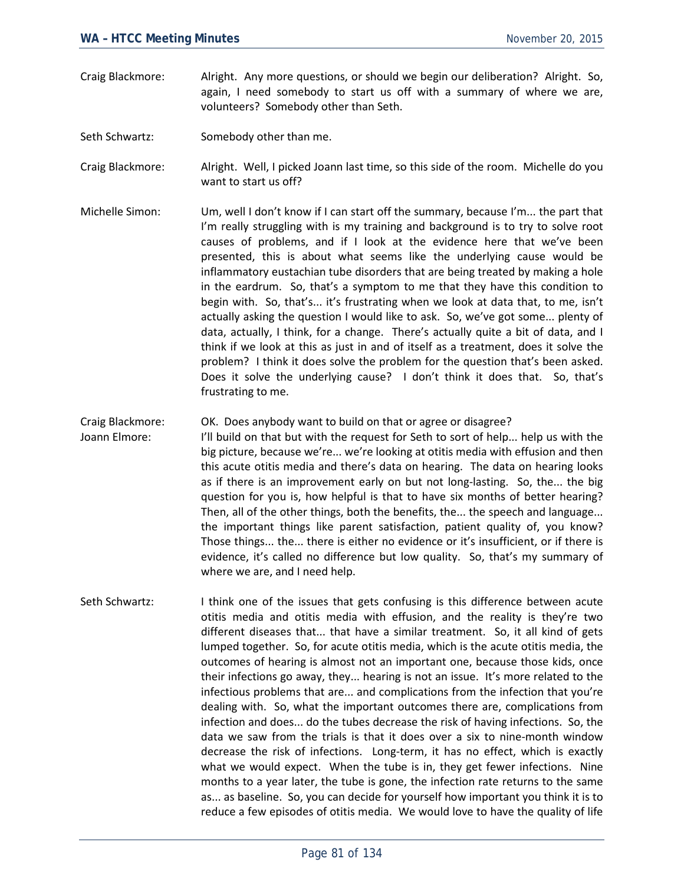- Craig Blackmore: Alright. Any more questions, or should we begin our deliberation? Alright. So, again, I need somebody to start us off with a summary of where we are, volunteers? Somebody other than Seth.
- Seth Schwartz: Somebody other than me.

Craig Blackmore: Alright. Well, I picked Joann last time, so this side of the room. Michelle do you want to start us off?

- Michelle Simon: Um, well I don't know if I can start off the summary, because I'm... the part that I'm really struggling with is my training and background is to try to solve root causes of problems, and if I look at the evidence here that we've been presented, this is about what seems like the underlying cause would be inflammatory eustachian tube disorders that are being treated by making a hole in the eardrum. So, that's a symptom to me that they have this condition to begin with. So, that's... it's frustrating when we look at data that, to me, isn't actually asking the question I would like to ask. So, we've got some... plenty of data, actually, I think, for a change. There's actually quite a bit of data, and I think if we look at this as just in and of itself as a treatment, does it solve the problem? I think it does solve the problem for the question that's been asked. Does it solve the underlying cause? I don't think it does that. So, that's frustrating to me.
- Craig Blackmore: OK. Does anybody want to build on that or agree or disagree? Joann Elmore: I'll build on that but with the request for Seth to sort of help... help us with the big picture, because we're... we're looking at otitis media with effusion and then this acute otitis media and there's data on hearing. The data on hearing looks as if there is an improvement early on but not long-lasting. So, the... the big question for you is, how helpful is that to have six months of better hearing? Then, all of the other things, both the benefits, the... the speech and language... the important things like parent satisfaction, patient quality of, you know? Those things... the... there is either no evidence or it's insufficient, or if there is evidence, it's called no difference but low quality. So, that's my summary of where we are, and I need help.
- Seth Schwartz: I think one of the issues that gets confusing is this difference between acute otitis media and otitis media with effusion, and the reality is they're two different diseases that... that have a similar treatment. So, it all kind of gets lumped together. So, for acute otitis media, which is the acute otitis media, the outcomes of hearing is almost not an important one, because those kids, once their infections go away, they... hearing is not an issue. It's more related to the infectious problems that are... and complications from the infection that you're dealing with. So, what the important outcomes there are, complications from infection and does... do the tubes decrease the risk of having infections. So, the data we saw from the trials is that it does over a six to nine-month window decrease the risk of infections. Long-term, it has no effect, which is exactly what we would expect. When the tube is in, they get fewer infections. Nine months to a year later, the tube is gone, the infection rate returns to the same as... as baseline. So, you can decide for yourself how important you think it is to reduce a few episodes of otitis media. We would love to have the quality of life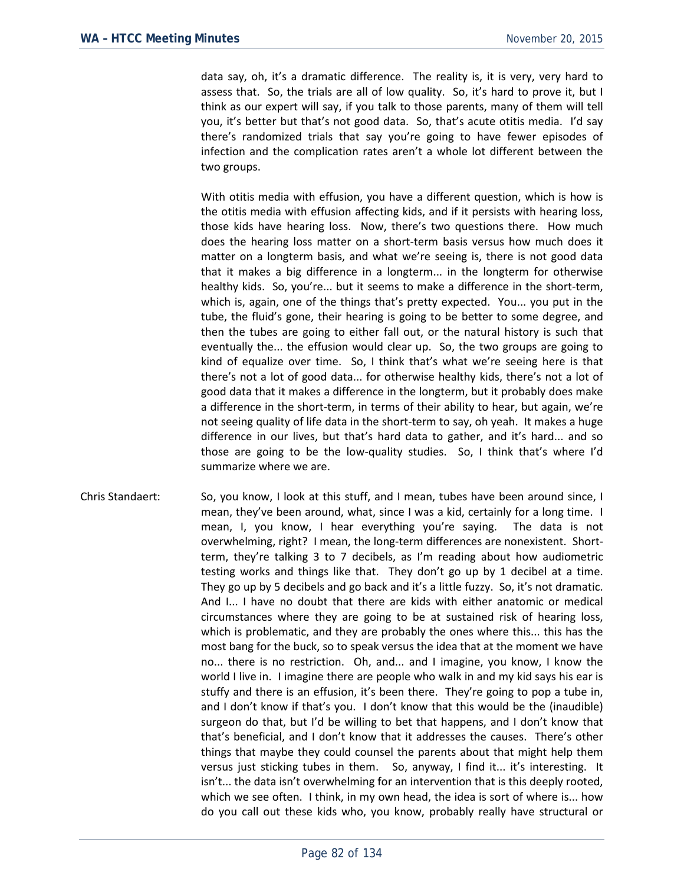data say, oh, it's a dramatic difference. The reality is, it is very, very hard to assess that. So, the trials are all of low quality. So, it's hard to prove it, but I think as our expert will say, if you talk to those parents, many of them will tell you, it's better but that's not good data. So, that's acute otitis media. I'd say there's randomized trials that say you're going to have fewer episodes of infection and the complication rates aren't a whole lot different between the two groups.

With otitis media with effusion, you have a different question, which is how is the otitis media with effusion affecting kids, and if it persists with hearing loss, those kids have hearing loss. Now, there's two questions there. How much does the hearing loss matter on a short-term basis versus how much does it matter on a longterm basis, and what we're seeing is, there is not good data that it makes a big difference in a longterm... in the longterm for otherwise healthy kids. So, you're... but it seems to make a difference in the short-term, which is, again, one of the things that's pretty expected. You... you put in the tube, the fluid's gone, their hearing is going to be better to some degree, and then the tubes are going to either fall out, or the natural history is such that eventually the... the effusion would clear up. So, the two groups are going to kind of equalize over time. So, I think that's what we're seeing here is that there's not a lot of good data... for otherwise healthy kids, there's not a lot of good data that it makes a difference in the longterm, but it probably does make a difference in the short-term, in terms of their ability to hear, but again, we're not seeing quality of life data in the short-term to say, oh yeah. It makes a huge difference in our lives, but that's hard data to gather, and it's hard... and so those are going to be the low-quality studies. So, I think that's where I'd summarize where we are.

Chris Standaert: So, you know, I look at this stuff, and I mean, tubes have been around since, I mean, they've been around, what, since I was a kid, certainly for a long time. I mean, I, you know, I hear everything you're saying. The data is not overwhelming, right? I mean, the long-term differences are nonexistent. Shortterm, they're talking 3 to 7 decibels, as I'm reading about how audiometric testing works and things like that. They don't go up by 1 decibel at a time. They go up by 5 decibels and go back and it's a little fuzzy. So, it's not dramatic. And I... I have no doubt that there are kids with either anatomic or medical circumstances where they are going to be at sustained risk of hearing loss, which is problematic, and they are probably the ones where this... this has the most bang for the buck, so to speak versus the idea that at the moment we have no... there is no restriction. Oh, and... and I imagine, you know, I know the world I live in. I imagine there are people who walk in and my kid says his ear is stuffy and there is an effusion, it's been there. They're going to pop a tube in, and I don't know if that's you. I don't know that this would be the (inaudible) surgeon do that, but I'd be willing to bet that happens, and I don't know that that's beneficial, and I don't know that it addresses the causes. There's other things that maybe they could counsel the parents about that might help them versus just sticking tubes in them. So, anyway, I find it... it's interesting. It isn't... the data isn't overwhelming for an intervention that is this deeply rooted, which we see often. I think, in my own head, the idea is sort of where is... how do you call out these kids who, you know, probably really have structural or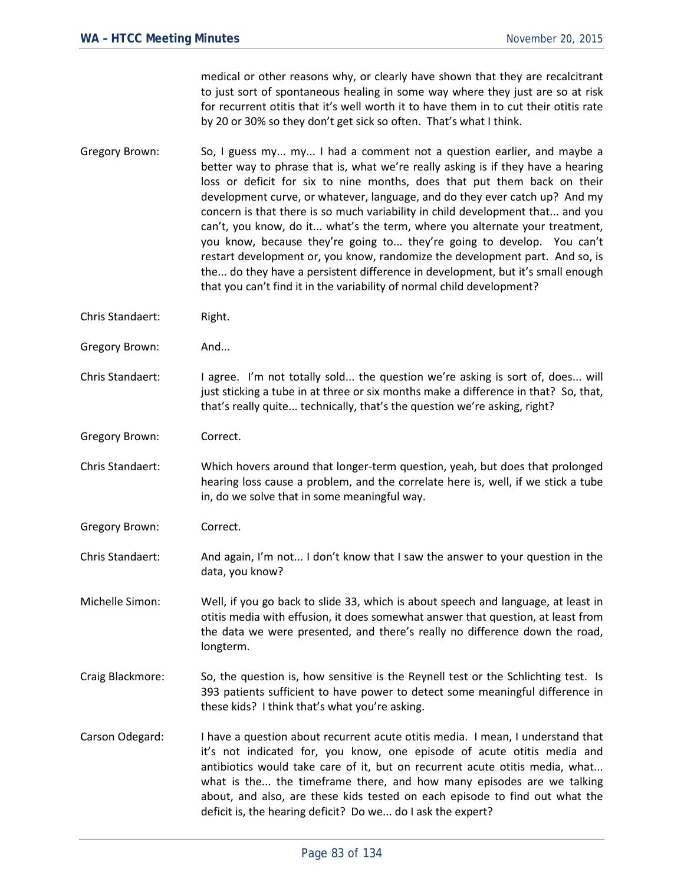medical or other reasons why, or clearly have shown that they are recalcitrant to just sort of spontaneous healing in some way where they just are so at risk for recurrent otitis that it's well worth it to have them in to cut their otitis rate by 20 or 30% so they don't get sick so often. That's what I think.

- Gregory Brown: So, I guess my... my... I had a comment not a question earlier, and maybe a better way to phrase that is, what we're really asking is if they have a hearing loss or deficit for six to nine months, does that put them back on their development curve, or whatever, language, and do they ever catch up? And my concern is that there is so much variability in child development that... and you can't, you know, do it... what's the term, where you alternate your treatment, you know, because they're going to... they're going to develop. You can't restart development or, you know, randomize the development part. And so, is the... do they have a persistent difference in development, but it's small enough that you can't find it in the variability of normal child development?
- Chris Standaert: Right.
- Gregory Brown: And...
- Chris Standaert: I agree. I'm not totally sold... the question we're asking is sort of, does... will just sticking a tube in at three or six months make a difference in that? So, that, that's really quite... technically, that's the question we're asking, right?
- Gregory Brown: Correct.
- Chris Standaert: Which hovers around that longer-term question, yeah, but does that prolonged hearing loss cause a problem, and the correlate here is, well, if we stick a tube in, do we solve that in some meaningful way.
- Gregory Brown: Correct.
- Chris Standaert: And again, I'm not... I don't know that I saw the answer to your question in the data, you know?
- Michelle Simon: Well, if you go back to slide 33, which is about speech and language, at least in otitis media with effusion, it does somewhat answer that question, at least from the data we were presented, and there's really no difference down the road, longterm.
- Craig Blackmore: So, the question is, how sensitive is the Reynell test or the Schlichting test. Is 393 patients sufficient to have power to detect some meaningful difference in these kids? I think that's what you're asking.
- Carson Odegard: I have a question about recurrent acute otitis media. I mean, I understand that it's not indicated for, you know, one episode of acute otitis media and antibiotics would take care of it, but on recurrent acute otitis media, what... what is the... the timeframe there, and how many episodes are we talking about, and also, are these kids tested on each episode to find out what the deficit is, the hearing deficit? Do we... do I ask the expert?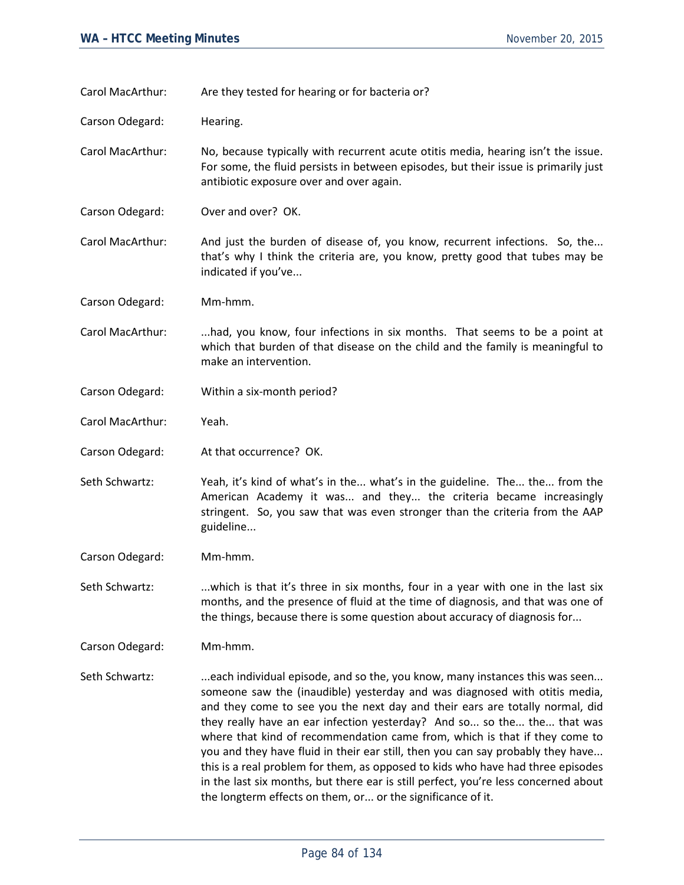Carol MacArthur: Are they tested for hearing or for bacteria or?

Carson Odegard: Hearing.

Carol MacArthur: No, because typically with recurrent acute otitis media, hearing isn't the issue. For some, the fluid persists in between episodes, but their issue is primarily just antibiotic exposure over and over again.

Carson Odegard: Over and over? OK.

Carol MacArthur: And just the burden of disease of, you know, recurrent infections. So, the... that's why I think the criteria are, you know, pretty good that tubes may be indicated if you've...

Carson Odegard: Mm-hmm.

Carol MacArthur: ...had, you know, four infections in six months. That seems to be a point at which that burden of that disease on the child and the family is meaningful to make an intervention.

- Carson Odegard: Within a six-month period?
- Carol MacArthur: Yeah.
- Carson Odegard: At that occurrence? OK.

Seth Schwartz: Yeah, it's kind of what's in the... what's in the guideline. The... the... from the American Academy it was... and they... the criteria became increasingly stringent. So, you saw that was even stronger than the criteria from the AAP guideline...

Carson Odegard: Mm-hmm.

Seth Schwartz: ...which is that it's three in six months, four in a year with one in the last six months, and the presence of fluid at the time of diagnosis, and that was one of the things, because there is some question about accuracy of diagnosis for...

Carson Odegard: Mm-hmm.

Seth Schwartz: ...each individual episode, and so the, you know, many instances this was seen... someone saw the (inaudible) yesterday and was diagnosed with otitis media, and they come to see you the next day and their ears are totally normal, did they really have an ear infection yesterday? And so... so the... the... that was where that kind of recommendation came from, which is that if they come to you and they have fluid in their ear still, then you can say probably they have... this is a real problem for them, as opposed to kids who have had three episodes in the last six months, but there ear is still perfect, you're less concerned about the longterm effects on them, or... or the significance of it.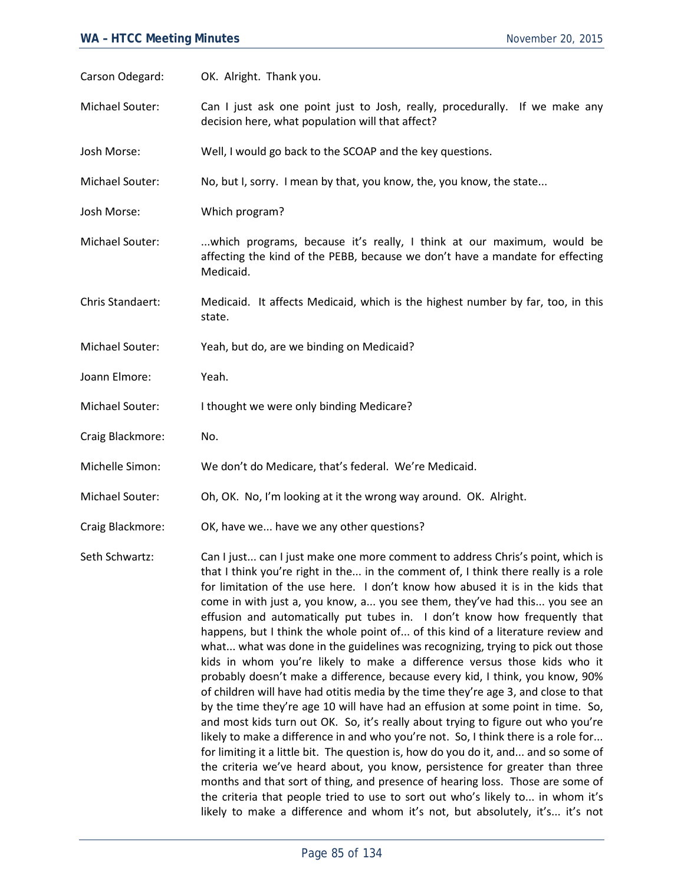| Carson Odegard:  | OK. Alright. Thank you.                                                                                                                                                                                                                                                                                                                                                                                                                                                                                                                                                                                                                                                                                                                                                                                                                    |
|------------------|--------------------------------------------------------------------------------------------------------------------------------------------------------------------------------------------------------------------------------------------------------------------------------------------------------------------------------------------------------------------------------------------------------------------------------------------------------------------------------------------------------------------------------------------------------------------------------------------------------------------------------------------------------------------------------------------------------------------------------------------------------------------------------------------------------------------------------------------|
| Michael Souter:  | Can I just ask one point just to Josh, really, procedurally. If we make any<br>decision here, what population will that affect?                                                                                                                                                                                                                                                                                                                                                                                                                                                                                                                                                                                                                                                                                                            |
| Josh Morse:      | Well, I would go back to the SCOAP and the key questions.                                                                                                                                                                                                                                                                                                                                                                                                                                                                                                                                                                                                                                                                                                                                                                                  |
| Michael Souter:  | No, but I, sorry. I mean by that, you know, the, you know, the state                                                                                                                                                                                                                                                                                                                                                                                                                                                                                                                                                                                                                                                                                                                                                                       |
| Josh Morse:      | Which program?                                                                                                                                                                                                                                                                                                                                                                                                                                                                                                                                                                                                                                                                                                                                                                                                                             |
| Michael Souter:  | which programs, because it's really, I think at our maximum, would be<br>affecting the kind of the PEBB, because we don't have a mandate for effecting<br>Medicaid.                                                                                                                                                                                                                                                                                                                                                                                                                                                                                                                                                                                                                                                                        |
| Chris Standaert: | Medicaid. It affects Medicaid, which is the highest number by far, too, in this<br>state.                                                                                                                                                                                                                                                                                                                                                                                                                                                                                                                                                                                                                                                                                                                                                  |
| Michael Souter:  | Yeah, but do, are we binding on Medicaid?                                                                                                                                                                                                                                                                                                                                                                                                                                                                                                                                                                                                                                                                                                                                                                                                  |
| Joann Elmore:    | Yeah.                                                                                                                                                                                                                                                                                                                                                                                                                                                                                                                                                                                                                                                                                                                                                                                                                                      |
| Michael Souter:  | I thought we were only binding Medicare?                                                                                                                                                                                                                                                                                                                                                                                                                                                                                                                                                                                                                                                                                                                                                                                                   |
| Craig Blackmore: | No.                                                                                                                                                                                                                                                                                                                                                                                                                                                                                                                                                                                                                                                                                                                                                                                                                                        |
| Michelle Simon:  | We don't do Medicare, that's federal. We're Medicaid.                                                                                                                                                                                                                                                                                                                                                                                                                                                                                                                                                                                                                                                                                                                                                                                      |
| Michael Souter:  | Oh, OK. No, I'm looking at it the wrong way around. OK. Alright.                                                                                                                                                                                                                                                                                                                                                                                                                                                                                                                                                                                                                                                                                                                                                                           |
| Craig Blackmore: | OK, have we have we any other questions?                                                                                                                                                                                                                                                                                                                                                                                                                                                                                                                                                                                                                                                                                                                                                                                                   |
| Seth Schwartz:   | Can I just can I just make one more comment to address Chris's point, which is<br>that I think you're right in the in the comment of, I think there really is a role<br>for limitation of the use here. I don't know how abused it is in the kids that<br>come in with just a, you know, a you see them, they've had this you see an<br>effusion and automatically put tubes in. I don't know how frequently that<br>happens, but I think the whole point of of this kind of a literature review and<br>what what was done in the guidelines was recognizing, trying to pick out those<br>kids in whom you're likely to make a difference versus those kids who it<br>probably doesn't make a difference, because every kid, I think, you know, 90%<br>of children will have had otitis media by the time they're age 3, and close to that |

for limiting it a little bit. The question is, how do you do it, and... and so some of the criteria we've heard about, you know, persistence for greater than three months and that sort of thing, and presence of hearing loss. Those are some of the criteria that people tried to use to sort out who's likely to... in whom it's likely to make a difference and whom it's not, but absolutely, it's... it's not

by the time they're age 10 will have had an effusion at some point in time. So, and most kids turn out OK. So, it's really about trying to figure out who you're likely to make a difference in and who you're not. So, I think there is a role for...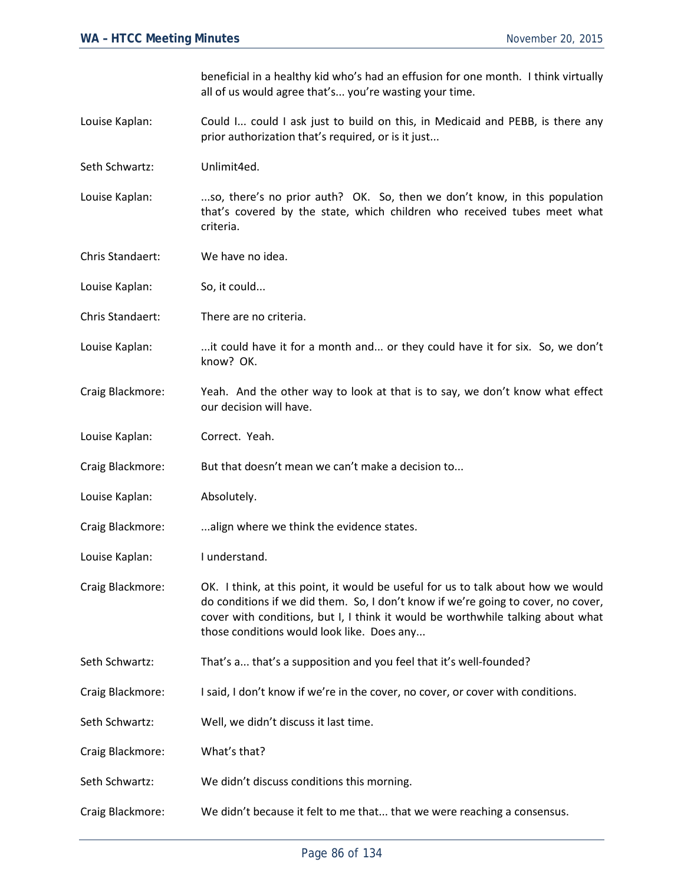beneficial in a healthy kid who's had an effusion for one month. I think virtually all of us would agree that's... you're wasting your time.

- Louise Kaplan: Could I... could I ask just to build on this, in Medicaid and PEBB, is there any prior authorization that's required, or is it just...
- Seth Schwartz: Unlimit4ed.
- Louise Kaplan: ...so, there's no prior auth? OK. So, then we don't know, in this population that's covered by the state, which children who received tubes meet what criteria.
- Chris Standaert: We have no idea.
- Louise Kaplan: So, it could...
- Chris Standaert: There are no criteria.
- Louise Kaplan: ...it could have it for a month and... or they could have it for six. So, we don't know? OK.
- Craig Blackmore: Yeah. And the other way to look at that is to say, we don't know what effect our decision will have.
- Louise Kaplan: Correct. Yeah.
- Craig Blackmore: But that doesn't mean we can't make a decision to...
- Louise Kaplan: Absolutely.
- Craig Blackmore: ....align where we think the evidence states.
- Louise Kaplan: I understand.
- Craig Blackmore: OK. I think, at this point, it would be useful for us to talk about how we would do conditions if we did them. So, I don't know if we're going to cover, no cover, cover with conditions, but I, I think it would be worthwhile talking about what those conditions would look like. Does any...
- Seth Schwartz: That's a... that's a supposition and you feel that it's well-founded?
- Craig Blackmore: I said, I don't know if we're in the cover, no cover, or cover with conditions.
- Seth Schwartz: Well, we didn't discuss it last time.
- Craig Blackmore: What's that?
- Seth Schwartz: We didn't discuss conditions this morning.
- Craig Blackmore: We didn't because it felt to me that... that we were reaching a consensus.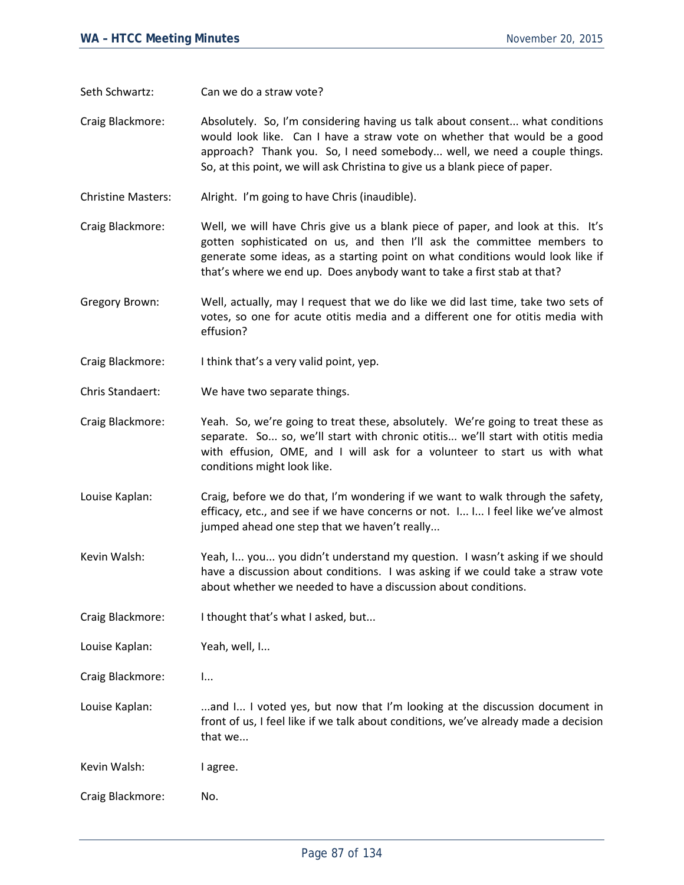Seth Schwartz: Can we do a straw vote?

Craig Blackmore: Absolutely. So, I'm considering having us talk about consent... what conditions would look like. Can I have a straw vote on whether that would be a good approach? Thank you. So, I need somebody... well, we need a couple things. So, at this point, we will ask Christina to give us a blank piece of paper.

Christine Masters: Alright. I'm going to have Chris (inaudible).

Craig Blackmore: Well, we will have Chris give us a blank piece of paper, and look at this. It's gotten sophisticated on us, and then I'll ask the committee members to generate some ideas, as a starting point on what conditions would look like if that's where we end up. Does anybody want to take a first stab at that?

Gregory Brown: Well, actually, may I request that we do like we did last time, take two sets of votes, so one for acute otitis media and a different one for otitis media with effusion?

Craig Blackmore: I think that's a very valid point, yep.

Chris Standaert: We have two separate things.

Craig Blackmore: Yeah. So, we're going to treat these, absolutely. We're going to treat these as separate. So... so, we'll start with chronic otitis... we'll start with otitis media with effusion, OME, and I will ask for a volunteer to start us with what conditions might look like.

Louise Kaplan: Craig, before we do that, I'm wondering if we want to walk through the safety, efficacy, etc., and see if we have concerns or not. I... I... I feel like we've almost jumped ahead one step that we haven't really...

Kevin Walsh: Yeah, I... you... you didn't understand my question. I wasn't asking if we should have a discussion about conditions. I was asking if we could take a straw vote about whether we needed to have a discussion about conditions.

Craig Blackmore: I thought that's what I asked, but...

Louise Kaplan: Yeah, well, I...

Craig Blackmore: I...

Louise Kaplan: ...and I... I voted yes, but now that I'm looking at the discussion document in front of us, I feel like if we talk about conditions, we've already made a decision that we...

Kevin Walsh: I agree.

Craig Blackmore: No.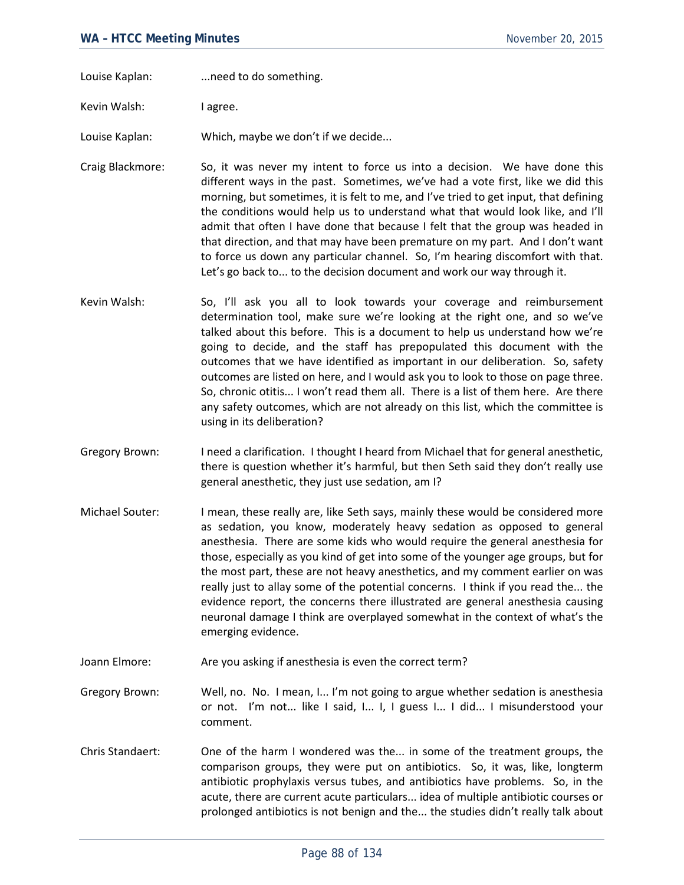Louise Kaplan: ...need to do something.

Kevin Walsh: I agree.

Louise Kaplan: Which, maybe we don't if we decide...

Craig Blackmore: So, it was never my intent to force us into a decision. We have done this different ways in the past. Sometimes, we've had a vote first, like we did this morning, but sometimes, it is felt to me, and I've tried to get input, that defining the conditions would help us to understand what that would look like, and I'll admit that often I have done that because I felt that the group was headed in that direction, and that may have been premature on my part. And I don't want to force us down any particular channel. So, I'm hearing discomfort with that. Let's go back to... to the decision document and work our way through it.

- Kevin Walsh: So, I'll ask you all to look towards your coverage and reimbursement determination tool, make sure we're looking at the right one, and so we've talked about this before. This is a document to help us understand how we're going to decide, and the staff has prepopulated this document with the outcomes that we have identified as important in our deliberation. So, safety outcomes are listed on here, and I would ask you to look to those on page three. So, chronic otitis... I won't read them all. There is a list of them here. Are there any safety outcomes, which are not already on this list, which the committee is using in its deliberation?
- Gregory Brown: I need a clarification. I thought I heard from Michael that for general anesthetic, there is question whether it's harmful, but then Seth said they don't really use general anesthetic, they just use sedation, am I?
- Michael Souter: I mean, these really are, like Seth says, mainly these would be considered more as sedation, you know, moderately heavy sedation as opposed to general anesthesia. There are some kids who would require the general anesthesia for those, especially as you kind of get into some of the younger age groups, but for the most part, these are not heavy anesthetics, and my comment earlier on was really just to allay some of the potential concerns. I think if you read the... the evidence report, the concerns there illustrated are general anesthesia causing neuronal damage I think are overplayed somewhat in the context of what's the emerging evidence.
- Joann Elmore: Are you asking if anesthesia is even the correct term?

Gregory Brown: Well, no. No. I mean, I... I'm not going to argue whether sedation is anesthesia or not. I'm not... like I said, I... I, I guess I... I did... I misunderstood your comment.

Chris Standaert: One of the harm I wondered was the... in some of the treatment groups, the comparison groups, they were put on antibiotics. So, it was, like, longterm antibiotic prophylaxis versus tubes, and antibiotics have problems. So, in the acute, there are current acute particulars... idea of multiple antibiotic courses or prolonged antibiotics is not benign and the... the studies didn't really talk about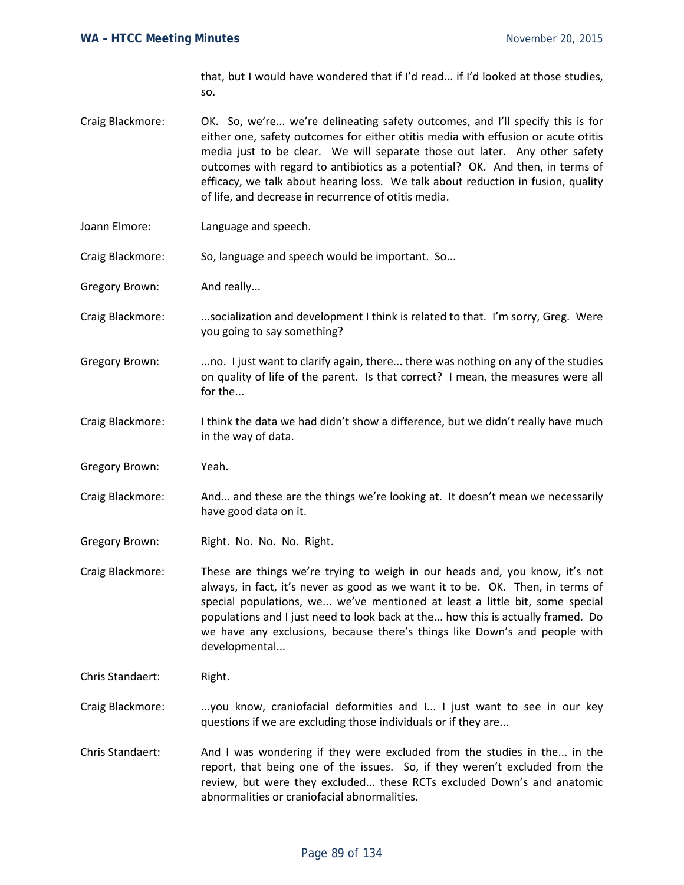that, but I would have wondered that if I'd read... if I'd looked at those studies, so.

- Craig Blackmore: OK. So, we're... we're delineating safety outcomes, and I'll specify this is for either one, safety outcomes for either otitis media with effusion or acute otitis media just to be clear. We will separate those out later. Any other safety outcomes with regard to antibiotics as a potential? OK. And then, in terms of efficacy, we talk about hearing loss. We talk about reduction in fusion, quality of life, and decrease in recurrence of otitis media.
- Joann Elmore: Language and speech.

Craig Blackmore: So, language and speech would be important. So...

Gregory Brown: And really...

Craig Blackmore: ...socialization and development I think is related to that. I'm sorry, Greg. Were you going to say something?

- Gregory Brown: ...no. I just want to clarify again, there... there was nothing on any of the studies on quality of life of the parent. Is that correct? I mean, the measures were all for the...
- Craig Blackmore: I think the data we had didn't show a difference, but we didn't really have much in the way of data.
- Gregory Brown: Yeah.

Craig Blackmore: And... and these are the things we're looking at. It doesn't mean we necessarily have good data on it.

Gregory Brown: Right. No. No. No. Right.

Craig Blackmore: These are things we're trying to weigh in our heads and, you know, it's not always, in fact, it's never as good as we want it to be. OK. Then, in terms of special populations, we... we've mentioned at least a little bit, some special populations and I just need to look back at the... how this is actually framed. Do we have any exclusions, because there's things like Down's and people with developmental...

Chris Standaert: Right.

Craig Blackmore: ...you know, craniofacial deformities and I... I just want to see in our key questions if we are excluding those individuals or if they are...

Chris Standaert: And I was wondering if they were excluded from the studies in the... in the report, that being one of the issues. So, if they weren't excluded from the review, but were they excluded... these RCTs excluded Down's and anatomic abnormalities or craniofacial abnormalities.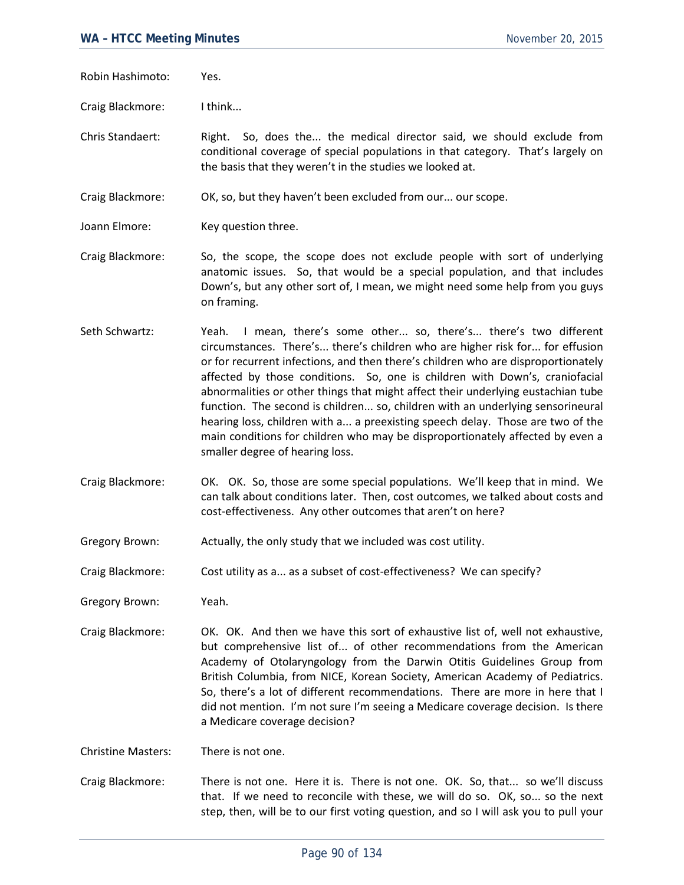Robin Hashimoto: Yes. Craig Blackmore: I think... Chris Standaert: Right. So, does the... the medical director said, we should exclude from conditional coverage of special populations in that category. That's largely on the basis that they weren't in the studies we looked at. Craig Blackmore: OK, so, but they haven't been excluded from our... our scope. Joann Elmore: Key question three. Craig Blackmore: So, the scope, the scope does not exclude people with sort of underlying anatomic issues. So, that would be a special population, and that includes Down's, but any other sort of, I mean, we might need some help from you guys on framing. Seth Schwartz: Yeah. I mean, there's some other... so, there's... there's two different circumstances. There's... there's children who are higher risk for... for effusion or for recurrent infections, and then there's children who are disproportionately affected by those conditions. So, one is children with Down's, craniofacial abnormalities or other things that might affect their underlying eustachian tube

- function. The second is children... so, children with an underlying sensorineural hearing loss, children with a... a preexisting speech delay. Those are two of the main conditions for children who may be disproportionately affected by even a smaller degree of hearing loss.
- Craig Blackmore: OK. OK. So, those are some special populations. We'll keep that in mind. We can talk about conditions later. Then, cost outcomes, we talked about costs and cost-effectiveness. Any other outcomes that aren't on here?
- Gregory Brown: Actually, the only study that we included was cost utility.
- Craig Blackmore: Cost utility as a... as a subset of cost-effectiveness? We can specify?
- Gregory Brown: Yeah.
- Craig Blackmore: OK. OK. And then we have this sort of exhaustive list of, well not exhaustive, but comprehensive list of... of other recommendations from the American Academy of Otolaryngology from the Darwin Otitis Guidelines Group from British Columbia, from NICE, Korean Society, American Academy of Pediatrics. So, there's a lot of different recommendations. There are more in here that I did not mention. I'm not sure I'm seeing a Medicare coverage decision. Is there a Medicare coverage decision?

Christine Masters: There is not one.

Craig Blackmore: There is not one. Here it is. There is not one. OK. So, that... so we'll discuss that. If we need to reconcile with these, we will do so. OK, so... so the next step, then, will be to our first voting question, and so I will ask you to pull your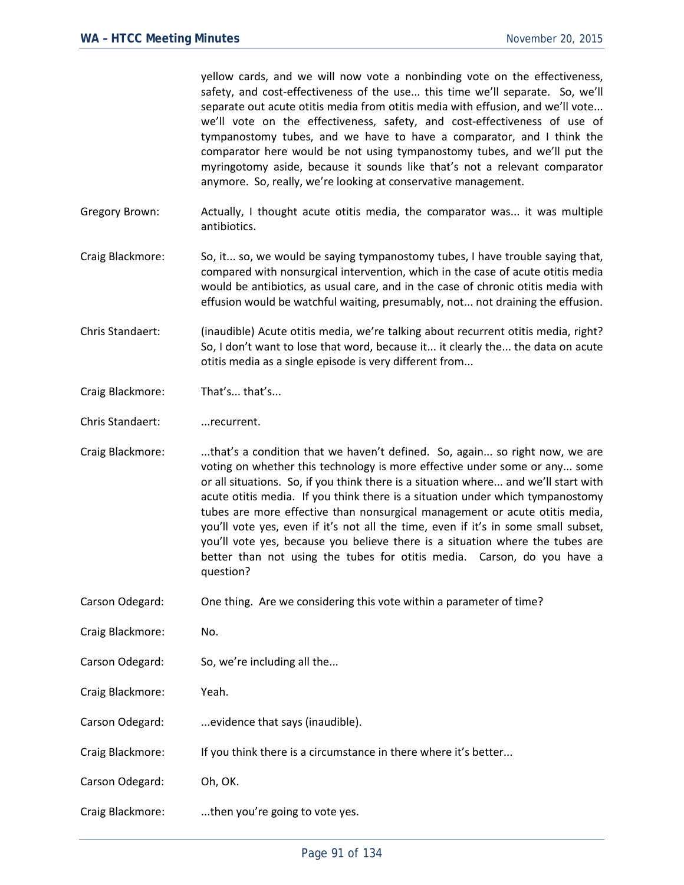yellow cards, and we will now vote a nonbinding vote on the effectiveness, safety, and cost-effectiveness of the use... this time we'll separate. So, we'll separate out acute otitis media from otitis media with effusion, and we'll vote... we'll vote on the effectiveness, safety, and cost-effectiveness of use of tympanostomy tubes, and we have to have a comparator, and I think the comparator here would be not using tympanostomy tubes, and we'll put the myringotomy aside, because it sounds like that's not a relevant comparator anymore. So, really, we're looking at conservative management.

- Gregory Brown: Actually, I thought acute otitis media, the comparator was... it was multiple antibiotics.
- Craig Blackmore: So, it... so, we would be saying tympanostomy tubes, I have trouble saying that, compared with nonsurgical intervention, which in the case of acute otitis media would be antibiotics, as usual care, and in the case of chronic otitis media with effusion would be watchful waiting, presumably, not... not draining the effusion.
- Chris Standaert: (inaudible) Acute otitis media, we're talking about recurrent otitis media, right? So, I don't want to lose that word, because it... it clearly the... the data on acute otitis media as a single episode is very different from...
- Craig Blackmore: That's... that's...
- Chris Standaert: ...recurrent.

Craig Blackmore: ...that's a condition that we haven't defined. So, again... so right now, we are voting on whether this technology is more effective under some or any... some or all situations. So, if you think there is a situation where... and we'll start with acute otitis media. If you think there is a situation under which tympanostomy tubes are more effective than nonsurgical management or acute otitis media, you'll vote yes, even if it's not all the time, even if it's in some small subset, you'll vote yes, because you believe there is a situation where the tubes are better than not using the tubes for otitis media. Carson, do you have a question?

- Carson Odegard: One thing. Are we considering this vote within a parameter of time?
- Craig Blackmore: No.
- Carson Odegard: So, we're including all the...
- Craig Blackmore: Yeah.
- Carson Odegard: ...evidence that says (inaudible).
- Craig Blackmore: If you think there is a circumstance in there where it's better...
- Carson Odegard: Oh, OK.
- Craig Blackmore: ....then you're going to vote yes.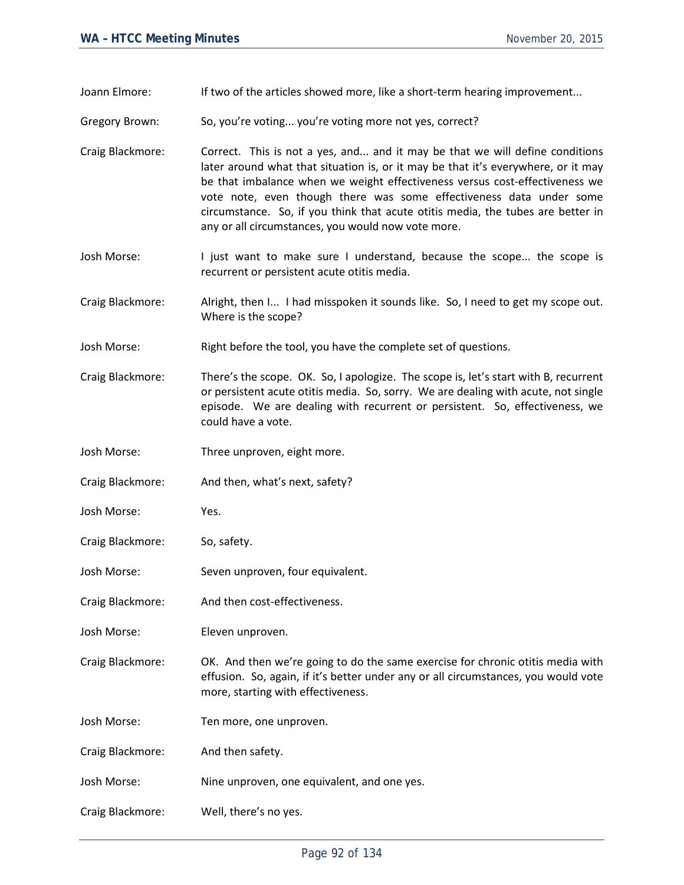Joann Elmore: If two of the articles showed more, like a short-term hearing improvement...

- Gregory Brown: So, you're voting... you're voting more not yes, correct?
- Craig Blackmore: Correct. This is not a yes, and... and it may be that we will define conditions later around what that situation is, or it may be that it's everywhere, or it may be that imbalance when we weight effectiveness versus cost-effectiveness we vote note, even though there was some effectiveness data under some circumstance. So, if you think that acute otitis media, the tubes are better in any or all circumstances, you would now vote more.
- Josh Morse: I just want to make sure I understand, because the scope... the scope is recurrent or persistent acute otitis media.
- Craig Blackmore: Alright, then I... I had misspoken it sounds like. So, I need to get my scope out. Where is the scope?
- Josh Morse: Right before the tool, you have the complete set of questions.
- Craig Blackmore: There's the scope. OK. So, I apologize. The scope is, let's start with B, recurrent or persistent acute otitis media. So, sorry. We are dealing with acute, not single episode. We are dealing with recurrent or persistent. So, effectiveness, we could have a vote.
- Josh Morse: Three unproven, eight more.
- Craig Blackmore: And then, what's next, safety?
- Josh Morse: Yes.
- Craig Blackmore: So, safety.
- Josh Morse: Seven unproven, four equivalent.
- Craig Blackmore: And then cost-effectiveness.
- Josh Morse: Eleven unproven.
- Craig Blackmore: OK. And then we're going to do the same exercise for chronic otitis media with effusion. So, again, if it's better under any or all circumstances, you would vote more, starting with effectiveness.
- Josh Morse: Ten more, one unproven.
- Craig Blackmore: And then safety.
- Josh Morse: Nine unproven, one equivalent, and one yes.
- Craig Blackmore: Well, there's no yes.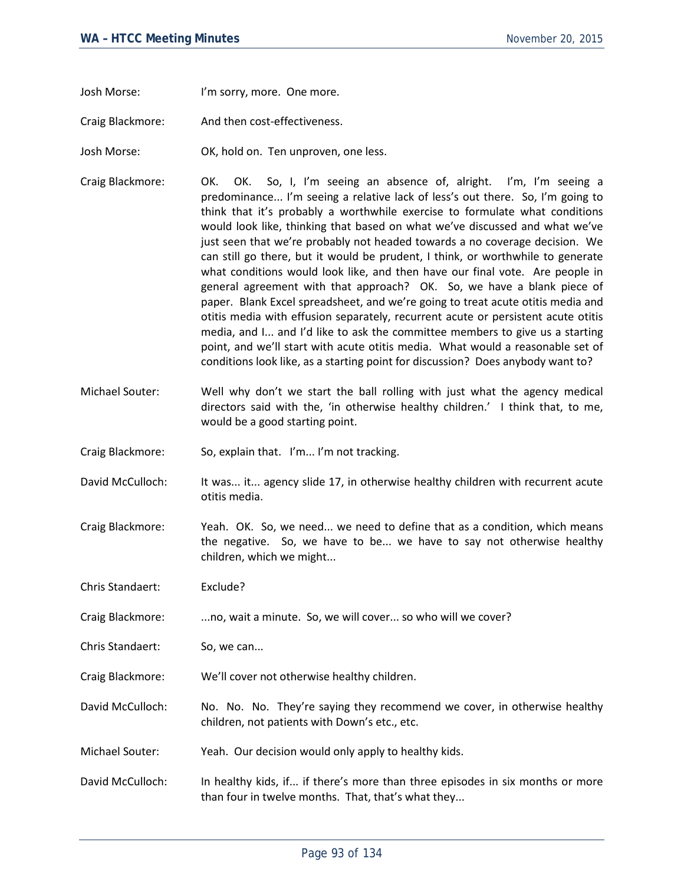Josh Morse: I'm sorry, more. One more.

Craig Blackmore: And then cost-effectiveness.

Josh Morse: OK, hold on. Ten unproven, one less.

- Craig Blackmore: OK. OK. So, I, I'm seeing an absence of, alright. I'm, I'm seeing a predominance... I'm seeing a relative lack of less's out there. So, I'm going to think that it's probably a worthwhile exercise to formulate what conditions would look like, thinking that based on what we've discussed and what we've just seen that we're probably not headed towards a no coverage decision. We can still go there, but it would be prudent, I think, or worthwhile to generate what conditions would look like, and then have our final vote. Are people in general agreement with that approach? OK. So, we have a blank piece of paper. Blank Excel spreadsheet, and we're going to treat acute otitis media and otitis media with effusion separately, recurrent acute or persistent acute otitis media, and I... and I'd like to ask the committee members to give us a starting point, and we'll start with acute otitis media. What would a reasonable set of conditions look like, as a starting point for discussion? Does anybody want to?
- Michael Souter: Well why don't we start the ball rolling with just what the agency medical directors said with the, 'in otherwise healthy children.' I think that, to me, would be a good starting point.
- Craig Blackmore: So, explain that. I'm... I'm not tracking.
- David McCulloch: It was... it... agency slide 17, in otherwise healthy children with recurrent acute otitis media.
- Craig Blackmore: Yeah. OK. So, we need... we need to define that as a condition, which means the negative. So, we have to be... we have to say not otherwise healthy children, which we might...
- Chris Standaert: Exclude?
- Craig Blackmore: ...no, wait a minute. So, we will cover... so who will we cover?
- Chris Standaert: So, we can...
- Craig Blackmore: We'll cover not otherwise healthy children.
- David McCulloch: No. No. No. They're saying they recommend we cover, in otherwise healthy children, not patients with Down's etc., etc.
- Michael Souter: Yeah. Our decision would only apply to healthy kids.
- David McCulloch: In healthy kids, if... if there's more than three episodes in six months or more than four in twelve months. That, that's what they...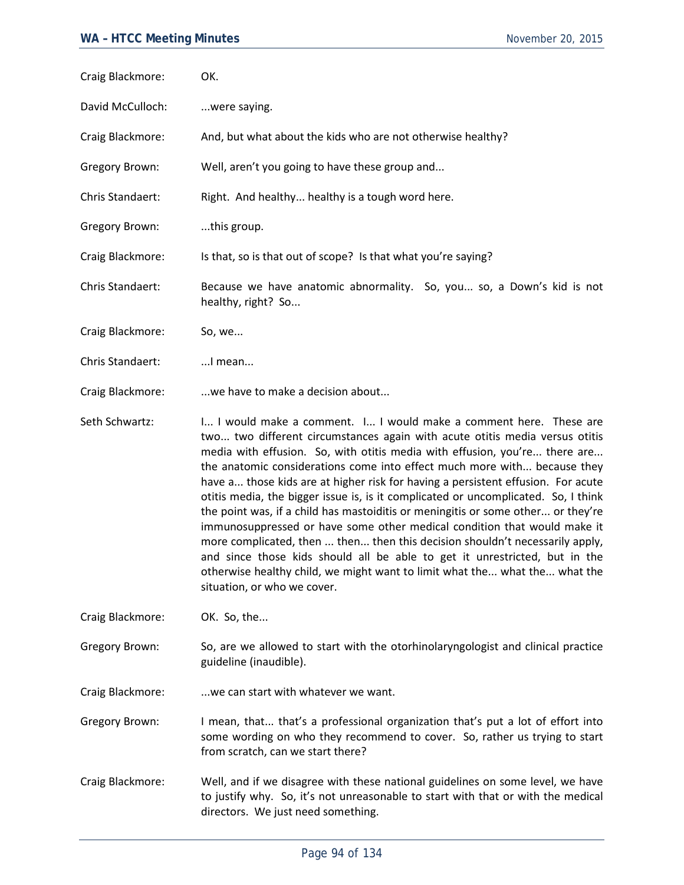| Craig Blackmore: | OK.                                                                                                                                                                                                                                                                                                                                                                                                                                                                                                                                                                                                                                                                                                                                                                                                                                                                                                                              |
|------------------|----------------------------------------------------------------------------------------------------------------------------------------------------------------------------------------------------------------------------------------------------------------------------------------------------------------------------------------------------------------------------------------------------------------------------------------------------------------------------------------------------------------------------------------------------------------------------------------------------------------------------------------------------------------------------------------------------------------------------------------------------------------------------------------------------------------------------------------------------------------------------------------------------------------------------------|
| David McCulloch: | were saying.                                                                                                                                                                                                                                                                                                                                                                                                                                                                                                                                                                                                                                                                                                                                                                                                                                                                                                                     |
| Craig Blackmore: | And, but what about the kids who are not otherwise healthy?                                                                                                                                                                                                                                                                                                                                                                                                                                                                                                                                                                                                                                                                                                                                                                                                                                                                      |
| Gregory Brown:   | Well, aren't you going to have these group and                                                                                                                                                                                                                                                                                                                                                                                                                                                                                                                                                                                                                                                                                                                                                                                                                                                                                   |
| Chris Standaert: | Right. And healthy healthy is a tough word here.                                                                                                                                                                                                                                                                                                                                                                                                                                                                                                                                                                                                                                                                                                                                                                                                                                                                                 |
| Gregory Brown:   | this group.                                                                                                                                                                                                                                                                                                                                                                                                                                                                                                                                                                                                                                                                                                                                                                                                                                                                                                                      |
| Craig Blackmore: | Is that, so is that out of scope? Is that what you're saying?                                                                                                                                                                                                                                                                                                                                                                                                                                                                                                                                                                                                                                                                                                                                                                                                                                                                    |
| Chris Standaert: | Because we have anatomic abnormality. So, you so, a Down's kid is not<br>healthy, right? So                                                                                                                                                                                                                                                                                                                                                                                                                                                                                                                                                                                                                                                                                                                                                                                                                                      |
| Craig Blackmore: | So, we                                                                                                                                                                                                                                                                                                                                                                                                                                                                                                                                                                                                                                                                                                                                                                                                                                                                                                                           |
| Chris Standaert: | I mean                                                                                                                                                                                                                                                                                                                                                                                                                                                                                                                                                                                                                                                                                                                                                                                                                                                                                                                           |
| Craig Blackmore: | we have to make a decision about                                                                                                                                                                                                                                                                                                                                                                                                                                                                                                                                                                                                                                                                                                                                                                                                                                                                                                 |
| Seth Schwartz:   | I I would make a comment. I I would make a comment here. These are<br>two two different circumstances again with acute otitis media versus otitis<br>media with effusion. So, with otitis media with effusion, you're there are<br>the anatomic considerations come into effect much more with because they<br>have a those kids are at higher risk for having a persistent effusion. For acute<br>otitis media, the bigger issue is, is it complicated or uncomplicated. So, I think<br>the point was, if a child has mastoiditis or meningitis or some other or they're<br>immunosuppressed or have some other medical condition that would make it<br>more complicated, then  then then this decision shouldn't necessarily apply,<br>and since those kids should all be able to get it unrestricted, but in the<br>otherwise healthy child, we might want to limit what the what the what the<br>situation, or who we cover. |
| Craig Blackmore: | OK. So, the                                                                                                                                                                                                                                                                                                                                                                                                                                                                                                                                                                                                                                                                                                                                                                                                                                                                                                                      |
| Gregory Brown:   | So, are we allowed to start with the otorhinolaryngologist and clinical practice<br>guideline (inaudible).                                                                                                                                                                                                                                                                                                                                                                                                                                                                                                                                                                                                                                                                                                                                                                                                                       |
| Craig Blackmore: | we can start with whatever we want.                                                                                                                                                                                                                                                                                                                                                                                                                                                                                                                                                                                                                                                                                                                                                                                                                                                                                              |
| Gregory Brown:   | I mean, that that's a professional organization that's put a lot of effort into<br>some wording on who they recommend to cover. So, rather us trying to start<br>from scratch, can we start there?                                                                                                                                                                                                                                                                                                                                                                                                                                                                                                                                                                                                                                                                                                                               |
| Craig Blackmore: | Well, and if we disagree with these national guidelines on some level, we have<br>to justify why. So, it's not unreasonable to start with that or with the medical<br>directors. We just need something.                                                                                                                                                                                                                                                                                                                                                                                                                                                                                                                                                                                                                                                                                                                         |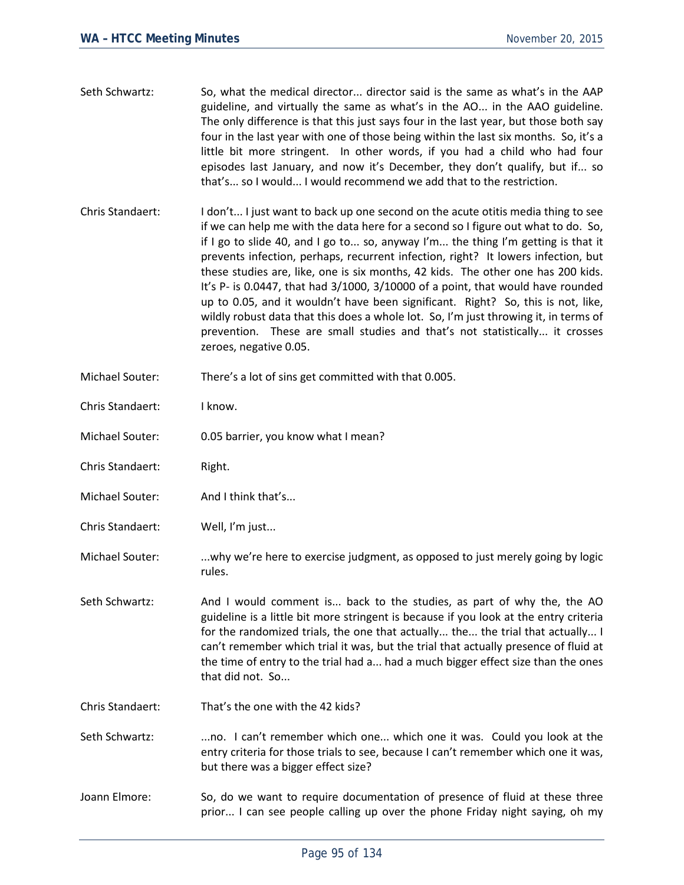- Seth Schwartz: So, what the medical director... director said is the same as what's in the AAP guideline, and virtually the same as what's in the AO... in the AAO guideline. The only difference is that this just says four in the last year, but those both say four in the last year with one of those being within the last six months. So, it's a little bit more stringent. In other words, if you had a child who had four episodes last January, and now it's December, they don't qualify, but if... so that's... so I would... I would recommend we add that to the restriction.
- Chris Standaert: I don't... I just want to back up one second on the acute otitis media thing to see if we can help me with the data here for a second so I figure out what to do. So, if I go to slide 40, and I go to... so, anyway I'm... the thing I'm getting is that it prevents infection, perhaps, recurrent infection, right? It lowers infection, but these studies are, like, one is six months, 42 kids. The other one has 200 kids. It's P- is 0.0447, that had 3/1000, 3/10000 of a point, that would have rounded up to 0.05, and it wouldn't have been significant. Right? So, this is not, like, wildly robust data that this does a whole lot. So, I'm just throwing it, in terms of prevention. These are small studies and that's not statistically... it crosses zeroes, negative 0.05.
- Michael Souter: There's a lot of sins get committed with that 0.005.
- Chris Standaert: I know.
- Michael Souter: 0.05 barrier, you know what I mean?
- Chris Standaert: Right.
- Michael Souter: And I think that's...
- Chris Standaert: Well, I'm just...
- Michael Souter: ...why we're here to exercise judgment, as opposed to just merely going by logic rules.
- Seth Schwartz: And I would comment is... back to the studies, as part of why the, the AO guideline is a little bit more stringent is because if you look at the entry criteria for the randomized trials, the one that actually... the... the trial that actually... I can't remember which trial it was, but the trial that actually presence of fluid at the time of entry to the trial had a... had a much bigger effect size than the ones that did not. So...
- Chris Standaert: That's the one with the 42 kids?
- Seth Schwartz: ...no. I can't remember which one... which one it was. Could you look at the entry criteria for those trials to see, because I can't remember which one it was, but there was a bigger effect size?
- Joann Elmore: So, do we want to require documentation of presence of fluid at these three prior... I can see people calling up over the phone Friday night saying, oh my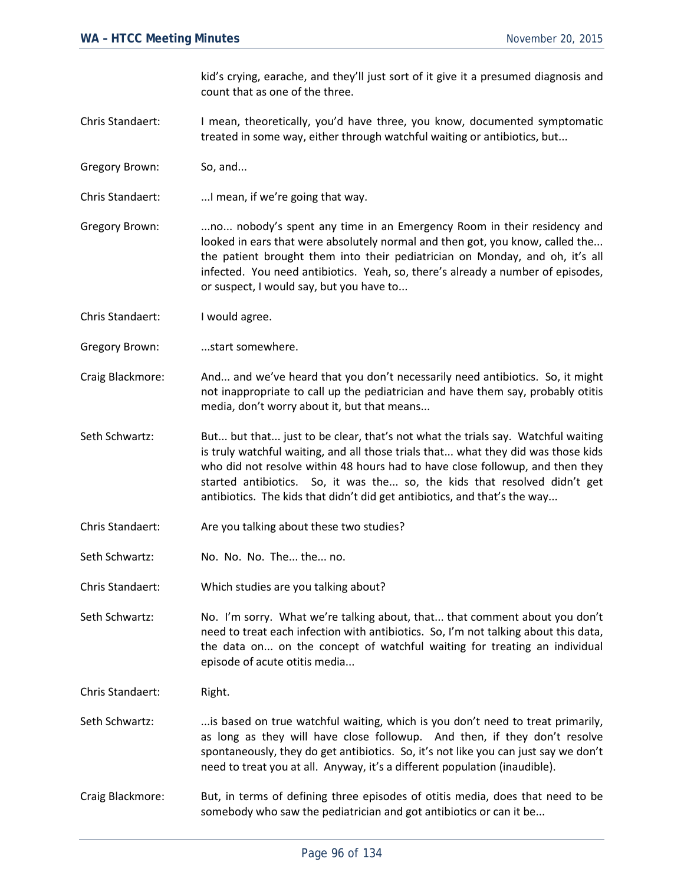kid's crying, earache, and they'll just sort of it give it a presumed diagnosis and count that as one of the three.

- Chris Standaert: I mean, theoretically, you'd have three, you know, documented symptomatic treated in some way, either through watchful waiting or antibiotics, but...
- Gregory Brown: So, and...
- Chris Standaert: ...I mean, if we're going that way.
- Gregory Brown: ...no... nobody's spent any time in an Emergency Room in their residency and looked in ears that were absolutely normal and then got, you know, called the... the patient brought them into their pediatrician on Monday, and oh, it's all infected. You need antibiotics. Yeah, so, there's already a number of episodes, or suspect, I would say, but you have to...
- Chris Standaert: I would agree.
- Gregory Brown: ....start somewhere.
- Craig Blackmore: And... and we've heard that you don't necessarily need antibiotics. So, it might not inappropriate to call up the pediatrician and have them say, probably otitis media, don't worry about it, but that means...
- Seth Schwartz: But... but that... just to be clear, that's not what the trials say. Watchful waiting is truly watchful waiting, and all those trials that... what they did was those kids who did not resolve within 48 hours had to have close followup, and then they started antibiotics. So, it was the... so, the kids that resolved didn't get antibiotics. The kids that didn't did get antibiotics, and that's the way...
- Chris Standaert: Are you talking about these two studies?
- Seth Schwartz: No. No. No. The... the... no.
- Chris Standaert: Which studies are you talking about?
- Seth Schwartz: No. I'm sorry. What we're talking about, that... that comment about you don't need to treat each infection with antibiotics. So, I'm not talking about this data, the data on... on the concept of watchful waiting for treating an individual episode of acute otitis media...
- Chris Standaert: Right.
- Seth Schwartz: ...is based on true watchful waiting, which is you don't need to treat primarily, as long as they will have close followup. And then, if they don't resolve spontaneously, they do get antibiotics. So, it's not like you can just say we don't need to treat you at all. Anyway, it's a different population (inaudible).
- Craig Blackmore: But, in terms of defining three episodes of otitis media, does that need to be somebody who saw the pediatrician and got antibiotics or can it be...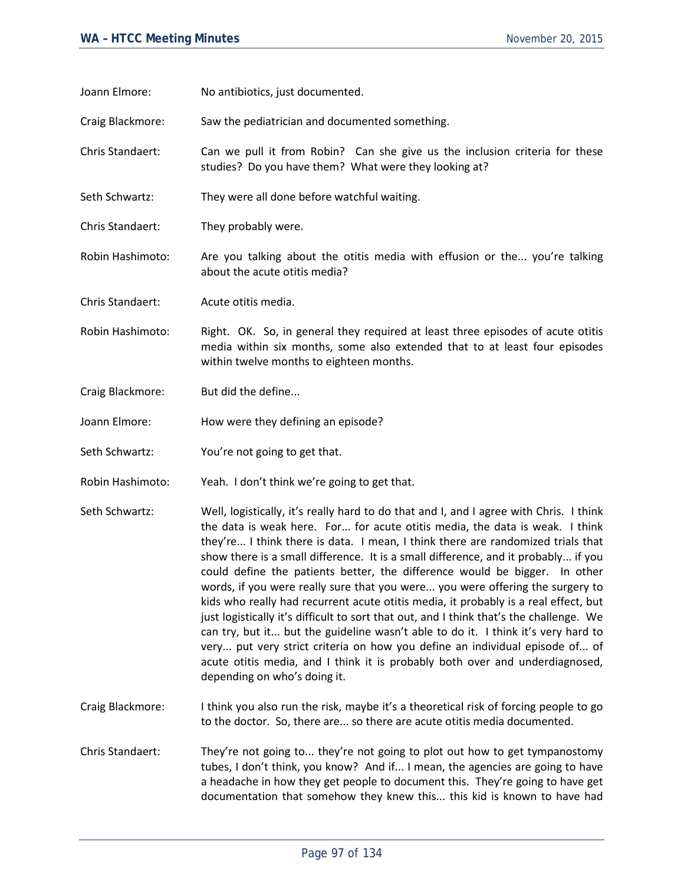Joann Elmore: No antibiotics, just documented.

Craig Blackmore: Saw the pediatrician and documented something.

Chris Standaert: Can we pull it from Robin? Can she give us the inclusion criteria for these studies? Do you have them? What were they looking at?

- Seth Schwartz: They were all done before watchful waiting.
- Chris Standaert: They probably were.

Robin Hashimoto: Are you talking about the otitis media with effusion or the... you're talking about the acute otitis media?

Chris Standaert: Acute otitis media.

Robin Hashimoto: Right. OK. So, in general they required at least three episodes of acute otitis media within six months, some also extended that to at least four episodes within twelve months to eighteen months.

Craig Blackmore: But did the define...

Joann Elmore: How were they defining an episode?

Seth Schwartz: You're not going to get that.

Robin Hashimoto: Yeah. I don't think we're going to get that.

- Seth Schwartz: Well, logistically, it's really hard to do that and I, and I agree with Chris. I think the data is weak here. For... for acute otitis media, the data is weak. I think they're... I think there is data. I mean, I think there are randomized trials that show there is a small difference. It is a small difference, and it probably... if you could define the patients better, the difference would be bigger. In other words, if you were really sure that you were... you were offering the surgery to kids who really had recurrent acute otitis media, it probably is a real effect, but just logistically it's difficult to sort that out, and I think that's the challenge. We can try, but it... but the guideline wasn't able to do it. I think it's very hard to very... put very strict criteria on how you define an individual episode of... of acute otitis media, and I think it is probably both over and underdiagnosed, depending on who's doing it.
- Craig Blackmore: I think you also run the risk, maybe it's a theoretical risk of forcing people to go to the doctor. So, there are... so there are acute otitis media documented.
- Chris Standaert: They're not going to... they're not going to plot out how to get tympanostomy tubes, I don't think, you know? And if... I mean, the agencies are going to have a headache in how they get people to document this. They're going to have get documentation that somehow they knew this... this kid is known to have had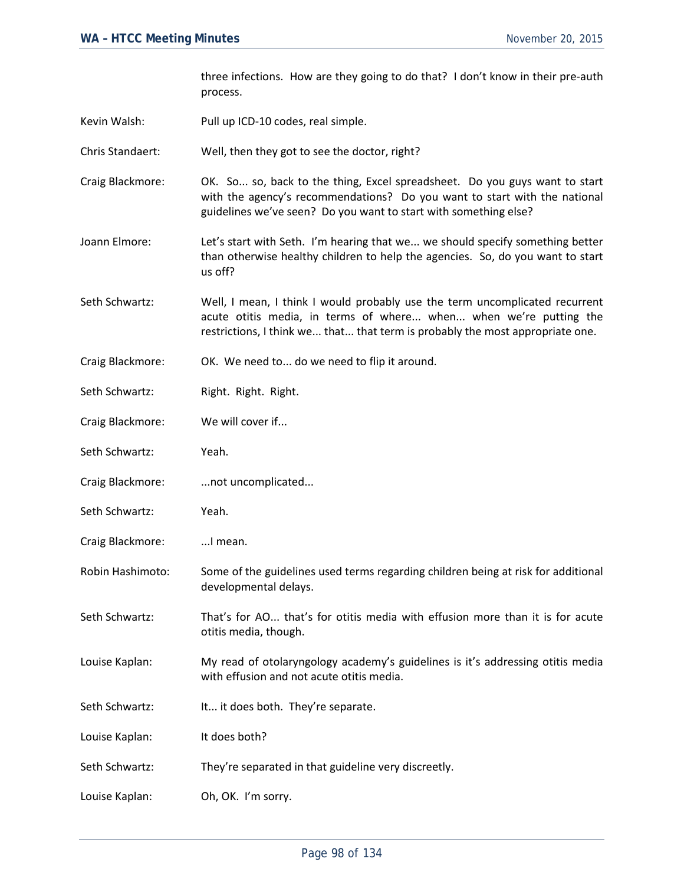three infections. How are they going to do that? I don't know in their pre-auth process.

Kevin Walsh: Pull up ICD-10 codes, real simple.

Chris Standaert: Well, then they got to see the doctor, right?

- Craig Blackmore: OK. So... so, back to the thing, Excel spreadsheet. Do you guys want to start with the agency's recommendations? Do you want to start with the national guidelines we've seen? Do you want to start with something else?
- Joann Elmore: Let's start with Seth. I'm hearing that we... we should specify something better than otherwise healthy children to help the agencies. So, do you want to start us off?
- Seth Schwartz: Well, I mean, I think I would probably use the term uncomplicated recurrent acute otitis media, in terms of where... when... when we're putting the restrictions, I think we... that... that term is probably the most appropriate one.
- Craig Blackmore: OK. We need to... do we need to flip it around.
- Seth Schwartz: Right. Right. Right.
- Craig Blackmore: We will cover if...
- Seth Schwartz: Yeah.
- Craig Blackmore: ...not uncomplicated...
- Seth Schwartz: Yeah.
- Craig Blackmore: ...I mean.
- Robin Hashimoto: Some of the guidelines used terms regarding children being at risk for additional developmental delays.
- Seth Schwartz: That's for AO... that's for otitis media with effusion more than it is for acute otitis media, though.
- Louise Kaplan: My read of otolaryngology academy's guidelines is it's addressing otitis media with effusion and not acute otitis media.
- Seth Schwartz: It... it does both. They're separate.
- Louise Kaplan: It does both?
- Seth Schwartz: They're separated in that guideline very discreetly.
- Louise Kaplan: Oh, OK. I'm sorry.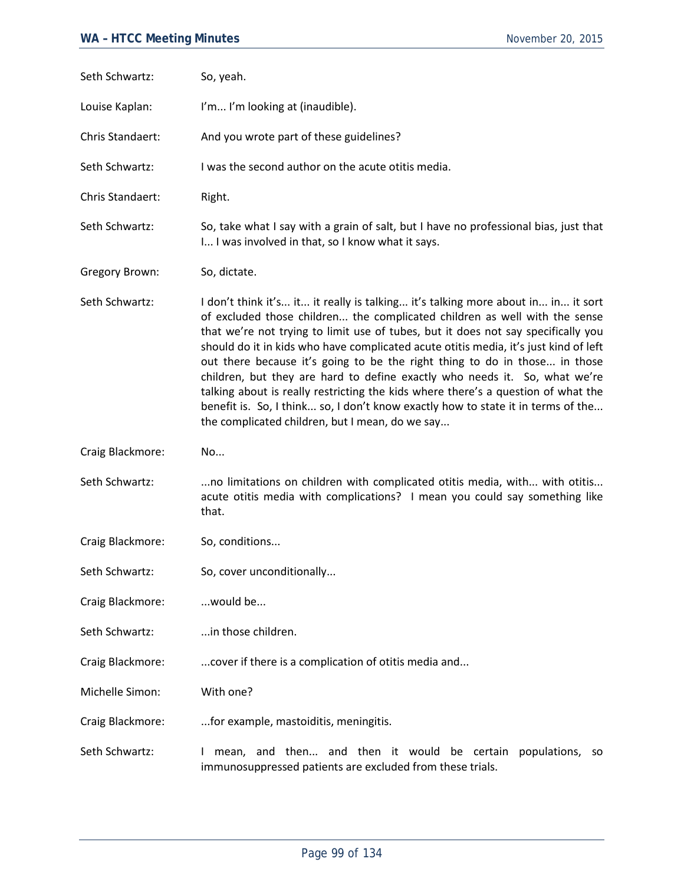| Seth Schwartz:   | So, yeah.                                                                                                                                                                                                                                                                                                                                                                                                                                                                                                                                                                                                                                                                                                                           |
|------------------|-------------------------------------------------------------------------------------------------------------------------------------------------------------------------------------------------------------------------------------------------------------------------------------------------------------------------------------------------------------------------------------------------------------------------------------------------------------------------------------------------------------------------------------------------------------------------------------------------------------------------------------------------------------------------------------------------------------------------------------|
| Louise Kaplan:   | I'm I'm looking at (inaudible).                                                                                                                                                                                                                                                                                                                                                                                                                                                                                                                                                                                                                                                                                                     |
| Chris Standaert: | And you wrote part of these guidelines?                                                                                                                                                                                                                                                                                                                                                                                                                                                                                                                                                                                                                                                                                             |
| Seth Schwartz:   | I was the second author on the acute otitis media.                                                                                                                                                                                                                                                                                                                                                                                                                                                                                                                                                                                                                                                                                  |
| Chris Standaert: | Right.                                                                                                                                                                                                                                                                                                                                                                                                                                                                                                                                                                                                                                                                                                                              |
| Seth Schwartz:   | So, take what I say with a grain of salt, but I have no professional bias, just that<br>I I was involved in that, so I know what it says.                                                                                                                                                                                                                                                                                                                                                                                                                                                                                                                                                                                           |
| Gregory Brown:   | So, dictate.                                                                                                                                                                                                                                                                                                                                                                                                                                                                                                                                                                                                                                                                                                                        |
| Seth Schwartz:   | I don't think it's it it really is talking it's talking more about in in it sort<br>of excluded those children the complicated children as well with the sense<br>that we're not trying to limit use of tubes, but it does not say specifically you<br>should do it in kids who have complicated acute otitis media, it's just kind of left<br>out there because it's going to be the right thing to do in those in those<br>children, but they are hard to define exactly who needs it. So, what we're<br>talking about is really restricting the kids where there's a question of what the<br>benefit is. So, I think so, I don't know exactly how to state it in terms of the<br>the complicated children, but I mean, do we say |
| Craig Blackmore: | No                                                                                                                                                                                                                                                                                                                                                                                                                                                                                                                                                                                                                                                                                                                                  |
| Seth Schwartz:   | no limitations on children with complicated otitis media, with with otitis<br>acute otitis media with complications? I mean you could say something like<br>that.                                                                                                                                                                                                                                                                                                                                                                                                                                                                                                                                                                   |
| Craig Blackmore: | So, conditions                                                                                                                                                                                                                                                                                                                                                                                                                                                                                                                                                                                                                                                                                                                      |
| Seth Schwartz:   | So, cover unconditionally                                                                                                                                                                                                                                                                                                                                                                                                                                                                                                                                                                                                                                                                                                           |
| Craig Blackmore: | would be                                                                                                                                                                                                                                                                                                                                                                                                                                                                                                                                                                                                                                                                                                                            |
| Seth Schwartz:   | in those children.                                                                                                                                                                                                                                                                                                                                                                                                                                                                                                                                                                                                                                                                                                                  |
| Craig Blackmore: | cover if there is a complication of otitis media and                                                                                                                                                                                                                                                                                                                                                                                                                                                                                                                                                                                                                                                                                |
| Michelle Simon:  | With one?                                                                                                                                                                                                                                                                                                                                                                                                                                                                                                                                                                                                                                                                                                                           |
| Craig Blackmore: | for example, mastoiditis, meningitis.                                                                                                                                                                                                                                                                                                                                                                                                                                                                                                                                                                                                                                                                                               |
| Seth Schwartz:   | mean, and then and then it would be certain<br>populations,<br>SO.<br>immunosuppressed patients are excluded from these trials.                                                                                                                                                                                                                                                                                                                                                                                                                                                                                                                                                                                                     |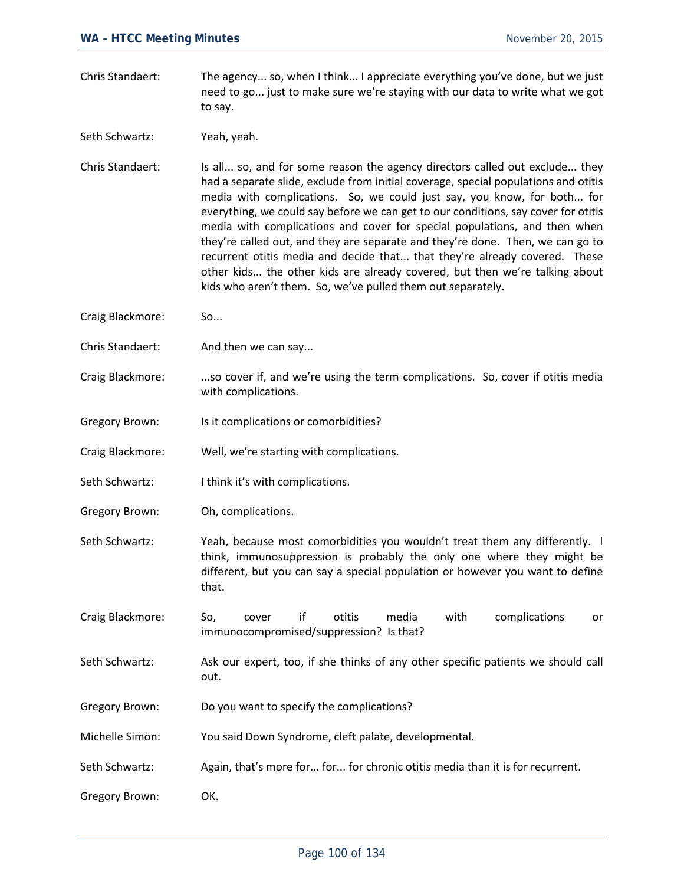Chris Standaert: The agency... so, when I think... I appreciate everything you've done, but we just need to go... just to make sure we're staying with our data to write what we got to say.

Seth Schwartz: Yeah, yeah.

- Chris Standaert: Is all... so, and for some reason the agency directors called out exclude... they had a separate slide, exclude from initial coverage, special populations and otitis media with complications. So, we could just say, you know, for both... for everything, we could say before we can get to our conditions, say cover for otitis media with complications and cover for special populations, and then when they're called out, and they are separate and they're done. Then, we can go to recurrent otitis media and decide that... that they're already covered. These other kids... the other kids are already covered, but then we're talking about kids who aren't them. So, we've pulled them out separately.
- Craig Blackmore: So...
- Chris Standaert: And then we can say...
- Craig Blackmore: ...so cover if, and we're using the term complications. So, cover if otitis media with complications.
- Gregory Brown: Is it complications or comorbidities?
- Craig Blackmore: Well, we're starting with complications.
- Seth Schwartz: I think it's with complications.
- Gregory Brown: Oh, complications.
- Seth Schwartz: Yeah, because most comorbidities you wouldn't treat them any differently. I think, immunosuppression is probably the only one where they might be different, but you can say a special population or however you want to define that.
- Craig Blackmore: So, cover if otitis media with complications or immunocompromised/suppression? Is that?
- Seth Schwartz: Ask our expert, too, if she thinks of any other specific patients we should call out.
- Gregory Brown: Do you want to specify the complications?
- Michelle Simon: You said Down Syndrome, cleft palate, developmental.
- Seth Schwartz: Again, that's more for... for... for chronic otitis media than it is for recurrent.
- Gregory Brown: OK.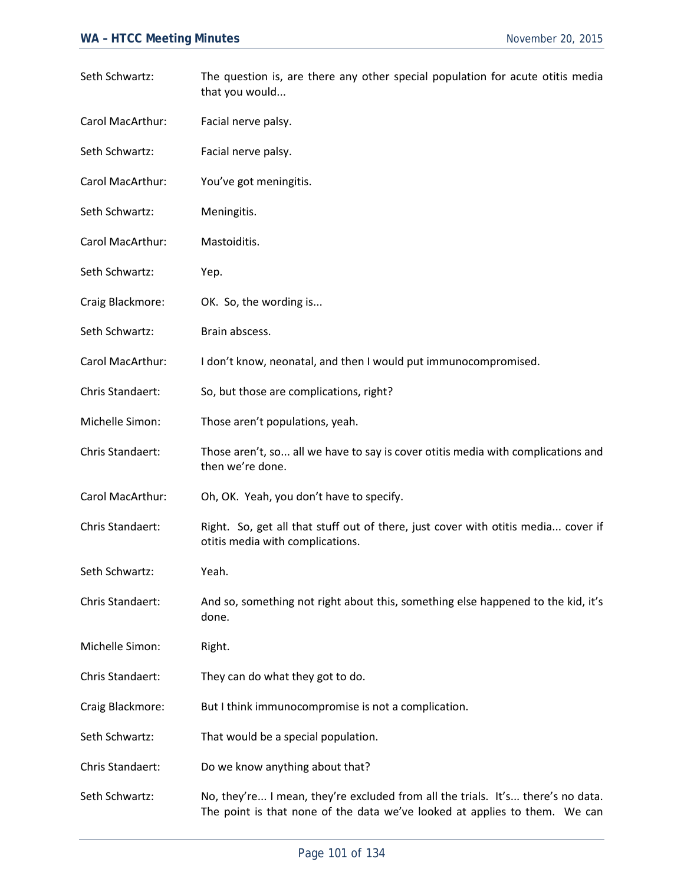| Seth Schwartz:   | The question is, are there any other special population for acute otitis media<br>that you would                                                              |
|------------------|---------------------------------------------------------------------------------------------------------------------------------------------------------------|
| Carol MacArthur: | Facial nerve palsy.                                                                                                                                           |
| Seth Schwartz:   | Facial nerve palsy.                                                                                                                                           |
| Carol MacArthur: | You've got meningitis.                                                                                                                                        |
| Seth Schwartz:   | Meningitis.                                                                                                                                                   |
| Carol MacArthur: | Mastoiditis.                                                                                                                                                  |
| Seth Schwartz:   | Yep.                                                                                                                                                          |
| Craig Blackmore: | OK. So, the wording is                                                                                                                                        |
| Seth Schwartz:   | Brain abscess.                                                                                                                                                |
| Carol MacArthur: | I don't know, neonatal, and then I would put immunocompromised.                                                                                               |
| Chris Standaert: | So, but those are complications, right?                                                                                                                       |
| Michelle Simon:  | Those aren't populations, yeah.                                                                                                                               |
| Chris Standaert: | Those aren't, so all we have to say is cover otitis media with complications and<br>then we're done.                                                          |
| Carol MacArthur: | Oh, OK. Yeah, you don't have to specify.                                                                                                                      |
| Chris Standaert: | Right. So, get all that stuff out of there, just cover with otitis media cover if<br>otitis media with complications.                                         |
| Seth Schwartz:   | Yeah.                                                                                                                                                         |
| Chris Standaert: | And so, something not right about this, something else happened to the kid, it's<br>done.                                                                     |
| Michelle Simon:  | Right.                                                                                                                                                        |
| Chris Standaert: | They can do what they got to do.                                                                                                                              |
| Craig Blackmore: | But I think immunocompromise is not a complication.                                                                                                           |
| Seth Schwartz:   | That would be a special population.                                                                                                                           |
| Chris Standaert: | Do we know anything about that?                                                                                                                               |
| Seth Schwartz:   | No, they're I mean, they're excluded from all the trials. It's there's no data.<br>The point is that none of the data we've looked at applies to them. We can |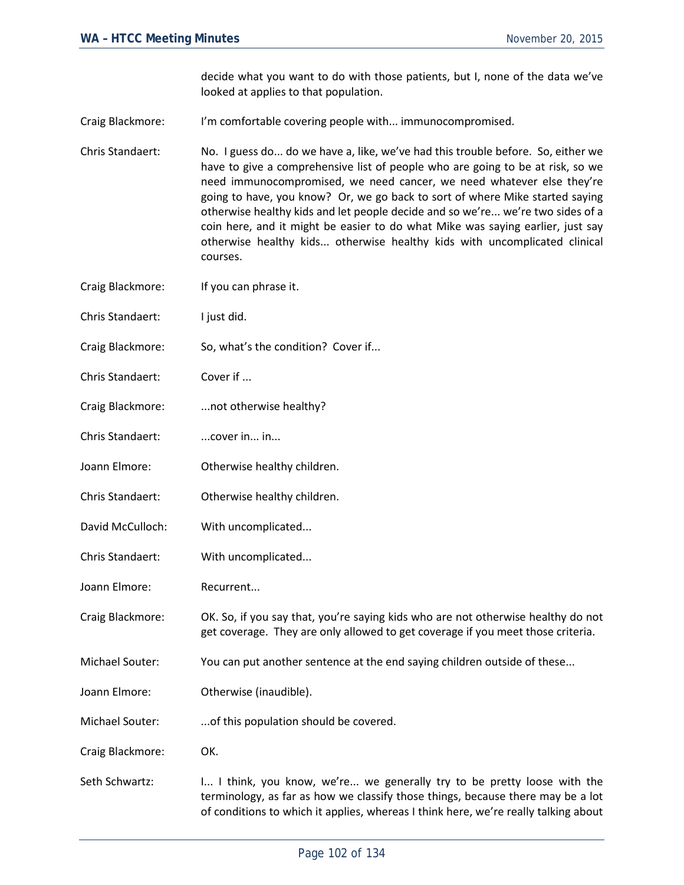decide what you want to do with those patients, but I, none of the data we've looked at applies to that population.

Craig Blackmore: I'm comfortable covering people with... immunocompromised.

Chris Standaert: No. I guess do... do we have a, like, we've had this trouble before. So, either we have to give a comprehensive list of people who are going to be at risk, so we need immunocompromised, we need cancer, we need whatever else they're going to have, you know? Or, we go back to sort of where Mike started saying otherwise healthy kids and let people decide and so we're... we're two sides of a coin here, and it might be easier to do what Mike was saying earlier, just say otherwise healthy kids... otherwise healthy kids with uncomplicated clinical courses.

- Craig Blackmore: If you can phrase it.
- Chris Standaert: I just did.
- Craig Blackmore: So, what's the condition? Cover if...
- Chris Standaert: Cover if ...
- Craig Blackmore: ...not otherwise healthy?
- Chris Standaert: ...cover in... in...
- Joann Elmore: Otherwise healthy children.
- Chris Standaert: Otherwise healthy children.
- David McCulloch: With uncomplicated...
- Chris Standaert: With uncomplicated...
- Joann Elmore: Recurrent...

Craig Blackmore: OK. So, if you say that, you're saying kids who are not otherwise healthy do not get coverage. They are only allowed to get coverage if you meet those criteria.

- Michael Souter: You can put another sentence at the end saying children outside of these...
- Joann Elmore: Otherwise (inaudible).
- Michael Souter: ...of this population should be covered.
- Craig Blackmore: OK.
- Seth Schwartz: I... I think, you know, we're... we generally try to be pretty loose with the terminology, as far as how we classify those things, because there may be a lot of conditions to which it applies, whereas I think here, we're really talking about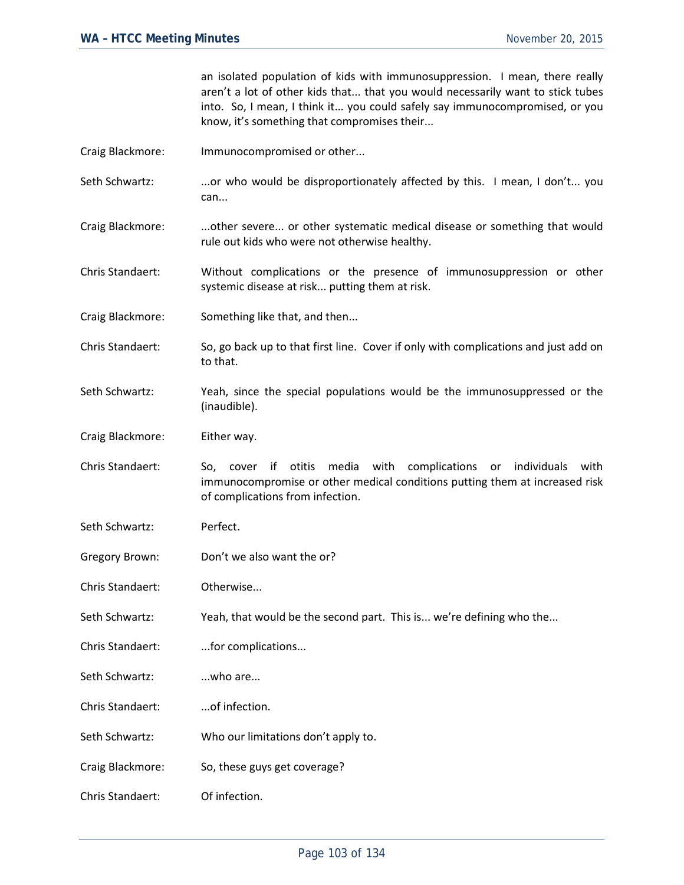an isolated population of kids with immunosuppression. I mean, there really aren't a lot of other kids that... that you would necessarily want to stick tubes into. So, I mean, I think it... you could safely say immunocompromised, or you know, it's something that compromises their...

- Craig Blackmore: Immunocompromised or other...
- Seth Schwartz: ...or who would be disproportionately affected by this. I mean, I don't... you can...
- Craig Blackmore: ...other severe... or other systematic medical disease or something that would rule out kids who were not otherwise healthy.
- Chris Standaert: Without complications or the presence of immunosuppression or other systemic disease at risk... putting them at risk.
- Craig Blackmore: Something like that, and then...
- Chris Standaert: So, go back up to that first line. Cover if only with complications and just add on to that.
- Seth Schwartz: Yeah, since the special populations would be the immunosuppressed or the (inaudible).
- Craig Blackmore: Either way.
- Chris Standaert: So, cover if otitis media with complications or individuals with immunocompromise or other medical conditions putting them at increased risk of complications from infection.
- Seth Schwartz: Perfect.
- Gregory Brown: Don't we also want the or?
- Chris Standaert: Otherwise...
- Seth Schwartz: Yeah, that would be the second part. This is... we're defining who the...
- Chris Standaert: ...for complications...
- Seth Schwartz: ...who are...
- Chris Standaert: ...of infection.
- Seth Schwartz: Who our limitations don't apply to.
- Craig Blackmore: So, these guys get coverage?
- Chris Standaert: Of infection.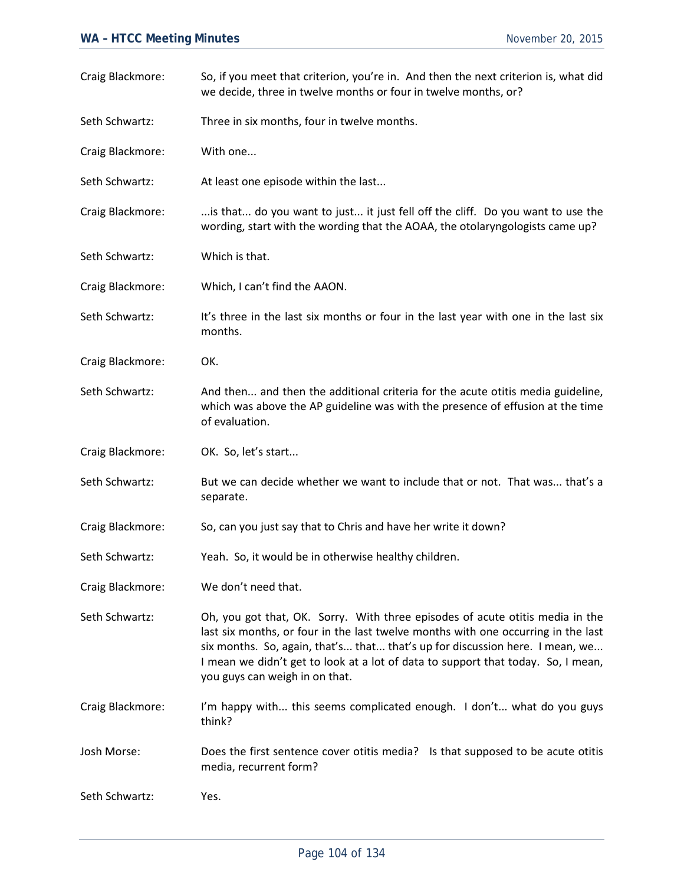| Craig Blackmore: | So, if you meet that criterion, you're in. And then the next criterion is, what did<br>we decide, three in twelve months or four in twelve months, or?                                                                                                                                                                                                                   |
|------------------|--------------------------------------------------------------------------------------------------------------------------------------------------------------------------------------------------------------------------------------------------------------------------------------------------------------------------------------------------------------------------|
| Seth Schwartz:   | Three in six months, four in twelve months.                                                                                                                                                                                                                                                                                                                              |
| Craig Blackmore: | With one                                                                                                                                                                                                                                                                                                                                                                 |
| Seth Schwartz:   | At least one episode within the last                                                                                                                                                                                                                                                                                                                                     |
| Craig Blackmore: | is that do you want to just it just fell off the cliff. Do you want to use the<br>wording, start with the wording that the AOAA, the otolaryngologists came up?                                                                                                                                                                                                          |
| Seth Schwartz:   | Which is that.                                                                                                                                                                                                                                                                                                                                                           |
| Craig Blackmore: | Which, I can't find the AAON.                                                                                                                                                                                                                                                                                                                                            |
| Seth Schwartz:   | It's three in the last six months or four in the last year with one in the last six<br>months.                                                                                                                                                                                                                                                                           |
| Craig Blackmore: | OK.                                                                                                                                                                                                                                                                                                                                                                      |
| Seth Schwartz:   | And then and then the additional criteria for the acute otitis media guideline,<br>which was above the AP guideline was with the presence of effusion at the time<br>of evaluation.                                                                                                                                                                                      |
| Craig Blackmore: | OK. So, let's start                                                                                                                                                                                                                                                                                                                                                      |
| Seth Schwartz:   | But we can decide whether we want to include that or not. That was that's a<br>separate.                                                                                                                                                                                                                                                                                 |
| Craig Blackmore: | So, can you just say that to Chris and have her write it down?                                                                                                                                                                                                                                                                                                           |
| Seth Schwartz:   | Yeah. So, it would be in otherwise healthy children.                                                                                                                                                                                                                                                                                                                     |
| Craig Blackmore: | We don't need that.                                                                                                                                                                                                                                                                                                                                                      |
| Seth Schwartz:   | Oh, you got that, OK. Sorry. With three episodes of acute otitis media in the<br>last six months, or four in the last twelve months with one occurring in the last<br>six months. So, again, that's that that's up for discussion here. I mean, we<br>I mean we didn't get to look at a lot of data to support that today. So, I mean,<br>you guys can weigh in on that. |
| Craig Blackmore: | I'm happy with this seems complicated enough. I don't what do you guys<br>think?                                                                                                                                                                                                                                                                                         |
| Josh Morse:      | Does the first sentence cover otitis media? Is that supposed to be acute otitis<br>media, recurrent form?                                                                                                                                                                                                                                                                |
| Seth Schwartz:   | Yes.                                                                                                                                                                                                                                                                                                                                                                     |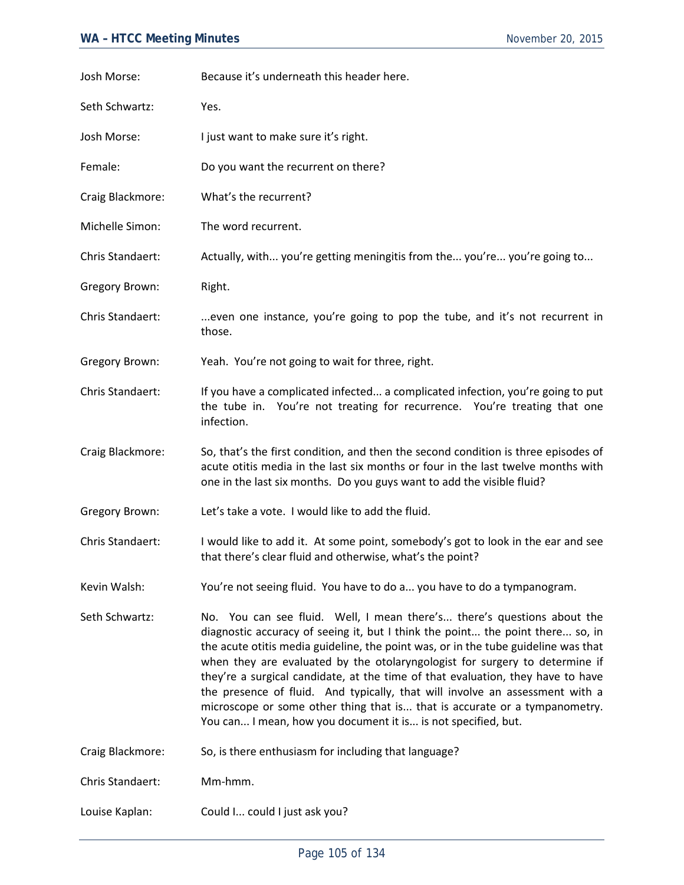| Josh Morse:           | Because it's underneath this header here.                                                                                                                                                                                                                                                                                                                                                                                                                                                                                                                                                                                                        |
|-----------------------|--------------------------------------------------------------------------------------------------------------------------------------------------------------------------------------------------------------------------------------------------------------------------------------------------------------------------------------------------------------------------------------------------------------------------------------------------------------------------------------------------------------------------------------------------------------------------------------------------------------------------------------------------|
| Seth Schwartz:        | Yes.                                                                                                                                                                                                                                                                                                                                                                                                                                                                                                                                                                                                                                             |
| Josh Morse:           | I just want to make sure it's right.                                                                                                                                                                                                                                                                                                                                                                                                                                                                                                                                                                                                             |
| Female:               | Do you want the recurrent on there?                                                                                                                                                                                                                                                                                                                                                                                                                                                                                                                                                                                                              |
| Craig Blackmore:      | What's the recurrent?                                                                                                                                                                                                                                                                                                                                                                                                                                                                                                                                                                                                                            |
| Michelle Simon:       | The word recurrent.                                                                                                                                                                                                                                                                                                                                                                                                                                                                                                                                                                                                                              |
| Chris Standaert:      | Actually, with you're getting meningitis from the you're you're going to                                                                                                                                                                                                                                                                                                                                                                                                                                                                                                                                                                         |
| Gregory Brown:        | Right.                                                                                                                                                                                                                                                                                                                                                                                                                                                                                                                                                                                                                                           |
| Chris Standaert:      | even one instance, you're going to pop the tube, and it's not recurrent in<br>those.                                                                                                                                                                                                                                                                                                                                                                                                                                                                                                                                                             |
| <b>Gregory Brown:</b> | Yeah. You're not going to wait for three, right.                                                                                                                                                                                                                                                                                                                                                                                                                                                                                                                                                                                                 |
| Chris Standaert:      | If you have a complicated infected a complicated infection, you're going to put<br>the tube in. You're not treating for recurrence. You're treating that one<br>infection.                                                                                                                                                                                                                                                                                                                                                                                                                                                                       |
| Craig Blackmore:      | So, that's the first condition, and then the second condition is three episodes of<br>acute otitis media in the last six months or four in the last twelve months with<br>one in the last six months. Do you guys want to add the visible fluid?                                                                                                                                                                                                                                                                                                                                                                                                 |
| Gregory Brown:        | Let's take a vote. I would like to add the fluid.                                                                                                                                                                                                                                                                                                                                                                                                                                                                                                                                                                                                |
| Chris Standaert:      | I would like to add it. At some point, somebody's got to look in the ear and see<br>that there's clear fluid and otherwise, what's the point?                                                                                                                                                                                                                                                                                                                                                                                                                                                                                                    |
| Kevin Walsh:          | You're not seeing fluid. You have to do a you have to do a tympanogram.                                                                                                                                                                                                                                                                                                                                                                                                                                                                                                                                                                          |
| Seth Schwartz:        | No. You can see fluid. Well, I mean there's there's questions about the<br>diagnostic accuracy of seeing it, but I think the point the point there so, in<br>the acute otitis media guideline, the point was, or in the tube guideline was that<br>when they are evaluated by the otolaryngologist for surgery to determine if<br>they're a surgical candidate, at the time of that evaluation, they have to have<br>the presence of fluid. And typically, that will involve an assessment with a<br>microscope or some other thing that is that is accurate or a tympanometry.<br>You can I mean, how you document it is is not specified, but. |
| Craig Blackmore:      | So, is there enthusiasm for including that language?                                                                                                                                                                                                                                                                                                                                                                                                                                                                                                                                                                                             |
| Chris Standaert:      | Mm-hmm.                                                                                                                                                                                                                                                                                                                                                                                                                                                                                                                                                                                                                                          |
| Louise Kaplan:        | Could I could I just ask you?                                                                                                                                                                                                                                                                                                                                                                                                                                                                                                                                                                                                                    |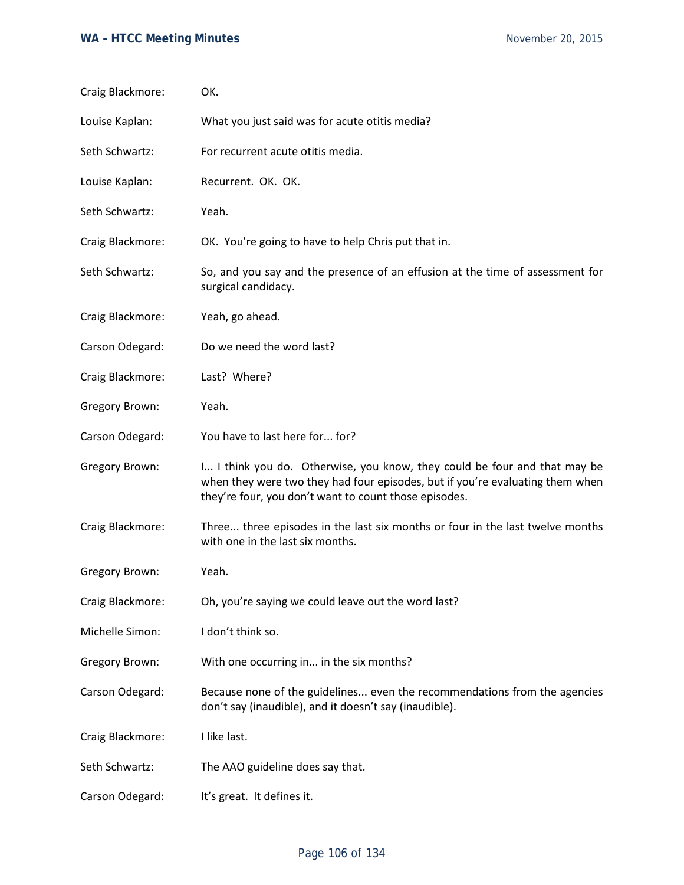| Craig Blackmore: | OK.                                                                                                                                                                                                                 |
|------------------|---------------------------------------------------------------------------------------------------------------------------------------------------------------------------------------------------------------------|
| Louise Kaplan:   | What you just said was for acute otitis media?                                                                                                                                                                      |
| Seth Schwartz:   | For recurrent acute otitis media.                                                                                                                                                                                   |
| Louise Kaplan:   | Recurrent. OK. OK.                                                                                                                                                                                                  |
| Seth Schwartz:   | Yeah.                                                                                                                                                                                                               |
| Craig Blackmore: | OK. You're going to have to help Chris put that in.                                                                                                                                                                 |
| Seth Schwartz:   | So, and you say and the presence of an effusion at the time of assessment for<br>surgical candidacy.                                                                                                                |
| Craig Blackmore: | Yeah, go ahead.                                                                                                                                                                                                     |
| Carson Odegard:  | Do we need the word last?                                                                                                                                                                                           |
| Craig Blackmore: | Last? Where?                                                                                                                                                                                                        |
| Gregory Brown:   | Yeah.                                                                                                                                                                                                               |
| Carson Odegard:  | You have to last here for for?                                                                                                                                                                                      |
| Gregory Brown:   | I I think you do. Otherwise, you know, they could be four and that may be<br>when they were two they had four episodes, but if you're evaluating them when<br>they're four, you don't want to count those episodes. |
| Craig Blackmore: | Three three episodes in the last six months or four in the last twelve months<br>with one in the last six months.                                                                                                   |
| Gregory Brown:   | Yeah.                                                                                                                                                                                                               |
| Craig Blackmore: | Oh, you're saying we could leave out the word last?                                                                                                                                                                 |
| Michelle Simon:  | I don't think so.                                                                                                                                                                                                   |
| Gregory Brown:   | With one occurring in in the six months?                                                                                                                                                                            |
| Carson Odegard:  | Because none of the guidelines even the recommendations from the agencies<br>don't say (inaudible), and it doesn't say (inaudible).                                                                                 |
| Craig Blackmore: | I like last.                                                                                                                                                                                                        |
| Seth Schwartz:   | The AAO guideline does say that.                                                                                                                                                                                    |
| Carson Odegard:  | It's great. It defines it.                                                                                                                                                                                          |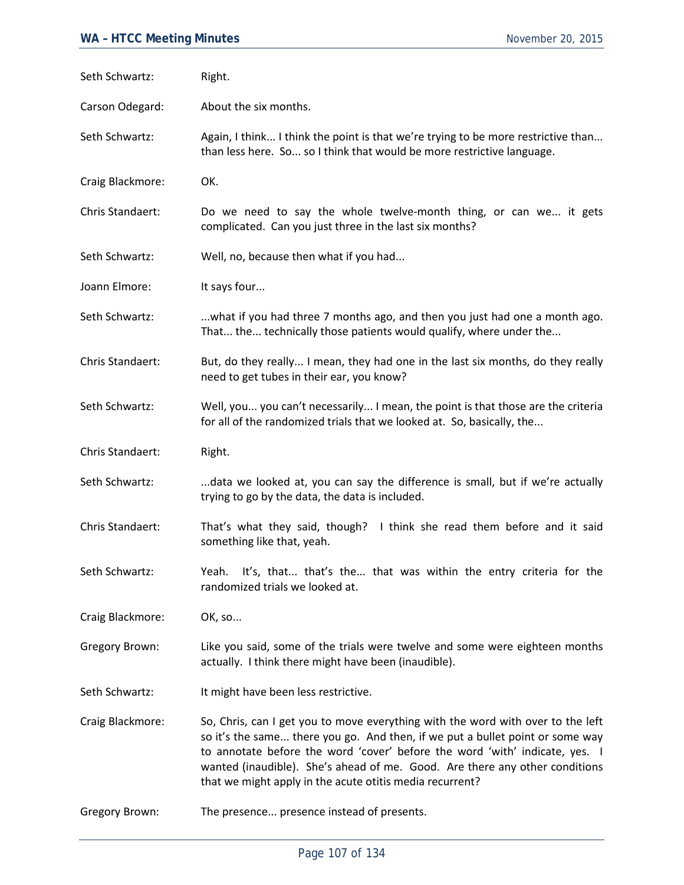| Seth Schwartz:   | Right.                                                                                                                                                                                                                                                                                                                                                                                     |
|------------------|--------------------------------------------------------------------------------------------------------------------------------------------------------------------------------------------------------------------------------------------------------------------------------------------------------------------------------------------------------------------------------------------|
| Carson Odegard:  | About the six months.                                                                                                                                                                                                                                                                                                                                                                      |
| Seth Schwartz:   | Again, I think I think the point is that we're trying to be more restrictive than<br>than less here. So so I think that would be more restrictive language.                                                                                                                                                                                                                                |
| Craig Blackmore: | OK.                                                                                                                                                                                                                                                                                                                                                                                        |
| Chris Standaert: | Do we need to say the whole twelve-month thing, or can we it gets<br>complicated. Can you just three in the last six months?                                                                                                                                                                                                                                                               |
| Seth Schwartz:   | Well, no, because then what if you had                                                                                                                                                                                                                                                                                                                                                     |
| Joann Elmore:    | It says four                                                                                                                                                                                                                                                                                                                                                                               |
| Seth Schwartz:   | what if you had three 7 months ago, and then you just had one a month ago.<br>That the technically those patients would qualify, where under the                                                                                                                                                                                                                                           |
| Chris Standaert: | But, do they really I mean, they had one in the last six months, do they really<br>need to get tubes in their ear, you know?                                                                                                                                                                                                                                                               |
| Seth Schwartz:   | Well, you you can't necessarily I mean, the point is that those are the criteria<br>for all of the randomized trials that we looked at. So, basically, the                                                                                                                                                                                                                                 |
| Chris Standaert: | Right.                                                                                                                                                                                                                                                                                                                                                                                     |
| Seth Schwartz:   | data we looked at, you can say the difference is small, but if we're actually<br>trying to go by the data, the data is included.                                                                                                                                                                                                                                                           |
| Chris Standaert: | That's what they said, though? I think she read them before and it said<br>something like that, yeah.                                                                                                                                                                                                                                                                                      |
| Seth Schwartz:   | Yeah. It's, that that's the that was within the entry criteria for the<br>randomized trials we looked at.                                                                                                                                                                                                                                                                                  |
| Craig Blackmore: | OK, so                                                                                                                                                                                                                                                                                                                                                                                     |
| Gregory Brown:   | Like you said, some of the trials were twelve and some were eighteen months<br>actually. I think there might have been (inaudible).                                                                                                                                                                                                                                                        |
| Seth Schwartz:   | It might have been less restrictive.                                                                                                                                                                                                                                                                                                                                                       |
| Craig Blackmore: | So, Chris, can I get you to move everything with the word with over to the left<br>so it's the same there you go. And then, if we put a bullet point or some way<br>to annotate before the word 'cover' before the word 'with' indicate, yes. I<br>wanted (inaudible). She's ahead of me. Good. Are there any other conditions<br>that we might apply in the acute otitis media recurrent? |
| Gregory Brown:   | The presence presence instead of presents.                                                                                                                                                                                                                                                                                                                                                 |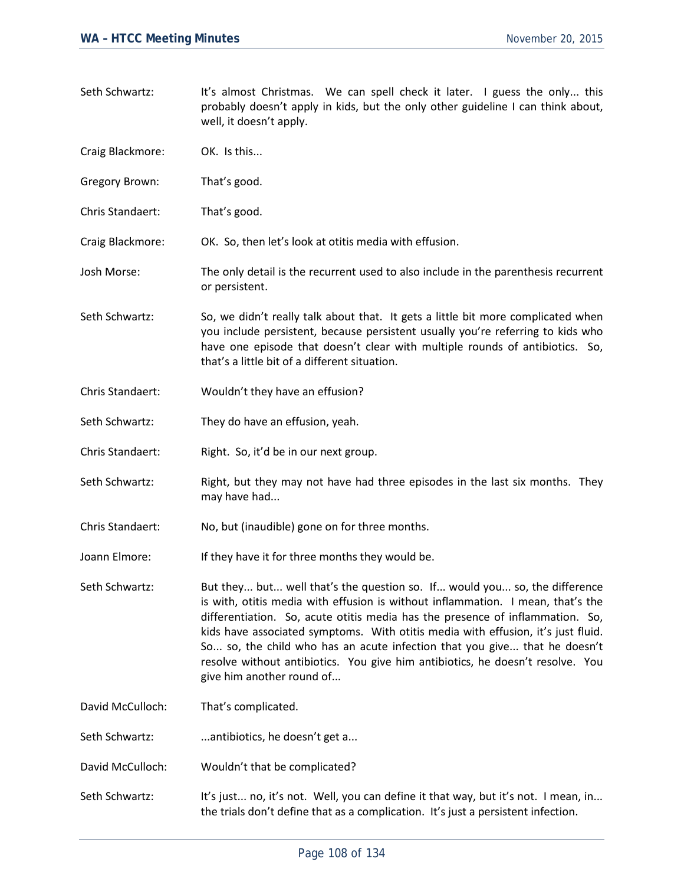- Seth Schwartz: It's almost Christmas. We can spell check it later. I guess the only... this probably doesn't apply in kids, but the only other guideline I can think about, well, it doesn't apply.
- Craig Blackmore: OK. Is this...
- Gregory Brown: That's good.
- Chris Standaert: That's good.
- Craig Blackmore: OK. So, then let's look at otitis media with effusion.
- Josh Morse: The only detail is the recurrent used to also include in the parenthesis recurrent or persistent.
- Seth Schwartz: So, we didn't really talk about that. It gets a little bit more complicated when you include persistent, because persistent usually you're referring to kids who have one episode that doesn't clear with multiple rounds of antibiotics. So, that's a little bit of a different situation.
- Chris Standaert: Wouldn't they have an effusion?
- Seth Schwartz: They do have an effusion, yeah.
- Chris Standaert: Right. So, it'd be in our next group.
- Seth Schwartz: Right, but they may not have had three episodes in the last six months. They may have had...
- Chris Standaert: No, but (inaudible) gone on for three months.
- Joann Elmore: If they have it for three months they would be.
- Seth Schwartz: But they... but... well that's the question so. If... would you... so, the difference is with, otitis media with effusion is without inflammation. I mean, that's the differentiation. So, acute otitis media has the presence of inflammation. So, kids have associated symptoms. With otitis media with effusion, it's just fluid. So... so, the child who has an acute infection that you give... that he doesn't resolve without antibiotics. You give him antibiotics, he doesn't resolve. You give him another round of...
- David McCulloch: That's complicated.
- Seth Schwartz: ...antibiotics, he doesn't get a...
- David McCulloch: Wouldn't that be complicated?
- Seth Schwartz: It's just... no, it's not. Well, you can define it that way, but it's not. I mean, in... the trials don't define that as a complication. It's just a persistent infection.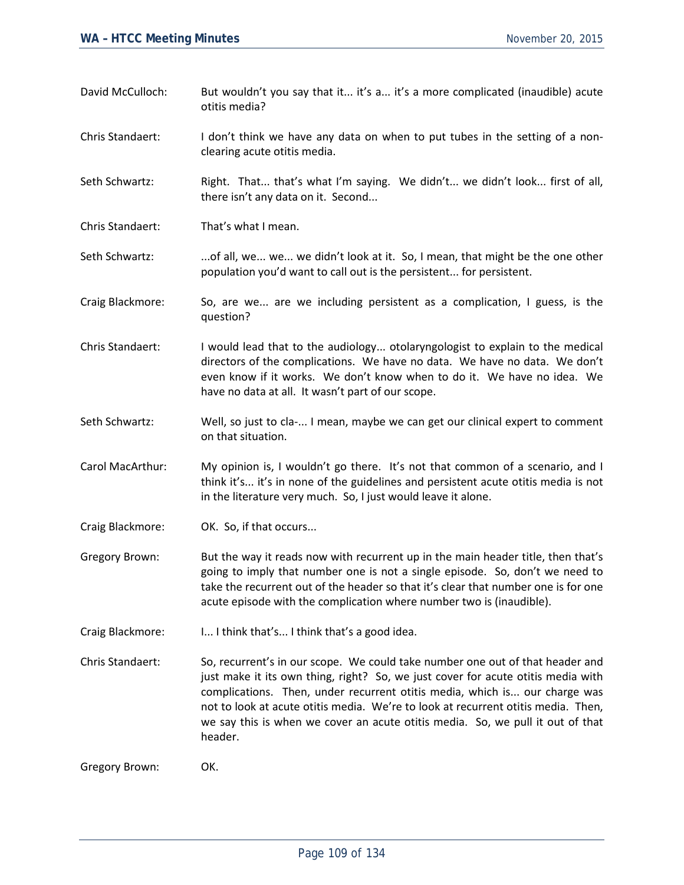- David McCulloch: But wouldn't you say that it... it's a... it's a more complicated (inaudible) acute otitis media?
- Chris Standaert: I don't think we have any data on when to put tubes in the setting of a nonclearing acute otitis media.
- Seth Schwartz: Right. That... that's what I'm saying. We didn't... we didn't look... first of all, there isn't any data on it. Second...
- Chris Standaert: That's what I mean.

Seth Schwartz: ....of all, we... we... we didn't look at it. So, I mean, that might be the one other population you'd want to call out is the persistent... for persistent.

- Craig Blackmore: So, are we... are we including persistent as a complication, I guess, is the question?
- Chris Standaert: I would lead that to the audiology... otolaryngologist to explain to the medical directors of the complications. We have no data. We have no data. We don't even know if it works. We don't know when to do it. We have no idea. We have no data at all. It wasn't part of our scope.
- Seth Schwartz: Well, so just to cla-... I mean, maybe we can get our clinical expert to comment on that situation.
- Carol MacArthur: My opinion is, I wouldn't go there. It's not that common of a scenario, and I think it's... it's in none of the guidelines and persistent acute otitis media is not in the literature very much. So, I just would leave it alone.
- Craig Blackmore: OK. So, if that occurs...
- Gregory Brown: But the way it reads now with recurrent up in the main header title, then that's going to imply that number one is not a single episode. So, don't we need to take the recurrent out of the header so that it's clear that number one is for one acute episode with the complication where number two is (inaudible).
- Craig Blackmore: I... I think that's... I think that's a good idea.
- Chris Standaert: So, recurrent's in our scope. We could take number one out of that header and just make it its own thing, right? So, we just cover for acute otitis media with complications. Then, under recurrent otitis media, which is... our charge was not to look at acute otitis media. We're to look at recurrent otitis media. Then, we say this is when we cover an acute otitis media. So, we pull it out of that header.

Gregory Brown: OK.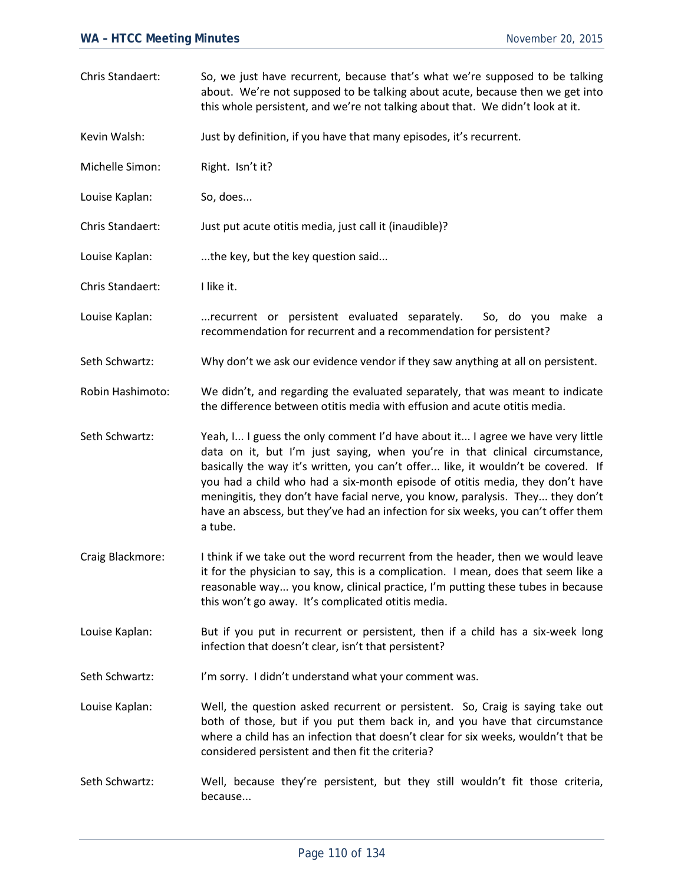Chris Standaert: So, we just have recurrent, because that's what we're supposed to be talking about. We're not supposed to be talking about acute, because then we get into this whole persistent, and we're not talking about that. We didn't look at it. Kevin Walsh: Just by definition, if you have that many episodes, it's recurrent. Michelle Simon: Right. Isn't it? Louise Kaplan: So, does... Chris Standaert: Just put acute otitis media, just call it (inaudible)? Louise Kaplan: ....the key, but the key question said... Chris Standaert: I like it. Louise Kaplan: ...recurrent or persistent evaluated separately. So, do you make a recommendation for recurrent and a recommendation for persistent? Seth Schwartz: Why don't we ask our evidence vendor if they saw anything at all on persistent. Robin Hashimoto: We didn't, and regarding the evaluated separately, that was meant to indicate the difference between otitis media with effusion and acute otitis media. Seth Schwartz: Yeah, I... I guess the only comment I'd have about it... I agree we have very little data on it, but I'm just saying, when you're in that clinical circumstance, basically the way it's written, you can't offer... like, it wouldn't be covered. If you had a child who had a six-month episode of otitis media, they don't have meningitis, they don't have facial nerve, you know, paralysis. They... they don't have an abscess, but they've had an infection for six weeks, you can't offer them a tube. Craig Blackmore: I think if we take out the word recurrent from the header, then we would leave it for the physician to say, this is a complication. I mean, does that seem like a reasonable way... you know, clinical practice, I'm putting these tubes in because this won't go away. It's complicated otitis media. Louise Kaplan: But if you put in recurrent or persistent, then if a child has a six-week long infection that doesn't clear, isn't that persistent? Seth Schwartz: I'm sorry. I didn't understand what your comment was. Louise Kaplan: Well, the question asked recurrent or persistent. So, Craig is saying take out both of those, but if you put them back in, and you have that circumstance where a child has an infection that doesn't clear for six weeks, wouldn't that be considered persistent and then fit the criteria? Seth Schwartz: Well, because they're persistent, but they still wouldn't fit those criteria, because...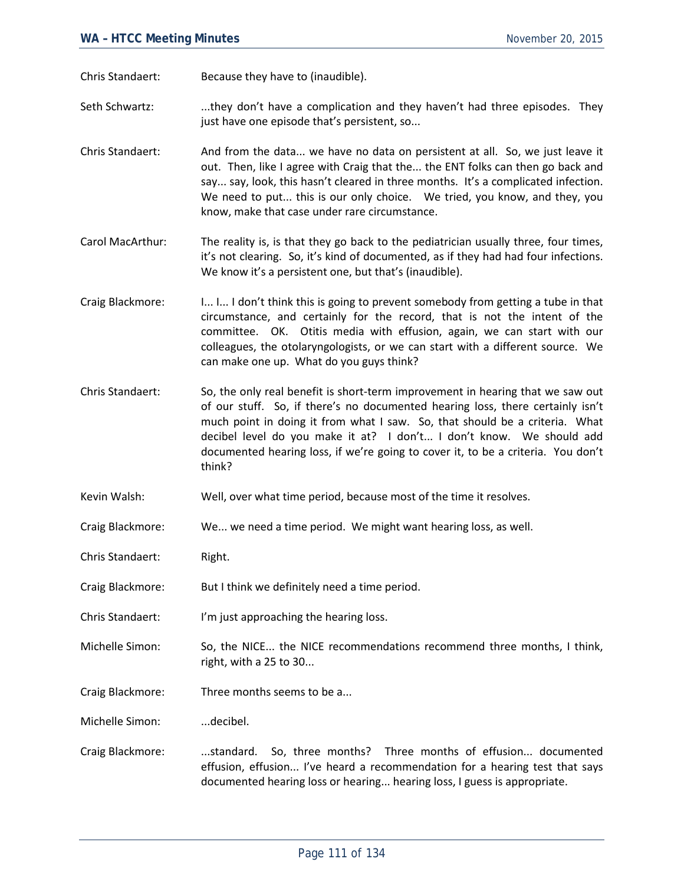Chris Standaert: Because they have to (inaudible).

- Seth Schwartz: ...they don't have a complication and they haven't had three episodes. They just have one episode that's persistent, so...
- Chris Standaert: And from the data... we have no data on persistent at all. So, we just leave it out. Then, like I agree with Craig that the... the ENT folks can then go back and say... say, look, this hasn't cleared in three months. It's a complicated infection. We need to put... this is our only choice. We tried, you know, and they, you know, make that case under rare circumstance.
- Carol MacArthur: The reality is, is that they go back to the pediatrician usually three, four times, it's not clearing. So, it's kind of documented, as if they had had four infections. We know it's a persistent one, but that's (inaudible).
- Craig Blackmore: I... I... I don't think this is going to prevent somebody from getting a tube in that circumstance, and certainly for the record, that is not the intent of the committee. OK. Otitis media with effusion, again, we can start with our colleagues, the otolaryngologists, or we can start with a different source. We can make one up. What do you guys think?
- Chris Standaert: So, the only real benefit is short-term improvement in hearing that we saw out of our stuff. So, if there's no documented hearing loss, there certainly isn't much point in doing it from what I saw. So, that should be a criteria. What decibel level do you make it at? I don't... I don't know. We should add documented hearing loss, if we're going to cover it, to be a criteria. You don't think?
- Kevin Walsh: Well, over what time period, because most of the time it resolves.
- Craig Blackmore: We... we need a time period. We might want hearing loss, as well.
- Chris Standaert: Right.
- Craig Blackmore: But I think we definitely need a time period.
- Chris Standaert: I'm just approaching the hearing loss.
- Michelle Simon: So, the NICE... the NICE recommendations recommend three months, I think, right, with a 25 to 30...
- Craig Blackmore: Three months seems to be a...

Michelle Simon: ...decibel.

Craig Blackmore: ...standard. So, three months? Three months of effusion... documented effusion, effusion... I've heard a recommendation for a hearing test that says documented hearing loss or hearing... hearing loss, I guess is appropriate.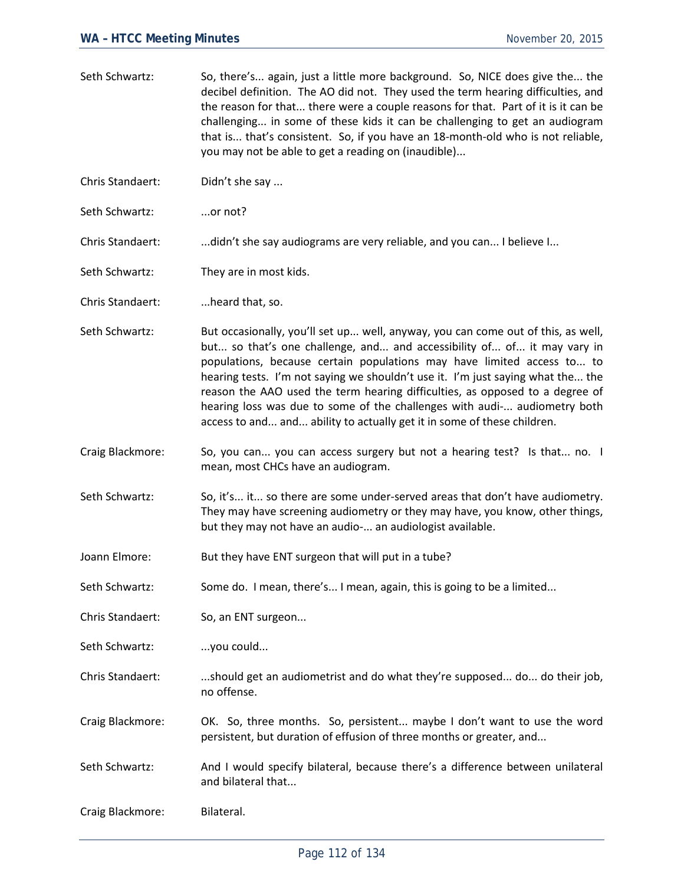| Seth Schwartz:   | So, there's again, just a little more background. So, NICE does give the the<br>decibel definition. The AO did not. They used the term hearing difficulties, and<br>the reason for that there were a couple reasons for that. Part of it is it can be<br>challenging in some of these kids it can be challenging to get an audiogram<br>that is that's consistent. So, if you have an 18-month-old who is not reliable,<br>you may not be able to get a reading on (inaudible)                                                                                   |
|------------------|------------------------------------------------------------------------------------------------------------------------------------------------------------------------------------------------------------------------------------------------------------------------------------------------------------------------------------------------------------------------------------------------------------------------------------------------------------------------------------------------------------------------------------------------------------------|
| Chris Standaert: | Didn't she say                                                                                                                                                                                                                                                                                                                                                                                                                                                                                                                                                   |
| Seth Schwartz:   | or not?                                                                                                                                                                                                                                                                                                                                                                                                                                                                                                                                                          |
| Chris Standaert: | didn't she say audiograms are very reliable, and you can I believe I                                                                                                                                                                                                                                                                                                                                                                                                                                                                                             |
| Seth Schwartz:   | They are in most kids.                                                                                                                                                                                                                                                                                                                                                                                                                                                                                                                                           |
| Chris Standaert: | heard that, so.                                                                                                                                                                                                                                                                                                                                                                                                                                                                                                                                                  |
| Seth Schwartz:   | But occasionally, you'll set up well, anyway, you can come out of this, as well,<br>but so that's one challenge, and and accessibility of of it may vary in<br>populations, because certain populations may have limited access to to<br>hearing tests. I'm not saying we shouldn't use it. I'm just saying what the the<br>reason the AAO used the term hearing difficulties, as opposed to a degree of<br>hearing loss was due to some of the challenges with audi- audiometry both<br>access to and and ability to actually get it in some of these children. |
| Craig Blackmore: | So, you can you can access surgery but not a hearing test? Is that no. I<br>mean, most CHCs have an audiogram.                                                                                                                                                                                                                                                                                                                                                                                                                                                   |
| Seth Schwartz:   | So, it's it so there are some under-served areas that don't have audiometry.<br>They may have screening audiometry or they may have, you know, other things,<br>but they may not have an audio- an audiologist available.                                                                                                                                                                                                                                                                                                                                        |
| Joann Elmore:    | But they have ENT surgeon that will put in a tube?                                                                                                                                                                                                                                                                                                                                                                                                                                                                                                               |
| Seth Schwartz:   | Some do. I mean, there's I mean, again, this is going to be a limited                                                                                                                                                                                                                                                                                                                                                                                                                                                                                            |
| Chris Standaert: | So, an ENT surgeon                                                                                                                                                                                                                                                                                                                                                                                                                                                                                                                                               |
| Seth Schwartz:   | you could                                                                                                                                                                                                                                                                                                                                                                                                                                                                                                                                                        |
| Chris Standaert: | should get an audiometrist and do what they're supposed do do their job,<br>no offense.                                                                                                                                                                                                                                                                                                                                                                                                                                                                          |
| Craig Blackmore: | OK. So, three months. So, persistent maybe I don't want to use the word<br>persistent, but duration of effusion of three months or greater, and                                                                                                                                                                                                                                                                                                                                                                                                                  |
| Seth Schwartz:   | And I would specify bilateral, because there's a difference between unilateral<br>and bilateral that                                                                                                                                                                                                                                                                                                                                                                                                                                                             |
| Craig Blackmore: | Bilateral.                                                                                                                                                                                                                                                                                                                                                                                                                                                                                                                                                       |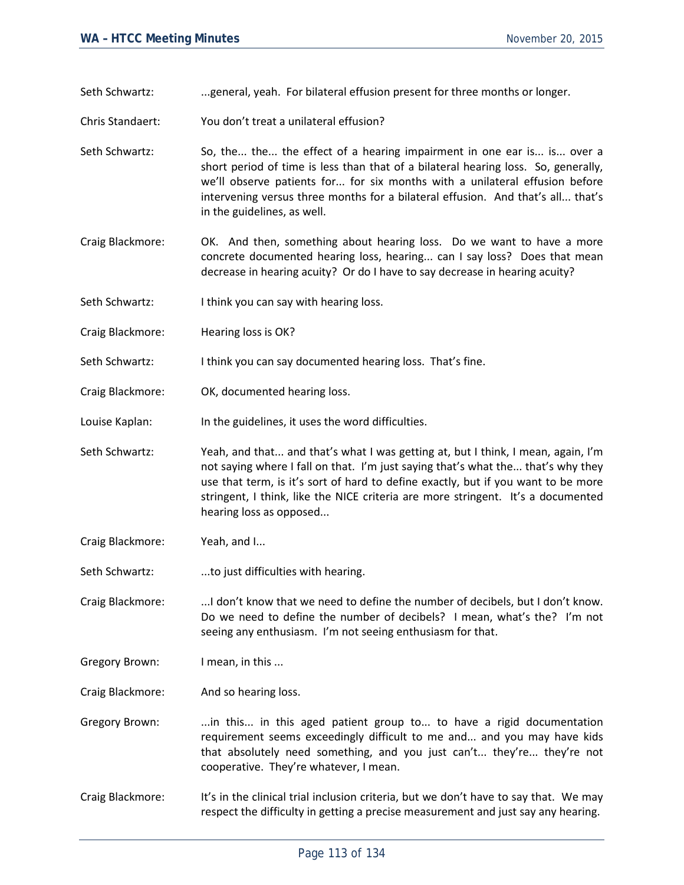Seth Schwartz: ...general, yeah. For bilateral effusion present for three months or longer.

Chris Standaert: You don't treat a unilateral effusion?

Seth Schwartz: So, the... the... the effect of a hearing impairment in one ear is... is... over a short period of time is less than that of a bilateral hearing loss. So, generally, we'll observe patients for... for six months with a unilateral effusion before intervening versus three months for a bilateral effusion. And that's all... that's in the guidelines, as well.

- Craig Blackmore: OK. And then, something about hearing loss. Do we want to have a more concrete documented hearing loss, hearing... can I say loss? Does that mean decrease in hearing acuity? Or do I have to say decrease in hearing acuity?
- Seth Schwartz: I think you can say with hearing loss.
- Craig Blackmore: Hearing loss is OK?
- Seth Schwartz: I think you can say documented hearing loss. That's fine.
- Craig Blackmore: OK, documented hearing loss.

Louise Kaplan: In the guidelines, it uses the word difficulties.

Seth Schwartz: Yeah, and that... and that's what I was getting at, but I think, I mean, again, I'm not saying where I fall on that. I'm just saying that's what the... that's why they use that term, is it's sort of hard to define exactly, but if you want to be more stringent, I think, like the NICE criteria are more stringent. It's a documented hearing loss as opposed...

- Craig Blackmore: Yeah, and I...
- Seth Schwartz: ...to just difficulties with hearing.

Craig Blackmore: ....I don't know that we need to define the number of decibels, but I don't know. Do we need to define the number of decibels? I mean, what's the? I'm not seeing any enthusiasm. I'm not seeing enthusiasm for that.

Gregory Brown: I mean, in this ...

Craig Blackmore: And so hearing loss.

Gregory Brown: ...in this... in this aged patient group to... to have a rigid documentation requirement seems exceedingly difficult to me and... and you may have kids that absolutely need something, and you just can't... they're... they're not cooperative. They're whatever, I mean.

Craig Blackmore: It's in the clinical trial inclusion criteria, but we don't have to say that. We may respect the difficulty in getting a precise measurement and just say any hearing.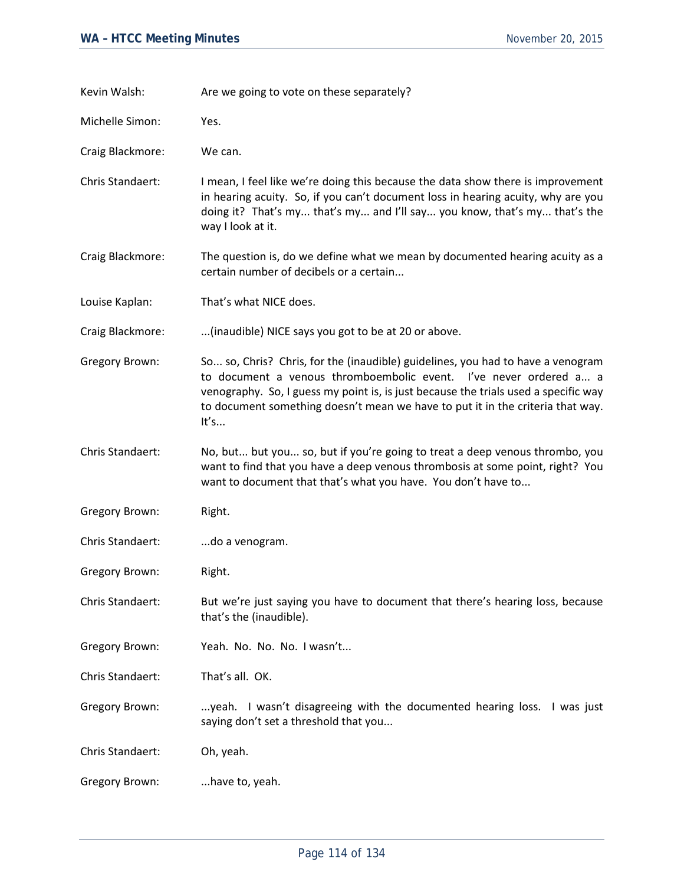| Kevin Walsh:          | Are we going to vote on these separately?                                                                                                                                                                                                                                                                                             |
|-----------------------|---------------------------------------------------------------------------------------------------------------------------------------------------------------------------------------------------------------------------------------------------------------------------------------------------------------------------------------|
| Michelle Simon:       | Yes.                                                                                                                                                                                                                                                                                                                                  |
| Craig Blackmore:      | We can.                                                                                                                                                                                                                                                                                                                               |
| Chris Standaert:      | I mean, I feel like we're doing this because the data show there is improvement<br>in hearing acuity. So, if you can't document loss in hearing acuity, why are you<br>doing it? That's my that's my and I'll say you know, that's my that's the<br>way I look at it.                                                                 |
| Craig Blackmore:      | The question is, do we define what we mean by documented hearing acuity as a<br>certain number of decibels or a certain                                                                                                                                                                                                               |
| Louise Kaplan:        | That's what NICE does.                                                                                                                                                                                                                                                                                                                |
| Craig Blackmore:      | (inaudible) NICE says you got to be at 20 or above.                                                                                                                                                                                                                                                                                   |
| Gregory Brown:        | So so, Chris? Chris, for the (inaudible) guidelines, you had to have a venogram<br>to document a venous thromboembolic event. I've never ordered a a<br>venography. So, I guess my point is, is just because the trials used a specific way<br>to document something doesn't mean we have to put it in the criteria that way.<br>It's |
| Chris Standaert:      | No, but but you so, but if you're going to treat a deep venous thrombo, you<br>want to find that you have a deep venous thrombosis at some point, right? You<br>want to document that that's what you have. You don't have to                                                                                                         |
|                       |                                                                                                                                                                                                                                                                                                                                       |
| Gregory Brown:        | Right.                                                                                                                                                                                                                                                                                                                                |
| Chris Standaert:      | do a venogram.                                                                                                                                                                                                                                                                                                                        |
| Gregory Brown:        | Right.                                                                                                                                                                                                                                                                                                                                |
| Chris Standaert:      | But we're just saying you have to document that there's hearing loss, because<br>that's the (inaudible).                                                                                                                                                                                                                              |
| Gregory Brown:        | Yeah. No. No. No. I wasn't                                                                                                                                                                                                                                                                                                            |
| Chris Standaert:      | That's all. OK.                                                                                                                                                                                                                                                                                                                       |
| <b>Gregory Brown:</b> | yeah. I wasn't disagreeing with the documented hearing loss. I was just<br>saying don't set a threshold that you                                                                                                                                                                                                                      |
| Chris Standaert:      | Oh, yeah.                                                                                                                                                                                                                                                                                                                             |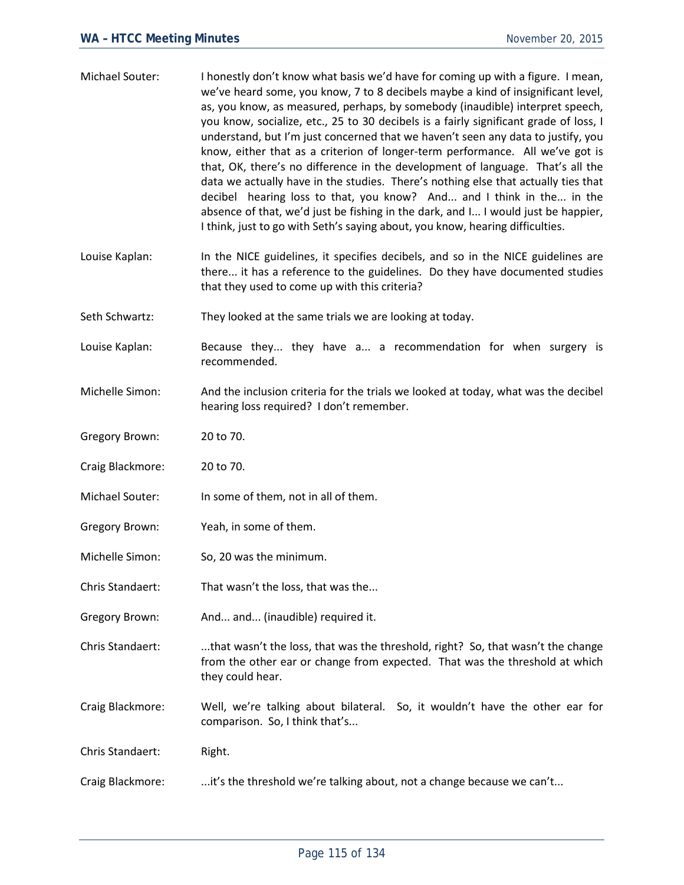- Michael Souter: I honestly don't know what basis we'd have for coming up with a figure. I mean, we've heard some, you know, 7 to 8 decibels maybe a kind of insignificant level, as, you know, as measured, perhaps, by somebody (inaudible) interpret speech, you know, socialize, etc., 25 to 30 decibels is a fairly significant grade of loss, I understand, but I'm just concerned that we haven't seen any data to justify, you know, either that as a criterion of longer-term performance. All we've got is that, OK, there's no difference in the development of language. That's all the data we actually have in the studies. There's nothing else that actually ties that decibel hearing loss to that, you know? And... and I think in the... in the absence of that, we'd just be fishing in the dark, and I... I would just be happier, I think, just to go with Seth's saying about, you know, hearing difficulties.
- Louise Kaplan: In the NICE guidelines, it specifies decibels, and so in the NICE guidelines are there... it has a reference to the guidelines. Do they have documented studies that they used to come up with this criteria?
- Seth Schwartz: They looked at the same trials we are looking at today.
- Louise Kaplan: Because they... they have a... a recommendation for when surgery is recommended.
- Michelle Simon: And the inclusion criteria for the trials we looked at today, what was the decibel hearing loss required? I don't remember.
- Gregory Brown: 20 to 70.
- Craig Blackmore: 20 to 70.
- Michael Souter: In some of them, not in all of them.
- Gregory Brown: Yeah, in some of them.
- Michelle Simon: So, 20 was the minimum.
- Chris Standaert: That wasn't the loss, that was the...
- Gregory Brown: And... and... (inaudible) required it.
- Chris Standaert: ....that wasn't the loss, that was the threshold, right? So, that wasn't the change from the other ear or change from expected. That was the threshold at which they could hear.
- Craig Blackmore: Well, we're talking about bilateral. So, it wouldn't have the other ear for comparison. So, I think that's...
- Chris Standaert: Right.
- Craig Blackmore: ...it's the threshold we're talking about, not a change because we can't...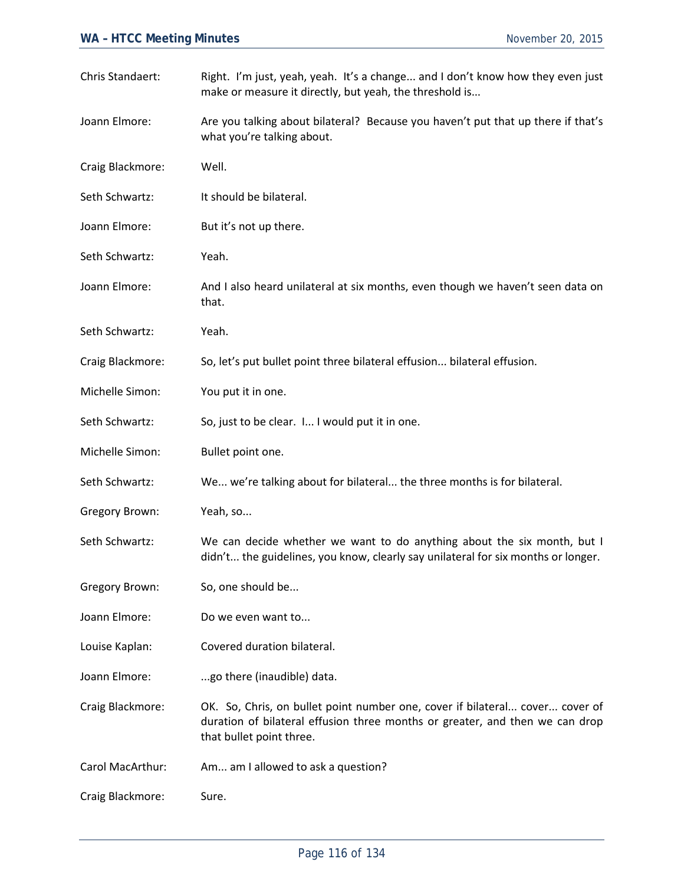| Chris Standaert:      | Right. I'm just, yeah, yeah. It's a change and I don't know how they even just<br>make or measure it directly, but yeah, the threshold is                                                |
|-----------------------|------------------------------------------------------------------------------------------------------------------------------------------------------------------------------------------|
| Joann Elmore:         | Are you talking about bilateral? Because you haven't put that up there if that's<br>what you're talking about.                                                                           |
| Craig Blackmore:      | Well.                                                                                                                                                                                    |
| Seth Schwartz:        | It should be bilateral.                                                                                                                                                                  |
| Joann Elmore:         | But it's not up there.                                                                                                                                                                   |
| Seth Schwartz:        | Yeah.                                                                                                                                                                                    |
| Joann Elmore:         | And I also heard unilateral at six months, even though we haven't seen data on<br>that.                                                                                                  |
| Seth Schwartz:        | Yeah.                                                                                                                                                                                    |
| Craig Blackmore:      | So, let's put bullet point three bilateral effusion bilateral effusion.                                                                                                                  |
| Michelle Simon:       | You put it in one.                                                                                                                                                                       |
| Seth Schwartz:        | So, just to be clear. I I would put it in one.                                                                                                                                           |
| Michelle Simon:       | Bullet point one.                                                                                                                                                                        |
| Seth Schwartz:        | We we're talking about for bilateral the three months is for bilateral.                                                                                                                  |
| <b>Gregory Brown:</b> | Yeah, so                                                                                                                                                                                 |
| Seth Schwartz:        | We can decide whether we want to do anything about the six month, but I<br>didn't the guidelines, you know, clearly say unilateral for six months or longer.                             |
| Gregory Brown:        | So, one should be                                                                                                                                                                        |
| Joann Elmore:         | Do we even want to                                                                                                                                                                       |
| Louise Kaplan:        | Covered duration bilateral.                                                                                                                                                              |
| Joann Elmore:         | go there (inaudible) data.                                                                                                                                                               |
| Craig Blackmore:      | OK. So, Chris, on bullet point number one, cover if bilateral cover cover of<br>duration of bilateral effusion three months or greater, and then we can drop<br>that bullet point three. |
| Carol MacArthur:      | Am am I allowed to ask a question?                                                                                                                                                       |
| Craig Blackmore:      | Sure.                                                                                                                                                                                    |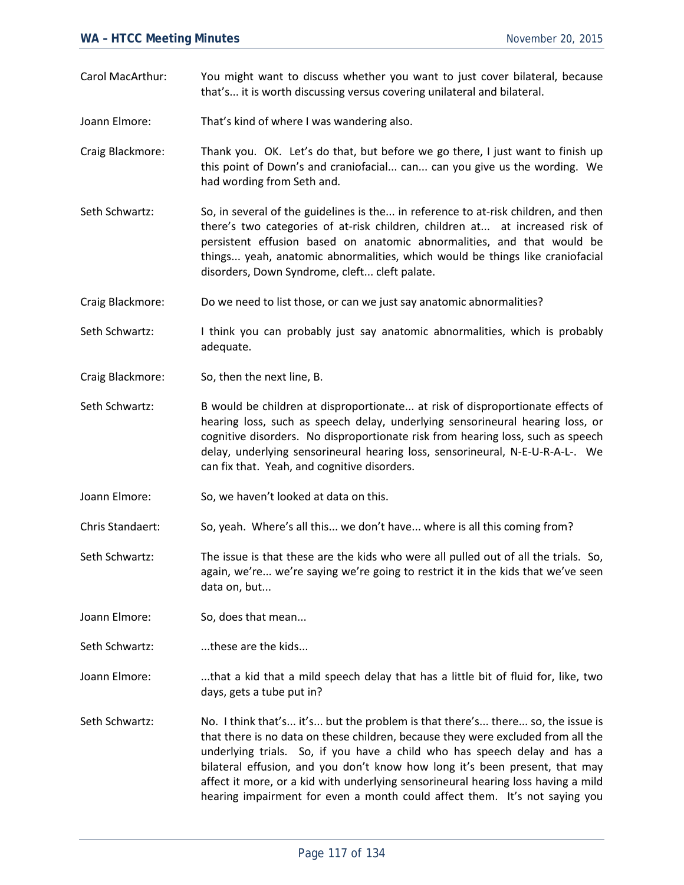- Carol MacArthur: You might want to discuss whether you want to just cover bilateral, because that's... it is worth discussing versus covering unilateral and bilateral.
- Joann Elmore: That's kind of where I was wandering also.
- Craig Blackmore: Thank you. OK. Let's do that, but before we go there, I just want to finish up this point of Down's and craniofacial... can... can you give us the wording. We had wording from Seth and.
- Seth Schwartz: So, in several of the guidelines is the... in reference to at-risk children, and then there's two categories of at-risk children, children at... at increased risk of persistent effusion based on anatomic abnormalities, and that would be things... yeah, anatomic abnormalities, which would be things like craniofacial disorders, Down Syndrome, cleft... cleft palate.
- Craig Blackmore: Do we need to list those, or can we just say anatomic abnormalities?
- Seth Schwartz: I think you can probably just say anatomic abnormalities, which is probably adequate.
- Craig Blackmore: So, then the next line, B.
- Seth Schwartz: B would be children at disproportionate... at risk of disproportionate effects of hearing loss, such as speech delay, underlying sensorineural hearing loss, or cognitive disorders. No disproportionate risk from hearing loss, such as speech delay, underlying sensorineural hearing loss, sensorineural, N-E-U-R-A-L-. We can fix that. Yeah, and cognitive disorders.
- Joann Elmore: So, we haven't looked at data on this.
- Chris Standaert: So, yeah. Where's all this... we don't have... where is all this coming from?
- Seth Schwartz: The issue is that these are the kids who were all pulled out of all the trials. So, again, we're... we're saying we're going to restrict it in the kids that we've seen data on, but...
- Joann Elmore: So, does that mean...
- Seth Schwartz: ...these are the kids...
- Joann Elmore: ...that a kid that a mild speech delay that has a little bit of fluid for, like, two days, gets a tube put in?
- Seth Schwartz: No. I think that's... it's... but the problem is that there's... there... so, the issue is that there is no data on these children, because they were excluded from all the underlying trials. So, if you have a child who has speech delay and has a bilateral effusion, and you don't know how long it's been present, that may affect it more, or a kid with underlying sensorineural hearing loss having a mild hearing impairment for even a month could affect them. It's not saying you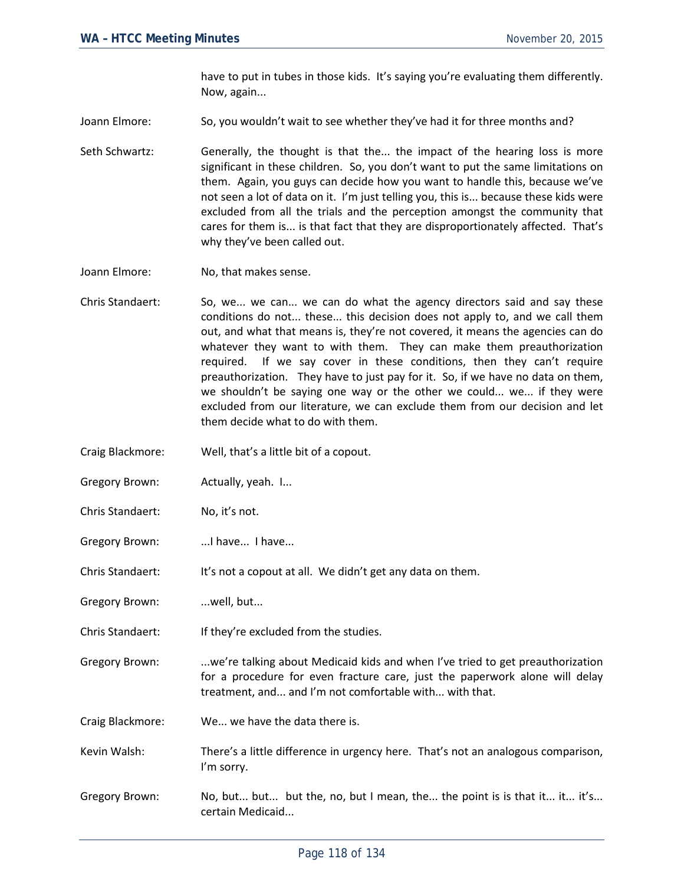have to put in tubes in those kids. It's saying you're evaluating them differently. Now, again...

- Joann Elmore: So, you wouldn't wait to see whether they've had it for three months and?
- Seth Schwartz: Generally, the thought is that the... the impact of the hearing loss is more significant in these children. So, you don't want to put the same limitations on them. Again, you guys can decide how you want to handle this, because we've not seen a lot of data on it. I'm just telling you, this is... because these kids were excluded from all the trials and the perception amongst the community that cares for them is... is that fact that they are disproportionately affected. That's why they've been called out.
- Joann Elmore: No, that makes sense.
- Chris Standaert: So, we... we can... we can do what the agency directors said and say these conditions do not... these... this decision does not apply to, and we call them out, and what that means is, they're not covered, it means the agencies can do whatever they want to with them. They can make them preauthorization required. If we say cover in these conditions, then they can't require preauthorization. They have to just pay for it. So, if we have no data on them, we shouldn't be saying one way or the other we could... we... if they were excluded from our literature, we can exclude them from our decision and let them decide what to do with them.
- Craig Blackmore: Well, that's a little bit of a copout.
- Gregory Brown: Actually, yeah. I...
- Chris Standaert: No, it's not.
- Gregory Brown: ...I have... I have...

Chris Standaert: It's not a copout at all. We didn't get any data on them.

- Gregory Brown: ...well, but...
- Chris Standaert: If they're excluded from the studies.
- Gregory Brown: ...we're talking about Medicaid kids and when I've tried to get preauthorization for a procedure for even fracture care, just the paperwork alone will delay treatment, and... and I'm not comfortable with... with that.
- Craig Blackmore: We... we have the data there is.
- Kevin Walsh: There's a little difference in urgency here. That's not an analogous comparison, I'm sorry.
- Gregory Brown: No, but... but... but the, no, but I mean, the... the point is is that it... it... it's... certain Medicaid...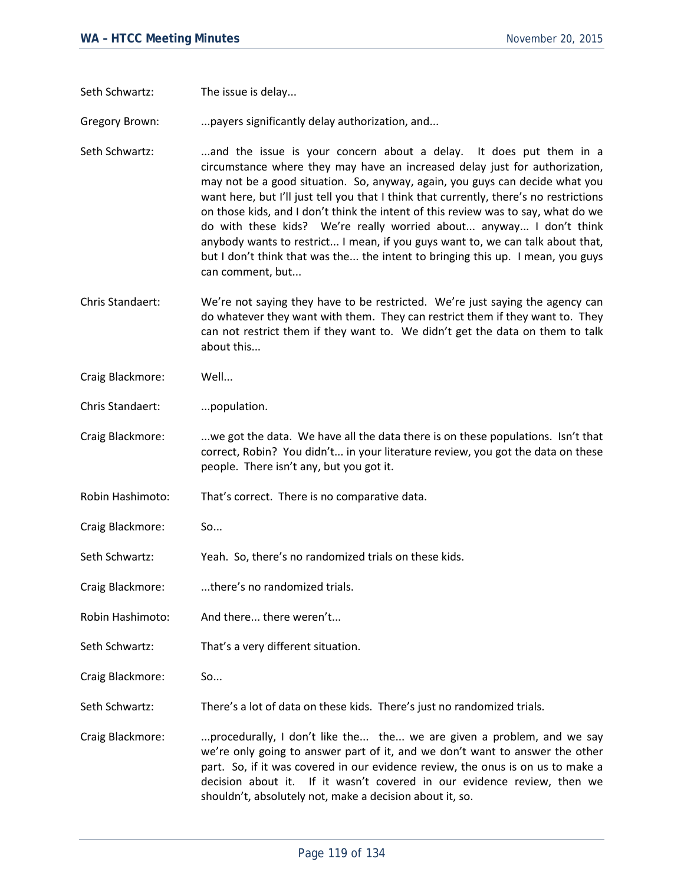Seth Schwartz: The issue is delay...

Gregory Brown: ...payers significantly delay authorization, and...

Seth Schwartz: ...and the issue is your concern about a delay. It does put them in a circumstance where they may have an increased delay just for authorization, may not be a good situation. So, anyway, again, you guys can decide what you want here, but I'll just tell you that I think that currently, there's no restrictions on those kids, and I don't think the intent of this review was to say, what do we do with these kids? We're really worried about... anyway... I don't think anybody wants to restrict... I mean, if you guys want to, we can talk about that, but I don't think that was the... the intent to bringing this up. I mean, you guys can comment, but...

Chris Standaert: We're not saying they have to be restricted. We're just saying the agency can do whatever they want with them. They can restrict them if they want to. They can not restrict them if they want to. We didn't get the data on them to talk about this...

- Craig Blackmore: Well...
- Chris Standaert: ...population.

Craig Blackmore: ...we got the data. We have all the data there is on these populations. Isn't that correct, Robin? You didn't... in your literature review, you got the data on these people. There isn't any, but you got it.

- Robin Hashimoto: That's correct. There is no comparative data.
- Craig Blackmore: So...
- Seth Schwartz: Yeah. So, there's no randomized trials on these kids.
- Craig Blackmore: ...there's no randomized trials.
- Robin Hashimoto: And there... there weren't...
- Seth Schwartz: That's a very different situation.
- Craig Blackmore: So...

Seth Schwartz: There's a lot of data on these kids. There's just no randomized trials.

Craig Blackmore: ...procedurally, I don't like the... the... we are given a problem, and we say we're only going to answer part of it, and we don't want to answer the other part. So, if it was covered in our evidence review, the onus is on us to make a decision about it. If it wasn't covered in our evidence review, then we shouldn't, absolutely not, make a decision about it, so.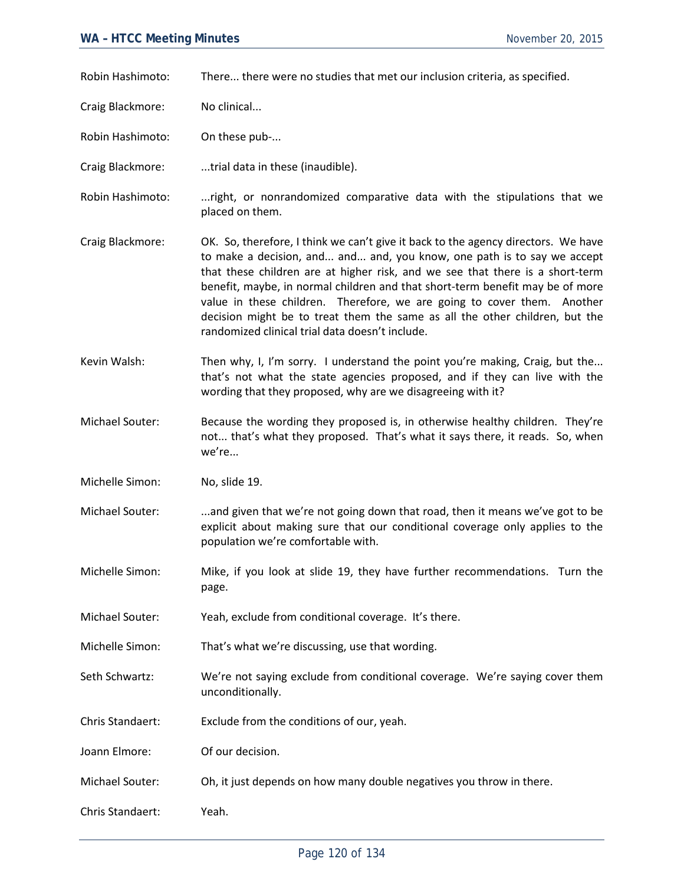Robin Hashimoto: There... there were no studies that met our inclusion criteria, as specified.

Craig Blackmore: No clinical...

Robin Hashimoto: On these pub-...

Craig Blackmore: ...trial data in these (inaudible).

Robin Hashimoto: ......right, or nonrandomized comparative data with the stipulations that we placed on them.

- Craig Blackmore: OK. So, therefore, I think we can't give it back to the agency directors. We have to make a decision, and... and... and, you know, one path is to say we accept that these children are at higher risk, and we see that there is a short-term benefit, maybe, in normal children and that short-term benefit may be of more value in these children. Therefore, we are going to cover them. Another decision might be to treat them the same as all the other children, but the randomized clinical trial data doesn't include.
- Kevin Walsh: Then why, I, I'm sorry. I understand the point you're making, Craig, but the... that's not what the state agencies proposed, and if they can live with the wording that they proposed, why are we disagreeing with it?
- Michael Souter: Because the wording they proposed is, in otherwise healthy children. They're not... that's what they proposed. That's what it says there, it reads. So, when we're...

Michelle Simon: No, slide 19.

Michael Souter: ...and given that we're not going down that road, then it means we've got to be explicit about making sure that our conditional coverage only applies to the population we're comfortable with.

Michelle Simon: Mike, if you look at slide 19, they have further recommendations. Turn the page.

Michael Souter: Yeah, exclude from conditional coverage. It's there.

Michelle Simon: That's what we're discussing, use that wording.

Seth Schwartz: We're not saying exclude from conditional coverage. We're saying cover them unconditionally.

Chris Standaert: Exclude from the conditions of our, yeah.

Joann Elmore: Of our decision.

Michael Souter: Oh, it just depends on how many double negatives you throw in there.

Chris Standaert: Yeah.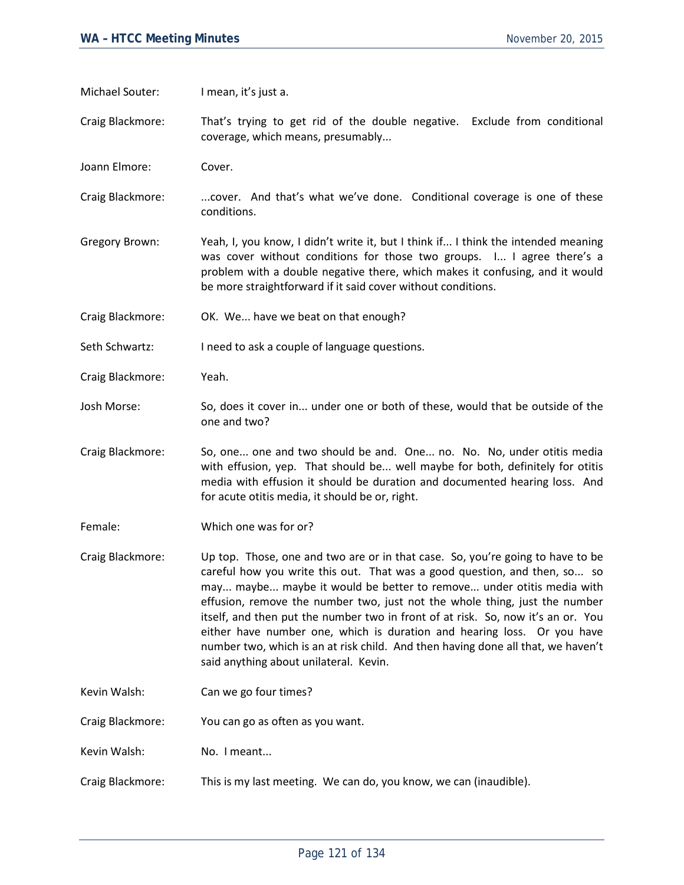Michael Souter: I mean, it's just a.

Craig Blackmore: That's trying to get rid of the double negative. Exclude from conditional coverage, which means, presumably...

Joann Elmore: Cover.

Craig Blackmore: ....cover. And that's what we've done. Conditional coverage is one of these conditions.

Gregory Brown: Yeah, I, you know, I didn't write it, but I think if... I think the intended meaning was cover without conditions for those two groups. I... I agree there's a problem with a double negative there, which makes it confusing, and it would be more straightforward if it said cover without conditions.

Craig Blackmore: OK. We... have we beat on that enough?

Seth Schwartz: I need to ask a couple of language questions.

Craig Blackmore: Yeah.

Josh Morse: So, does it cover in... under one or both of these, would that be outside of the one and two?

Craig Blackmore: So, one... one and two should be and. One... no. No. No, under otitis media with effusion, yep. That should be... well maybe for both, definitely for otitis media with effusion it should be duration and documented hearing loss. And for acute otitis media, it should be or, right.

Female: Which one was for or?

Craig Blackmore: Up top. Those, one and two are or in that case. So, you're going to have to be careful how you write this out. That was a good question, and then, so... so may... maybe... maybe it would be better to remove... under otitis media with effusion, remove the number two, just not the whole thing, just the number itself, and then put the number two in front of at risk. So, now it's an or. You either have number one, which is duration and hearing loss. Or you have number two, which is an at risk child. And then having done all that, we haven't said anything about unilateral. Kevin.

Kevin Walsh: Can we go four times?

Craig Blackmore: You can go as often as you want.

Kevin Walsh: No. I meant...

Craig Blackmore: This is my last meeting. We can do, you know, we can (inaudible).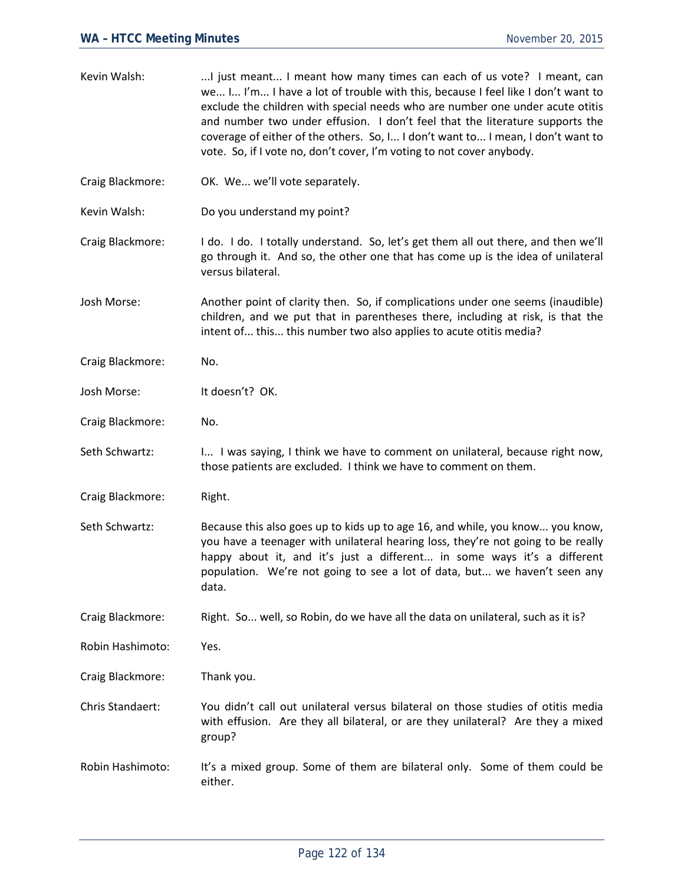| Kevin Walsh:     | I just meant I meant how many times can each of us vote? I meant, can<br>we I I'm I have a lot of trouble with this, because I feel like I don't want to<br>exclude the children with special needs who are number one under acute otitis<br>and number two under effusion. I don't feel that the literature supports the<br>coverage of either of the others. So, I I don't want to I mean, I don't want to<br>vote. So, if I vote no, don't cover, I'm voting to not cover anybody. |
|------------------|---------------------------------------------------------------------------------------------------------------------------------------------------------------------------------------------------------------------------------------------------------------------------------------------------------------------------------------------------------------------------------------------------------------------------------------------------------------------------------------|
| Craig Blackmore: | OK. We we'll vote separately.                                                                                                                                                                                                                                                                                                                                                                                                                                                         |
| Kevin Walsh:     | Do you understand my point?                                                                                                                                                                                                                                                                                                                                                                                                                                                           |
| Craig Blackmore: | I do. I do. I totally understand. So, let's get them all out there, and then we'll<br>go through it. And so, the other one that has come up is the idea of unilateral<br>versus bilateral.                                                                                                                                                                                                                                                                                            |
| Josh Morse:      | Another point of clarity then. So, if complications under one seems (inaudible)<br>children, and we put that in parentheses there, including at risk, is that the<br>intent of this this number two also applies to acute otitis media?                                                                                                                                                                                                                                               |
| Craig Blackmore: | No.                                                                                                                                                                                                                                                                                                                                                                                                                                                                                   |
| Josh Morse:      | It doesn't? OK.                                                                                                                                                                                                                                                                                                                                                                                                                                                                       |
| Craig Blackmore: | No.                                                                                                                                                                                                                                                                                                                                                                                                                                                                                   |
| Seth Schwartz:   | I I was saying, I think we have to comment on unilateral, because right now,<br>those patients are excluded. I think we have to comment on them.                                                                                                                                                                                                                                                                                                                                      |
| Craig Blackmore: | Right.                                                                                                                                                                                                                                                                                                                                                                                                                                                                                |
| Seth Schwartz:   | Because this also goes up to kids up to age 16, and while, you know you know,<br>you have a teenager with unilateral hearing loss, they're not going to be really<br>happy about it, and it's just a different in some ways it's a different<br>population. We're not going to see a lot of data, but we haven't seen any<br>data.                                                                                                                                                    |
| Craig Blackmore: | Right. So well, so Robin, do we have all the data on unilateral, such as it is?                                                                                                                                                                                                                                                                                                                                                                                                       |
| Robin Hashimoto: | Yes.                                                                                                                                                                                                                                                                                                                                                                                                                                                                                  |
| Craig Blackmore: | Thank you.                                                                                                                                                                                                                                                                                                                                                                                                                                                                            |
| Chris Standaert: | You didn't call out unilateral versus bilateral on those studies of otitis media<br>with effusion. Are they all bilateral, or are they unilateral? Are they a mixed<br>group?                                                                                                                                                                                                                                                                                                         |
| Robin Hashimoto: | It's a mixed group. Some of them are bilateral only. Some of them could be<br>either.                                                                                                                                                                                                                                                                                                                                                                                                 |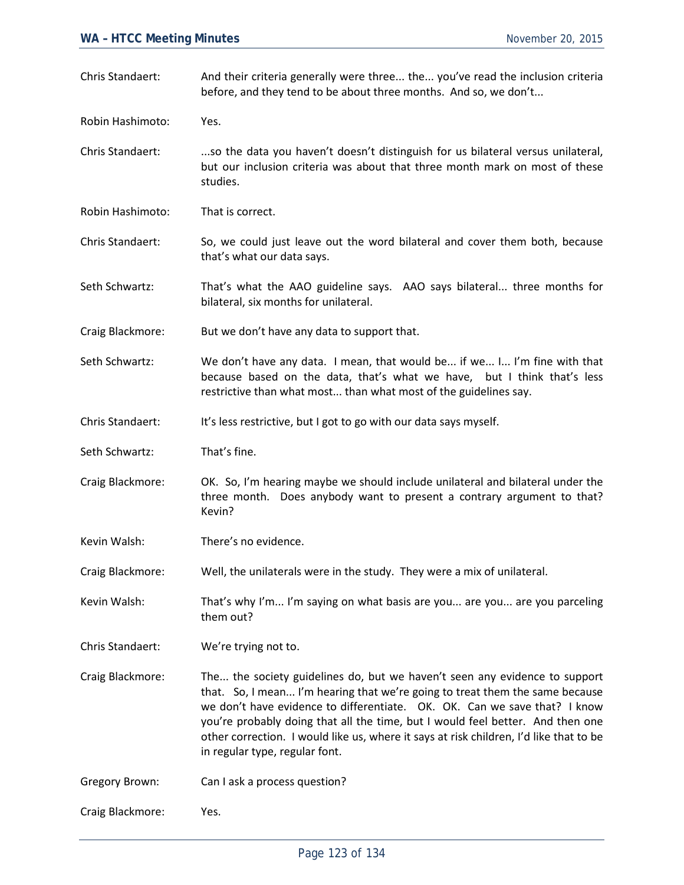Chris Standaert: And their criteria generally were three... the... you've read the inclusion criteria before, and they tend to be about three months. And so, we don't...

Robin Hashimoto: Yes.

Chris Standaert: ...so the data you haven't doesn't distinguish for us bilateral versus unilateral, but our inclusion criteria was about that three month mark on most of these studies.

Robin Hashimoto: That is correct.

Chris Standaert: So, we could just leave out the word bilateral and cover them both, because that's what our data says.

Seth Schwartz: That's what the AAO guideline says. AAO says bilateral... three months for bilateral, six months for unilateral.

Craig Blackmore: But we don't have any data to support that.

Seth Schwartz: We don't have any data. I mean, that would be... if we... I... I'm fine with that because based on the data, that's what we have, but I think that's less restrictive than what most... than what most of the guidelines say.

Chris Standaert: It's less restrictive, but I got to go with our data says myself.

Seth Schwartz: That's fine.

Craig Blackmore: OK. So, I'm hearing maybe we should include unilateral and bilateral under the three month. Does anybody want to present a contrary argument to that? Kevin?

Kevin Walsh: There's no evidence.

Craig Blackmore: Well, the unilaterals were in the study. They were a mix of unilateral.

Kevin Walsh: That's why I'm... I'm saying on what basis are you... are you... are you parceling them out?

Chris Standaert: We're trying not to.

Craig Blackmore: The... the society guidelines do, but we haven't seen any evidence to support that. So, I mean... I'm hearing that we're going to treat them the same because we don't have evidence to differentiate. OK. OK. Can we save that? I know you're probably doing that all the time, but I would feel better. And then one other correction. I would like us, where it says at risk children, I'd like that to be in regular type, regular font.

Gregory Brown: Can I ask a process question?

Craig Blackmore: Yes.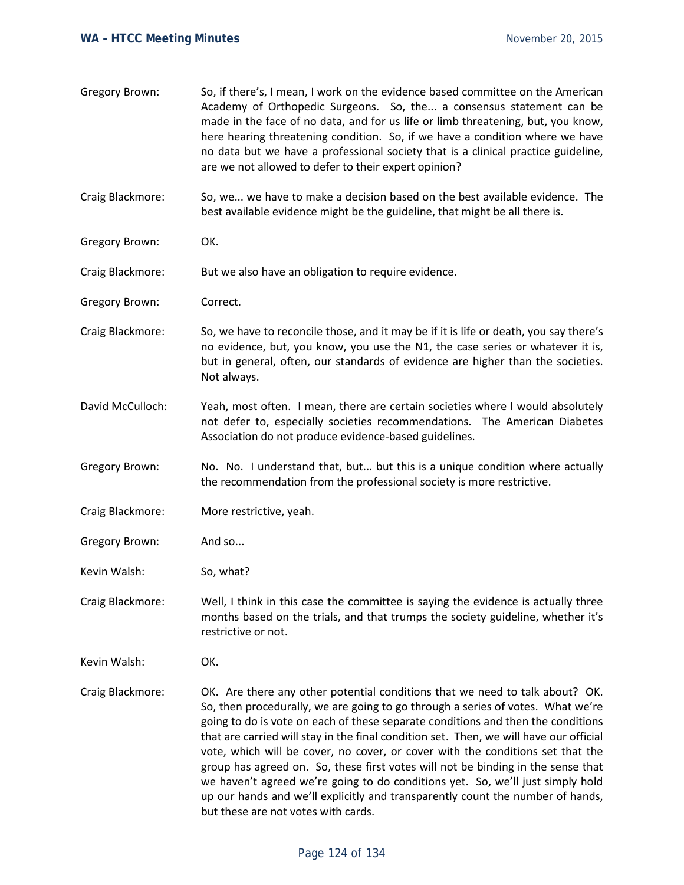| <b>Gregory Brown:</b> | So, if there's, I mean, I work on the evidence based committee on the American<br>Academy of Orthopedic Surgeons. So, the a consensus statement can be<br>made in the face of no data, and for us life or limb threatening, but, you know,<br>here hearing threatening condition. So, if we have a condition where we have<br>no data but we have a professional society that is a clinical practice guideline,<br>are we not allowed to defer to their expert opinion?                                                                                                                                                                                                                                                        |
|-----------------------|--------------------------------------------------------------------------------------------------------------------------------------------------------------------------------------------------------------------------------------------------------------------------------------------------------------------------------------------------------------------------------------------------------------------------------------------------------------------------------------------------------------------------------------------------------------------------------------------------------------------------------------------------------------------------------------------------------------------------------|
| Craig Blackmore:      | So, we we have to make a decision based on the best available evidence. The<br>best available evidence might be the guideline, that might be all there is.                                                                                                                                                                                                                                                                                                                                                                                                                                                                                                                                                                     |
| <b>Gregory Brown:</b> | OK.                                                                                                                                                                                                                                                                                                                                                                                                                                                                                                                                                                                                                                                                                                                            |
| Craig Blackmore:      | But we also have an obligation to require evidence.                                                                                                                                                                                                                                                                                                                                                                                                                                                                                                                                                                                                                                                                            |
| Gregory Brown:        | Correct.                                                                                                                                                                                                                                                                                                                                                                                                                                                                                                                                                                                                                                                                                                                       |
| Craig Blackmore:      | So, we have to reconcile those, and it may be if it is life or death, you say there's<br>no evidence, but, you know, you use the N1, the case series or whatever it is,<br>but in general, often, our standards of evidence are higher than the societies.<br>Not always.                                                                                                                                                                                                                                                                                                                                                                                                                                                      |
| David McCulloch:      | Yeah, most often. I mean, there are certain societies where I would absolutely<br>not defer to, especially societies recommendations. The American Diabetes<br>Association do not produce evidence-based guidelines.                                                                                                                                                                                                                                                                                                                                                                                                                                                                                                           |
| Gregory Brown:        | No. No. I understand that, but but this is a unique condition where actually<br>the recommendation from the professional society is more restrictive.                                                                                                                                                                                                                                                                                                                                                                                                                                                                                                                                                                          |
| Craig Blackmore:      | More restrictive, yeah.                                                                                                                                                                                                                                                                                                                                                                                                                                                                                                                                                                                                                                                                                                        |
| <b>Gregory Brown:</b> | And so                                                                                                                                                                                                                                                                                                                                                                                                                                                                                                                                                                                                                                                                                                                         |
| Kevin Walsh:          | So, what?                                                                                                                                                                                                                                                                                                                                                                                                                                                                                                                                                                                                                                                                                                                      |
| Craig Blackmore:      | Well, I think in this case the committee is saying the evidence is actually three<br>months based on the trials, and that trumps the society guideline, whether it's<br>restrictive or not.                                                                                                                                                                                                                                                                                                                                                                                                                                                                                                                                    |
| Kevin Walsh:          | OK.                                                                                                                                                                                                                                                                                                                                                                                                                                                                                                                                                                                                                                                                                                                            |
| Craig Blackmore:      | OK. Are there any other potential conditions that we need to talk about? OK.<br>So, then procedurally, we are going to go through a series of votes. What we're<br>going to do is vote on each of these separate conditions and then the conditions<br>that are carried will stay in the final condition set. Then, we will have our official<br>vote, which will be cover, no cover, or cover with the conditions set that the<br>group has agreed on. So, these first votes will not be binding in the sense that<br>we haven't agreed we're going to do conditions yet. So, we'll just simply hold<br>up our hands and we'll explicitly and transparently count the number of hands,<br>but these are not votes with cards. |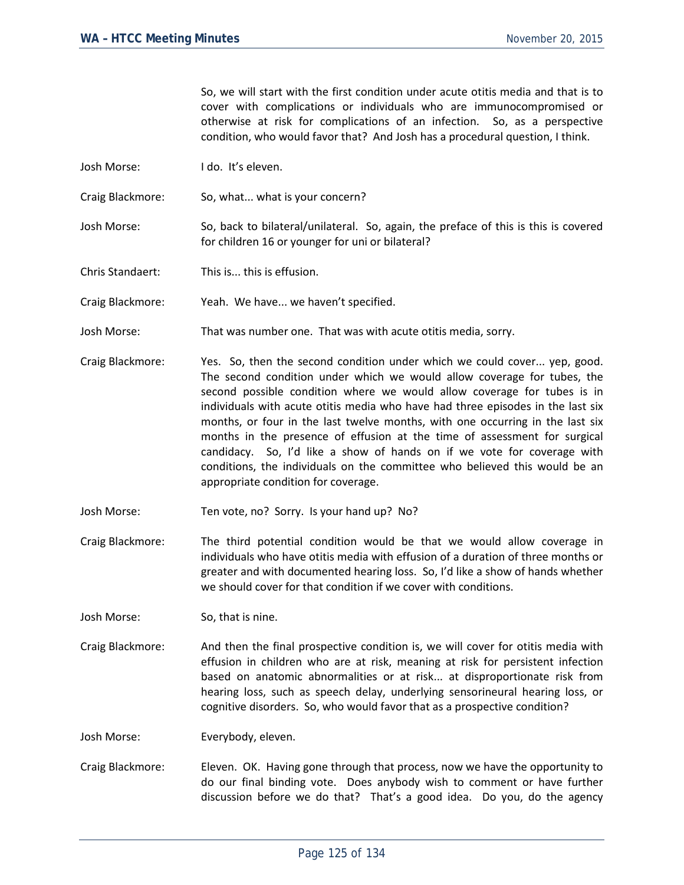So, we will start with the first condition under acute otitis media and that is to cover with complications or individuals who are immunocompromised or otherwise at risk for complications of an infection. So, as a perspective condition, who would favor that? And Josh has a procedural question, I think.

- Josh Morse: I do. It's eleven.
- Craig Blackmore: So, what... what is your concern?
- Josh Morse: So, back to bilateral/unilateral. So, again, the preface of this is this is covered for children 16 or younger for uni or bilateral?
- Chris Standaert: This is... this is effusion.
- Craig Blackmore: Yeah. We have... we haven't specified.
- Josh Morse: That was number one. That was with acute otitis media, sorry.
- Craig Blackmore: Yes. So, then the second condition under which we could cover... yep, good. The second condition under which we would allow coverage for tubes, the second possible condition where we would allow coverage for tubes is in individuals with acute otitis media who have had three episodes in the last six months, or four in the last twelve months, with one occurring in the last six months in the presence of effusion at the time of assessment for surgical candidacy. So, I'd like a show of hands on if we vote for coverage with conditions, the individuals on the committee who believed this would be an appropriate condition for coverage.
- Josh Morse: Ten vote, no? Sorry. Is your hand up? No?
- Craig Blackmore: The third potential condition would be that we would allow coverage in individuals who have otitis media with effusion of a duration of three months or greater and with documented hearing loss. So, I'd like a show of hands whether we should cover for that condition if we cover with conditions.
- Josh Morse: So, that is nine.
- Craig Blackmore: And then the final prospective condition is, we will cover for otitis media with effusion in children who are at risk, meaning at risk for persistent infection based on anatomic abnormalities or at risk... at disproportionate risk from hearing loss, such as speech delay, underlying sensorineural hearing loss, or cognitive disorders. So, who would favor that as a prospective condition?

Josh Morse: Everybody, eleven.

Craig Blackmore: Eleven. OK. Having gone through that process, now we have the opportunity to do our final binding vote. Does anybody wish to comment or have further discussion before we do that? That's a good idea. Do you, do the agency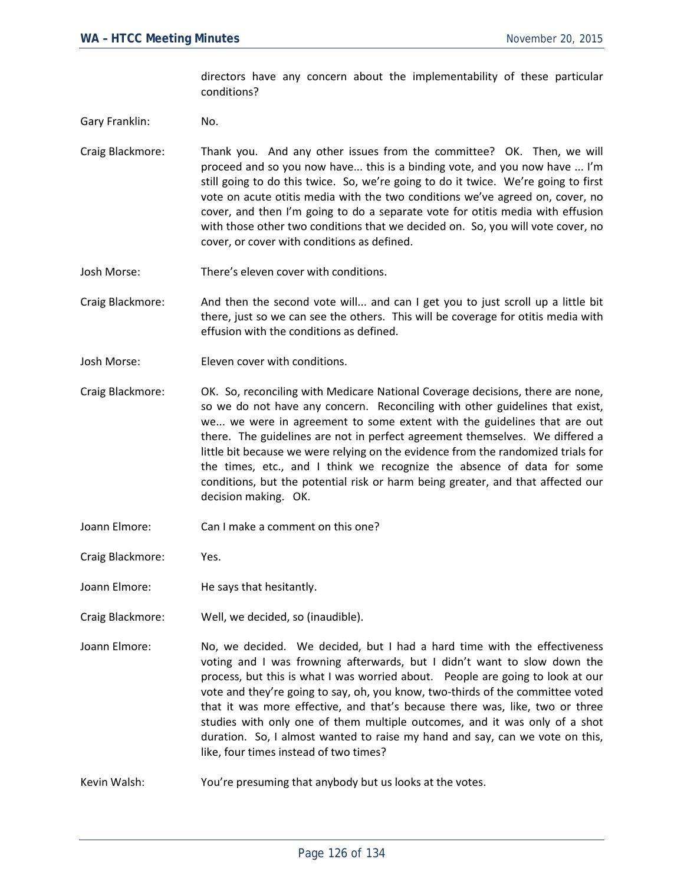directors have any concern about the implementability of these particular conditions?

Gary Franklin: No.

- Craig Blackmore: Thank you. And any other issues from the committee? OK. Then, we will proceed and so you now have... this is a binding vote, and you now have ... I'm still going to do this twice. So, we're going to do it twice. We're going to first vote on acute otitis media with the two conditions we've agreed on, cover, no cover, and then I'm going to do a separate vote for otitis media with effusion with those other two conditions that we decided on. So, you will vote cover, no cover, or cover with conditions as defined.
- Josh Morse: There's eleven cover with conditions.
- Craig Blackmore: And then the second vote will... and can I get you to just scroll up a little bit there, just so we can see the others. This will be coverage for otitis media with effusion with the conditions as defined.
- Josh Morse: Eleven cover with conditions.
- Craig Blackmore: OK. So, reconciling with Medicare National Coverage decisions, there are none, so we do not have any concern. Reconciling with other guidelines that exist, we... we were in agreement to some extent with the guidelines that are out there. The guidelines are not in perfect agreement themselves. We differed a little bit because we were relying on the evidence from the randomized trials for the times, etc., and I think we recognize the absence of data for some conditions, but the potential risk or harm being greater, and that affected our decision making. OK.
- Joann Elmore: Can I make a comment on this one?
- Craig Blackmore: Yes.
- Joann Elmore: He says that hesitantly.
- Craig Blackmore: Well, we decided, so (inaudible).
- Joann Elmore: No, we decided. We decided, but I had a hard time with the effectiveness voting and I was frowning afterwards, but I didn't want to slow down the process, but this is what I was worried about. People are going to look at our vote and they're going to say, oh, you know, two-thirds of the committee voted that it was more effective, and that's because there was, like, two or three studies with only one of them multiple outcomes, and it was only of a shot duration. So, I almost wanted to raise my hand and say, can we vote on this, like, four times instead of two times?
- Kevin Walsh: You're presuming that anybody but us looks at the votes.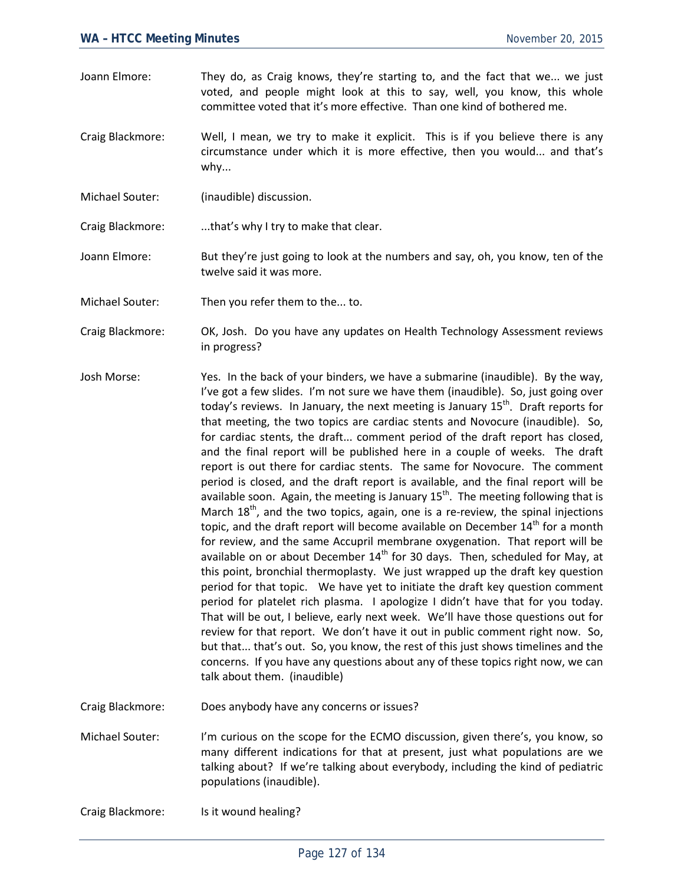- Joann Elmore: They do, as Craig knows, they're starting to, and the fact that we... we just voted, and people might look at this to say, well, you know, this whole committee voted that it's more effective. Than one kind of bothered me.
- Craig Blackmore: Well, I mean, we try to make it explicit. This is if you believe there is any circumstance under which it is more effective, then you would... and that's why...
- Michael Souter: (inaudible) discussion.
- Craig Blackmore: ...that's why I try to make that clear.
- Joann Elmore: But they're just going to look at the numbers and say, oh, you know, ten of the twelve said it was more.
- Michael Souter: Then you refer them to the... to.
- Craig Blackmore: OK, Josh. Do you have any updates on Health Technology Assessment reviews in progress?
- Josh Morse: Yes. In the back of your binders, we have a submarine (inaudible). By the way, I've got a few slides. I'm not sure we have them (inaudible). So, just going over today's reviews. In January, the next meeting is January  $15<sup>th</sup>$ . Draft reports for that meeting, the two topics are cardiac stents and Novocure (inaudible). So, for cardiac stents, the draft... comment period of the draft report has closed, and the final report will be published here in a couple of weeks. The draft report is out there for cardiac stents. The same for Novocure. The comment period is closed, and the draft report is available, and the final report will be available soon. Again, the meeting is January  $15<sup>th</sup>$ . The meeting following that is March  $18<sup>th</sup>$ , and the two topics, again, one is a re-review, the spinal injections topic, and the draft report will become available on December  $14<sup>th</sup>$  for a month for review, and the same Accupril membrane oxygenation. That report will be available on or about December  $14<sup>th</sup>$  for 30 days. Then, scheduled for May, at this point, bronchial thermoplasty. We just wrapped up the draft key question period for that topic. We have yet to initiate the draft key question comment period for platelet rich plasma. I apologize I didn't have that for you today. That will be out, I believe, early next week. We'll have those questions out for review for that report. We don't have it out in public comment right now. So, but that... that's out. So, you know, the rest of this just shows timelines and the concerns. If you have any questions about any of these topics right now, we can talk about them. (inaudible)
- Craig Blackmore: Does anybody have any concerns or issues?

Michael Souter: I'm curious on the scope for the ECMO discussion, given there's, you know, so many different indications for that at present, just what populations are we talking about? If we're talking about everybody, including the kind of pediatric populations (inaudible).

Craig Blackmore: Is it wound healing?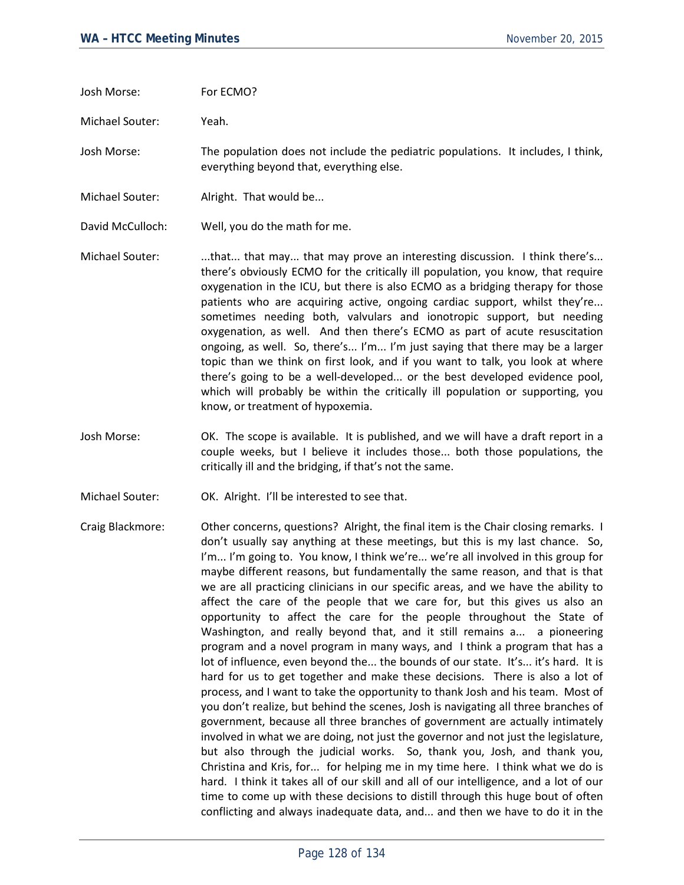Josh Morse: For ECMO?

Michael Souter: Yeah.

Josh Morse: The population does not include the pediatric populations. It includes, I think, everything beyond that, everything else.

- Michael Souter: Alright. That would be...
- David McCulloch: Well, you do the math for me.
- Michael Souter: ...that... that may... that may prove an interesting discussion. I think there's... there's obviously ECMO for the critically ill population, you know, that require oxygenation in the ICU, but there is also ECMO as a bridging therapy for those patients who are acquiring active, ongoing cardiac support, whilst they're... sometimes needing both, valvulars and ionotropic support, but needing oxygenation, as well. And then there's ECMO as part of acute resuscitation ongoing, as well. So, there's... I'm... I'm just saying that there may be a larger topic than we think on first look, and if you want to talk, you look at where there's going to be a well-developed... or the best developed evidence pool, which will probably be within the critically ill population or supporting, you know, or treatment of hypoxemia.
- Josh Morse: OK. The scope is available. It is published, and we will have a draft report in a couple weeks, but I believe it includes those... both those populations, the critically ill and the bridging, if that's not the same.
- Michael Souter: OK. Alright. I'll be interested to see that.
- Craig Blackmore: Other concerns, questions? Alright, the final item is the Chair closing remarks. I don't usually say anything at these meetings, but this is my last chance. So, I'm... I'm going to. You know, I think we're... we're all involved in this group for maybe different reasons, but fundamentally the same reason, and that is that we are all practicing clinicians in our specific areas, and we have the ability to affect the care of the people that we care for, but this gives us also an opportunity to affect the care for the people throughout the State of Washington, and really beyond that, and it still remains a... a pioneering program and a novel program in many ways, and I think a program that has a lot of influence, even beyond the... the bounds of our state. It's... it's hard. It is hard for us to get together and make these decisions. There is also a lot of process, and I want to take the opportunity to thank Josh and his team. Most of you don't realize, but behind the scenes, Josh is navigating all three branches of government, because all three branches of government are actually intimately involved in what we are doing, not just the governor and not just the legislature, but also through the judicial works. So, thank you, Josh, and thank you, Christina and Kris, for... for helping me in my time here. I think what we do is hard. I think it takes all of our skill and all of our intelligence, and a lot of our time to come up with these decisions to distill through this huge bout of often conflicting and always inadequate data, and... and then we have to do it in the